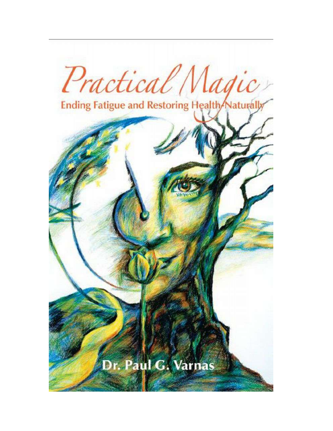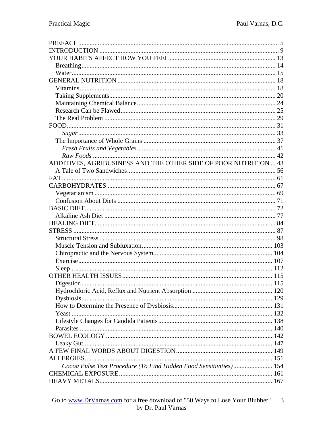| ADDITIVES, AGRIBUSINESS AND THE OTHER SIDE OF POOR NUTRITION  43   |  |
|--------------------------------------------------------------------|--|
|                                                                    |  |
|                                                                    |  |
|                                                                    |  |
|                                                                    |  |
|                                                                    |  |
|                                                                    |  |
|                                                                    |  |
|                                                                    |  |
|                                                                    |  |
|                                                                    |  |
|                                                                    |  |
|                                                                    |  |
|                                                                    |  |
|                                                                    |  |
|                                                                    |  |
|                                                                    |  |
|                                                                    |  |
|                                                                    |  |
|                                                                    |  |
|                                                                    |  |
|                                                                    |  |
|                                                                    |  |
|                                                                    |  |
|                                                                    |  |
|                                                                    |  |
|                                                                    |  |
| Cocoa Pulse Test Procedure (To Find Hidden Food Sensitivities) 154 |  |
|                                                                    |  |
|                                                                    |  |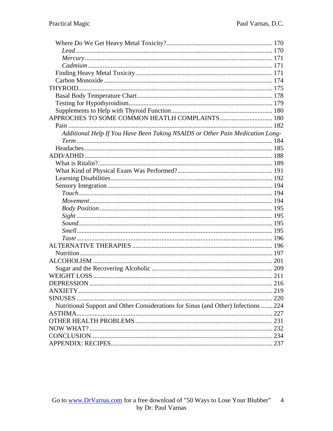| APPROCHES TO SOME COMMON HEATLH COMPLAINTS  180                                    |  |
|------------------------------------------------------------------------------------|--|
|                                                                                    |  |
| Additional Help If You Have Been Taking NSAIDS or Other Pain Medication Long-      |  |
|                                                                                    |  |
|                                                                                    |  |
|                                                                                    |  |
|                                                                                    |  |
|                                                                                    |  |
|                                                                                    |  |
|                                                                                    |  |
|                                                                                    |  |
|                                                                                    |  |
|                                                                                    |  |
|                                                                                    |  |
|                                                                                    |  |
|                                                                                    |  |
|                                                                                    |  |
|                                                                                    |  |
|                                                                                    |  |
|                                                                                    |  |
|                                                                                    |  |
|                                                                                    |  |
| <b>DEPRESSION</b>                                                                  |  |
|                                                                                    |  |
|                                                                                    |  |
| Nutritional Support and Other Considerations for Sinus (and Other) Infections  224 |  |
|                                                                                    |  |
|                                                                                    |  |
|                                                                                    |  |
|                                                                                    |  |
|                                                                                    |  |
|                                                                                    |  |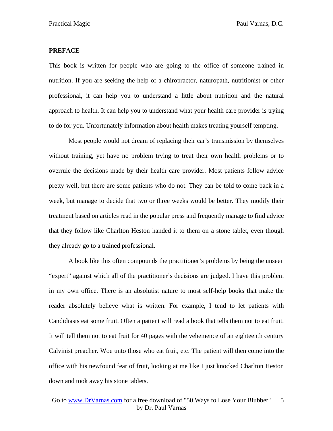### **PREFACE**

This book is written for people who are going to the office of someone trained in nutrition. If you are seeking the help of a chiropractor, naturopath, nutritionist or other professional, it can help you to understand a little about nutrition and the natural approach to health. It can help you to understand what your health care provider is trying to do for you. Unfortunately information about health makes treating yourself tempting.

Most people would not dream of replacing their car's transmission by themselves without training, yet have no problem trying to treat their own health problems or to overrule the decisions made by their health care provider. Most patients follow advice pretty well, but there are some patients who do not. They can be told to come back in a week, but manage to decide that two or three weeks would be better. They modify their treatment based on articles read in the popular press and frequently manage to find advice that they follow like Charlton Heston handed it to them on a stone tablet, even though they already go to a trained professional.

 A book like this often compounds the practitioner's problems by being the unseen "expert" against which all of the practitioner's decisions are judged. I have this problem in my own office. There is an absolutist nature to most self-help books that make the reader absolutely believe what is written. For example, I tend to let patients with Candidiasis eat some fruit. Often a patient will read a book that tells them not to eat fruit. It will tell them not to eat fruit for 40 pages with the vehemence of an eighteenth century Calvinist preacher. Woe unto those who eat fruit, etc. The patient will then come into the office with his newfound fear of fruit, looking at me like I just knocked Charlton Heston down and took away his stone tablets.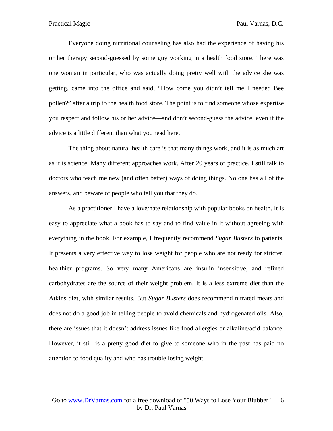Everyone doing nutritional counseling has also had the experience of having his or her therapy second-guessed by some guy working in a health food store. There was one woman in particular, who was actually doing pretty well with the advice she was getting, came into the office and said, "How come you didn't tell me I needed Bee pollen?" after a trip to the health food store. The point is to find someone whose expertise you respect and follow his or her advice—and don't second-guess the advice, even if the advice is a little different than what you read here.

 The thing about natural health care is that many things work, and it is as much art as it is science. Many different approaches work. After 20 years of practice, I still talk to doctors who teach me new (and often better) ways of doing things. No one has all of the answers, and beware of people who tell you that they do.

 As a practitioner I have a love/hate relationship with popular books on health. It is easy to appreciate what a book has to say and to find value in it without agreeing with everything in the book. For example, I frequently recommend *Sugar Busters* to patients. It presents a very effective way to lose weight for people who are not ready for stricter, healthier programs. So very many Americans are insulin insensitive, and refined carbohydrates are the source of their weight problem. It is a less extreme diet than the Atkins diet, with similar results. But *Sugar Busters* does recommend nitrated meats and does not do a good job in telling people to avoid chemicals and hydrogenated oils. Also, there are issues that it doesn't address issues like food allergies or alkaline/acid balance. However, it still is a pretty good diet to give to someone who in the past has paid no attention to food quality and who has trouble losing weight.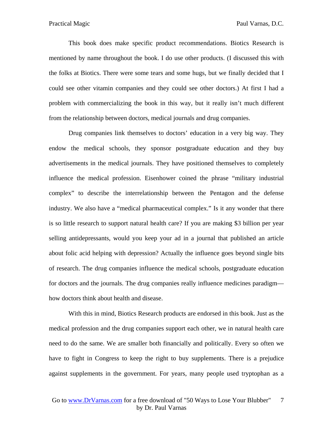This book does make specific product recommendations. Biotics Research is mentioned by name throughout the book. I do use other products. (I discussed this with the folks at Biotics. There were some tears and some hugs, but we finally decided that I could see other vitamin companies and they could see other doctors.) At first I had a problem with commercializing the book in this way, but it really isn't much different from the relationship between doctors, medical journals and drug companies.

 Drug companies link themselves to doctors' education in a very big way. They endow the medical schools, they sponsor postgraduate education and they buy advertisements in the medical journals. They have positioned themselves to completely influence the medical profession. Eisenhower coined the phrase "military industrial complex" to describe the interrelationship between the Pentagon and the defense industry. We also have a "medical pharmaceutical complex." Is it any wonder that there is so little research to support natural health care? If you are making \$3 billion per year selling antidepressants, would you keep your ad in a journal that published an article about folic acid helping with depression? Actually the influence goes beyond single bits of research. The drug companies influence the medical schools, postgraduate education for doctors and the journals. The drug companies really influence medicines paradigm how doctors think about health and disease.

 With this in mind, Biotics Research products are endorsed in this book. Just as the medical profession and the drug companies support each other, we in natural health care need to do the same. We are smaller both financially and politically. Every so often we have to fight in Congress to keep the right to buy supplements. There is a prejudice against supplements in the government. For years, many people used tryptophan as a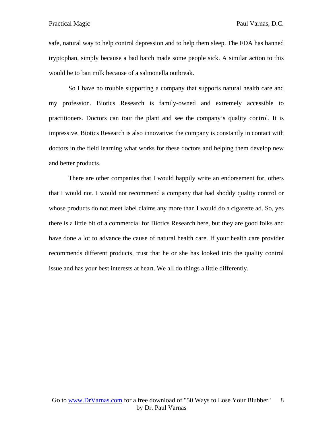safe, natural way to help control depression and to help them sleep. The FDA has banned tryptophan, simply because a bad batch made some people sick. A similar action to this would be to ban milk because of a salmonella outbreak.

So I have no trouble supporting a company that supports natural health care and my profession. Biotics Research is family-owned and extremely accessible to practitioners. Doctors can tour the plant and see the company's quality control. It is impressive. Biotics Research is also innovative: the company is constantly in contact with doctors in the field learning what works for these doctors and helping them develop new and better products.

There are other companies that I would happily write an endorsement for, others that I would not. I would not recommend a company that had shoddy quality control or whose products do not meet label claims any more than I would do a cigarette ad. So, yes there is a little bit of a commercial for Biotics Research here, but they are good folks and have done a lot to advance the cause of natural health care. If your health care provider recommends different products, trust that he or she has looked into the quality control issue and has your best interests at heart. We all do things a little differently.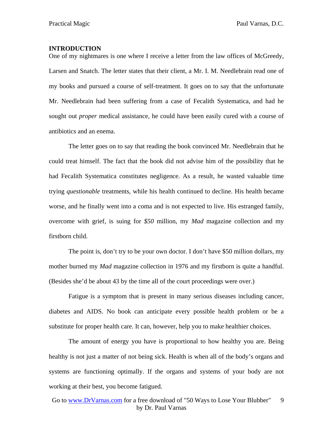# **INTRODUCTION**

One of my nightmares is one where I receive a letter from the law offices of McGreedy, Larsen and Snatch. The letter states that their client, a Mr. I. M. Needlebrain read one of my books and pursued a course of self-treatment. It goes on to say that the unfortunate Mr. Needlebrain had been suffering from a case of Fecalith Systematica, and had he sought out *proper* medical assistance, he could have been easily cured with a course of antibiotics and an enema.

 The letter goes on to say that reading the book convinced Mr. Needlebrain that he could treat himself. The fact that the book did not advise him of the possibility that he had Fecalith Systematica constitutes negligence. As a result, he wasted valuable time trying *questionable* treatments, while his health continued to decline. His health became worse, and he finally went into a coma and is not expected to live. His estranged family, overcome with grief, is suing for *\$50* million, my *Mad* magazine collection and my firstborn child.

 The point is, don't try to be your own doctor. I don't have \$50 million dollars, my mother burned my *Mad* magazine collection in 1976 and my firstborn is quite a handful. (Besides she'd be about 43 by the time all of the court proceedings were over.)

 Fatigue is a symptom that is present in many serious diseases including cancer, diabetes and AIDS. No book can anticipate every possible health problem or be a substitute for proper health care. It can, however, help you to make healthier choices.

 The amount of energy you have is proportional to how healthy you are. Being healthy is not just a matter of not being sick. Health is when all of the body's organs and systems are functioning optimally. If the organs and systems of your body are not working at their best, you become fatigued.

Go to www.DrVarnas.com for a free download of "50 Ways to Lose Your Blubber" by Dr. Paul Varnas 9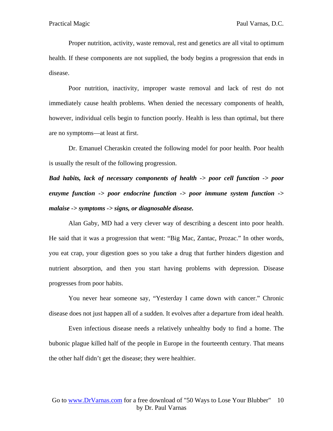Proper nutrition, activity, waste removal, rest and genetics are all vital to optimum health. If these components are not supplied, the body begins a progression that ends in disease.

 Poor nutrition, inactivity, improper waste removal and lack of rest do not immediately cause health problems. When denied the necessary components of health, however, individual cells begin to function poorly. Health is less than optimal, but there are no symptoms—at least at first.

 Dr. Emanuel Cheraskin created the following model for poor health. Poor health is usually the result of the following progression.

*Bad habits, lack of necessary components of health -> poor cell function -> poor enzyme function -> poor endocrine function -> poor immune system function -> malaise -> symptoms -> signs, or diagnosable disease.*

Alan Gaby, MD had a very clever way of describing a descent into poor health. He said that it was a progression that went: "Big Mac, Zantac, Prozac." In other words, you eat crap, your digestion goes so you take a drug that further hinders digestion and nutrient absorption, and then you start having problems with depression. Disease progresses from poor habits.

You never hear someone say, "Yesterday I came down with cancer." Chronic disease does not just happen all of a sudden. It evolves after a departure from ideal health.

 Even infectious disease needs a relatively unhealthy body to find a home. The bubonic plague killed half of the people in Europe in the fourteenth century. That means the other half didn't get the disease; they were healthier.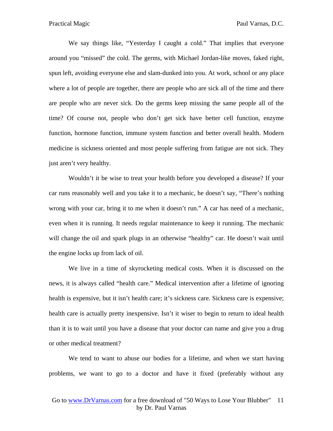We say things like, "Yesterday I caught a cold." That implies that everyone around you "missed" the cold. The germs, with Michael Jordan-like moves, faked right, spun left, avoiding everyone else and slam-dunked into you. At work, school or any place where a lot of people are together, there are people who are sick all of the time and there are people who are never sick. Do the germs keep missing the same people all of the time? Of course not, people who don't get sick have better cell function, enzyme function, hormone function, immune system function and better overall health. Modern medicine is sickness oriented and most people suffering from fatigue are not sick. They just aren't very healthy.

 Wouldn't it be wise to treat your health before you developed a disease? If your car runs reasonably well and you take it to a mechanic, he doesn't say, "There's nothing wrong with your car, bring it to me when it doesn't run." A car has need of a mechanic, even when it is running. It needs regular maintenance to keep it running. The mechanic will change the oil and spark plugs in an otherwise "healthy" car. He doesn't wait until the engine locks up from lack of oil.

 We live in a time of skyrocketing medical costs. When it is discussed on the news, it is always called "health care." Medical intervention after a lifetime of ignoring health is expensive, but it isn't health care; it's sickness care. Sickness care is expensive; health care is actually pretty inexpensive. Isn't it wiser to begin to return to ideal health than it is to wait until you have a disease that your doctor can name and give you a drug or other medical treatment?

 We tend to want to abuse our bodies for a lifetime, and when we start having problems, we want to go to a doctor and have it fixed (preferably without any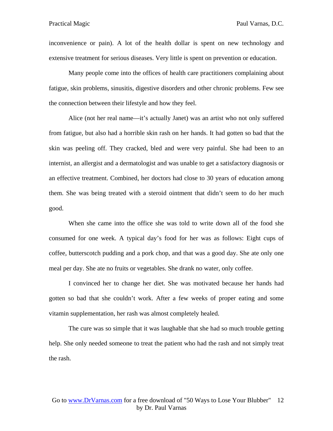inconvenience or pain). A lot of the health dollar is spent on new technology and extensive treatment for serious diseases. Very little is spent on prevention or education.

 Many people come into the offices of health care practitioners complaining about fatigue, skin problems, sinusitis, digestive disorders and other chronic problems. Few see the connection between their lifestyle and how they feel.

 Alice (not her real name—it's actually Janet) was an artist who not only suffered from fatigue, but also had a horrible skin rash on her hands. It had gotten so bad that the skin was peeling off. They cracked, bled and were very painful. She had been to an internist, an allergist and a dermatologist and was unable to get a satisfactory diagnosis or an effective treatment. Combined, her doctors had close to 30 years of education among them. She was being treated with a steroid ointment that didn't seem to do her much good.

 When she came into the office she was told to write down all of the food she consumed for one week. A typical day's food for her was as follows: Eight cups of coffee, butterscotch pudding and a pork chop, and that was a good day. She ate only one meal per day. She ate no fruits or vegetables. She drank no water, only coffee.

 I convinced her to change her diet. She was motivated because her hands had gotten so bad that she couldn't work. After a few weeks of proper eating and some vitamin supplementation, her rash was almost completely healed.

 The cure was so simple that it was laughable that she had so much trouble getting help. She only needed someone to treat the patient who had the rash and not simply treat the rash.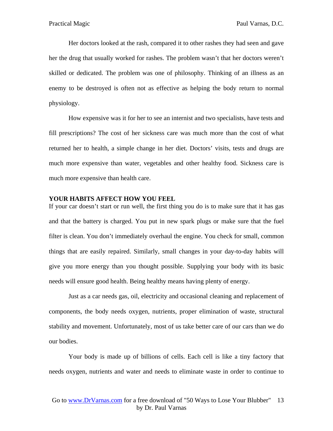Her doctors looked at the rash, compared it to other rashes they had seen and gave her the drug that usually worked for rashes. The problem wasn't that her doctors weren't skilled or dedicated. The problem was one of philosophy. Thinking of an illness as an enemy to be destroyed is often not as effective as helping the body return to normal physiology.

How expensive was it for her to see an internist and two specialists, have tests and fill prescriptions? The cost of her sickness care was much more than the cost of what returned her to health, a simple change in her diet. Doctors' visits, tests and drugs are much more expensive than water, vegetables and other healthy food. Sickness care is much more expensive than health care.

# **YOUR HABITS AFFECT HOW YOU FEEL**

If your car doesn't start or run well, the first thing you do is to make sure that it has gas and that the battery is charged. You put in new spark plugs or make sure that the fuel filter is clean. You don't immediately overhaul the engine. You check for small, common things that are easily repaired. Similarly, small changes in your day-to-day habits will give you more energy than you thought possible. Supplying your body with its basic needs will ensure good health. Being healthy means having plenty of energy.

 Just as a car needs gas, oil, electricity and occasional cleaning and replacement of components, the body needs oxygen, nutrients, proper elimination of waste, structural stability and movement. Unfortunately, most of us take better care of our cars than we do our bodies.

 Your body is made up of billions of cells. Each cell is like a tiny factory that needs oxygen, nutrients and water and needs to eliminate waste in order to continue to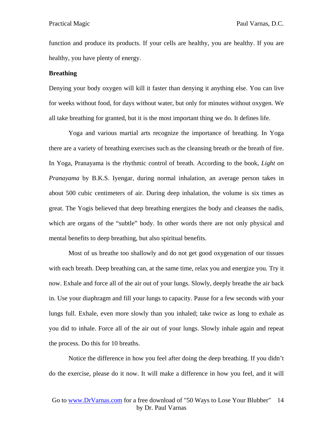function and produce its products. If your cells are healthy, you are healthy. If you are healthy, you have plenty of energy.

### **Breathing**

Denying your body oxygen will kill it faster than denying it anything else. You can live for weeks without food, for days without water, but only for minutes without oxygen. We all take breathing for granted, but it is the most important thing we do. It defines life.

 Yoga and various martial arts recognize the importance of breathing. In Yoga there are a variety of breathing exercises such as the cleansing breath or the breath of fire. In Yoga, Pranayama is the rhythmic control of breath. According to the book, *Light on Pranayama* by B.K.S. Iyengar, during normal inhalation, an average person takes in about 500 cubic centimeters of air. During deep inhalation, the volume is six times as great. The Yogis believed that deep breathing energizes the body and cleanses the nadis, which are organs of the "subtle" body. In other words there are not only physical and mental benefits to deep breathing, but also spiritual benefits.

 Most of us breathe too shallowly and do not get good oxygenation of our tissues with each breath. Deep breathing can, at the same time, relax you and energize you. Try it now. Exhale and force all of the air out of your lungs. Slowly, deeply breathe the air back in. Use your diaphragm and fill your lungs to capacity. Pause for a few seconds with your lungs full. Exhale, even more slowly than you inhaled; take twice as long to exhale as you did to inhale. Force all of the air out of your lungs. Slowly inhale again and repeat the process. Do this for 10 breaths.

 Notice the difference in how you feel after doing the deep breathing. If you didn't do the exercise, please do it now. It will make a difference in how you feel, and it will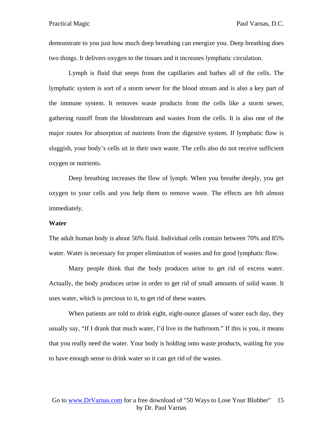demonstrate to you just how much deep breathing can energize you. Deep breathing does two things. It delivers oxygen to the tissues and it increases lymphatic circulation.

 Lymph is fluid that seeps from the capillaries and bathes all of the cells. The lymphatic system is sort of a storm sewer for the blood stream and is also a key part of the immune system. It removes waste products from the cells like a storm sewer, gathering runoff from the bloodstream and wastes from the cells. It is also one of the major routes for absorption of nutrients from the digestive system. If lymphatic flow is sluggish, your body's cells sit in their own waste. The cells also do not receive sufficient oxygen or nutrients.

 Deep breathing increases the flow of lymph. When you breathe deeply, you get oxygen to your cells and you help them to remove waste. The effects are felt almost immediately.

#### **Water**

The adult human body is about 56% fluid. Individual cells contain between 70% and 85% water. Water is necessary for proper elimination of wastes and for good lymphatic flow.

 Many people think that the body produces urine to get rid of excess water. Actually, the body produces urine in order to get rid of small amounts of solid waste. It uses water, which is precious to it, to get rid of these wastes.

 When patients are told to drink eight, eight-ounce glasses of water each day, they usually say, "If I drank that much water, I'd live in the bathroom." If this is you, it means that you really need the water. Your body is holding onto waste products, waiting for you to have enough sense to drink water so it can get rid of the wastes.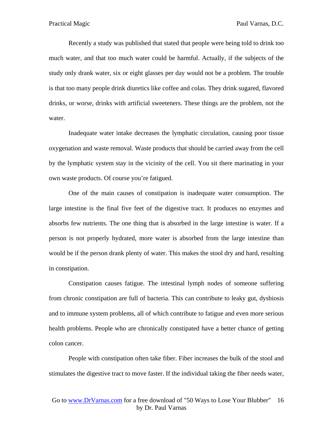Recently a study was published that stated that people were being told to drink too much water, and that too much water could be harmful. Actually, if the subjects of the study only drank water, six or eight glasses per day would not be a problem. The trouble is that too many people drink diuretics like coffee and colas. They drink sugared, flavored drinks, or worse, drinks with artificial sweeteners. These things are the problem, not the water.

 Inadequate water intake decreases the lymphatic circulation, causing poor tissue oxygenation and waste removal. Waste products that should be carried away from the cell by the lymphatic system stay in the vicinity of the cell. You sit there marinating in your own waste products. Of course you're fatigued.

 One of the main causes of constipation is inadequate water consumption. The large intestine is the final five feet of the digestive tract. It produces no enzymes and absorbs few nutrients. The one thing that is absorbed in the large intestine is water. If a person is not properly hydrated, more water is absorbed from the large intestine than would be if the person drank plenty of water. This makes the stool dry and hard, resulting in constipation.

 Constipation causes fatigue. The intestinal lymph nodes of someone suffering from chronic constipation are full of bacteria. This can contribute to leaky gut, dysbiosis and to immune system problems, all of which contribute to fatigue and even more serious health problems. People who are chronically constipated have a better chance of getting colon cancer.

 People with constipation often take fiber. Fiber increases the bulk of the stool and stimulates the digestive tract to move faster. If the individual taking the fiber needs water,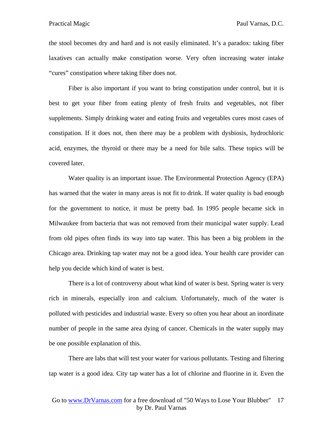the stool becomes dry and hard and is not easily eliminated. It's a paradox: taking fiber laxatives can actually make constipation worse. Very often increasing water intake "cures" constipation where taking fiber does not.

Fiber is also important if you want to bring constipation under control, but it is best to get your fiber from eating plenty of fresh fruits and vegetables, not fiber supplements. Simply drinking water and eating fruits and vegetables cures most cases of constipation. If it does not, then there may be a problem with dysbiosis, hydrochloric acid, enzymes, the thyroid or there may be a need for bile salts. These topics will be covered later.

 Water quality is an important issue. The Environmental Protection Agency (EPA) has warned that the water in many areas is not fit to drink. If water quality is bad enough for the government to notice, it must be pretty bad. In 1995 people became sick in Milwaukee from bacteria that was not removed from their municipal water supply. Lead from old pipes often finds its way into tap water. This has been a big problem in the Chicago area. Drinking tap water may not be a good idea. Your health care provider can help you decide which kind of water is best.

 There is a lot of controversy about what kind of water is best. Spring water is very rich in minerals, especially iron and calcium. Unfortunately, much of the water is polluted with pesticides and industrial waste. Every so often you hear about an inordinate number of people in the same area dying of cancer. Chemicals in the water supply may be one possible explanation of this.

 There are labs that will test your water for various pollutants. Testing and filtering tap water is a good idea. City tap water has a lot of chlorine and fluorine in it. Even the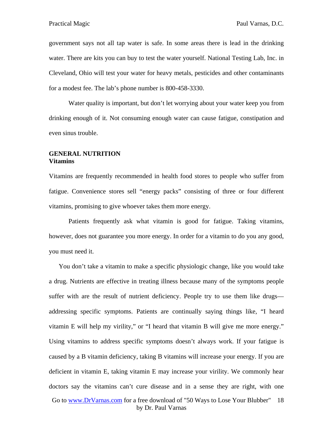government says not all tap water is safe. In some areas there is lead in the drinking water. There are kits you can buy to test the water yourself. National Testing Lab, Inc. in Cleveland, Ohio will test your water for heavy metals, pesticides and other contaminants for a modest fee. The lab's phone number is 800-458-3330.

 Water quality is important, but don't let worrying about your water keep you from drinking enough of it. Not consuming enough water can cause fatigue, constipation and even sinus trouble.

## **GENERAL NUTRITION Vitamins**

Vitamins are frequently recommended in health food stores to people who suffer from fatigue. Convenience stores sell "energy packs" consisting of three or four different vitamins, promising to give whoever takes them more energy.

 Patients frequently ask what vitamin is good for fatigue. Taking vitamins, however, does not guarantee you more energy. In order for a vitamin to do you any good, you must need it.

You don't take a vitamin to make a specific physiologic change, like you would take a drug. Nutrients are effective in treating illness because many of the symptoms people suffer with are the result of nutrient deficiency. People try to use them like drugs addressing specific symptoms. Patients are continually saying things like, "I heard vitamin E will help my virility," or "I heard that vitamin B will give me more energy." Using vitamins to address specific symptoms doesn't always work. If your fatigue is caused by a B vitamin deficiency, taking B vitamins will increase your energy. If you are deficient in vitamin E, taking vitamin E may increase your virility. We commonly hear doctors say the vitamins can't cure disease and in a sense they are right, with one

Go to www.DrVarnas.com for a free download of "50 Ways to Lose Your Blubber" by Dr. Paul Varnas 18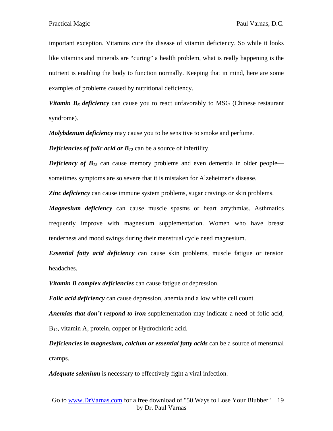important exception. Vitamins cure the disease of vitamin deficiency. So while it looks like vitamins and minerals are "curing" a health problem, what is really happening is the nutrient is enabling the body to function normally. Keeping that in mind, here are some examples of problems caused by nutritional deficiency.

*Vitamin*  $B_6$  *deficiency* can cause you to react unfavorably to MSG (Chinese restaurant syndrome).

*Molybdenum deficiency* may cause you to be sensitive to smoke and perfume.

*Deficiencies of folic acid or B<sub>12</sub>* can be a source of infertility.

*Deficiency of*  $B_{12}$  *can cause memory problems and even dementia in older people* sometimes symptoms are so severe that it is mistaken for Alzeheimer's disease.

**Zinc deficiency** can cause immune system problems, sugar cravings or skin problems.

*Magnesium deficiency* can cause muscle spasms or heart arrythmias. Asthmatics frequently improve with magnesium supplementation. Women who have breast tenderness and mood swings during their menstrual cycle need magnesium.

*Essential fatty acid deficiency* can cause skin problems, muscle fatigue or tension headaches.

*Vitamin B complex deficiencies* can cause fatigue or depression.

*Folic acid deficiency* can cause depression, anemia and a low white cell count.

*Anemias that don't respond to iron* supplementation may indicate a need of folic acid,

B12, vitamin A, protein, copper or Hydrochloric acid.

*Deficiencies in magnesium, calcium or essential fatty acids* can be a source of menstrual cramps.

*Adequate selenium* is necessary to effectively fight a viral infection.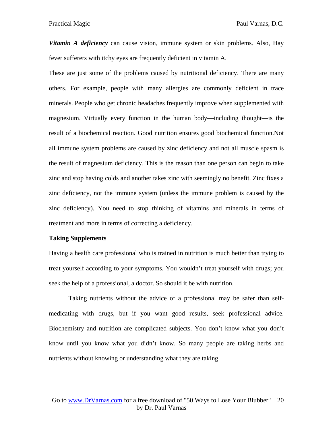*Vitamin A deficiency* can cause vision, immune system or skin problems. Also, Hay fever sufferers with itchy eyes are frequently deficient in vitamin A.

These are just some of the problems caused by nutritional deficiency. There are many others. For example, people with many allergies are commonly deficient in trace minerals. People who get chronic headaches frequently improve when supplemented with magnesium. Virtually every function in the human body—including thought—is the result of a biochemical reaction. Good nutrition ensures good biochemical function.Not all immune system problems are caused by zinc deficiency and not all muscle spasm is the result of magnesium deficiency. This is the reason than one person can begin to take zinc and stop having colds and another takes zinc with seemingly no benefit. Zinc fixes a zinc deficiency, not the immune system (unless the immune problem is caused by the zinc deficiency). You need to stop thinking of vitamins and minerals in terms of treatment and more in terms of correcting a deficiency.

### **Taking Supplements**

Having a health care professional who is trained in nutrition is much better than trying to treat yourself according to your symptoms. You wouldn't treat yourself with drugs; you seek the help of a professional, a doctor. So should it be with nutrition.

 Taking nutrients without the advice of a professional may be safer than selfmedicating with drugs, but if you want good results, seek professional advice. Biochemistry and nutrition are complicated subjects. You don't know what you don't know until you know what you didn't know. So many people are taking herbs and nutrients without knowing or understanding what they are taking.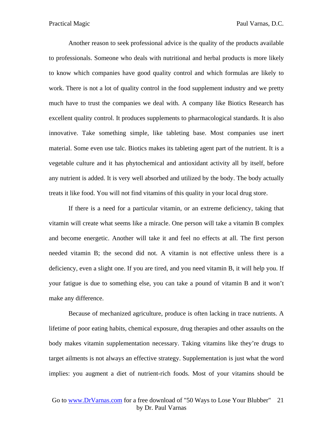Another reason to seek professional advice is the quality of the products available to professionals. Someone who deals with nutritional and herbal products is more likely to know which companies have good quality control and which formulas are likely to work. There is not a lot of quality control in the food supplement industry and we pretty much have to trust the companies we deal with. A company like Biotics Research has excellent quality control. It produces supplements to pharmacological standards. It is also innovative. Take something simple, like tableting base. Most companies use inert material. Some even use talc. Biotics makes its tableting agent part of the nutrient. It is a vegetable culture and it has phytochemical and antioxidant activity all by itself, before any nutrient is added. It is very well absorbed and utilized by the body. The body actually treats it like food. You will not find vitamins of this quality in your local drug store.

 If there is a need for a particular vitamin, or an extreme deficiency, taking that vitamin will create what seems like a miracle. One person will take a vitamin B complex and become energetic. Another will take it and feel no effects at all. The first person needed vitamin B; the second did not. A vitamin is not effective unless there is a deficiency, even a slight one. If you are tired, and you need vitamin B, it will help you. If your fatigue is due to something else, you can take a pound of vitamin B and it won't make any difference.

 Because of mechanized agriculture, produce is often lacking in trace nutrients. A lifetime of poor eating habits, chemical exposure, drug therapies and other assaults on the body makes vitamin supplementation necessary. Taking vitamins like they're drugs to target ailments is not always an effective strategy. Supplementation is just what the word implies: you augment a diet of nutrient-rich foods. Most of your vitamins should be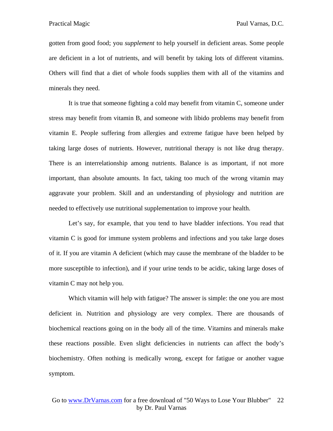gotten from good food; you *supplement* to help yourself in deficient areas. Some people are deficient in a lot of nutrients, and will benefit by taking lots of different vitamins. Others will find that a diet of whole foods supplies them with all of the vitamins and minerals they need.

 It is true that someone fighting a cold may benefit from vitamin C, someone under stress may benefit from vitamin B, and someone with libido problems may benefit from vitamin E. People suffering from allergies and extreme fatigue have been helped by taking large doses of nutrients. However, nutritional therapy is not like drug therapy. There is an interrelationship among nutrients. Balance is as important, if not more important, than absolute amounts. In fact, taking too much of the wrong vitamin may aggravate your problem. Skill and an understanding of physiology and nutrition are needed to effectively use nutritional supplementation to improve your health.

 Let's say, for example, that you tend to have bladder infections. You read that vitamin C is good for immune system problems and infections and you take large doses of it. If you are vitamin A deficient (which may cause the membrane of the bladder to be more susceptible to infection), and if your urine tends to be acidic, taking large doses of vitamin C may not help you.

 Which vitamin will help with fatigue? The answer is simple: the one you are most deficient in. Nutrition and physiology are very complex. There are thousands of biochemical reactions going on in the body all of the time. Vitamins and minerals make these reactions possible. Even slight deficiencies in nutrients can affect the body's biochemistry. Often nothing is medically wrong, except for fatigue or another vague symptom.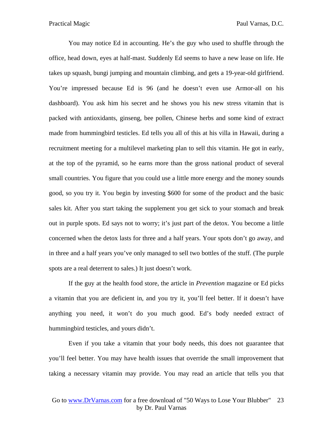You may notice Ed in accounting. He's the guy who used to shuffle through the office, head down, eyes at half-mast. Suddenly Ed seems to have a new lease on life. He takes up squash, bungi jumping and mountain climbing, and gets a 19-year-old girlfriend. You're impressed because Ed is 96 (and he doesn't even use Armor-all on his dashboard). You ask him his secret and he shows you his new stress vitamin that is packed with antioxidants, ginseng, bee pollen, Chinese herbs and some kind of extract made from hummingbird testicles. Ed tells you all of this at his villa in Hawaii, during a recruitment meeting for a multilevel marketing plan to sell this vitamin. He got in early, at the top of the pyramid, so he earns more than the gross national product of several small countries. You figure that you could use a little more energy and the money sounds good, so you try it. You begin by investing \$600 for some of the product and the basic sales kit. After you start taking the supplement you get sick to your stomach and break out in purple spots. Ed says not to worry; it's just part of the detox. You become a little concerned when the detox lasts for three and a half years. Your spots don't go away, and in three and a half years you've only managed to sell two bottles of the stuff. (The purple spots are a real deterrent to sales.) It just doesn't work.

 If the guy at the health food store, the article in *Prevention* magazine or Ed picks a vitamin that you are deficient in, and you try it, you'll feel better. If it doesn't have anything you need, it won't do you much good. Ed's body needed extract of hummingbird testicles, and yours didn't.

 Even if you take a vitamin that your body needs, this does not guarantee that you'll feel better. You may have health issues that override the small improvement that taking a necessary vitamin may provide. You may read an article that tells you that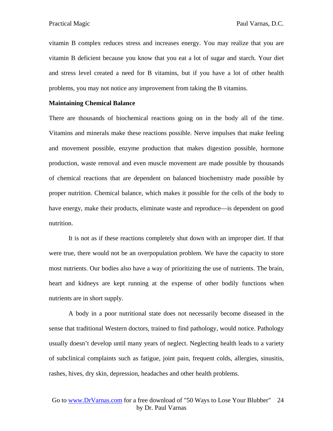vitamin B complex reduces stress and increases energy. You may realize that you are vitamin B deficient because you know that you eat a lot of sugar and starch. Your diet and stress level created a need for B vitamins, but if you have a lot of other health problems, you may not notice any improvement from taking the B vitamins.

## **Maintaining Chemical Balance**

There are thousands of biochemical reactions going on in the body all of the time. Vitamins and minerals make these reactions possible. Nerve impulses that make feeling and movement possible, enzyme production that makes digestion possible, hormone production, waste removal and even muscle movement are made possible by thousands of chemical reactions that are dependent on balanced biochemistry made possible by proper nutrition. Chemical balance, which makes it possible for the cells of the body to have energy, make their products, eliminate waste and reproduce—is dependent on good nutrition.

 It is not as if these reactions completely shut down with an improper diet. If that were true, there would not be an overpopulation problem. We have the capacity to store most nutrients. Our bodies also have a way of prioritizing the use of nutrients. The brain, heart and kidneys are kept running at the expense of other bodily functions when nutrients are in short supply.

 A body in a poor nutritional state does not necessarily become diseased in the sense that traditional Western doctors, trained to find pathology, would notice. Pathology usually doesn't develop until many years of neglect. Neglecting health leads to a variety of subclinical complaints such as fatigue, joint pain, frequent colds, allergies, sinusitis, rashes, hives, dry skin, depression, headaches and other health problems.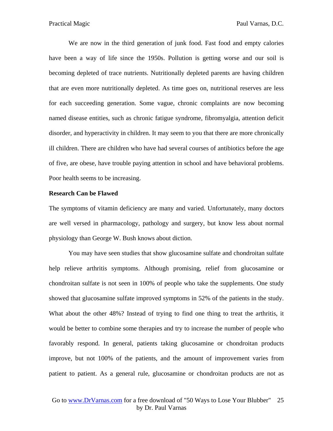We are now in the third generation of junk food. Fast food and empty calories have been a way of life since the 1950s. Pollution is getting worse and our soil is becoming depleted of trace nutrients. Nutritionally depleted parents are having children that are even more nutritionally depleted. As time goes on, nutritional reserves are less for each succeeding generation. Some vague, chronic complaints are now becoming named disease entities, such as chronic fatigue syndrome, fibromyalgia, attention deficit disorder, and hyperactivity in children. It may seem to you that there are more chronically ill children. There are children who have had several courses of antibiotics before the age of five, are obese, have trouble paying attention in school and have behavioral problems. Poor health seems to be increasing.

#### **Research Can be Flawed**

The symptoms of vitamin deficiency are many and varied. Unfortunately, many doctors are well versed in pharmacology, pathology and surgery, but know less about normal physiology than George W. Bush knows about diction.

 You may have seen studies that show glucosamine sulfate and chondroitan sulfate help relieve arthritis symptoms. Although promising, relief from glucosamine or chondroitan sulfate is not seen in 100% of people who take the supplements. One study showed that glucosamine sulfate improved symptoms in 52% of the patients in the study. What about the other 48%? Instead of trying to find one thing to treat the arthritis, it would be better to combine some therapies and try to increase the number of people who favorably respond. In general, patients taking glucosamine or chondroitan products improve, but not 100% of the patients, and the amount of improvement varies from patient to patient. As a general rule, glucosamine or chondroitan products are not as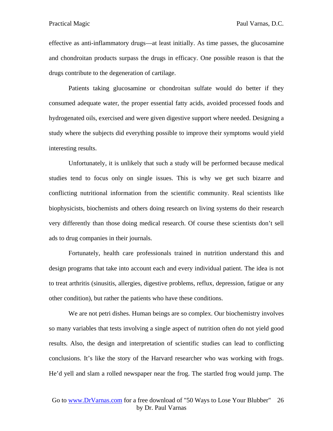effective as anti-inflammatory drugs—at least initially. As time passes, the glucosamine and chondroitan products surpass the drugs in efficacy. One possible reason is that the drugs contribute to the degeneration of cartilage.

Patients taking glucosamine or chondroitan sulfate would do better if they consumed adequate water, the proper essential fatty acids, avoided processed foods and hydrogenated oils, exercised and were given digestive support where needed. Designing a study where the subjects did everything possible to improve their symptoms would yield interesting results.

 Unfortunately, it is unlikely that such a study will be performed because medical studies tend to focus only on single issues. This is why we get such bizarre and conflicting nutritional information from the scientific community. Real scientists like biophysicists, biochemists and others doing research on living systems do their research very differently than those doing medical research. Of course these scientists don't sell ads to drug companies in their journals.

 Fortunately, health care professionals trained in nutrition understand this and design programs that take into account each and every individual patient. The idea is not to treat arthritis (sinusitis, allergies, digestive problems, reflux, depression, fatigue or any other condition), but rather the patients who have these conditions.

 We are not petri dishes. Human beings are so complex. Our biochemistry involves so many variables that tests involving a single aspect of nutrition often do not yield good results. Also, the design and interpretation of scientific studies can lead to conflicting conclusions. It's like the story of the Harvard researcher who was working with frogs. He'd yell and slam a rolled newspaper near the frog. The startled frog would jump. The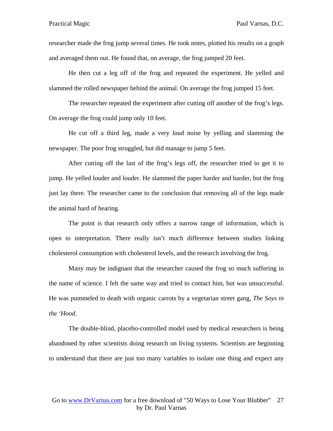researcher made the frog jump several times. He took notes, plotted his results on a graph and averaged them out. He found that, on average, the frog jumped 20 feet.

 He then cut a leg off of the frog and repeated the experiment. He yelled and slammed the rolled newspaper behind the animal. On average the frog jumped 15 feet.

 The researcher repeated the experiment after cutting off another of the frog's legs. On average the frog could jump only 10 feet.

 He cut off a third leg, made a very loud noise by yelling and slamming the newspaper. The poor frog struggled, but did manage to jump 5 feet.

 After cutting off the last of the frog's legs off, the researcher tried to get it to jump. He yelled louder and louder. He slammed the paper harder and harder, but the frog just lay there. The researcher came to the conclusion that removing all of the legs made the animal hard of hearing.

 The point is that research only offers a narrow range of information, which is open to interpretation. There really isn't much difference between studies linking cholesterol consumption with cholesterol levels, and the research involving the frog.

 Many may be indignant that the researcher caused the frog so much suffering in the name of science. I felt the same way and tried to contact him, but was unsuccessful. He was pummeled to death with organic carrots by a vegetarian street gang, *The Soys in the 'Hood*.

 The double-blind, placebo-controlled model used by medical researchers is being abandoned by other scientists doing research on living systems. Scientists are beginning to understand that there are just too many variables to isolate one thing and expect any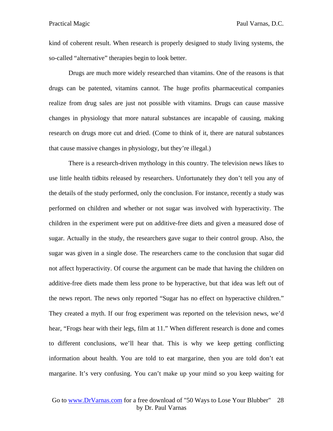kind of coherent result. When research is properly designed to study living systems, the so-called "alternative" therapies begin to look better.

 Drugs are much more widely researched than vitamins. One of the reasons is that drugs can be patented, vitamins cannot. The huge profits pharmaceutical companies realize from drug sales are just not possible with vitamins. Drugs can cause massive changes in physiology that more natural substances are incapable of causing, making research on drugs more cut and dried. (Come to think of it, there are natural substances that cause massive changes in physiology, but they're illegal.)

 There is a research-driven mythology in this country. The television news likes to use little health tidbits released by researchers. Unfortunately they don't tell you any of the details of the study performed, only the conclusion. For instance, recently a study was performed on children and whether or not sugar was involved with hyperactivity. The children in the experiment were put on additive-free diets and given a measured dose of sugar. Actually in the study, the researchers gave sugar to their control group. Also, the sugar was given in a single dose. The researchers came to the conclusion that sugar did not affect hyperactivity. Of course the argument can be made that having the children on additive-free diets made them less prone to be hyperactive, but that idea was left out of the news report. The news only reported "Sugar has no effect on hyperactive children." They created a myth. If our frog experiment was reported on the television news, we'd hear, "Frogs hear with their legs, film at 11." When different research is done and comes to different conclusions, we'll hear that. This is why we keep getting conflicting information about health. You are told to eat margarine, then you are told don't eat margarine. It's very confusing. You can't make up your mind so you keep waiting for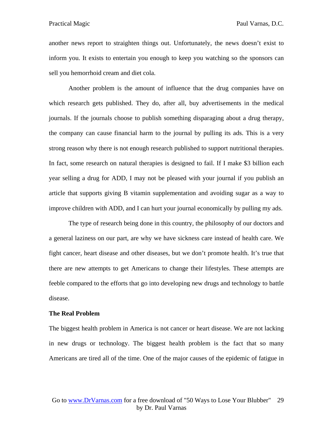another news report to straighten things out. Unfortunately, the news doesn't exist to inform you. It exists to entertain you enough to keep you watching so the sponsors can sell you hemorrhoid cream and diet cola.

 Another problem is the amount of influence that the drug companies have on which research gets published. They do, after all, buy advertisements in the medical journals. If the journals choose to publish something disparaging about a drug therapy, the company can cause financial harm to the journal by pulling its ads. This is a very strong reason why there is not enough research published to support nutritional therapies. In fact, some research on natural therapies is designed to fail. If I make \$3 billion each year selling a drug for ADD, I may not be pleased with your journal if you publish an article that supports giving B vitamin supplementation and avoiding sugar as a way to improve children with ADD, and I can hurt your journal economically by pulling my ads.

 The type of research being done in this country, the philosophy of our doctors and a general laziness on our part, are why we have sickness care instead of health care. We fight cancer, heart disease and other diseases, but we don't promote health. It's true that there are new attempts to get Americans to change their lifestyles. These attempts are feeble compared to the efforts that go into developing new drugs and technology to battle disease.

#### **The Real Problem**

The biggest health problem in America is not cancer or heart disease. We are not lacking in new drugs or technology. The biggest health problem is the fact that so many Americans are tired all of the time. One of the major causes of the epidemic of fatigue in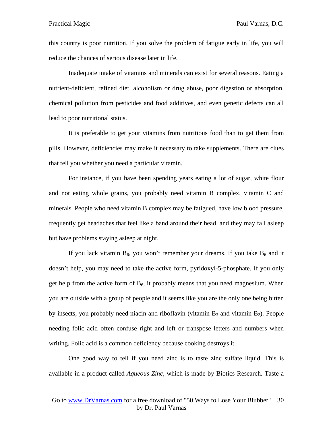this country is poor nutrition. If you solve the problem of fatigue early in life, you will reduce the chances of serious disease later in life.

 Inadequate intake of vitamins and minerals can exist for several reasons. Eating a nutrient-deficient, refined diet, alcoholism or drug abuse, poor digestion or absorption, chemical pollution from pesticides and food additives, and even genetic defects can all lead to poor nutritional status.

 It is preferable to get your vitamins from nutritious food than to get them from pills. However, deficiencies may make it necessary to take supplements. There are clues that tell you whether you need a particular vitamin.

 For instance, if you have been spending years eating a lot of sugar, white flour and not eating whole grains, you probably need vitamin B complex, vitamin C and minerals. People who need vitamin B complex may be fatigued, have low blood pressure, frequently get headaches that feel like a band around their head, and they may fall asleep but have problems staying asleep at night.

If you lack vitamin  $B_6$ , you won't remember your dreams. If you take  $B_6$  and it doesn't help, you may need to take the active form, pyridoxyl-5-phosphate. If you only get help from the active form of  $B_6$ , it probably means that you need magnesium. When you are outside with a group of people and it seems like you are the only one being bitten by insects, you probably need niacin and riboflavin (vitamin  $B_3$  and vitamin  $B_2$ ). People needing folic acid often confuse right and left or transpose letters and numbers when writing. Folic acid is a common deficiency because cooking destroys it.

 One good way to tell if you need zinc is to taste zinc sulfate liquid. This is available in a product called *Aqueous Zinc,* which is made by Biotics Research. Taste a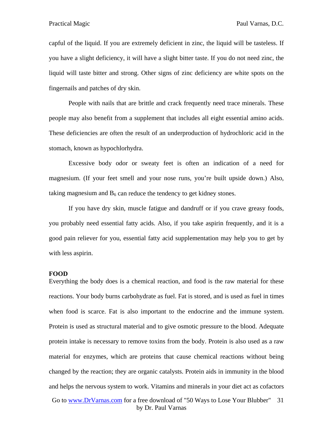capful of the liquid. If you are extremely deficient in zinc, the liquid will be tasteless. If you have a slight deficiency, it will have a slight bitter taste. If you do not need zinc, the liquid will taste bitter and strong. Other signs of zinc deficiency are white spots on the fingernails and patches of dry skin.

 People with nails that are brittle and crack frequently need trace minerals. These people may also benefit from a supplement that includes all eight essential amino acids. These deficiencies are often the result of an underproduction of hydrochloric acid in the stomach, known as hypochlorhydra.

 Excessive body odor or sweaty feet is often an indication of a need for magnesium. (If your feet smell and your nose runs, you're built upside down.) Also, taking magnesium and  $B_6$  can reduce the tendency to get kidney stones.

 If you have dry skin, muscle fatigue and dandruff or if you crave greasy foods, you probably need essential fatty acids. Also, if you take aspirin frequently, and it is a good pain reliever for you, essential fatty acid supplementation may help you to get by with less aspirin.

## **FOOD**

Everything the body does is a chemical reaction, and food is the raw material for these reactions. Your body burns carbohydrate as fuel. Fat is stored, and is used as fuel in times when food is scarce. Fat is also important to the endocrine and the immune system. Protein is used as structural material and to give osmotic pressure to the blood. Adequate protein intake is necessary to remove toxins from the body. Protein is also used as a raw material for enzymes, which are proteins that cause chemical reactions without being changed by the reaction; they are organic catalysts. Protein aids in immunity in the blood and helps the nervous system to work. Vitamins and minerals in your diet act as cofactors

Go to www.DrVarnas.com for a free download of "50 Ways to Lose Your Blubber" 31 by Dr. Paul Varnas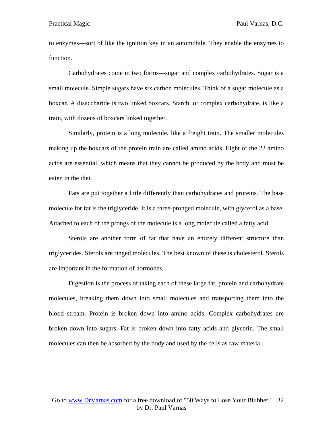to enzymes—sort of like the ignition key in an automobile. They enable the enzymes to function.

 Carbohydrates come in two forms—sugar and complex carbohydrates. Sugar is a small molecule. Simple sugars have six carbon molecules. Think of a sugar molecule as a boxcar. A disaccharide is two linked boxcars. Starch, or complex carbohydrate, is like a train, with dozens of boxcars linked together.

 Similarly, protein is a long molecule, like a freight train. The smaller molecules making up the boxcars of the protein train are called amino acids. Eight of the 22 amino acids are essential, which means that they cannot be produced by the body and must be eaten in the diet.

 Fats are put together a little differently than carbohydrates and proteins. The base molecule for fat is the triglyceride. It is a three-pronged molecule, with glycerol as a base. Attached to each of the prongs of the molecule is a long molecule called a fatty acid.

 Sterols are another form of fat that have an entirely different structure than triglycerides. Sterols are ringed molecules. The best known of these is cholesterol. Sterols are important in the formation of hormones.

 Digestion is the process of taking each of these large fat, protein and carbohydrate molecules, breaking them down into small molecules and transporting them into the blood stream. Protein is broken down into amino acids. Complex carbohydrates are broken down into sugars. Fat is broken down into fatty acids and glycerin. The small molecules can then be absorbed by the body and used by the cells as raw material.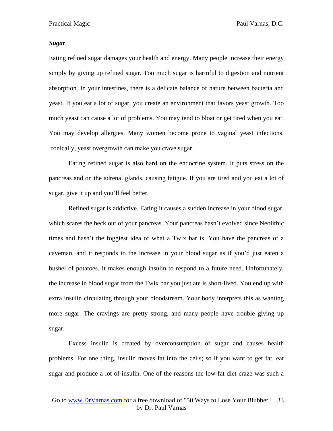# *Sugar*

Eating refined sugar damages your health and energy. Many people increase their energy simply by giving up refined sugar. Too much sugar is harmful to digestion and nutrient absorption. In your intestines, there is a delicate balance of nature between bacteria and yeast. If you eat a lot of sugar, you create an environment that favors yeast growth. Too much yeast can cause a lot of problems. You may tend to bloat or get tired when you eat. You may develop allergies. Many women become prone to vaginal yeast infections. Ironically, yeast overgrowth can make you crave sugar.

 Eating refined sugar is also hard on the endocrine system. It puts stress on the pancreas and on the adrenal glands, causing fatigue. If you are tired and you eat a lot of sugar, give it up and you'll feel better.

 Refined sugar is addictive. Eating it causes a sudden increase in your blood sugar, which scares the heck out of your pancreas. Your pancreas hasn't evolved since Neolithic times and hasn't the foggiest idea of what a Twix bar is. You have the pancreas of a caveman, and it responds to the increase in your blood sugar as if you'd just eaten a bushel of potatoes. It makes enough insulin to respond to a future need. Unfortunately, the increase in blood sugar from the Twix bar you just ate is short-lived. You end up with extra insulin circulating through your bloodstream. Your body interprets this as wanting more sugar. The cravings are pretty strong, and many people have trouble giving up sugar.

 Excess insulin is created by overconsumption of sugar and causes health problems. For one thing, insulin moves fat into the cells; so if you want to get fat, eat sugar and produce a lot of insulin. One of the reasons the low-fat diet craze was such a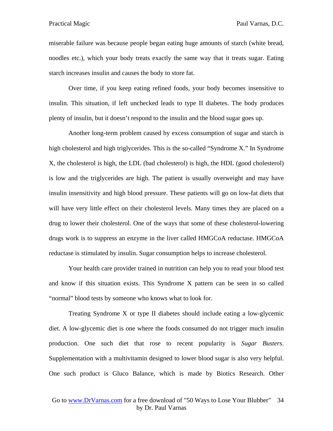miserable failure was because people began eating huge amounts of starch (white bread, noodles etc.), which your body treats exactly the same way that it treats sugar. Eating starch increases insulin and causes the body to store fat.

 Over time, if you keep eating refined foods, your body becomes insensitive to insulin. This situation, if left unchecked leads to type II diabetes. The body produces plenty of insulin, but it doesn't respond to the insulin and the blood sugar goes up.

 Another long-term problem caused by excess consumption of sugar and starch is high cholesterol and high triglycerides. This is the so-called "Syndrome X." In Syndrome X, the cholesterol is high, the LDL (bad cholesterol) is high, the HDL (good cholesterol) is low and the triglycerides are high. The patient is usually overweight and may have insulin insensitivity and high blood pressure. These patients will go on low-fat diets that will have very little effect on their cholesterol levels. Many times they are placed on a drug to lower their cholesterol. One of the ways that some of these cholesterol-lowering drugs work is to suppress an enzyme in the liver called HMGCoA reductase. HMGCoA reductase is stimulated by insulin. Sugar consumption helps to increase cholesterol.

 Your health care provider trained in nutrition can help you to read your blood test and know if this situation exists. This Syndrome X pattern can be seen in so called "normal" blood tests by someone who knows what to look for.

 Treating Syndrome X or type II diabetes should include eating a low-glycemic diet. A low-glycemic diet is one where the foods consumed do not trigger much insulin production. One such diet that rose to recent popularity is *Sugar Busters*. Supplementation with a multivitamin designed to lower blood sugar is also very helpful. One such product is Gluco Balance, which is made by Biotics Research. Other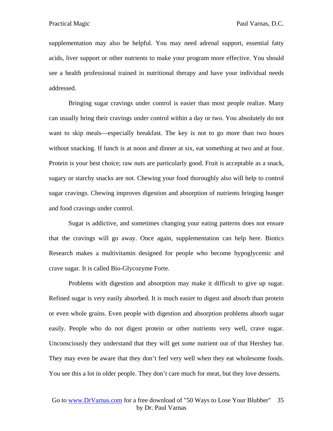supplementation may also be helpful. You may need adrenal support, essential fatty acids, liver support or other nutrients to make your program more effective. You should see a health professional trained in nutritional therapy and have your individual needs addressed.

 Bringing sugar cravings under control is easier than most people realize. Many can usually bring their cravings under control within a day or two. You absolutely do not want to skip meals—especially breakfast. The key is not to go more than two hours without snacking. If lunch is at noon and dinner at six, eat something at two and at four. Protein is your best choice; raw nuts are particularly good. Fruit is acceptable as a snack, sugary or starchy snacks are not. Chewing your food thoroughly also will help to control sugar cravings. Chewing improves digestion and absorption of nutrients bringing hunger and food cravings under control.

 Sugar is addictive, and sometimes changing your eating patterns does not ensure that the cravings will go away. Once again, supplementation can help here. Biotics Research makes a multivitamin designed for people who become hypoglycemic and crave sugar. It is called Bio-Glycozyme Forte.

 Problems with digestion and absorption may make it difficult to give up sugar. Refined sugar is very easily absorbed. It is much easier to digest and absorb than protein or even whole grains. Even people with digestion and absorption problems absorb sugar easily. People who do not digest protein or other nutrients very well, crave sugar. Unconsciously they understand that they will get *some* nutrient out of that Hershey bar. They may even be aware that they don't feel very well when they eat wholesome foods. You see this a lot in older people. They don't care much for meat, but they love desserts.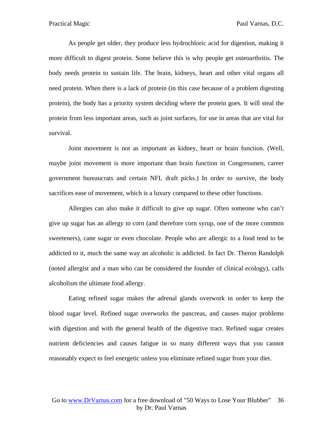As people get older, they produce less hydrochloric acid for digestion, making it more difficult to digest protein. Some believe this is why people get osteoarthritis. The body needs protein to sustain life. The brain, kidneys, heart and other vital organs all need protein. When there is a lack of protein (in this case because of a problem digesting protein), the body has a priority system deciding where the protein goes. It will steal the protein from less important areas, such as joint surfaces, for use in areas that are vital for survival.

 Joint movement is not as important as kidney, heart or brain function. (Well, maybe joint movement is more important than brain function in Congressmen, career government bureaucrats and certain NFL draft picks.) In order to survive, the body sacrifices ease of movement, which is a luxury compared to these other functions.

 Allergies can also make it difficult to give up sugar. Often someone who can't give up sugar has an allergy to corn (and therefore corn syrup, one of the more common sweeteners), cane sugar or even chocolate. People who are allergic to a food tend to be addicted to it, much the same way an alcoholic is addicted. In fact Dr. Theron Randolph (noted allergist and a man who can be considered the founder of clinical ecology), calls alcoholism the ultimate food allergy.

 Eating refined sugar makes the adrenal glands overwork in order to keep the blood sugar level. Refined sugar overworks the pancreas, and causes major problems with digestion and with the general health of the digestive tract. Refined sugar creates nutrient deficiencies and causes fatigue in so many different ways that you cannot reasonably expect to feel energetic unless you eliminate refined sugar from your diet.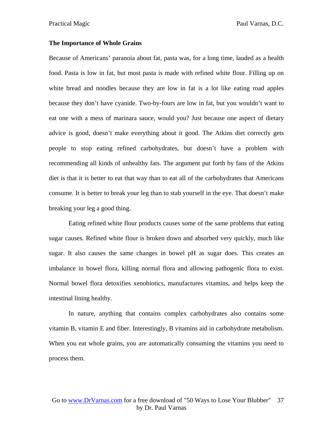# **The Importance of Whole Grains**

Because of Americans' paranoia about fat, pasta was, for a long time, lauded as a health food. Pasta is low in fat, but most pasta is made with refined white flour. Filling up on white bread and noodles because they are low in fat is a lot like eating road apples because they don't have cyanide. Two-by-fours are low in fat, but you wouldn't want to eat one with a mess of marinara sauce, would you? Just because one aspect of dietary advice is good, doesn't make everything about it good. The Atkins diet correctly gets people to stop eating refined carbohydrates, but doesn't have a problem with recommending all kinds of unhealthy fats. The argument put forth by fans of the Atkins diet is that it is better to eat that way than to eat all of the carbohydrates that Americans consume. It is better to break your leg than to stab yourself in the eye. That doesn't make breaking your leg a good thing.

 Eating refined white flour products causes some of the same problems that eating sugar causes. Refined white flour is broken down and absorbed very quickly, much like sugar. It also causes the same changes in bowel pH as sugar does. This creates an imbalance in bowel flora, killing normal flora and allowing pathogenic flora to exist. Normal bowel flora detoxifies xenobiotics, manufactures vitamins, and helps keep the intestinal lining healthy.

 In nature, anything that contains complex carbohydrates also contains some vitamin B, vitamin E and fiber. Interestingly, B vitamins aid in carbohydrate metabolism. When you eat whole grains, you are automatically consuming the vitamins you need to process them.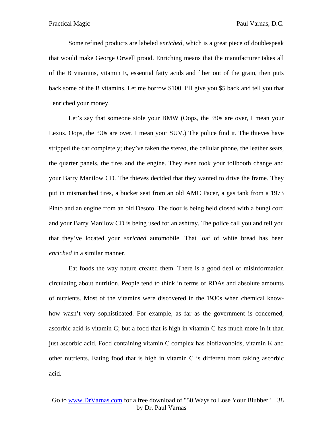Some refined products are labeled *enriched,* which is a great piece of doublespeak that would make George Orwell proud. Enriching means that the manufacturer takes all of the B vitamins, vitamin E, essential fatty acids and fiber out of the grain, then puts back some of the B vitamins. Let me borrow \$100. I'll give you \$5 back and tell you that I enriched your money.

 Let's say that someone stole your BMW (Oops, the '80s are over, I mean your Lexus. Oops, the '90s are over, I mean your SUV.) The police find it. The thieves have stripped the car completely; they've taken the stereo, the cellular phone, the leather seats, the quarter panels, the tires and the engine. They even took your tollbooth change and your Barry Manilow CD. The thieves decided that they wanted to drive the frame. They put in mismatched tires, a bucket seat from an old AMC Pacer, a gas tank from a 1973 Pinto and an engine from an old Desoto. The door is being held closed with a bungi cord and your Barry Manilow CD is being used for an ashtray. The police call you and tell you that they've located your *enriched* automobile. That loaf of white bread has been *enriched* in a similar manner.

 Eat foods the way nature created them. There is a good deal of misinformation circulating about nutrition. People tend to think in terms of RDAs and absolute amounts of nutrients. Most of the vitamins were discovered in the 1930s when chemical knowhow wasn't very sophisticated. For example, as far as the government is concerned, ascorbic acid is vitamin C; but a food that is high in vitamin C has much more in it than just ascorbic acid. Food containing vitamin C complex has bioflavonoids, vitamin K and other nutrients. Eating food that is high in vitamin C is different from taking ascorbic acid.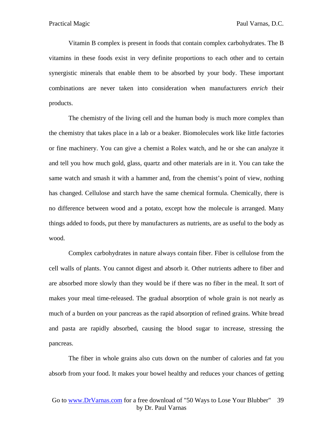Vitamin B complex is present in foods that contain complex carbohydrates. The B vitamins in these foods exist in very definite proportions to each other and to certain synergistic minerals that enable them to be absorbed by your body. These important combinations are never taken into consideration when manufacturers *enrich* their products.

 The chemistry of the living cell and the human body is much more complex than the chemistry that takes place in a lab or a beaker. Biomolecules work like little factories or fine machinery. You can give a chemist a Rolex watch, and he or she can analyze it and tell you how much gold, glass, quartz and other materials are in it. You can take the same watch and smash it with a hammer and, from the chemist's point of view, nothing has changed. Cellulose and starch have the same chemical formula. Chemically, there is no difference between wood and a potato, except how the molecule is arranged. Many things added to foods, put there by manufacturers as nutrients, are as useful to the body as wood.

 Complex carbohydrates in nature always contain fiber. Fiber is cellulose from the cell walls of plants. You cannot digest and absorb it. Other nutrients adhere to fiber and are absorbed more slowly than they would be if there was no fiber in the meal. It sort of makes your meal time-released. The gradual absorption of whole grain is not nearly as much of a burden on your pancreas as the rapid absorption of refined grains. White bread and pasta are rapidly absorbed, causing the blood sugar to increase, stressing the pancreas.

 The fiber in whole grains also cuts down on the number of calories and fat you absorb from your food. It makes your bowel healthy and reduces your chances of getting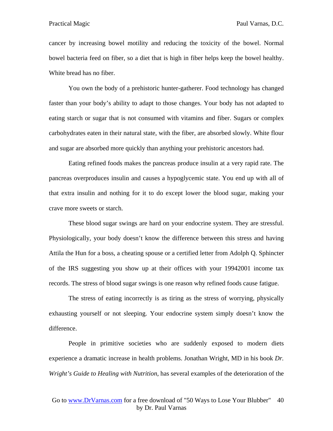cancer by increasing bowel motility and reducing the toxicity of the bowel. Normal bowel bacteria feed on fiber, so a diet that is high in fiber helps keep the bowel healthy. White bread has no fiber.

 You own the body of a prehistoric hunter-gatherer. Food technology has changed faster than your body's ability to adapt to those changes. Your body has not adapted to eating starch or sugar that is not consumed with vitamins and fiber. Sugars or complex carbohydrates eaten in their natural state, with the fiber, are absorbed slowly. White flour and sugar are absorbed more quickly than anything your prehistoric ancestors had.

 Eating refined foods makes the pancreas produce insulin at a very rapid rate. The pancreas overproduces insulin and causes a hypoglycemic state. You end up with all of that extra insulin and nothing for it to do except lower the blood sugar, making your crave more sweets or starch.

 These blood sugar swings are hard on your endocrine system. They are stressful. Physiologically, your body doesn't know the difference between this stress and having Attila the Hun for a boss, a cheating spouse or a certified letter from Adolph Q. Sphincter of the IRS suggesting you show up at their offices with your 19942001 income tax records. The stress of blood sugar swings is one reason why refined foods cause fatigue.

 The stress of eating incorrectly is as tiring as the stress of worrying, physically exhausting yourself or not sleeping. Your endocrine system simply doesn't know the difference.

 People in primitive societies who are suddenly exposed to modern diets experience a dramatic increase in health problems. Jonathan Wright, MD in his book *Dr. Wright's Guide to Healing with Nutrition*, has several examples of the deterioration of the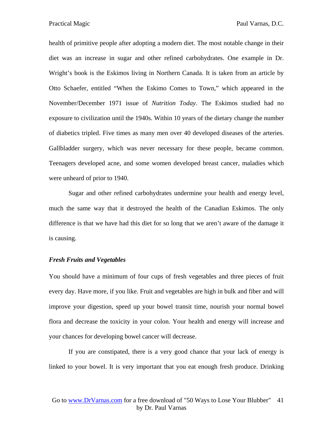health of primitive people after adopting a modern diet. The most notable change in their diet was an increase in sugar and other refined carbohydrates. One example in Dr. Wright's book is the Eskimos living in Northern Canada. It is taken from an article by Otto Schaefer, entitled "When the Eskimo Comes to Town," which appeared in the November/December 1971 issue of *Nutrition Today*. The Eskimos studied had no exposure to civilization until the 1940s. Within 10 years of the dietary change the number of diabetics tripled. Five times as many men over 40 developed diseases of the arteries. Gallbladder surgery, which was never necessary for these people, became common. Teenagers developed acne, and some women developed breast cancer, maladies which were unheard of prior to 1940.

 Sugar and other refined carbohydrates undermine your health and energy level, much the same way that it destroyed the health of the Canadian Eskimos. The only difference is that we have had this diet for so long that we aren't aware of the damage it is causing.

## *Fresh Fruits and Vegetables*

You should have a minimum of four cups of fresh vegetables and three pieces of fruit every day. Have more, if you like. Fruit and vegetables are high in bulk and fiber and will improve your digestion, speed up your bowel transit time, nourish your normal bowel flora and decrease the toxicity in your colon. Your health and energy will increase and your chances for developing bowel cancer will decrease.

 If you are constipated, there is a very good chance that your lack of energy is linked to your bowel. It is very important that you eat enough fresh produce. Drinking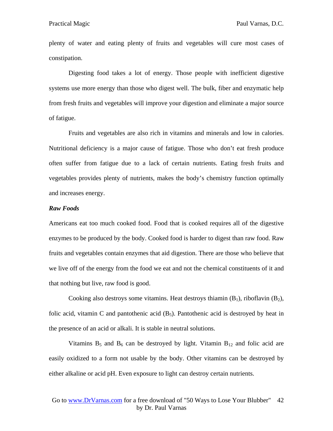plenty of water and eating plenty of fruits and vegetables will cure most cases of constipation.

 Digesting food takes a lot of energy. Those people with inefficient digestive systems use more energy than those who digest well. The bulk, fiber and enzymatic help from fresh fruits and vegetables will improve your digestion and eliminate a major source of fatigue.

 Fruits and vegetables are also rich in vitamins and minerals and low in calories. Nutritional deficiency is a major cause of fatigue. Those who don't eat fresh produce often suffer from fatigue due to a lack of certain nutrients. Eating fresh fruits and vegetables provides plenty of nutrients, makes the body's chemistry function optimally and increases energy.

### *Raw Foods*

Americans eat too much cooked food. Food that is cooked requires all of the digestive enzymes to be produced by the body. Cooked food is harder to digest than raw food. Raw fruits and vegetables contain enzymes that aid digestion. There are those who believe that we live off of the energy from the food we eat and not the chemical constituents of it and that nothing but live, raw food is good.

Cooking also destroys some vitamins. Heat destroys thiamin  $(B_1)$ , riboflavin  $(B_2)$ , folic acid, vitamin C and pantothenic acid  $(B_5)$ . Pantothenic acid is destroyed by heat in the presence of an acid or alkali. It is stable in neutral solutions.

Vitamins  $B_5$  and  $B_6$  can be destroyed by light. Vitamin  $B_{12}$  and folic acid are easily oxidized to a form not usable by the body. Other vitamins can be destroyed by either alkaline or acid pH. Even exposure to light can destroy certain nutrients.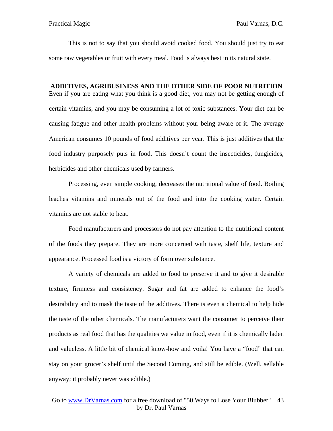This is not to say that you should avoid cooked food. You should just try to eat some raw vegetables or fruit with every meal. Food is always best in its natural state.

**ADDITIVES, AGRIBUSINESS AND THE OTHER SIDE OF POOR NUTRITION**  Even if you are eating what you think is a good diet, you may not be getting enough of certain vitamins, and you may be consuming a lot of toxic substances. Your diet can be causing fatigue and other health problems without your being aware of it. The average American consumes 10 pounds of food additives per year. This is just additives that the food industry purposely puts in food. This doesn't count the insecticides, fungicides, herbicides and other chemicals used by farmers.

 Processing, even simple cooking, decreases the nutritional value of food. Boiling leaches vitamins and minerals out of the food and into the cooking water. Certain vitamins are not stable to heat.

 Food manufacturers and processors do not pay attention to the nutritional content of the foods they prepare. They are more concerned with taste, shelf life, texture and appearance. Processed food is a victory of form over substance.

 A variety of chemicals are added to food to preserve it and to give it desirable texture, firmness and consistency. Sugar and fat are added to enhance the food's desirability and to mask the taste of the additives. There is even a chemical to help hide the taste of the other chemicals. The manufacturers want the consumer to perceive their products as real food that has the qualities we value in food, even if it is chemically laden and valueless. A little bit of chemical know-how and voila! You have a "food" that can stay on your grocer's shelf until the Second Coming, and still be edible. (Well, sellable anyway; it probably never was edible.)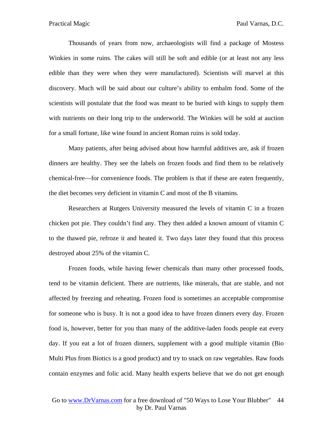Thousands of years from now, archaeologists will find a package of Mostess Winkies in some ruins. The cakes will still be soft and edible (or at least not any less edible than they were when they were manufactured). Scientists will marvel at this discovery. Much will be said about our culture's ability to embalm food. Some of the scientists will postulate that the food was meant to be buried with kings to supply them with nutrients on their long trip to the underworld. The Winkies will be sold at auction for a small fortune, like wine found in ancient Roman ruins is sold today.

 Many patients, after being advised about how harmful additives are, ask if frozen dinners are healthy. They see the labels on frozen foods and find them to be relatively chemical-free—for convenience foods. The problem is that if these are eaten frequently, the diet becomes very deficient in vitamin C and most of the B vitamins.

 Researchers at Rutgers University measured the levels of vitamin C in a frozen chicken pot pie. They couldn't find any. They then added a known amount of vitamin C to the thawed pie, refroze it and heated it. Two days later they found that this process destroyed about 25% of the vitamin C.

 Frozen foods, while having fewer chemicals than many other processed foods, tend to be vitamin deficient. There are nutrients, like minerals, that are stable, and not affected by freezing and reheating. Frozen food is sometimes an acceptable compromise for someone who is busy. It is not a good idea to have frozen dinners every day. Frozen food is, however, better for you than many of the additive-laden foods people eat every day. If you eat a lot of frozen dinners, supplement with a good multiple vitamin (Bio Multi Plus from Biotics is a good product) and try to snack on raw vegetables. Raw foods contain enzymes and folic acid. Many health experts believe that we do not get enough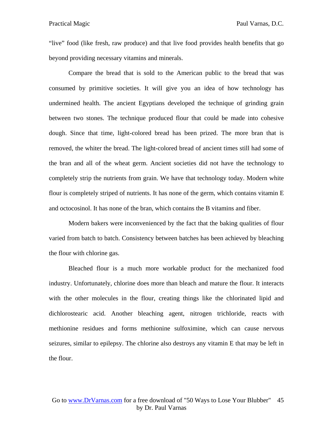"live" food (like fresh, raw produce) and that live food provides health benefits that go beyond providing necessary vitamins and minerals.

 Compare the bread that is sold to the American public to the bread that was consumed by primitive societies. It will give you an idea of how technology has undermined health. The ancient Egyptians developed the technique of grinding grain between two stones. The technique produced flour that could be made into cohesive dough. Since that time, light-colored bread has been prized. The more bran that is removed, the whiter the bread. The light-colored bread of ancient times still had some of the bran and all of the wheat germ. Ancient societies did not have the technology to completely strip the nutrients from grain. We have that technology today. Modern white flour is completely striped of nutrients. It has none of the germ, which contains vitamin E and octocosinol. It has none of the bran, which contains the B vitamins and fiber.

 Modern bakers were inconvenienced by the fact that the baking qualities of flour varied from batch to batch. Consistency between batches has been achieved by bleaching the flour with chlorine gas.

 Bleached flour is a much more workable product for the mechanized food industry. Unfortunately, chlorine does more than bleach and mature the flour. It interacts with the other molecules in the flour, creating things like the chlorinated lipid and dichlorostearic acid. Another bleaching agent, nitrogen trichloride, reacts with methionine residues and forms methionine sulfoximine, which can cause nervous seizures, similar to epilepsy. The chlorine also destroys any vitamin E that may be left in the flour.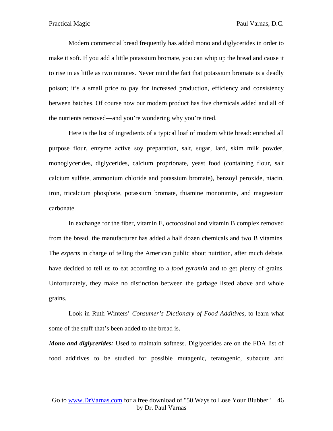Modern commercial bread frequently has added mono and diglycerides in order to make it soft. If you add a little potassium bromate, you can whip up the bread and cause it to rise in as little as two minutes. Never mind the fact that potassium bromate is a deadly poison; it's a small price to pay for increased production, efficiency and consistency between batches. Of course now our modern product has five chemicals added and all of the nutrients removed—and you're wondering why you're tired.

 Here is the list of ingredients of a typical loaf of modern white bread: enriched all purpose flour, enzyme active soy preparation, salt, sugar, lard, skim milk powder, monoglycerides, diglycerides, calcium proprionate, yeast food (containing flour, salt calcium sulfate, ammonium chloride and potassium bromate), benzoyl peroxide, niacin, iron, tricalcium phosphate, potassium bromate, thiamine mononitrite, and magnesium carbonate.

 In exchange for the fiber, vitamin E, octocosinol and vitamin B complex removed from the bread, the manufacturer has added a half dozen chemicals and two B vitamins. The *experts* in charge of telling the American public about nutrition, after much debate, have decided to tell us to eat according to a *food pyramid* and to get plenty of grains. Unfortunately, they make no distinction between the garbage listed above and whole grains.

 Look in Ruth Winters' *Consumer's Dictionary of Food Additives,* to learn what some of the stuff that's been added to the bread is.

*Mono and diglycerides:* Used to maintain softness. Diglycerides are on the FDA list of food additives to be studied for possible mutagenic, teratogenic, subacute and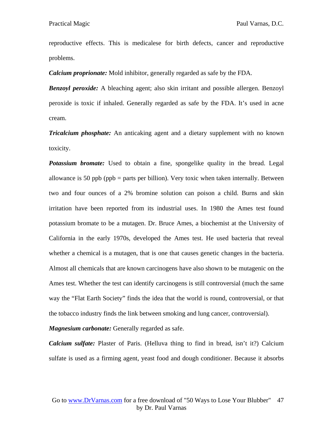reproductive effects. This is medicalese for birth defects, cancer and reproductive problems.

*Calcium proprionate:* Mold inhibitor, generally regarded as safe by the FDA.

*Benzoyl peroxide:* A bleaching agent; also skin irritant and possible allergen. Benzoyl peroxide is toxic if inhaled. Generally regarded as safe by the FDA. It's used in acne cream.

*Tricalcium phosphate:* An anticaking agent and a dietary supplement with no known toxicity.

**Potassium bromate:** Used to obtain a fine, spongelike quality in the bread. Legal allowance is 50 ppb (ppb  $=$  parts per billion). Very toxic when taken internally. Between two and four ounces of a 2% bromine solution can poison a child. Burns and skin irritation have been reported from its industrial uses. In 1980 the Ames test found potassium bromate to be a mutagen. Dr. Bruce Ames, a biochemist at the University of California in the early 1970s, developed the Ames test. He used bacteria that reveal whether a chemical is a mutagen, that is one that causes genetic changes in the bacteria. Almost all chemicals that are known carcinogens have also shown to be mutagenic on the Ames test. Whether the test can identify carcinogens is still controversial (much the same way the "Flat Earth Society" finds the idea that the world is round, controversial, or that the tobacco industry finds the link between smoking and lung cancer, controversial).

*Magnesium carbonate:* Generally regarded as safe.

*Calcium sulfate:* Plaster of Paris. (Helluva thing to find in bread, isn't it?) Calcium sulfate is used as a firming agent, yeast food and dough conditioner. Because it absorbs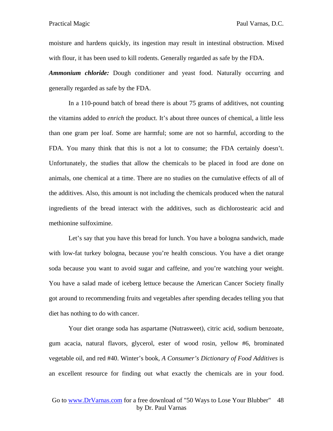moisture and hardens quickly, its ingestion may result in intestinal obstruction. Mixed with flour, it has been used to kill rodents. Generally regarded as safe by the FDA.

*Ammonium chloride:* Dough conditioner and yeast food. Naturally occurring and generally regarded as safe by the FDA.

 In a 110-pound batch of bread there is about 75 grams of additives, not counting the vitamins added to *enrich* the product. It's about three ounces of chemical, a little less than one gram per loaf. Some are harmful; some are not so harmful, according to the FDA. You many think that this is not a lot to consume; the FDA certainly doesn't. Unfortunately, the studies that allow the chemicals to be placed in food are done on animals, one chemical at a time. There are no studies on the cumulative effects of all of the additives. Also, this amount is not including the chemicals produced when the natural ingredients of the bread interact with the additives, such as dichlorostearic acid and methionine sulfoximine.

 Let's say that you have this bread for lunch. You have a bologna sandwich, made with low-fat turkey bologna, because you're health conscious. You have a diet orange soda because you want to avoid sugar and caffeine, and you're watching your weight. You have a salad made of iceberg lettuce because the American Cancer Society finally got around to recommending fruits and vegetables after spending decades telling you that diet has nothing to do with cancer.

 Your diet orange soda has aspartame (Nutrasweet), citric acid, sodium benzoate, gum acacia, natural flavors, glycerol, ester of wood rosin, yellow #6, brominated vegetable oil, and red #40. Winter's book, *A Consumer's Dictionary of Food Additives* is an excellent resource for finding out what exactly the chemicals are in your food.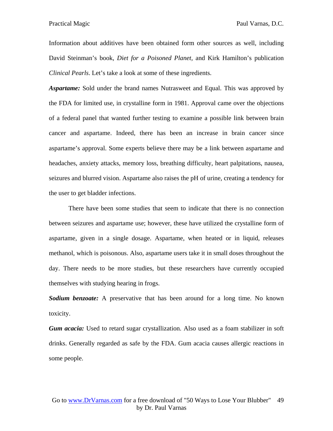Information about additives have been obtained form other sources as well, including David Steinman's book, *Diet for a Poisoned Planet,* and Kirk Hamilton's publication *Clinical Pearls*. Let's take a look at some of these ingredients.

*Aspartame:* Sold under the brand names Nutrasweet and Equal. This was approved by the FDA for limited use, in crystalline form in 1981. Approval came over the objections of a federal panel that wanted further testing to examine a possible link between brain cancer and aspartame. Indeed, there has been an increase in brain cancer since aspartame's approval. Some experts believe there may be a link between aspartame and headaches, anxiety attacks, memory loss, breathing difficulty, heart palpitations, nausea, seizures and blurred vision. Aspartame also raises the pH of urine, creating a tendency for the user to get bladder infections.

 There have been some studies that seem to indicate that there is no connection between seizures and aspartame use; however, these have utilized the crystalline form of aspartame, given in a single dosage. Aspartame, when heated or in liquid, releases methanol, which is poisonous. Also, aspartame users take it in small doses throughout the day. There needs to be more studies, but these researchers have currently occupied themselves with studying hearing in frogs.

*Sodium benzoate:* A preservative that has been around for a long time. No known toxicity.

*Gum acacia:* Used to retard sugar crystallization. Also used as a foam stabilizer in soft drinks. Generally regarded as safe by the FDA. Gum acacia causes allergic reactions in some people.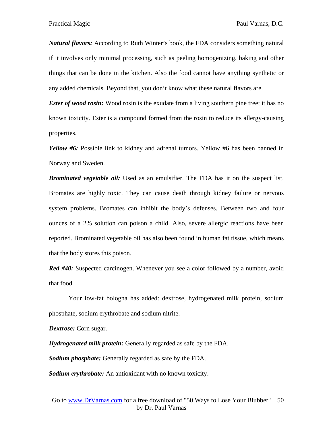*Natural flavors:* According to Ruth Winter's book, the FDA considers something natural if it involves only minimal processing, such as peeling homogenizing, baking and other things that can be done in the kitchen. Also the food cannot have anything synthetic or any added chemicals. Beyond that, you don't know what these natural flavors are.

*Ester of wood rosin:* Wood rosin is the exudate from a living southern pine tree; it has no known toxicity. Ester is a compound formed from the rosin to reduce its allergy-causing properties.

*Yellow #6:* Possible link to kidney and adrenal tumors. Yellow #6 has been banned in Norway and Sweden.

*Brominated vegetable oil:* Used as an emulsifier. The FDA has it on the suspect list. Bromates are highly toxic. They can cause death through kidney failure or nervous system problems. Bromates can inhibit the body's defenses. Between two and four ounces of a 2% solution can poison a child. Also, severe allergic reactions have been reported. Brominated vegetable oil has also been found in human fat tissue, which means that the body stores this poison.

*Red #40:* Suspected carcinogen. Whenever you see a color followed by a number, avoid that food.

 Your low-fat bologna has added: dextrose, hydrogenated milk protein, sodium phosphate, sodium erythrobate and sodium nitrite.

*Dextrose:* Corn sugar.

*Hydrogenated milk protein:* Generally regarded as safe by the FDA.

*Sodium phosphate:* Generally regarded as safe by the FDA.

*Sodium erythrobate:* An antioxidant with no known toxicity.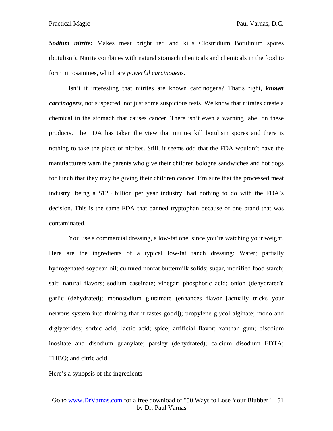*Sodium nitrite:* Makes meat bright red and kills Clostridium Botulinum spores (botulism). Nitrite combines with natural stomach chemicals and chemicals in the food to form nitrosamines, which are *powerful carcinogens*.

 Isn't it interesting that nitrites are known carcinogens? That's right*, known carcinogens,* not suspected, not just some suspicious tests. We know that nitrates create a chemical in the stomach that causes cancer. There isn't even a warning label on these products. The FDA has taken the view that nitrites kill botulism spores and there is nothing to take the place of nitrites. Still, it seems odd that the FDA wouldn't have the manufacturers warn the parents who give their children bologna sandwiches and hot dogs for lunch that they may be giving their children cancer. I'm sure that the processed meat industry, being a \$125 billion per year industry, had nothing to do with the FDA's decision. This is the same FDA that banned tryptophan because of one brand that was contaminated.

You use a commercial dressing, a low-fat one, since you're watching your weight. Here are the ingredients of a typical low-fat ranch dressing: Water; partially hydrogenated soybean oil; cultured nonfat buttermilk solids; sugar, modified food starch; salt; natural flavors; sodium caseinate; vinegar; phosphoric acid; onion (dehydrated); garlic (dehydrated); monosodium glutamate (enhances flavor [actually tricks your nervous system into thinking that it tastes good]); propylene glycol alginate; mono and diglycerides; sorbic acid; lactic acid; spice; artificial flavor; xanthan gum; disodium inositate and disodium guanylate; parsley (dehydrated); calcium disodium EDTA; THBQ; and citric acid.

Here's a synopsis of the ingredients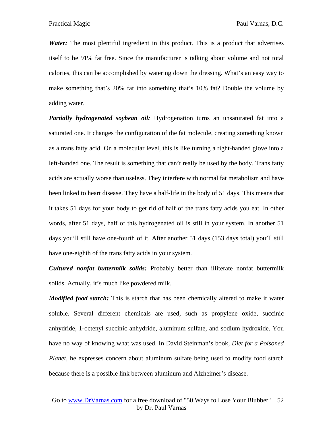*Water:* The most plentiful ingredient in this product. This is a product that advertises itself to be 91% fat free. Since the manufacturer is talking about volume and not total calories, this can be accomplished by watering down the dressing. What's an easy way to make something that's 20% fat into something that's 10% fat? Double the volume by adding water.

*Partially hydrogenated soybean oil:* Hydrogenation turns an unsaturated fat into a saturated one. It changes the configuration of the fat molecule, creating something known as a trans fatty acid. On a molecular level, this is like turning a right-handed glove into a left-handed one. The result is something that can't really be used by the body. Trans fatty acids are actually worse than useless. They interfere with normal fat metabolism and have been linked to heart disease. They have a half-life in the body of 51 days. This means that it takes 51 days for your body to get rid of half of the trans fatty acids you eat. In other words, after 51 days, half of this hydrogenated oil is still in your system. In another 51 days you'll still have one-fourth of it. After another 51 days (153 days total) you'll still have one-eighth of the trans fatty acids in your system.

*Cultured nonfat buttermilk solids:* Probably better than illiterate nonfat buttermilk solids. Actually, it's much like powdered milk.

*Modified food starch:* This is starch that has been chemically altered to make it water soluble. Several different chemicals are used, such as propylene oxide, succinic anhydride, 1-octenyl succinic anhydride, aluminum sulfate, and sodium hydroxide. You have no way of knowing what was used. In David Steinman's book, *Diet for a Poisoned Planet*, he expresses concern about aluminum sulfate being used to modify food starch because there is a possible link between aluminum and Alzheimer's disease.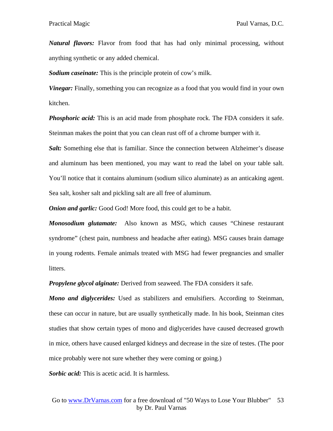*Natural flavors:* Flavor from food that has had only minimal processing, without anything synthetic or any added chemical.

*Sodium caseinate:* This is the principle protein of cow's milk.

*Vinegar:* Finally, something you can recognize as a food that you would find in your own kitchen.

*Phosphoric acid:* This is an acid made from phosphate rock. The FDA considers it safe. Steinman makes the point that you can clean rust off of a chrome bumper with it.

*Salt:* Something else that is familiar. Since the connection between Alzheimer's disease and aluminum has been mentioned, you may want to read the label on your table salt. You'll notice that it contains aluminum (sodium silico aluminate) as an anticaking agent. Sea salt, kosher salt and pickling salt are all free of aluminum.

*Onion and garlic:* Good God! More food, this could get to be a habit.

*Monosodium glutamate:* Also known as MSG, which causes "Chinese restaurant syndrome" (chest pain, numbness and headache after eating). MSG causes brain damage in young rodents. Female animals treated with MSG had fewer pregnancies and smaller litters.

*Propylene glycol alginate:* Derived from seaweed. The FDA considers it safe.

*Mono and diglycerides:* Used as stabilizers and emulsifiers. According to Steinman, these can occur in nature, but are usually synthetically made. In his book, Steinman cites studies that show certain types of mono and diglycerides have caused decreased growth in mice, others have caused enlarged kidneys and decrease in the size of testes. (The poor mice probably were not sure whether they were coming or going.)

*Sorbic acid:* This is acetic acid. It is harmless.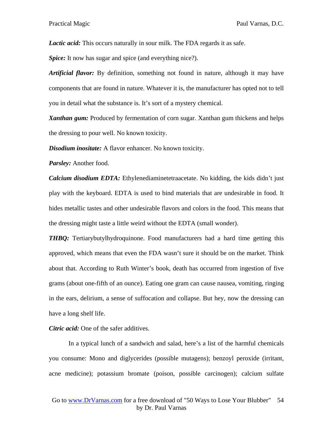*Lactic acid:* This occurs naturally in sour milk. The FDA regards it as safe.

*Spice:* It now has sugar and spice (and everything nice?).

*Artificial flavor:* By definition, something not found in nature, although it may have components that are found in nature. Whatever it is, the manufacturer has opted not to tell you in detail what the substance is. It's sort of a mystery chemical.

*Xanthan gum:* Produced by fermentation of corn sugar. Xanthan gum thickens and helps the dressing to pour well. No known toxicity.

*Disodium inositate:* A flavor enhancer. No known toxicity.

*Parsley:* Another food.

*Calcium disodium EDTA:* Ethylenediaminetetraacetate. No kidding, the kids didn't just play with the keyboard. EDTA is used to bind materials that are undesirable in food. It hides metallic tastes and other undesirable flavors and colors in the food. This means that the dressing might taste a little weird without the EDTA (small wonder).

*THBQ:* Tertiarybutylhydroquinone. Food manufacturers had a hard time getting this approved, which means that even the FDA wasn't sure it should be on the market. Think about that. According to Ruth Winter's book, death has occurred from ingestion of five grams (about one-fifth of an ounce). Eating one gram can cause nausea, vomiting, ringing in the ears, delirium, a sense of suffocation and collapse. But hey, now the dressing can have a long shelf life.

*Citric acid:* One of the safer additives.

 In a typical lunch of a sandwich and salad, here's a list of the harmful chemicals you consume: Mono and diglycerides (possible mutagens); benzoyl peroxide (irritant, acne medicine); potassium bromate (poison, possible carcinogen); calcium sulfate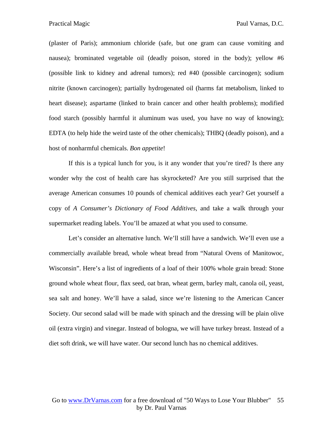(plaster of Paris); ammonium chloride (safe, but one gram can cause vomiting and nausea); brominated vegetable oil (deadly poison, stored in the body); yellow #6 (possible link to kidney and adrenal tumors); red #40 (possible carcinogen); sodium nitrite (known carcinogen); partially hydrogenated oil (harms fat metabolism, linked to heart disease); aspartame (linked to brain cancer and other health problems); modified food starch (possibly harmful it aluminum was used, you have no way of knowing); EDTA (to help hide the weird taste of the other chemicals); THBQ (deadly poison), and a host of nonharmful chemicals. *Bon appetite*!

 If this is a typical lunch for you, is it any wonder that you're tired? Is there any wonder why the cost of health care has skyrocketed? Are you still surprised that the average American consumes 10 pounds of chemical additives each year? Get yourself a copy of *A Consumer's Dictionary of Food Additives*, and take a walk through your supermarket reading labels. You'll be amazed at what you used to consume.

 Let's consider an alternative lunch. We'll still have a sandwich. We'll even use a commercially available bread, whole wheat bread from "Natural Ovens of Manitowoc, Wisconsin". Here's a list of ingredients of a loaf of their 100% whole grain bread: Stone ground whole wheat flour, flax seed, oat bran, wheat germ, barley malt, canola oil, yeast, sea salt and honey. We'll have a salad, since we're listening to the American Cancer Society. Our second salad will be made with spinach and the dressing will be plain olive oil (extra virgin) and vinegar. Instead of bologna, we will have turkey breast. Instead of a diet soft drink, we will have water. Our second lunch has no chemical additives.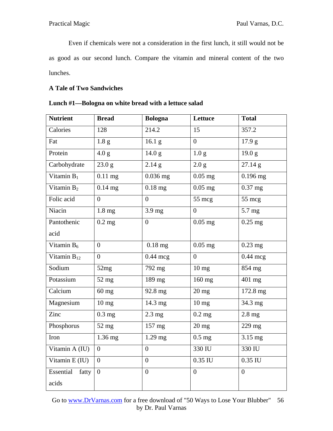Even if chemicals were not a consideration in the first lunch, it still would not be as good as our second lunch. Compare the vitamin and mineral content of the two lunches.

# **A Tale of Two Sandwiches**

| <b>Nutrient</b>    | <b>Bread</b>     | <b>Bologna</b>    | Lettuce          | <b>Total</b>       |
|--------------------|------------------|-------------------|------------------|--------------------|
| Calories           | 128              | 214.2             | 15               | 357.2              |
| Fat                | 1.8 <sub>g</sub> | 16.1 <sub>g</sub> | $\Omega$         | 17.9 <sub>g</sub>  |
| Protein            | 4.0 g            | 14.0 g            | 1.0 <sub>g</sub> | 19.0 g             |
| Carbohydrate       | 23.0 g           | 2.14 g            | 2.0 g            | 27.14 g            |
| Vitamin $B_1$      | $0.11$ mg        | $0.036$ mg        | $0.05$ mg        | $0.196$ mg         |
| Vitamin $B_2$      | $0.14$ mg        | $0.18$ mg         | $0.05$ mg        | $0.37$ mg          |
| Folic acid         | $\overline{0}$   | $\overline{0}$    | $55 \text{ mcg}$ | 55 mcg             |
| Niacin             | $1.8 \text{ mg}$ | $3.9$ mg          | $\overline{0}$   | 5.7 mg             |
| Pantothenic        | $0.2$ mg         | $\overline{0}$    | $0.05$ mg        | $0.25$ mg          |
| acid               |                  |                   |                  |                    |
| Vitamin $B_6$      | $\overline{0}$   | $0.18$ mg         | $0.05$ mg        | $0.23$ mg          |
| Vitamin $B_{12}$   | $\Omega$         | $0.44 \text{~mg}$ | $\theta$         | $0.44 \text{ mcg}$ |
| Sodium             | 52mg             | 792 mg            | $10 \text{ mg}$  | 854 mg             |
| Potassium          | $52$ mg          | 189 mg            | $160$ mg         | 401 mg             |
| Calcium            | $60$ mg          | 92.8 mg           | $20$ mg          | 172.8 mg           |
| Magnesium          | $10 \text{ mg}$  | 14.3 mg           | $10 \text{ mg}$  | 34.3 mg            |
| Zinc               | $0.3$ mg         | $2.3 \text{ mg}$  | $0.2$ mg         | $2.8 \text{ mg}$   |
| Phosphorus         | $52$ mg          | 157 mg            | $20$ mg          | $229$ mg           |
| Iron               | $1.36$ mg        | $1.29$ mg         | $0.5$ mg         | $3.15$ mg          |
| Vitamin A (IU)     | $\theta$         | $\overline{0}$    | 330 IU           | 330 IU             |
| Vitamin E (IU)     | $\Omega$         | $\overline{0}$    | 0.35 IU          | 0.35 IU            |
| Essential<br>fatty | $\theta$         | $\mathbf{0}$      | $\overline{0}$   | $\overline{0}$     |
| acids              |                  |                   |                  |                    |

# **Lunch #1—Bologna on white bread with a lettuce salad**

Go to www.DrVarnas.com</u> for a free download of "50 Ways to Lose Your Blubber" 56 by Dr. Paul Varnas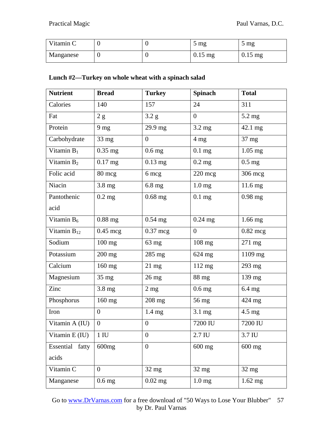| Vitamin C |   | 5 <sub>mg</sub> | $5 \text{ mg}$    |
|-----------|---|-----------------|-------------------|
| Manganese | ◡ | $0.15$ mg       | $0.15 \text{ mg}$ |

# **Lunch #2—Turkey on whole wheat with a spinach salad**

| <b>Nutrient</b>  | <b>Bread</b>     | <b>Turkey</b>     | <b>Spinach</b>   | <b>Total</b>     |
|------------------|------------------|-------------------|------------------|------------------|
| Calories         | 140              | 157               | 24               | 311              |
| Fat              | 2g               | 3.2 g             | $\mathbf{0}$     | $5.2 \text{ mg}$ |
| Protein          | 9 <sub>mg</sub>  | 29.9 mg           | $3.2 \text{ mg}$ | 42.1 mg          |
| Carbohydrate     | $33 \text{ mg}$  | $\overline{0}$    | $4 \text{ mg}$   | $37 \text{ mg}$  |
| Vitamin $B_1$    | $0.35$ mg        | $0.6$ mg          | $0.1$ mg         | $1.05$ mg        |
| Vitamin $B_2$    | $0.17$ mg        | $0.13$ mg         | $0.2$ mg         | $0.5 \text{ mg}$ |
| Folic acid       | $80 \text{ mcg}$ | 6 mcg             | $220 \text{~mg}$ | $306 \text{~mg}$ |
| Niacin           | $3.8 \text{ mg}$ | $6.8 \text{ mg}$  | $1.0 \text{ mg}$ | 11.6 mg          |
| Pantothenic      | $0.2$ mg         | $0.68$ mg         | $0.1$ mg         | $0.98$ mg        |
| acid             |                  |                   |                  |                  |
| Vitamin $B_6$    | $0.88$ mg        | $0.54$ mg         | $0.24$ mg        | $1.66$ mg        |
| Vitamin $B_{12}$ | $0.45$ mcg       | $0.37 \text{~mg}$ | $\mathbf{0}$     | $0.82$ mcg       |
| Sodium           | $100$ mg         | $63 \text{ mg}$   | $108$ mg         | $271 \text{ mg}$ |
| Potassium        | $200$ mg         | 285 mg            | $624$ mg         | 1109 mg          |
| Calcium          | $160$ mg         | $21 \text{ mg}$   | $112 \text{ mg}$ | $293 \text{ mg}$ |
| Magnesium        | $35 \text{ mg}$  | $26 \text{ mg}$   | 88 mg            | 139 mg           |
| Zinc             | $3.8 \text{ mg}$ | $2 \text{ mg}$    | $0.6$ mg         | $6.4 \text{ mg}$ |
| Phosphorus       | $160$ mg         | 208 mg            | 56 mg            | 424 mg           |
| Iron             | $\overline{0}$   | $1.4 \text{ mg}$  | $3.1 \text{ mg}$ | $4.5 \text{ mg}$ |
| Vitamin A (IU)   | $\overline{0}$   | $\overline{0}$    | 7200 IU          | 7200 IU          |
| Vitamin E (IU)   | 1 <sub>IV</sub>  | $\boldsymbol{0}$  | 2.7 IU           | 3.7 IU           |
| Essential fatty  | 600mg            | $\overline{0}$    | $600$ mg         | $600$ mg         |
| acids            |                  |                   |                  |                  |
| Vitamin C        | $\overline{0}$   | $32 \text{ mg}$   | $32 \text{ mg}$  | $32 \text{ mg}$  |
| Manganese        | $0.6$ mg         | $0.02$ mg         | $1.0 \text{ mg}$ | $1.62$ mg        |

Go to www.DrVarnas.com</u> for a free download of "50 Ways to Lose Your Blubber" 57 by Dr. Paul Varnas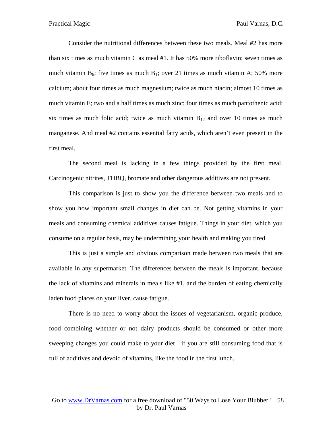Consider the nutritional differences between these two meals. Meal #2 has more than six times as much vitamin C as meal #1. It has 50% more riboflavin; seven times as much vitamin  $B_6$ ; five times as much  $B_1$ ; over 21 times as much vitamin A; 50% more calcium; about four times as much magnesium; twice as much niacin; almost 10 times as much vitamin E; two and a half times as much zinc; four times as much pantothenic acid; six times as much folic acid; twice as much vitamin  $B_{12}$  and over 10 times as much manganese. And meal #2 contains essential fatty acids, which aren't even present in the first meal.

 The second meal is lacking in a few things provided by the first meal. Carcinogenic nitrites, THBQ, bromate and other dangerous additives are not present.

 This comparison is just to show you the difference between two meals and to show you how important small changes in diet can be. Not getting vitamins in your meals and consuming chemical additives causes fatigue. Things in your diet, which you consume on a regular basis, may be undermining your health and making you tired.

 This is just a simple and obvious comparison made between two meals that are available in any supermarket. The differences between the meals is important, because the lack of vitamins and minerals in meals like #1, and the burden of eating chemically laden food places on your liver, cause fatigue.

 There is no need to worry about the issues of vegetarianism, organic produce, food combining whether or not dairy products should be consumed or other more sweeping changes you could make to your diet—if you are still consuming food that is full of additives and devoid of vitamins, like the food in the first lunch.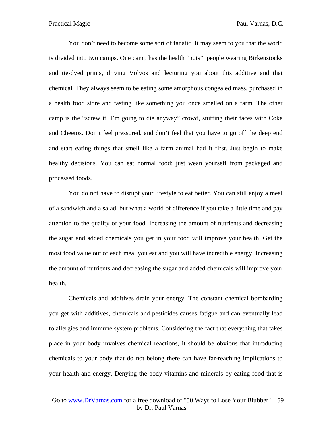You don't need to become some sort of fanatic. It may seem to you that the world is divided into two camps. One camp has the health "nuts": people wearing Birkenstocks and tie-dyed prints, driving Volvos and lecturing you about this additive and that chemical. They always seem to be eating some amorphous congealed mass, purchased in a health food store and tasting like something you once smelled on a farm. The other camp is the "screw it, I'm going to die anyway" crowd, stuffing their faces with Coke and Cheetos. Don't feel pressured, and don't feel that you have to go off the deep end and start eating things that smell like a farm animal had it first. Just begin to make healthy decisions. You can eat normal food; just wean yourself from packaged and processed foods.

 You do not have to disrupt your lifestyle to eat better. You can still enjoy a meal of a sandwich and a salad, but what a world of difference if you take a little time and pay attention to the quality of your food. Increasing the amount of nutrients and decreasing the sugar and added chemicals you get in your food will improve your health. Get the most food value out of each meal you eat and you will have incredible energy. Increasing the amount of nutrients and decreasing the sugar and added chemicals will improve your health.

 Chemicals and additives drain your energy. The constant chemical bombarding you get with additives, chemicals and pesticides causes fatigue and can eventually lead to allergies and immune system problems. Considering the fact that everything that takes place in your body involves chemical reactions, it should be obvious that introducing chemicals to your body that do not belong there can have far-reaching implications to your health and energy. Denying the body vitamins and minerals by eating food that is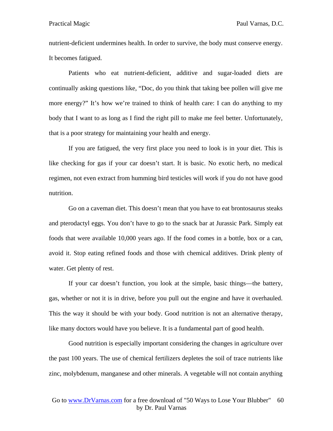nutrient-deficient undermines health. In order to survive, the body must conserve energy. It becomes fatigued.

 Patients who eat nutrient-deficient, additive and sugar-loaded diets are continually asking questions like, "Doc, do you think that taking bee pollen will give me more energy?" It's how we're trained to think of health care: I can do anything to my body that I want to as long as I find the right pill to make me feel better. Unfortunately, that is a poor strategy for maintaining your health and energy.

 If you are fatigued, the very first place you need to look is in your diet. This is like checking for gas if your car doesn't start. It is basic. No exotic herb, no medical regimen, not even extract from humming bird testicles will work if you do not have good nutrition.

 Go on a caveman diet. This doesn't mean that you have to eat brontosaurus steaks and pterodactyl eggs. You don't have to go to the snack bar at Jurassic Park. Simply eat foods that were available 10,000 years ago. If the food comes in a bottle, box or a can, avoid it. Stop eating refined foods and those with chemical additives. Drink plenty of water. Get plenty of rest.

 If your car doesn't function, you look at the simple, basic things—the battery, gas, whether or not it is in drive, before you pull out the engine and have it overhauled. This the way it should be with your body. Good nutrition is not an alternative therapy, like many doctors would have you believe. It is a fundamental part of good health.

 Good nutrition is especially important considering the changes in agriculture over the past 100 years. The use of chemical fertilizers depletes the soil of trace nutrients like zinc, molybdenum, manganese and other minerals. A vegetable will not contain anything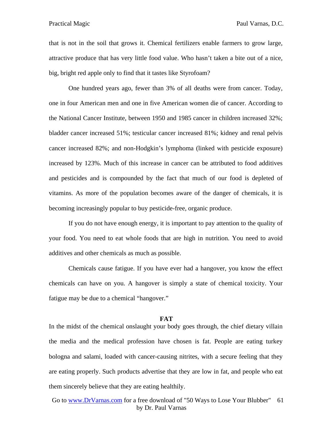that is not in the soil that grows it. Chemical fertilizers enable farmers to grow large, attractive produce that has very little food value. Who hasn't taken a bite out of a nice, big, bright red apple only to find that it tastes like Styrofoam?

 One hundred years ago, fewer than 3% of all deaths were from cancer. Today, one in four American men and one in five American women die of cancer. According to the National Cancer Institute, between 1950 and 1985 cancer in children increased 32%; bladder cancer increased 51%; testicular cancer increased 81%; kidney and renal pelvis cancer increased 82%; and non-Hodgkin's lymphoma (linked with pesticide exposure) increased by 123%. Much of this increase in cancer can be attributed to food additives and pesticides and is compounded by the fact that much of our food is depleted of vitamins. As more of the population becomes aware of the danger of chemicals, it is becoming increasingly popular to buy pesticide-free, organic produce.

 If you do not have enough energy, it is important to pay attention to the quality of your food. You need to eat whole foods that are high in nutrition. You need to avoid additives and other chemicals as much as possible.

 Chemicals cause fatigue. If you have ever had a hangover, you know the effect chemicals can have on you. A hangover is simply a state of chemical toxicity. Your fatigue may be due to a chemical "hangover."

### **FAT**

In the midst of the chemical onslaught your body goes through, the chief dietary villain the media and the medical profession have chosen is fat. People are eating turkey bologna and salami, loaded with cancer-causing nitrites, with a secure feeling that they are eating properly. Such products advertise that they are low in fat, and people who eat them sincerely believe that they are eating healthily.

Go to www.DrVarnas.com for a free download of "50 Ways to Lose Your Blubber" by Dr. Paul Varnas 61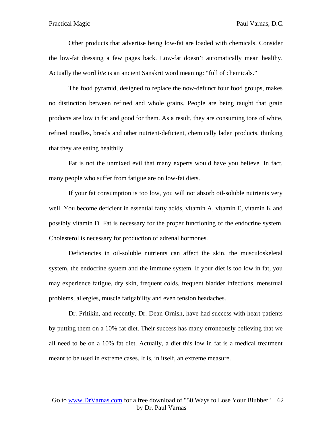Other products that advertise being low-fat are loaded with chemicals. Consider the low-fat dressing a few pages back. Low-fat doesn't automatically mean healthy. Actually the word *lite* is an ancient Sanskrit word meaning: "full of chemicals."

 The food pyramid, designed to replace the now-defunct four food groups, makes no distinction between refined and whole grains. People are being taught that grain products are low in fat and good for them. As a result, they are consuming tons of white, refined noodles, breads and other nutrient-deficient, chemically laden products, thinking that they are eating healthily.

 Fat is not the unmixed evil that many experts would have you believe. In fact, many people who suffer from fatigue are on low-fat diets.

 If your fat consumption is too low, you will not absorb oil-soluble nutrients very well. You become deficient in essential fatty acids, vitamin A, vitamin E, vitamin K and possibly vitamin D. Fat is necessary for the proper functioning of the endocrine system. Cholesterol is necessary for production of adrenal hormones.

 Deficiencies in oil-soluble nutrients can affect the skin, the musculoskeletal system, the endocrine system and the immune system. If your diet is too low in fat, you may experience fatigue, dry skin, frequent colds, frequent bladder infections, menstrual problems, allergies, muscle fatigability and even tension headaches.

 Dr. Pritikin, and recently, Dr. Dean Ornish, have had success with heart patients by putting them on a 10% fat diet. Their success has many erroneously believing that we all need to be on a 10% fat diet. Actually, a diet this low in fat is a medical treatment meant to be used in extreme cases. It is, in itself, an extreme measure.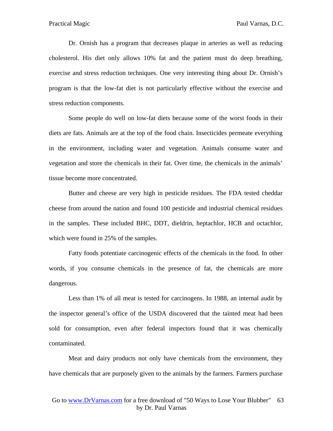Dr. Ornish has a program that decreases plaque in arteries as well as reducing cholesterol. His diet only allows 10% fat and the patient must do deep breathing, exercise and stress reduction techniques. One very interesting thing about Dr. Ornish's program is that the low-fat diet is not particularly effective without the exercise and stress reduction components.

 Some people do well on low-fat diets because some of the worst foods in their diets are fats. Animals are at the top of the food chain. Insecticides permeate everything in the environment, including water and vegetation. Animals consume water and vegetation and store the chemicals in their fat. Over time, the chemicals in the animals' tissue become more concentrated.

 Butter and cheese are very high in pesticide residues. The FDA tested cheddar cheese from around the nation and found 100 pesticide and industrial chemical residues in the samples. These included BHC, DDT, dieldrin, heptachlor, HCB and octachlor, which were found in 25% of the samples.

 Fatty foods potentiate carcinogenic effects of the chemicals in the food. In other words, if you consume chemicals in the presence of fat, the chemicals are more dangerous.

 Less than 1% of all meat is tested for carcinogens. In 1988, an internal audit by the inspector general's office of the USDA discovered that the tainted meat had been sold for consumption, even after federal inspectors found that it was chemically contaminated.

 Meat and dairy products not only have chemicals from the environment, they have chemicals that are purposely given to the animals by the farmers. Farmers purchase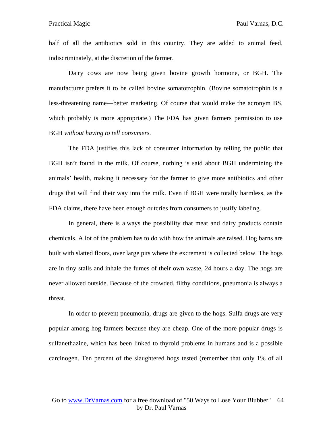half of all the antibiotics sold in this country. They are added to animal feed, indiscriminately, at the discretion of the farmer.

 Dairy cows are now being given bovine growth hormone, or BGH. The manufacturer prefers it to be called bovine somatotrophin. (Bovine somatotrophin is a less-threatening name—better marketing. Of course that would make the acronym BS, which probably is more appropriate.) The FDA has given farmers permission to use BGH *without having to tell consumers.*

The FDA justifies this lack of consumer information by telling the public that BGH isn't found in the milk. Of course, nothing is said about BGH undermining the animals' health, making it necessary for the farmer to give more antibiotics and other drugs that will find their way into the milk. Even if BGH were totally harmless, as the FDA claims, there have been enough outcries from consumers to justify labeling.

 In general, there is always the possibility that meat and dairy products contain chemicals. A lot of the problem has to do with how the animals are raised. Hog barns are built with slatted floors, over large pits where the excrement is collected below. The hogs are in tiny stalls and inhale the fumes of their own waste, 24 hours a day. The hogs are never allowed outside. Because of the crowded, filthy conditions, pneumonia is always a threat.

 In order to prevent pneumonia, drugs are given to the hogs. Sulfa drugs are very popular among hog farmers because they are cheap. One of the more popular drugs is sulfanethazine, which has been linked to thyroid problems in humans and is a possible carcinogen. Ten percent of the slaughtered hogs tested (remember that only 1% of all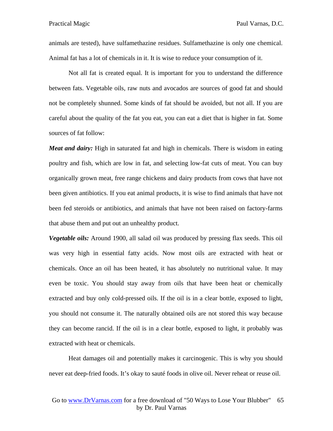animals are tested), have sulfamethazine residues. Sulfamethazine is only one chemical. Animal fat has a lot of chemicals in it. It is wise to reduce your consumption of it.

 Not all fat is created equal. It is important for you to understand the difference between fats. Vegetable oils, raw nuts and avocados are sources of good fat and should not be completely shunned. Some kinds of fat should be avoided, but not all. If you are careful about the quality of the fat you eat, you can eat a diet that is higher in fat. Some sources of fat follow:

*Meat and dairy:* High in saturated fat and high in chemicals. There is wisdom in eating poultry and fish, which are low in fat, and selecting low-fat cuts of meat. You can buy organically grown meat, free range chickens and dairy products from cows that have not been given antibiotics. If you eat animal products, it is wise to find animals that have not been fed steroids or antibiotics, and animals that have not been raised on factory-farms that abuse them and put out an unhealthy product.

*Vegetable oils:* Around 1900, all salad oil was produced by pressing flax seeds. This oil was very high in essential fatty acids. Now most oils are extracted with heat or chemicals. Once an oil has been heated, it has absolutely no nutritional value. It may even be toxic. You should stay away from oils that have been heat or chemically extracted and buy only cold-pressed oils. If the oil is in a clear bottle, exposed to light, you should not consume it. The naturally obtained oils are not stored this way because they can become rancid. If the oil is in a clear bottle, exposed to light, it probably was extracted with heat or chemicals.

 Heat damages oil and potentially makes it carcinogenic. This is why you should never eat deep-fried foods. It's okay to sauté foods in olive oil. Never reheat or reuse oil.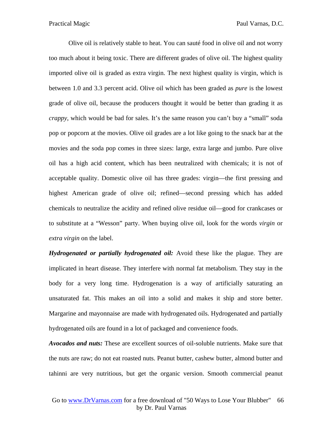Olive oil is relatively stable to heat. You can sauté food in olive oil and not worry too much about it being toxic. There are different grades of olive oil. The highest quality imported olive oil is graded as extra virgin. The next highest quality is virgin, which is between 1.0 and 3.3 percent acid. Olive oil which has been graded as *pure* is the lowest grade of olive oil, because the producers thought it would be better than grading it as *crappy*, which would be bad for sales. It's the same reason you can't buy a "small" soda pop or popcorn at the movies. Olive oil grades are a lot like going to the snack bar at the movies and the soda pop comes in three sizes: large, extra large and jumbo. Pure olive oil has a high acid content, which has been neutralized with chemicals; it is not of acceptable quality. Domestic olive oil has three grades: virgin—the first pressing and highest American grade of olive oil; refined—second pressing which has added chemicals to neutralize the acidity and refined olive residue oil—good for crankcases or to substitute at a "Wesson" party. When buying olive oil, look for the words *virgin* or *extra virgin* on the label.

*Hydrogenated or partially hydrogenated oil:* Avoid these like the plague. They are implicated in heart disease. They interfere with normal fat metabolism. They stay in the body for a very long time. Hydrogenation is a way of artificially saturating an unsaturated fat. This makes an oil into a solid and makes it ship and store better. Margarine and mayonnaise are made with hydrogenated oils. Hydrogenated and partially hydrogenated oils are found in a lot of packaged and convenience foods.

*Avocados and nuts:* These are excellent sources of oil-soluble nutrients. Make sure that the nuts are raw; do not eat roasted nuts. Peanut butter, cashew butter, almond butter and tahinni are very nutritious, but get the organic version. Smooth commercial peanut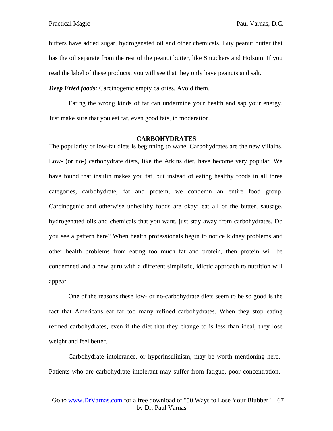butters have added sugar, hydrogenated oil and other chemicals. Buy peanut butter that has the oil separate from the rest of the peanut butter, like Smuckers and Holsum. If you read the label of these products, you will see that they only have peanuts and salt.

*Deep Fried foods:* Carcinogenic empty calories. Avoid them.

 Eating the wrong kinds of fat can undermine your health and sap your energy. Just make sure that you eat fat, even good fats, in moderation.

## **CARBOHYDRATES**

The popularity of low-fat diets is beginning to wane. Carbohydrates are the new villains. Low- (or no-) carbohydrate diets, like the Atkins diet, have become very popular. We have found that insulin makes you fat, but instead of eating healthy foods in all three categories, carbohydrate, fat and protein, we condemn an entire food group. Carcinogenic and otherwise unhealthy foods are okay; eat all of the butter, sausage, hydrogenated oils and chemicals that you want, just stay away from carbohydrates. Do you see a pattern here? When health professionals begin to notice kidney problems and other health problems from eating too much fat and protein, then protein will be condemned and a new guru with a different simplistic, idiotic approach to nutrition will appear.

 One of the reasons these low- or no-carbohydrate diets seem to be so good is the fact that Americans eat far too many refined carbohydrates. When they stop eating refined carbohydrates, even if the diet that they change to is less than ideal, they lose weight and feel better.

Carbohydrate intolerance, or hyperinsulinism, may be worth mentioning here. Patients who are carbohydrate intolerant may suffer from fatigue, poor concentration,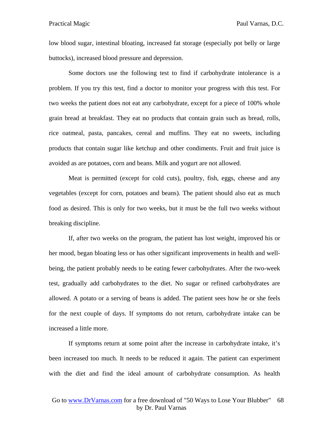low blood sugar, intestinal bloating, increased fat storage (especially pot belly or large buttocks), increased blood pressure and depression.

 Some doctors use the following test to find if carbohydrate intolerance is a problem. If you try this test, find a doctor to monitor your progress with this test. For two weeks the patient does not eat any carbohydrate, except for a piece of 100% whole grain bread at breakfast. They eat no products that contain grain such as bread, rolls, rice oatmeal, pasta, pancakes, cereal and muffins. They eat no sweets, including products that contain sugar like ketchup and other condiments. Fruit and fruit juice is avoided as are potatoes, corn and beans. Milk and yogurt are not allowed.

 Meat is permitted (except for cold cuts), poultry, fish, eggs, cheese and any vegetables (except for corn, potatoes and beans). The patient should also eat as much food as desired. This is only for two weeks, but it must be the full two weeks without breaking discipline.

 If, after two weeks on the program, the patient has lost weight, improved his or her mood, began bloating less or has other significant improvements in health and wellbeing, the patient probably needs to be eating fewer carbohydrates. After the two-week test, gradually add carbohydrates to the diet. No sugar or refined carbohydrates are allowed. A potato or a serving of beans is added. The patient sees how he or she feels for the next couple of days. If symptoms do not return, carbohydrate intake can be increased a little more.

 If symptoms return at some point after the increase in carbohydrate intake, it's been increased too much. It needs to be reduced it again. The patient can experiment with the diet and find the ideal amount of carbohydrate consumption. As health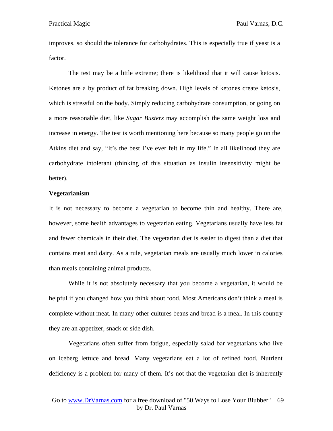improves, so should the tolerance for carbohydrates. This is especially true if yeast is a factor.

 The test may be a little extreme; there is likelihood that it will cause ketosis. Ketones are a by product of fat breaking down. High levels of ketones create ketosis, which is stressful on the body. Simply reducing carbohydrate consumption, or going on a more reasonable diet, like *Sugar Busters* may accomplish the same weight loss and increase in energy. The test is worth mentioning here because so many people go on the Atkins diet and say, "It's the best I've ever felt in my life." In all likelihood they are carbohydrate intolerant (thinking of this situation as insulin insensitivity might be better).

## **Vegetarianism**

It is not necessary to become a vegetarian to become thin and healthy. There are, however, some health advantages to vegetarian eating. Vegetarians usually have less fat and fewer chemicals in their diet. The vegetarian diet is easier to digest than a diet that contains meat and dairy. As a rule, vegetarian meals are usually much lower in calories than meals containing animal products.

 While it is not absolutely necessary that you become a vegetarian, it would be helpful if you changed how you think about food. Most Americans don't think a meal is complete without meat. In many other cultures beans and bread is a meal. In this country they are an appetizer, snack or side dish.

 Vegetarians often suffer from fatigue, especially salad bar vegetarians who live on iceberg lettuce and bread. Many vegetarians eat a lot of refined food. Nutrient deficiency is a problem for many of them. It's not that the vegetarian diet is inherently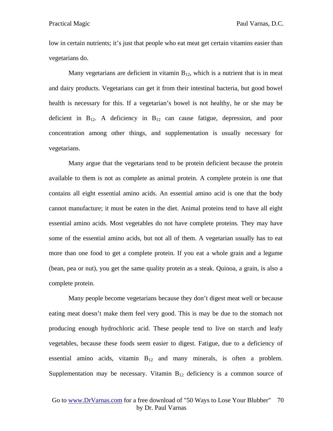low in certain nutrients; it's just that people who eat meat get certain vitamins easier than vegetarians do.

Many vegetarians are deficient in vitamin  $B_{12}$ , which is a nutrient that is in meat and dairy products. Vegetarians can get it from their intestinal bacteria, but good bowel health is necessary for this. If a vegetarian's bowel is not healthy, he or she may be deficient in  $B_{12}$ . A deficiency in  $B_{12}$  can cause fatigue, depression, and poor concentration among other things, and supplementation is usually necessary for vegetarians.

 Many argue that the vegetarians tend to be protein deficient because the protein available to them is not as complete as animal protein. A complete protein is one that contains all eight essential amino acids. An essential amino acid is one that the body cannot manufacture; it must be eaten in the diet. Animal proteins tend to have all eight essential amino acids. Most vegetables do not have complete proteins. They may have some of the essential amino acids, but not all of them. A vegetarian usually has to eat more than one food to get a complete protein. If you eat a whole grain and a legume (bean, pea or nut), you get the same quality protein as a steak. Quinoa, a grain, is also a complete protein.

 Many people become vegetarians because they don't digest meat well or because eating meat doesn't make them feel very good. This is may be due to the stomach not producing enough hydrochloric acid. These people tend to live on starch and leafy vegetables, because these foods seem easier to digest. Fatigue, due to a deficiency of essential amino acids, vitamin  $B_{12}$  and many minerals, is often a problem. Supplementation may be necessary. Vitamin  $B_{12}$  deficiency is a common source of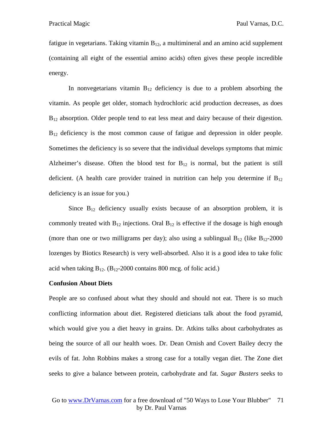fatigue in vegetarians. Taking vitamin  $B_{12}$ , a multimineral and an amino acid supplement (containing all eight of the essential amino acids) often gives these people incredible energy.

In nonvegetarians vitamin  $B_{12}$  deficiency is due to a problem absorbing the vitamin. As people get older, stomach hydrochloric acid production decreases, as does  $B_{12}$  absorption. Older people tend to eat less meat and dairy because of their digestion.  $B_{12}$  deficiency is the most common cause of fatigue and depression in older people. Sometimes the deficiency is so severe that the individual develops symptoms that mimic Alzheimer's disease. Often the blood test for  $B_{12}$  is normal, but the patient is still deficient. (A health care provider trained in nutrition can help you determine if  $B_{12}$ deficiency is an issue for you.)

Since  $B_{12}$  deficiency usually exists because of an absorption problem, it is commonly treated with  $B_{12}$  injections. Oral  $B_{12}$  is effective if the dosage is high enough (more than one or two milligrams per day); also using a sublingual  $B_{12}$  (like  $B_{12}$ -2000 lozenges by Biotics Research) is very well-absorbed. Also it is a good idea to take folic acid when taking  $B_{12}$ . ( $B_{12}$ -2000 contains 800 mcg. of folic acid.)

### **Confusion About Diets**

People are so confused about what they should and should not eat. There is so much conflicting information about diet. Registered dieticians talk about the food pyramid, which would give you a diet heavy in grains. Dr. Atkins talks about carbohydrates as being the source of all our health woes. Dr. Dean Ornish and Covert Bailey decry the evils of fat. John Robbins makes a strong case for a totally vegan diet. The Zone diet seeks to give a balance between protein, carbohydrate and fat. *Sugar Busters* seeks to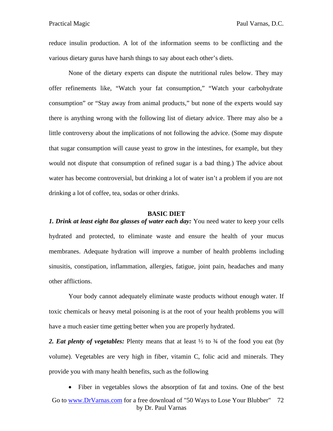reduce insulin production. A lot of the information seems to be conflicting and the various dietary gurus have harsh things to say about each other's diets.

 None of the dietary experts can dispute the nutritional rules below. They may offer refinements like, "Watch your fat consumption," "Watch your carbohydrate consumption" or "Stay away from animal products," but none of the experts would say there is anything wrong with the following list of dietary advice. There may also be a little controversy about the implications of not following the advice. (Some may dispute that sugar consumption will cause yeast to grow in the intestines, for example, but they would not dispute that consumption of refined sugar is a bad thing.) The advice about water has become controversial, but drinking a lot of water isn't a problem if you are not drinking a lot of coffee, tea, sodas or other drinks.

### **BASIC DIET**

*1. Drink at least eight 8oz glasses of water each day:* You need water to keep your cells hydrated and protected, to eliminate waste and ensure the health of your mucus membranes. Adequate hydration will improve a number of health problems including sinusitis, constipation, inflammation, allergies, fatigue, joint pain, headaches and many other afflictions.

 Your body cannot adequately eliminate waste products without enough water. If toxic chemicals or heavy metal poisoning is at the root of your health problems you will have a much easier time getting better when you are properly hydrated.

*2. Eat plenty of vegetables:* Plenty means that at least ½ to ¾ of the food you eat (by volume). Vegetables are very high in fiber, vitamin C, folic acid and minerals. They provide you with many health benefits, such as the following

Go to www.DrVarnas.com</u> for a free download of "50 Ways to Lose Your Blubber" 72 Fiber in vegetables slows the absorption of fat and toxins. One of the best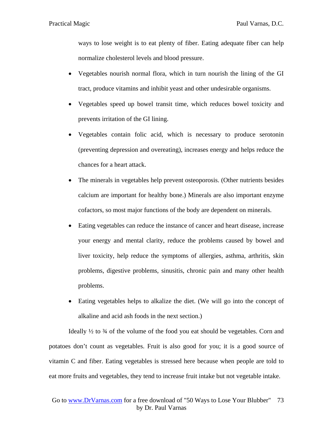ways to lose weight is to eat plenty of fiber. Eating adequate fiber can help normalize cholesterol levels and blood pressure.

- Vegetables nourish normal flora, which in turn nourish the lining of the GI tract, produce vitamins and inhibit yeast and other undesirable organisms.
- Vegetables speed up bowel transit time, which reduces bowel toxicity and prevents irritation of the GI lining.
- Vegetables contain folic acid, which is necessary to produce serotonin (preventing depression and overeating), increases energy and helps reduce the chances for a heart attack.
- The minerals in vegetables help prevent osteoporosis. (Other nutrients besides calcium are important for healthy bone.) Minerals are also important enzyme cofactors, so most major functions of the body are dependent on minerals.
- Eating vegetables can reduce the instance of cancer and heart disease, increase your energy and mental clarity, reduce the problems caused by bowel and liver toxicity, help reduce the symptoms of allergies, asthma, arthritis, skin problems, digestive problems, sinusitis, chronic pain and many other health problems.
- Eating vegetables helps to alkalize the diet. (We will go into the concept of alkaline and acid ash foods in the next section.)

Ideally  $\frac{1}{2}$  to  $\frac{3}{4}$  of the volume of the food you eat should be vegetables. Corn and potatoes don't count as vegetables. Fruit is also good for you; it is a good source of vitamin C and fiber. Eating vegetables is stressed here because when people are told to eat more fruits and vegetables, they tend to increase fruit intake but not vegetable intake.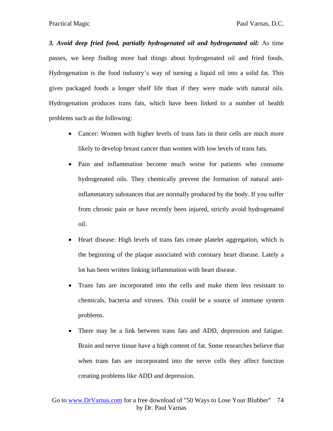*3. Avoid deep fried food, partially hydrogenated oil and hydrogenated oil:* As time passes, we keep finding more bad things about hydrogenated oil and fried foods. Hydrogenation is the food industry's way of turning a liquid oil into a solid fat. This gives packaged foods a longer shelf life than if they were made with natural oils. Hydrogenation produces trans fats, which have been linked to a number of health problems such as the following:

- Cancer: Women with higher levels of trans fats in their cells are much more likely to develop breast cancer than women with low levels of trans fats.
- Pain and inflammation become much worse for patients who consume hydrogenated oils. They chemically prevent the formation of natural antiinflammatory substances that are normally produced by the body. If you suffer from chronic pain or have recently been injured, strictly avoid hydrogenated oil.
- Heart disease: High levels of trans fats create platelet aggregation, which is the beginning of the plaque associated with coronary heart disease. Lately a lot has been written linking inflammation with heart disease.
- Trans fats are incorporated into the cells and make them less resistant to chemicals, bacteria and viruses. This could be a source of immune system problems.
- There may be a link between trans fats and ADD, depression and fatigue. Brain and nerve tissue have a high content of fat. Some researches believe that when trans fats are incorporated into the nerve cells they affect function creating problems like ADD and depression.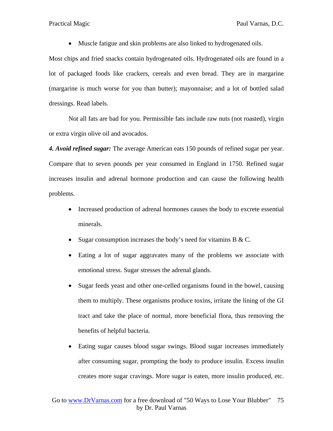Muscle fatigue and skin problems are also linked to hydrogenated oils.

Most chips and fried snacks contain hydrogenated oils. Hydrogenated oils are found in a lot of packaged foods like crackers, cereals and even bread. They are in margarine (margarine is much worse for you than butter); mayonnaise; and a lot of bottled salad dressings. Read labels.

 Not all fats are bad for you. Permissible fats include raw nuts (not roasted), virgin or extra virgin olive oil and avocados.

*4. Avoid refined sugar:* The average American eats 150 pounds of refined sugar per year. Compare that to seven pounds per year consumed in England in 1750. Refined sugar increases insulin and adrenal hormone production and can cause the following health problems.

- Increased production of adrenal hormones causes the body to excrete essential minerals.
- Sugar consumption increases the body's need for vitamins  $B & C$ .
- Eating a lot of sugar aggravates many of the problems we associate with emotional stress. Sugar stresses the adrenal glands.
- Sugar feeds yeast and other one-celled organisms found in the bowel, causing them to multiply. These organisms produce toxins, irritate the lining of the GI tract and take the place of normal, more beneficial flora, thus removing the benefits of helpful bacteria.
- Eating sugar causes blood sugar swings. Blood sugar increases immediately after consuming sugar, prompting the body to produce insulin. Excess insulin creates more sugar cravings. More sugar is eaten, more insulin produced, etc.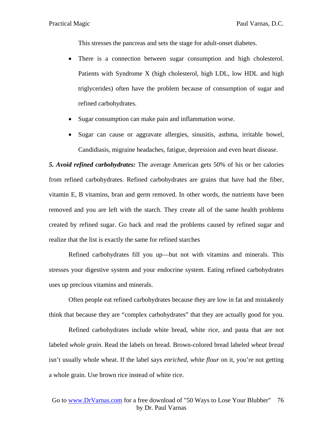This stresses the pancreas and sets the stage for adult-onset diabetes.

- There is a connection between sugar consumption and high cholesterol. Patients with Syndrome X (high cholesterol, high LDL, low HDL and high triglycerides) often have the problem because of consumption of sugar and refined carbohydrates.
- Sugar consumption can make pain and inflammation worse.
- Sugar can cause or aggravate allergies, sinusitis, asthma, irritable bowel, Candidiasis, migraine headaches, fatigue, depression and even heart disease.

*5. Avoid refined carbohydrates:* The average American gets 50% of his or her calories from refined carbohydrates. Refined carbohydrates are grains that have had the fiber, vitamin E, B vitamins, bran and germ removed. In other words, the nutrients have been removed and you are left with the starch. They create all of the same health problems created by refined sugar. Go back and read the problems caused by refined sugar and realize that the list is exactly the same for refined starches

 Refined carbohydrates fill you up—but not with vitamins and minerals. This stresses your digestive system and your endocrine system. Eating refined carbohydrates uses up precious vitamins and minerals.

 Often people eat refined carbohydrates because they are low in fat and mistakenly think that because they are "complex carbohydrates" that they are actually good for you.

 Refined carbohydrates include white bread, white rice, and pasta that are not labeled *whole grain*. Read the labels on bread. Brown-colored bread labeled *wheat bread* isn't usually whole wheat. If the label says *enriched, white flour* on it, you're not getting a whole grain. Use brown rice instead of white rice.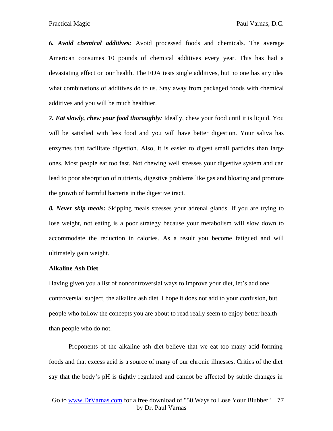*6. Avoid chemical additives:* Avoid processed foods and chemicals. The average American consumes 10 pounds of chemical additives every year. This has had a devastating effect on our health. The FDA tests single additives, but no one has any idea what combinations of additives do to us. Stay away from packaged foods with chemical additives and you will be much healthier.

*7. Eat slowly, chew your food thoroughly:* Ideally, chew your food until it is liquid. You will be satisfied with less food and you will have better digestion. Your saliva has enzymes that facilitate digestion. Also, it is easier to digest small particles than large ones. Most people eat too fast. Not chewing well stresses your digestive system and can lead to poor absorption of nutrients, digestive problems like gas and bloating and promote the growth of harmful bacteria in the digestive tract.

*8. Never skip meals:* Skipping meals stresses your adrenal glands. If you are trying to lose weight, not eating is a poor strategy because your metabolism will slow down to accommodate the reduction in calories. As a result you become fatigued and will ultimately gain weight.

### **Alkaline Ash Diet**

Having given you a list of noncontroversial ways to improve your diet, let's add one controversial subject, the alkaline ash diet. I hope it does not add to your confusion, but people who follow the concepts you are about to read really seem to enjoy better health than people who do not.

 Proponents of the alkaline ash diet believe that we eat too many acid-forming foods and that excess acid is a source of many of our chronic illnesses. Critics of the diet say that the body's pH is tightly regulated and cannot be affected by subtle changes in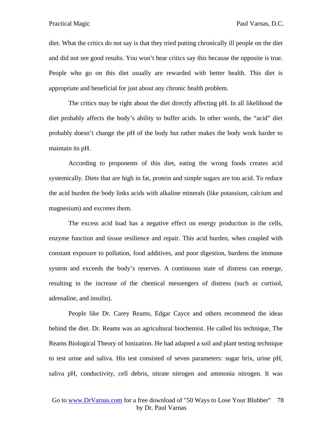diet. What the critics do not say is that they tried putting chronically ill people on the diet and did not see good results. You won't hear critics say this because the opposite is true. People who go on this diet usually are rewarded with better health. This diet is appropriate and beneficial for just about any chronic health problem.

 The critics may be right about the diet directly affecting pH. In all likelihood the diet probably affects the body's ability to buffer acids. In other words, the "acid" diet probably doesn't change the pH of the body but rather makes the body work harder to maintain its pH.

According to proponents of this diet, eating the wrong foods creates acid systemically. Diets that are high in fat, protein and simple sugars are too acid. To reduce the acid burden the body links acids with alkaline minerals (like potassium, calcium and magnesium) and excretes them.

The excess acid load has a negative effect on energy production in the cells, enzyme function and tissue resilience and repair. This acid burden, when coupled with constant exposure to pollution, food additives, and poor digestion, burdens the immune system and exceeds the body's reserves. A continuous state of distress can emerge, resulting in the increase of the chemical messengers of distress (such as cortisol, adrenaline, and insulin).

People like Dr. Carey Reams, Edgar Cayce and others recommend the ideas behind the diet. Dr. Reams was an agricultural biochemist. He called his technique, The Reams Biological Theory of Ionization. He had adapted a soil and plant testing technique to test urine and saliva. His test consisted of seven parameters: sugar brix, urine pH, saliva pH, conductivity, cell debris, nitrate nitrogen and ammonia nitrogen. It was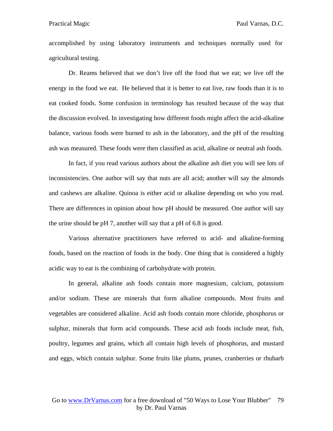accomplished by using laboratory instruments and techniques normally used for agricultural testing.

 Dr. Reams believed that we don't live off the food that we eat; we live off the energy in the food we eat. He believed that it is better to eat live, raw foods than it is to eat cooked foods. Some confusion in terminology has resulted because of the way that the discussion evolved. In investigating how different foods might affect the acid-alkaline balance, various foods were burned to ash in the laboratory, and the pH of the resulting ash was measured. These foods were then classified as acid, alkaline or neutral ash foods.

 In fact, if you read various authors about the alkaline ash diet you will see lots of inconsistencies. One author will say that nuts are all acid; another will say the almonds and cashews are alkaline. Quinoa is either acid or alkaline depending on who you read. There are differences in opinion about how pH should be measured. One author will say the urine should be pH 7, another will say that a pH of 6.8 is good.

 Various alternative practitioners have referred to acid- and alkaline-forming foods, based on the reaction of foods in the body. One thing that is considered a highly acidic way to eat is the combining of carbohydrate with protein.

 In general, alkaline ash foods contain more magnesium, calcium, potassium and/or sodium. These are minerals that form alkaline compounds. Most fruits and vegetables are considered alkaline. Acid ash foods contain more chloride, phosphorus or sulphur, minerals that form acid compounds. These acid ash foods include meat, fish, poultry, legumes and grains, which all contain high levels of phosphorus, and mustard and eggs, which contain sulphur. Some fruits like plums, prunes, cranberries or rhubarb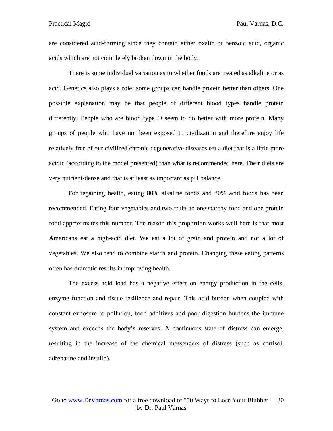are considered acid-forming since they contain either oxalic or benzoic acid, organic acids which are not completely broken down in the body.

 There is some individual variation as to whether foods are treated as alkaline or as acid. Genetics also plays a role; some groups can handle protein better than others. One possible explanation may be that people of different blood types handle protein differently. People who are blood type O seem to do better with more protein. Many groups of people who have not been exposed to civilization and therefore enjoy life relatively free of our civilized chronic degenerative diseases eat a diet that is a little more acidic (according to the model presented) than what is recommended here. Their diets are very nutrient-dense and that is at least as important as pH balance.

 For regaining health, eating 80% alkaline foods and 20% acid foods has been recommended. Eating four vegetables and two fruits to one starchy food and one protein food approximates this number. The reason this proportion works well here is that most Americans eat a high-acid diet. We eat a lot of grain and protein and not a lot of vegetables. We also tend to combine starch and protein. Changing these eating patterns often has dramatic results in improving health.

 The excess acid load has a negative effect on energy production in the cells, enzyme function and tissue resilience and repair. This acid burden when coupled with constant exposure to pollution, food additives and poor digestion burdens the immune system and exceeds the body's reserves. A continuous state of distress can emerge, resulting in the increase of the chemical messengers of distress (such as cortisol, adrenaline and insulin).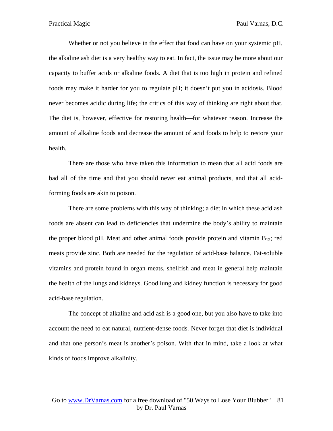Whether or not you believe in the effect that food can have on your systemic pH, the alkaline ash diet is a very healthy way to eat. In fact, the issue may be more about our capacity to buffer acids or alkaline foods. A diet that is too high in protein and refined foods may make it harder for you to regulate pH; it doesn't put you in acidosis. Blood never becomes acidic during life; the critics of this way of thinking are right about that. The diet is, however, effective for restoring health—for whatever reason. Increase the amount of alkaline foods and decrease the amount of acid foods to help to restore your health.

 There are those who have taken this information to mean that all acid foods are bad all of the time and that you should never eat animal products, and that all acidforming foods are akin to poison.

 There are some problems with this way of thinking; a diet in which these acid ash foods are absent can lead to deficiencies that undermine the body's ability to maintain the proper blood pH. Meat and other animal foods provide protein and vitamin  $B_{12}$ ; red meats provide zinc. Both are needed for the regulation of acid-base balance. Fat-soluble vitamins and protein found in organ meats, shellfish and meat in general help maintain the health of the lungs and kidneys. Good lung and kidney function is necessary for good acid-base regulation.

 The concept of alkaline and acid ash is a good one, but you also have to take into account the need to eat natural, nutrient-dense foods. Never forget that diet is individual and that one person's meat is another's poison. With that in mind, take a look at what kinds of foods improve alkalinity.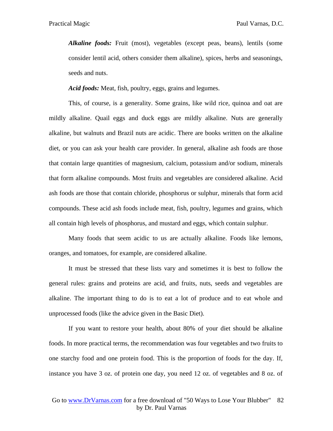*Alkaline foods:* Fruit (most), vegetables (except peas, beans), lentils (some consider lentil acid, others consider them alkaline), spices, herbs and seasonings, seeds and nuts.

*Acid foods:* Meat, fish, poultry, eggs, grains and legumes.

 This, of course, is a generality. Some grains, like wild rice, quinoa and oat are mildly alkaline. Quail eggs and duck eggs are mildly alkaline. Nuts are generally alkaline, but walnuts and Brazil nuts are acidic. There are books written on the alkaline diet, or you can ask your health care provider. In general, alkaline ash foods are those that contain large quantities of magnesium, calcium, potassium and/or sodium, minerals that form alkaline compounds. Most fruits and vegetables are considered alkaline. Acid ash foods are those that contain chloride, phosphorus or sulphur, minerals that form acid compounds. These acid ash foods include meat, fish, poultry, legumes and grains, which all contain high levels of phosphorus, and mustard and eggs, which contain sulphur.

 Many foods that seem acidic to us are actually alkaline. Foods like lemons, oranges, and tomatoes, for example, are considered alkaline.

 It must be stressed that these lists vary and sometimes it is best to follow the general rules: grains and proteins are acid, and fruits, nuts, seeds and vegetables are alkaline. The important thing to do is to eat a lot of produce and to eat whole and unprocessed foods (like the advice given in the Basic Diet).

 If you want to restore your health, about 80% of your diet should be alkaline foods. In more practical terms, the recommendation was four vegetables and two fruits to one starchy food and one protein food. This is the proportion of foods for the day. If, instance you have 3 oz. of protein one day, you need 12 oz. of vegetables and 8 oz. of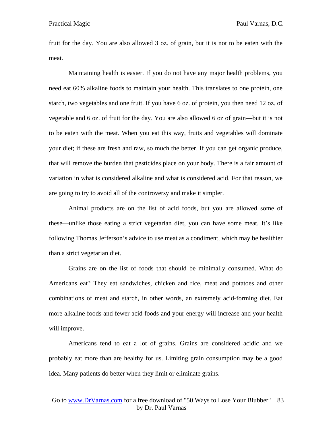fruit for the day. You are also allowed 3 oz. of grain, but it is not to be eaten with the meat.

Maintaining health is easier. If you do not have any major health problems, you need eat 60% alkaline foods to maintain your health. This translates to one protein, one starch, two vegetables and one fruit. If you have 6 oz. of protein, you then need 12 oz. of vegetable and 6 oz. of fruit for the day. You are also allowed 6 oz of grain—but it is not to be eaten with the meat. When you eat this way, fruits and vegetables will dominate your diet; if these are fresh and raw, so much the better. If you can get organic produce, that will remove the burden that pesticides place on your body. There is a fair amount of variation in what is considered alkaline and what is considered acid. For that reason, we are going to try to avoid all of the controversy and make it simpler.

 Animal products are on the list of acid foods, but you are allowed some of these—unlike those eating a strict vegetarian diet, you can have some meat. It's like following Thomas Jefferson's advice to use meat as a condiment, which may be healthier than a strict vegetarian diet.

 Grains are on the list of foods that should be minimally consumed. What do Americans eat? They eat sandwiches, chicken and rice, meat and potatoes and other combinations of meat and starch, in other words, an extremely acid-forming diet. Eat more alkaline foods and fewer acid foods and your energy will increase and your health will improve.

 Americans tend to eat a lot of grains. Grains are considered acidic and we probably eat more than are healthy for us. Limiting grain consumption may be a good idea. Many patients do better when they limit or eliminate grains.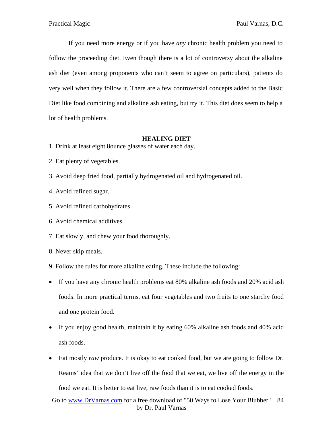If you need more energy or if you have *any* chronic health problem you need to follow the proceeding diet. Even though there is a lot of controversy about the alkaline ash diet (even among proponents who can't seem to agree on particulars), patients do very well when they follow it. There are a few controversial concepts added to the Basic Diet like food combining and alkaline ash eating, but try it. This diet does seem to help a lot of health problems.

## **HEALING DIET**

- 1. Drink at least eight 8ounce glasses of water each day.
- 2. Eat plenty of vegetables.
- 3. Avoid deep fried food, partially hydrogenated oil and hydrogenated oil.
- 4. Avoid refined sugar.
- 5. Avoid refined carbohydrates.
- 6. Avoid chemical additives.
- 7. Eat slowly, and chew your food thoroughly.
- 8. Never skip meals.
- 9. Follow the rules for more alkaline eating. These include the following:
- If you have any chronic health problems eat 80% alkaline ash foods and 20% acid ash foods. In more practical terms, eat four vegetables and two fruits to one starchy food and one protein food.
- If you enjoy good health, maintain it by eating 60% alkaline ash foods and 40% acid ash foods.
- Eat mostly *raw* produce. It is okay to eat cooked food, but we are going to follow Dr. Reams' idea that we don't live off the food that we eat, we live off the energy in the food we eat. It is better to eat live, raw foods than it is to eat cooked foods.

Go to www.DrVarnas.com for a free download of "50 Ways to Lose Your Blubber" by Dr. Paul Varnas 84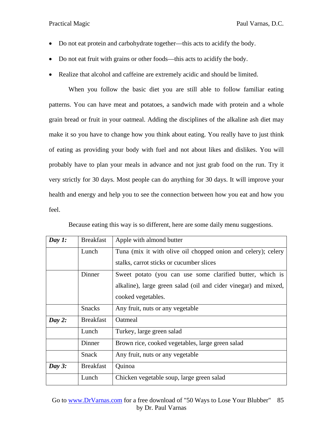- Do not eat protein and carbohydrate together—this acts to acidify the body.
- Do not eat fruit with grains or other foods—this acts to acidify the body.
- Realize that alcohol and caffeine are extremely acidic and should be limited.

When you follow the basic diet you are still able to follow familiar eating patterns. You can have meat and potatoes, a sandwich made with protein and a whole grain bread or fruit in your oatmeal. Adding the disciplines of the alkaline ash diet may make it so you have to change how you think about eating. You really have to just think of eating as providing your body with fuel and not about likes and dislikes. You will probably have to plan your meals in advance and not just grab food on the run. Try it very strictly for 30 days. Most people can do anything for 30 days. It will improve your health and energy and help you to see the connection between how you eat and how you feel.

| Day 1:    | <b>Breakfast</b> | Apple with almond butter                                        |
|-----------|------------------|-----------------------------------------------------------------|
|           | Lunch            | Tuna (mix it with olive oil chopped onion and celery); celery   |
|           |                  | stalks, carrot sticks or cucumber slices                        |
|           | Dinner           | Sweet potato (you can use some clarified butter, which is       |
|           |                  | alkaline), large green salad (oil and cider vinegar) and mixed, |
|           |                  | cooked vegetables.                                              |
|           | <b>Snacks</b>    | Any fruit, nuts or any vegetable                                |
| Day 2:    | <b>Breakfast</b> | Oatmeal                                                         |
|           | Lunch            | Turkey, large green salad                                       |
|           | Dinner           | Brown rice, cooked vegetables, large green salad                |
|           | <b>Snack</b>     | Any fruit, nuts or any vegetable                                |
| Day $3$ : | <b>Breakfast</b> | Quinoa                                                          |
|           | Lunch            | Chicken vegetable soup, large green salad                       |

Because eating this way is so different, here are some daily menu suggestions.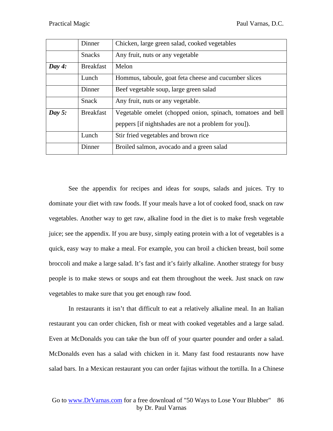|        | Dinner           | Chicken, large green salad, cooked vegetables                                                                       |
|--------|------------------|---------------------------------------------------------------------------------------------------------------------|
|        | <b>Snacks</b>    | Any fruit, nuts or any vegetable                                                                                    |
| Day 4: | <b>Breakfast</b> | Melon                                                                                                               |
|        | Lunch            | Hommus, taboule, goat feta cheese and cucumber slices                                                               |
|        | Dinner           | Beef vegetable soup, large green salad                                                                              |
|        | Snack            | Any fruit, nuts or any vegetable.                                                                                   |
| Day 5: | <b>Breakfast</b> | Vegetable omelet (chopped onion, spinach, tomatoes and bell<br>peppers [if nightshades are not a problem for you]). |
|        | Lunch            | Stir fried vegetables and brown rice                                                                                |
|        | Dinner           | Broiled salmon, avocado and a green salad                                                                           |

 See the appendix for recipes and ideas for soups, salads and juices. Try to dominate your diet with raw foods. If your meals have a lot of cooked food, snack on raw vegetables. Another way to get raw, alkaline food in the diet is to make fresh vegetable juice; see the appendix. If you are busy, simply eating protein with a lot of vegetables is a quick, easy way to make a meal. For example, you can broil a chicken breast, boil some broccoli and make a large salad. It's fast and it's fairly alkaline. Another strategy for busy people is to make stews or soups and eat them throughout the week. Just snack on raw vegetables to make sure that you get enough raw food.

 In restaurants it isn't that difficult to eat a relatively alkaline meal. In an Italian restaurant you can order chicken, fish or meat with cooked vegetables and a large salad. Even at McDonalds you can take the bun off of your quarter pounder and order a salad. McDonalds even has a salad with chicken in it. Many fast food restaurants now have salad bars. In a Mexican restaurant you can order fajitas without the tortilla. In a Chinese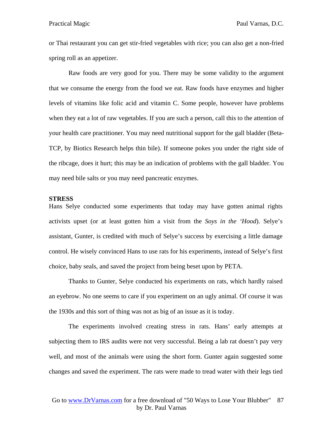or Thai restaurant you can get stir-fried vegetables with rice; you can also get a non-fried spring roll as an appetizer.

 Raw foods are very good for you. There may be some validity to the argument that we consume the energy from the food we eat. Raw foods have enzymes and higher levels of vitamins like folic acid and vitamin C. Some people, however have problems when they eat a lot of raw vegetables. If you are such a person, call this to the attention of your health care practitioner. You may need nutritional support for the gall bladder (Beta-TCP, by Biotics Research helps thin bile). If someone pokes you under the right side of the ribcage, does it hurt; this may be an indication of problems with the gall bladder. You may need bile salts or you may need pancreatic enzymes.

# **STRESS**

Hans Selye conducted some experiments that today may have gotten animal rights activists upset (or at least gotten him a visit from the *Soys in the 'Hood*). Selye's assistant, Gunter, is credited with much of Selye's success by exercising a little damage control. He wisely convinced Hans to use rats for his experiments, instead of Selye's first choice, baby seals, and saved the project from being beset upon by PETA.

 Thanks to Gunter, Selye conducted his experiments on rats, which hardly raised an eyebrow. No one seems to care if you experiment on an ugly animal. Of course it was the 1930s and this sort of thing was not as big of an issue as it is today.

 The experiments involved creating stress in rats. Hans' early attempts at subjecting them to IRS audits were not very successful. Being a lab rat doesn't pay very well, and most of the animals were using the short form. Gunter again suggested some changes and saved the experiment. The rats were made to tread water with their legs tied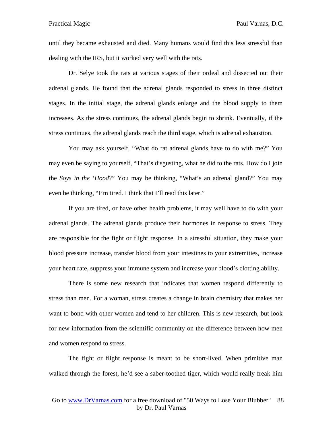until they became exhausted and died. Many humans would find this less stressful than dealing with the IRS, but it worked very well with the rats.

 Dr. Selye took the rats at various stages of their ordeal and dissected out their adrenal glands. He found that the adrenal glands responded to stress in three distinct stages. In the initial stage, the adrenal glands enlarge and the blood supply to them increases. As the stress continues, the adrenal glands begin to shrink. Eventually, if the stress continues, the adrenal glands reach the third stage, which is adrenal exhaustion.

 You may ask yourself, "What do rat adrenal glands have to do with me?" You may even be saying to yourself, "That's disgusting, what he did to the rats. How do I join the *Soys in the 'Hood*?" You may be thinking, "What's an adrenal gland?" You may even be thinking, "I'm tired. I think that I'll read this later."

 If you are tired, or have other health problems, it may well have to do with your adrenal glands. The adrenal glands produce their hormones in response to stress. They are responsible for the fight or flight response. In a stressful situation, they make your blood pressure increase, transfer blood from your intestines to your extremities, increase your heart rate, suppress your immune system and increase your blood's clotting ability.

There is some new research that indicates that women respond differently to stress than men. For a woman, stress creates a change in brain chemistry that makes her want to bond with other women and tend to her children. This is new research, but look for new information from the scientific community on the difference between how men and women respond to stress.

 The fight or flight response is meant to be short-lived. When primitive man walked through the forest, he'd see a saber-toothed tiger, which would really freak him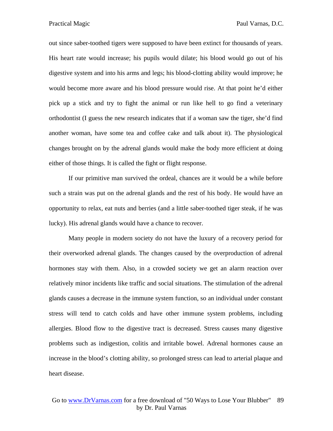out since saber-toothed tigers were supposed to have been extinct for thousands of years. His heart rate would increase; his pupils would dilate; his blood would go out of his digestive system and into his arms and legs; his blood-clotting ability would improve; he would become more aware and his blood pressure would rise. At that point he'd either pick up a stick and try to fight the animal or run like hell to go find a veterinary orthodontist (I guess the new research indicates that if a woman saw the tiger, she'd find another woman, have some tea and coffee cake and talk about it). The physiological changes brought on by the adrenal glands would make the body more efficient at doing either of those things. It is called the fight or flight response.

 If our primitive man survived the ordeal, chances are it would be a while before such a strain was put on the adrenal glands and the rest of his body. He would have an opportunity to relax, eat nuts and berries (and a little saber-toothed tiger steak, if he was lucky). His adrenal glands would have a chance to recover.

 Many people in modern society do not have the luxury of a recovery period for their overworked adrenal glands. The changes caused by the overproduction of adrenal hormones stay with them. Also, in a crowded society we get an alarm reaction over relatively minor incidents like traffic and social situations. The stimulation of the adrenal glands causes a decrease in the immune system function, so an individual under constant stress will tend to catch colds and have other immune system problems, including allergies. Blood flow to the digestive tract is decreased. Stress causes many digestive problems such as indigestion, colitis and irritable bowel. Adrenal hormones cause an increase in the blood's clotting ability, so prolonged stress can lead to arterial plaque and heart disease.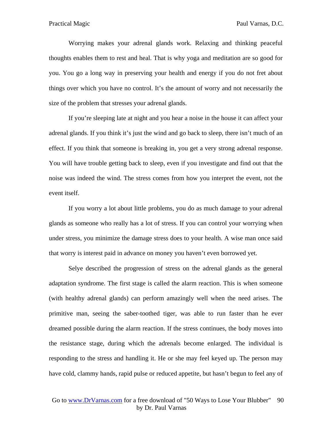Worrying makes your adrenal glands work. Relaxing and thinking peaceful thoughts enables them to rest and heal. That is why yoga and meditation are so good for you. You go a long way in preserving your health and energy if you do not fret about things over which you have no control. It's the amount of worry and not necessarily the size of the problem that stresses your adrenal glands.

 If you're sleeping late at night and you hear a noise in the house it can affect your adrenal glands. If you think it's just the wind and go back to sleep, there isn't much of an effect. If you think that someone is breaking in, you get a very strong adrenal response. You will have trouble getting back to sleep, even if you investigate and find out that the noise was indeed the wind. The stress comes from how you interpret the event, not the event itself.

If you worry a lot about little problems, you do as much damage to your adrenal glands as someone who really has a lot of stress. If you can control your worrying when under stress, you minimize the damage stress does to your health. A wise man once said that worry is interest paid in advance on money you haven't even borrowed yet.

 Selye described the progression of stress on the adrenal glands as the general adaptation syndrome. The first stage is called the alarm reaction. This is when someone (with healthy adrenal glands) can perform amazingly well when the need arises. The primitive man, seeing the saber-toothed tiger, was able to run faster than he ever dreamed possible during the alarm reaction. If the stress continues, the body moves into the resistance stage, during which the adrenals become enlarged. The individual is responding to the stress and handling it. He or she may feel keyed up. The person may have cold, clammy hands, rapid pulse or reduced appetite, but hasn't begun to feel any of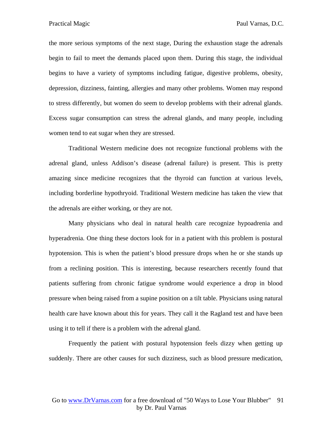the more serious symptoms of the next stage, During the exhaustion stage the adrenals begin to fail to meet the demands placed upon them. During this stage, the individual begins to have a variety of symptoms including fatigue, digestive problems, obesity, depression, dizziness, fainting, allergies and many other problems. Women may respond to stress differently, but women do seem to develop problems with their adrenal glands. Excess sugar consumption can stress the adrenal glands, and many people, including women tend to eat sugar when they are stressed.

 Traditional Western medicine does not recognize functional problems with the adrenal gland, unless Addison's disease (adrenal failure) is present. This is pretty amazing since medicine recognizes that the thyroid can function at various levels, including borderline hypothryoid. Traditional Western medicine has taken the view that the adrenals are either working, or they are not.

 Many physicians who deal in natural health care recognize hypoadrenia and hyperadrenia. One thing these doctors look for in a patient with this problem is postural hypotension. This is when the patient's blood pressure drops when he or she stands up from a reclining position. This is interesting, because researchers recently found that patients suffering from chronic fatigue syndrome would experience a drop in blood pressure when being raised from a supine position on a tilt table. Physicians using natural health care have known about this for years. They call it the Ragland test and have been using it to tell if there is a problem with the adrenal gland.

Frequently the patient with postural hypotension feels dizzy when getting up suddenly. There are other causes for such dizziness, such as blood pressure medication,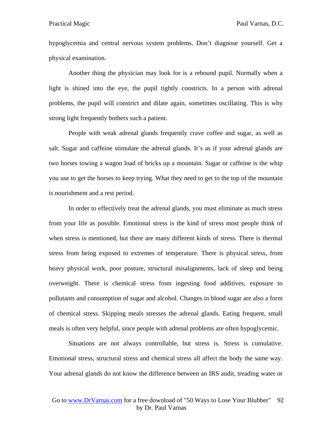hypoglycemia and central nervous system problems. Don't diagnose yourself. Get a physical examination.

 Another thing the physician may look for is a rebound pupil. Normally when a light is shined into the eye, the pupil tightly constricts. In a person with adrenal problems, the pupil will constrict and dilate again, sometimes oscillating. This is why strong light frequently bothers such a patient.

 People with weak adrenal glands frequently crave coffee and sugar, as well as salt. Sugar and caffeine stimulate the adrenal glands. It's as if your adrenal glands are two horses towing a wagon load of bricks up a mountain. Sugar or caffeine is the whip you use to get the horses to keep trying. What they need to get to the top of the mountain is nourishment and a rest period.

 In order to effectively treat the adrenal glands, you must eliminate as much stress from your life as possible. Emotional stress is the kind of stress most people think of when stress is mentioned, but there are many different kinds of stress. There is thermal stress from being exposed to extremes of temperature. There is physical stress, from heavy physical work, poor posture, structural misalignments, lack of sleep and being overweight. There is chemical stress from ingesting food additives, exposure to pollutants and consumption of sugar and alcohol. Changes in blood sugar are also a form of chemical stress. Skipping meals stresses the adrenal glands. Eating frequent, small meals is often very helpful, since people with adrenal problems are often hypoglycemic.

 Situations are not always controllable, but stress is. Stress is cumulative. Emotional stress, structural stress and chemical stress all affect the body the same way. Your adrenal glands do not know the difference between an IRS audit, treading water or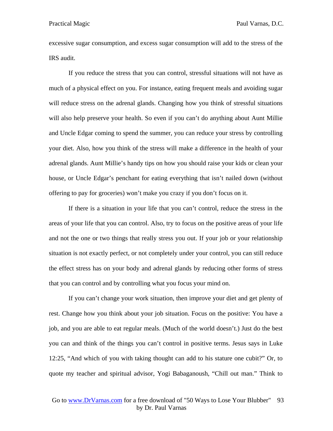excessive sugar consumption, and excess sugar consumption will add to the stress of the IRS audit.

 If you reduce the stress that you can control, stressful situations will not have as much of a physical effect on you. For instance, eating frequent meals and avoiding sugar will reduce stress on the adrenal glands. Changing how you think of stressful situations will also help preserve your health. So even if you can't do anything about Aunt Millie and Uncle Edgar coming to spend the summer, you can reduce your stress by controlling your diet. Also, how you think of the stress will make a difference in the health of your adrenal glands. Aunt Millie's handy tips on how you should raise your kids or clean your house, or Uncle Edgar's penchant for eating everything that isn't nailed down (without offering to pay for groceries) won't make you crazy if you don't focus on it.

 If there is a situation in your life that you can't control, reduce the stress in the areas of your life that you can control. Also, try to focus on the positive areas of your life and not the one or two things that really stress you out. If your job or your relationship situation is not exactly perfect, or not completely under your control, you can still reduce the effect stress has on your body and adrenal glands by reducing other forms of stress that you can control and by controlling what you focus your mind on.

 If you can't change your work situation, then improve your diet and get plenty of rest. Change how you think about your job situation. Focus on the positive: You have a job, and you are able to eat regular meals. (Much of the world doesn't.) Just do the best you can and think of the things you can't control in positive terms. Jesus says in Luke 12:25, "And which of you with taking thought can add to his stature one cubit?" Or, to quote my teacher and spiritual advisor, Yogi Babaganoush, "Chill out man." Think to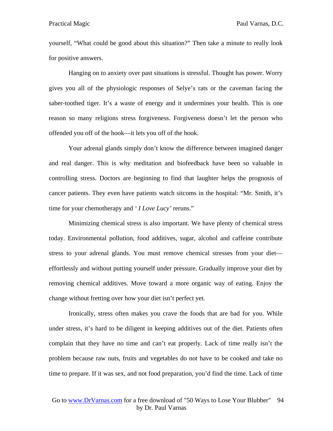yourself, "What could be good about this situation?" Then take a minute to really look for positive answers.

 Hanging on to anxiety over past situations is stressful. Thought has power. Worry gives you all of the physiologic responses of Selye's rats or the caveman facing the saber-toothed tiger. It's a waste of energy and it undermines your health. This is one reason so many religions stress forgiveness. Forgiveness doesn't let the person who offended you off of the hook—it lets you off of the hook.

 Your adrenal glands simply don't know the difference between imagined danger and real danger. This is why meditation and biofeedback have been so valuable in controlling stress. Doctors are beginning to find that laughter helps the prognosis of cancer patients. They even have patients watch sitcoms in the hospital: "Mr. Smith, it's time for your chemotherapy and *' I Love Lucy'* reruns."

 Minimizing chemical stress is also important. We have plenty of chemical stress today. Environmental pollution, food additives, sugar, alcohol and caffeine contribute stress to your adrenal glands. You must remove chemical stresses from your diet effortlessly and without putting yourself under pressure. Gradually improve your diet by removing chemical additives. Move toward a more organic way of eating. Enjoy the change without fretting over how your diet isn't perfect yet.

 Ironically, stress often makes you crave the foods that are bad for you. While under stress, it's hard to be diligent in keeping additives out of the diet. Patients often complain that they have no time and can't eat properly. Lack of time really isn't the problem because raw nuts, fruits and vegetables do not have to be cooked and take no time to prepare. If it was sex, and not food preparation, you'd find the time. Lack of time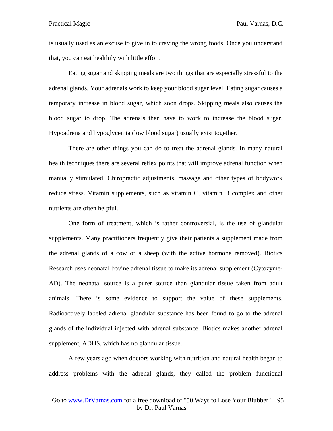is usually used as an excuse to give in to craving the wrong foods. Once you understand that, you can eat healthily with little effort.

 Eating sugar and skipping meals are two things that are especially stressful to the adrenal glands. Your adrenals work to keep your blood sugar level. Eating sugar causes a temporary increase in blood sugar, which soon drops. Skipping meals also causes the blood sugar to drop. The adrenals then have to work to increase the blood sugar. Hypoadrena and hypoglycemia (low blood sugar) usually exist together.

 There are other things you can do to treat the adrenal glands. In many natural health techniques there are several reflex points that will improve adrenal function when manually stimulated. Chiropractic adjustments, massage and other types of bodywork reduce stress. Vitamin supplements, such as vitamin C, vitamin B complex and other nutrients are often helpful.

 One form of treatment, which is rather controversial, is the use of glandular supplements. Many practitioners frequently give their patients a supplement made from the adrenal glands of a cow or a sheep (with the active hormone removed). Biotics Research uses neonatal bovine adrenal tissue to make its adrenal supplement (Cytozyme-AD). The neonatal source is a purer source than glandular tissue taken from adult animals. There is some evidence to support the value of these supplements. Radioactively labeled adrenal glandular substance has been found to go to the adrenal glands of the individual injected with adrenal substance. Biotics makes another adrenal supplement, ADHS, which has no glandular tissue.

A few years ago when doctors working with nutrition and natural health began to address problems with the adrenal glands, they called the problem functional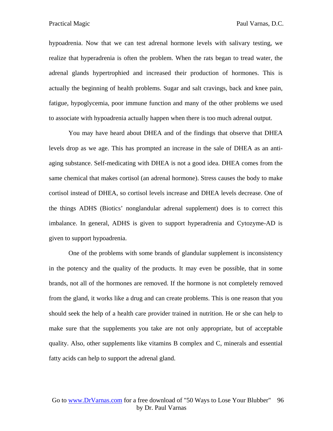hypoadrenia. Now that we can test adrenal hormone levels with salivary testing, we realize that hyperadrenia is often the problem. When the rats began to tread water, the adrenal glands hypertrophied and increased their production of hormones. This is actually the beginning of health problems. Sugar and salt cravings, back and knee pain, fatigue, hypoglycemia, poor immune function and many of the other problems we used to associate with hypoadrenia actually happen when there is too much adrenal output.

You may have heard about DHEA and of the findings that observe that DHEA levels drop as we age. This has prompted an increase in the sale of DHEA as an antiaging substance. Self-medicating with DHEA is not a good idea. DHEA comes from the same chemical that makes cortisol (an adrenal hormone). Stress causes the body to make cortisol instead of DHEA, so cortisol levels increase and DHEA levels decrease. One of the things ADHS (Biotics' nonglandular adrenal supplement) does is to correct this imbalance. In general, ADHS is given to support hyperadrenia and Cytozyme-AD is given to support hypoadrenia.

 One of the problems with some brands of glandular supplement is inconsistency in the potency and the quality of the products. It may even be possible, that in some brands, not all of the hormones are removed. If the hormone is not completely removed from the gland, it works like a drug and can create problems. This is one reason that you should seek the help of a health care provider trained in nutrition. He or she can help to make sure that the supplements you take are not only appropriate, but of acceptable quality. Also, other supplements like vitamins B complex and C, minerals and essential fatty acids can help to support the adrenal gland.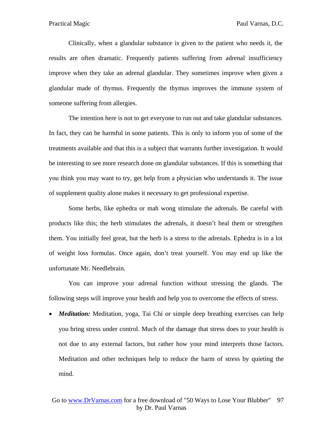Clinically, when a glandular substance is given to the patient who needs it, the results are often dramatic. Frequently patients suffering from adrenal insufficiency improve when they take an adrenal glandular. They sometimes improve when given a glandular made of thymus. Frequently the thymus improves the immune system of someone suffering from allergies.

 The intention here is not to get everyone to run out and take glandular substances. In fact, they can be harmful in some patients. This is only to inform you of some of the treatments available and that this is a subject that warrants further investigation. It would be interesting to see more research done on glandular substances. If this is something that you think you may want to try, get help from a physician who understands it. The issue of supplement quality alone makes it necessary to get professional expertise.

 Some herbs, like ephedra or mah wong stimulate the adrenals. Be careful with products like this; the herb stimulates the adrenals, it doesn't heal them or strengthen them. You initially feel great, but the herb is a stress to the adrenals. Ephedra is in a lot of weight loss formulas. Once again, don't treat yourself. You may end up like the unfortunate Mr. Needlebrain.

 You can improve your adrenal function without stressing the glands. The following steps will improve your health and help you to overcome the effects of stress.

 *Meditation:* Meditation, yoga, Tai Chi or simple deep breathing exercises can help you bring stress under control. Much of the damage that stress does to your health is not due to any external factors, but rather how your mind interprets those factors. Meditation and other techniques help to reduce the harm of stress by quieting the mind.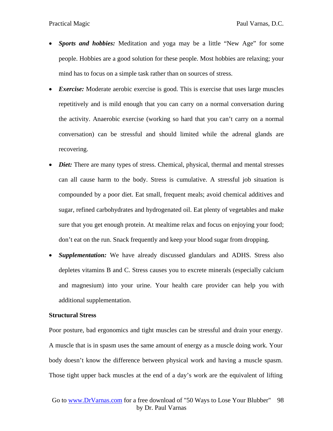- *Sports and hobbies:* Meditation and yoga may be a little "New Age" for some people. Hobbies are a good solution for these people. Most hobbies are relaxing; your mind has to focus on a simple task rather than on sources of stress.
- *Exercise:* Moderate aerobic exercise is good. This is exercise that uses large muscles repetitively and is mild enough that you can carry on a normal conversation during the activity. Anaerobic exercise (working so hard that you can't carry on a normal conversation) can be stressful and should limited while the adrenal glands are recovering.
- *Diet:* There are many types of stress. Chemical, physical, thermal and mental stresses can all cause harm to the body. Stress is cumulative. A stressful job situation is compounded by a poor diet. Eat small, frequent meals; avoid chemical additives and sugar, refined carbohydrates and hydrogenated oil. Eat plenty of vegetables and make sure that you get enough protein. At mealtime relax and focus on enjoying your food; don't eat on the run. Snack frequently and keep your blood sugar from dropping.
- **Supplementation:** We have already discussed glandulars and ADHS. Stress also depletes vitamins B and C. Stress causes you to excrete minerals (especially calcium and magnesium) into your urine. Your health care provider can help you with additional supplementation.

## **Structural Stress**

Poor posture, bad ergonomics and tight muscles can be stressful and drain your energy. A muscle that is in spasm uses the same amount of energy as a muscle doing work. Your body doesn't know the difference between physical work and having a muscle spasm. Those tight upper back muscles at the end of a day's work are the equivalent of lifting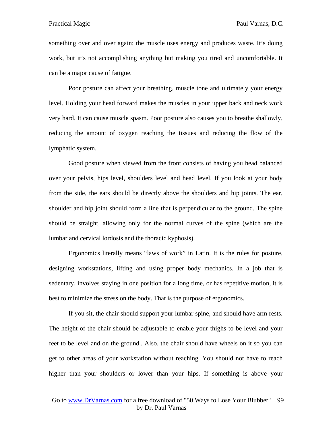something over and over again; the muscle uses energy and produces waste. It's doing work, but it's not accomplishing anything but making you tired and uncomfortable. It can be a major cause of fatigue.

 Poor posture can affect your breathing, muscle tone and ultimately your energy level. Holding your head forward makes the muscles in your upper back and neck work very hard. It can cause muscle spasm. Poor posture also causes you to breathe shallowly, reducing the amount of oxygen reaching the tissues and reducing the flow of the lymphatic system.

 Good posture when viewed from the front consists of having you head balanced over your pelvis, hips level, shoulders level and head level. If you look at your body from the side, the ears should be directly above the shoulders and hip joints. The ear, shoulder and hip joint should form a line that is perpendicular to the ground. The spine should be straight, allowing only for the normal curves of the spine (which are the lumbar and cervical lordosis and the thoracic kyphosis).

 Ergonomics literally means "laws of work" in Latin. It is the rules for posture, designing workstations, lifting and using proper body mechanics. In a job that is sedentary, involves staying in one position for a long time, or has repetitive motion, it is best to minimize the stress on the body. That is the purpose of ergonomics.

 If you sit, the chair should support your lumbar spine, and should have arm rests. The height of the chair should be adjustable to enable your thighs to be level and your feet to be level and on the ground.. Also, the chair should have wheels on it so you can get to other areas of your workstation without reaching. You should not have to reach higher than your shoulders or lower than your hips. If something is above your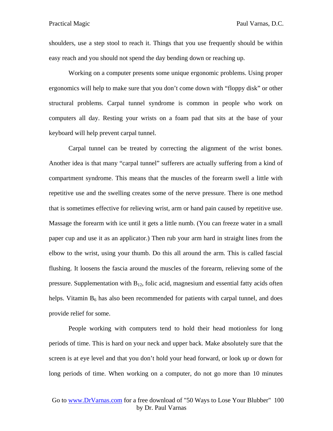shoulders, use a step stool to reach it. Things that you use frequently should be within easy reach and you should not spend the day bending down or reaching up.

 Working on a computer presents some unique ergonomic problems. Using proper ergonomics will help to make sure that you don't come down with "floppy disk" or other structural problems. Carpal tunnel syndrome is common in people who work on computers all day. Resting your wrists on a foam pad that sits at the base of your keyboard will help prevent carpal tunnel.

Carpal tunnel can be treated by correcting the alignment of the wrist bones. Another idea is that many "carpal tunnel" sufferers are actually suffering from a kind of compartment syndrome. This means that the muscles of the forearm swell a little with repetitive use and the swelling creates some of the nerve pressure. There is one method that is sometimes effective for relieving wrist, arm or hand pain caused by repetitive use. Massage the forearm with ice until it gets a little numb. (You can freeze water in a small paper cup and use it as an applicator.) Then rub your arm hard in straight lines from the elbow to the wrist, using your thumb. Do this all around the arm. This is called fascial flushing. It loosens the fascia around the muscles of the forearm, relieving some of the pressure. Supplementation with  $B_{12}$ , folic acid, magnesium and essential fatty acids often helps. Vitamin  $B_6$  has also been recommended for patients with carpal tunnel, and does provide relief for some.

 People working with computers tend to hold their head motionless for long periods of time. This is hard on your neck and upper back. Make absolutely sure that the screen is at eye level and that you don't hold your head forward, or look up or down for long periods of time. When working on a computer, do not go more than 10 minutes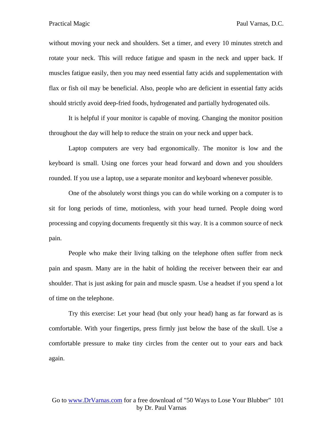without moving your neck and shoulders. Set a timer, and every 10 minutes stretch and rotate your neck. This will reduce fatigue and spasm in the neck and upper back. If muscles fatigue easily, then you may need essential fatty acids and supplementation with flax or fish oil may be beneficial. Also, people who are deficient in essential fatty acids should strictly avoid deep-fried foods, hydrogenated and partially hydrogenated oils.

 It is helpful if your monitor is capable of moving. Changing the monitor position throughout the day will help to reduce the strain on your neck and upper back.

 Laptop computers are very bad ergonomically. The monitor is low and the keyboard is small. Using one forces your head forward and down and you shoulders rounded. If you use a laptop, use a separate monitor and keyboard whenever possible.

 One of the absolutely worst things you can do while working on a computer is to sit for long periods of time, motionless, with your head turned. People doing word processing and copying documents frequently sit this way. It is a common source of neck pain.

 People who make their living talking on the telephone often suffer from neck pain and spasm. Many are in the habit of holding the receiver between their ear and shoulder. That is just asking for pain and muscle spasm. Use a headset if you spend a lot of time on the telephone.

 Try this exercise: Let your head (but only your head) hang as far forward as is comfortable. With your fingertips, press firmly just below the base of the skull. Use a comfortable pressure to make tiny circles from the center out to your ears and back again.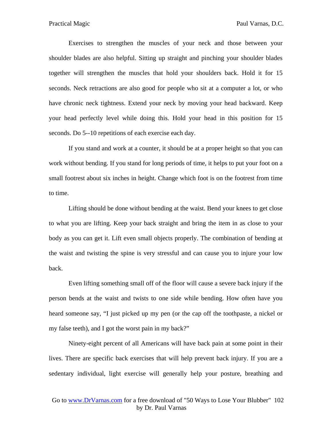Exercises to strengthen the muscles of your neck and those between your shoulder blades are also helpful. Sitting up straight and pinching your shoulder blades together will strengthen the muscles that hold your shoulders back. Hold it for 15 seconds. Neck retractions are also good for people who sit at a computer a lot, or who have chronic neck tightness. Extend your neck by moving your head backward. Keep your head perfectly level while doing this. Hold your head in this position for 15 seconds. Do 5--10 repetitions of each exercise each day.

 If you stand and work at a counter, it should be at a proper height so that you can work without bending. If you stand for long periods of time, it helps to put your foot on a small footrest about six inches in height. Change which foot is on the footrest from time to time.

 Lifting should be done without bending at the waist. Bend your knees to get close to what you are lifting. Keep your back straight and bring the item in as close to your body as you can get it. Lift even small objects properly. The combination of bending at the waist and twisting the spine is very stressful and can cause you to injure your low back.

 Even lifting something small off of the floor will cause a severe back injury if the person bends at the waist and twists to one side while bending. How often have you heard someone say, "I just picked up my pen (or the cap off the toothpaste, a nickel or my false teeth), and I got the worst pain in my back?"

 Ninety-eight percent of all Americans will have back pain at some point in their lives. There are specific back exercises that will help prevent back injury. If you are a sedentary individual, light exercise will generally help your posture, breathing and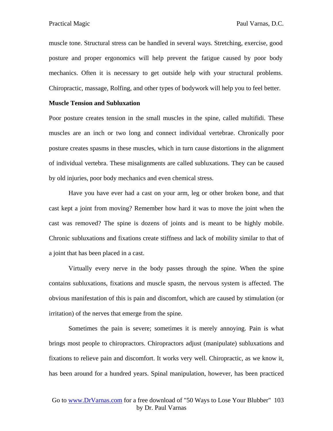muscle tone. Structural stress can be handled in several ways. Stretching, exercise, good posture and proper ergonomics will help prevent the fatigue caused by poor body mechanics. Often it is necessary to get outside help with your structural problems. Chiropractic, massage, Rolfing, and other types of bodywork will help you to feel better.

## **Muscle Tension and Subluxation**

Poor posture creates tension in the small muscles in the spine, called multifidi. These muscles are an inch or two long and connect individual vertebrae. Chronically poor posture creates spasms in these muscles, which in turn cause distortions in the alignment of individual vertebra. These misalignments are called subluxations. They can be caused by old injuries, poor body mechanics and even chemical stress.

Have you have ever had a cast on your arm, leg or other broken bone, and that cast kept a joint from moving? Remember how hard it was to move the joint when the cast was removed? The spine is dozens of joints and is meant to be highly mobile. Chronic subluxations and fixations create stiffness and lack of mobility similar to that of a joint that has been placed in a cast.

Virtually every nerve in the body passes through the spine. When the spine contains subluxations, fixations and muscle spasm, the nervous system is affected. The obvious manifestation of this is pain and discomfort, which are caused by stimulation (or irritation) of the nerves that emerge from the spine.

Sometimes the pain is severe; sometimes it is merely annoying. Pain is what brings most people to chiropractors. Chiropractors adjust (manipulate) subluxations and fixations to relieve pain and discomfort. It works very well. Chiropractic, as we know it, has been around for a hundred years. Spinal manipulation, however, has been practiced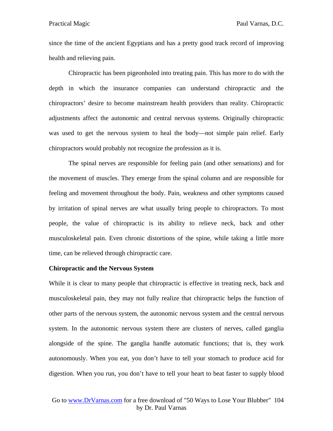since the time of the ancient Egyptians and has a pretty good track record of improving health and relieving pain.

Chiropractic has been pigeonholed into treating pain. This has more to do with the depth in which the insurance companies can understand chiropractic and the chiropractors' desire to become mainstream health providers than reality. Chiropractic adjustments affect the autonomic and central nervous systems. Originally chiropractic was used to get the nervous system to heal the body—not simple pain relief. Early chiropractors would probably not recognize the profession as it is.

The spinal nerves are responsible for feeling pain (and other sensations) and for the movement of muscles. They emerge from the spinal column and are responsible for feeling and movement throughout the body. Pain, weakness and other symptoms caused by irritation of spinal nerves are what usually bring people to chiropractors. To most people, the value of chiropractic is its ability to relieve neck, back and other musculoskeletal pain. Even chronic distortions of the spine, while taking a little more time, can be relieved through chiropractic care.

## **Chiropractic and the Nervous System**

While it is clear to many people that chiropractic is effective in treating neck, back and musculoskeletal pain, they may not fully realize that chiropractic helps the function of other parts of the nervous system, the autonomic nervous system and the central nervous system. In the autonomic nervous system there are clusters of nerves, called ganglia alongside of the spine. The ganglia handle automatic functions; that is, they work autonomously. When you eat, you don't have to tell your stomach to produce acid for digestion. When you run, you don't have to tell your heart to beat faster to supply blood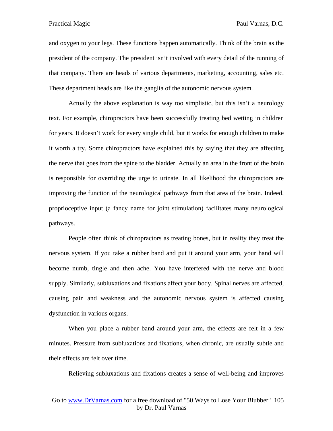and oxygen to your legs. These functions happen automatically. Think of the brain as the president of the company. The president isn't involved with every detail of the running of that company. There are heads of various departments, marketing, accounting, sales etc. These department heads are like the ganglia of the autonomic nervous system.

Actually the above explanation is way too simplistic, but this isn't a neurology text. For example, chiropractors have been successfully treating bed wetting in children for years. It doesn't work for every single child, but it works for enough children to make it worth a try. Some chiropractors have explained this by saying that they are affecting the nerve that goes from the spine to the bladder. Actually an area in the front of the brain is responsible for overriding the urge to urinate. In all likelihood the chiropractors are improving the function of the neurological pathways from that area of the brain. Indeed, proprioceptive input (a fancy name for joint stimulation) facilitates many neurological pathways.

People often think of chiropractors as treating bones, but in reality they treat the nervous system. If you take a rubber band and put it around your arm, your hand will become numb, tingle and then ache. You have interfered with the nerve and blood supply. Similarly, subluxations and fixations affect your body. Spinal nerves are affected, causing pain and weakness and the autonomic nervous system is affected causing dysfunction in various organs.

When you place a rubber band around your arm, the effects are felt in a few minutes. Pressure from subluxations and fixations, when chronic, are usually subtle and their effects are felt over time.

Relieving subluxations and fixations creates a sense of well-being and improves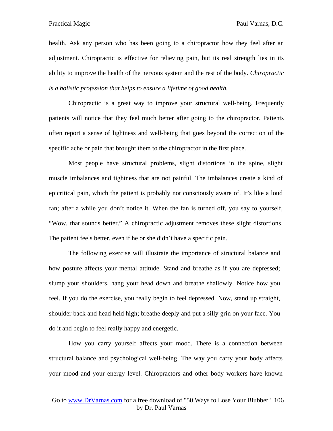health. Ask any person who has been going to a chiropractor how they feel after an adjustment. Chiropractic is effective for relieving pain, but its real strength lies in its ability to improve the health of the nervous system and the rest of the body. *Chiropractic is a holistic profession that helps to ensure a lifetime of good health.*

Chiropractic is a great way to improve your structural well-being. Frequently patients will notice that they feel much better after going to the chiropractor. Patients often report a sense of lightness and well-being that goes beyond the correction of the specific ache or pain that brought them to the chiropractor in the first place.

 Most people have structural problems, slight distortions in the spine, slight muscle imbalances and tightness that are not painful. The imbalances create a kind of epicritical pain, which the patient is probably not consciously aware of. It's like a loud fan; after a while you don't notice it. When the fan is turned off, you say to yourself, "Wow, that sounds better." A chiropractic adjustment removes these slight distortions. The patient feels better, even if he or she didn't have a specific pain.

 The following exercise will illustrate the importance of structural balance and how posture affects your mental attitude. Stand and breathe as if you are depressed; slump your shoulders, hang your head down and breathe shallowly. Notice how you feel. If you do the exercise, you really begin to feel depressed. Now, stand up straight, shoulder back and head held high; breathe deeply and put a silly grin on your face. You do it and begin to feel really happy and energetic.

 How you carry yourself affects your mood. There is a connection between structural balance and psychological well-being. The way you carry your body affects your mood and your energy level. Chiropractors and other body workers have known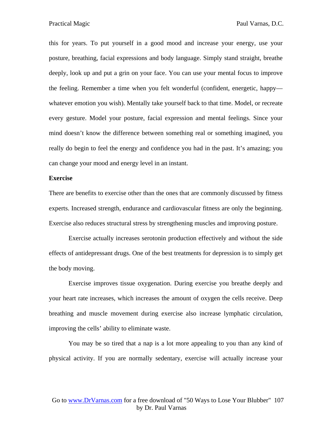this for years. To put yourself in a good mood and increase your energy, use your posture, breathing, facial expressions and body language. Simply stand straight, breathe deeply, look up and put a grin on your face. You can use your mental focus to improve the feeling. Remember a time when you felt wonderful (confident, energetic, happy whatever emotion you wish). Mentally take yourself back to that time. Model, or recreate every gesture. Model your posture, facial expression and mental feelings. Since your mind doesn't know the difference between something real or something imagined, you really do begin to feel the energy and confidence you had in the past. It's amazing; you can change your mood and energy level in an instant.

### **Exercise**

There are benefits to exercise other than the ones that are commonly discussed by fitness experts. Increased strength, endurance and cardiovascular fitness are only the beginning. Exercise also reduces structural stress by strengthening muscles and improving posture.

 Exercise actually increases serotonin production effectively and without the side effects of antidepressant drugs. One of the best treatments for depression is to simply get the body moving.

 Exercise improves tissue oxygenation. During exercise you breathe deeply and your heart rate increases, which increases the amount of oxygen the cells receive. Deep breathing and muscle movement during exercise also increase lymphatic circulation, improving the cells' ability to eliminate waste.

 You may be so tired that a nap is a lot more appealing to you than any kind of physical activity. If you are normally sedentary, exercise will actually increase your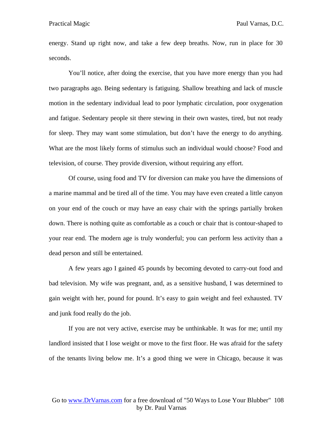energy. Stand up right now, and take a few deep breaths. Now, run in place for 30 seconds.

 You'll notice, after doing the exercise, that you have more energy than you had two paragraphs ago. Being sedentary is fatiguing. Shallow breathing and lack of muscle motion in the sedentary individual lead to poor lymphatic circulation, poor oxygenation and fatigue. Sedentary people sit there stewing in their own wastes, tired, but not ready for sleep. They may want some stimulation, but don't have the energy to do anything. What are the most likely forms of stimulus such an individual would choose? Food and television, of course. They provide diversion, without requiring any effort.

 Of course, using food and TV for diversion can make you have the dimensions of a marine mammal and be tired all of the time. You may have even created a little canyon on your end of the couch or may have an easy chair with the springs partially broken down. There is nothing quite as comfortable as a couch or chair that is contour-shaped to your rear end. The modern age is truly wonderful; you can perform less activity than a dead person and still be entertained.

 A few years ago I gained 45 pounds by becoming devoted to carry-out food and bad television. My wife was pregnant, and, as a sensitive husband, I was determined to gain weight with her, pound for pound. It's easy to gain weight and feel exhausted. TV and junk food really do the job.

 If you are not very active, exercise may be unthinkable. It was for me; until my landlord insisted that I lose weight or move to the first floor. He was afraid for the safety of the tenants living below me. It's a good thing we were in Chicago, because it was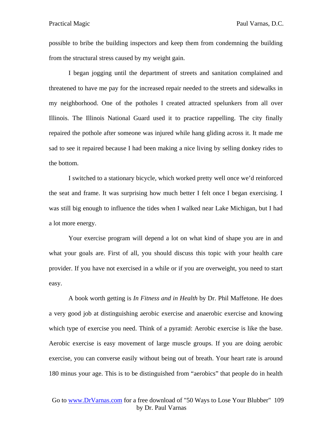possible to bribe the building inspectors and keep them from condemning the building from the structural stress caused by my weight gain.

 I began jogging until the department of streets and sanitation complained and threatened to have me pay for the increased repair needed to the streets and sidewalks in my neighborhood. One of the potholes I created attracted spelunkers from all over Illinois. The Illinois National Guard used it to practice rappelling. The city finally repaired the pothole after someone was injured while hang gliding across it. It made me sad to see it repaired because I had been making a nice living by selling donkey rides to the bottom.

 I switched to a stationary bicycle, which worked pretty well once we'd reinforced the seat and frame. It was surprising how much better I felt once I began exercising. I was still big enough to influence the tides when I walked near Lake Michigan, but I had a lot more energy.

Your exercise program will depend a lot on what kind of shape you are in and what your goals are. First of all, you should discuss this topic with your health care provider. If you have not exercised in a while or if you are overweight, you need to start easy.

A book worth getting is *In Fitness and in Health* by Dr. Phil Maffetone. He does a very good job at distinguishing aerobic exercise and anaerobic exercise and knowing which type of exercise you need. Think of a pyramid: Aerobic exercise is like the base. Aerobic exercise is easy movement of large muscle groups. If you are doing aerobic exercise, you can converse easily without being out of breath. Your heart rate is around 180 minus your age. This is to be distinguished from "aerobics" that people do in health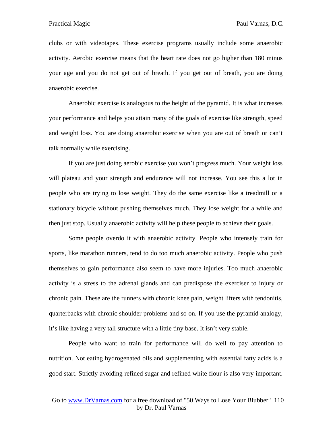clubs or with videotapes. These exercise programs usually include some anaerobic activity. Aerobic exercise means that the heart rate does not go higher than 180 minus your age and you do not get out of breath. If you get out of breath, you are doing anaerobic exercise.

Anaerobic exercise is analogous to the height of the pyramid. It is what increases your performance and helps you attain many of the goals of exercise like strength, speed and weight loss. You are doing anaerobic exercise when you are out of breath or can't talk normally while exercising.

If you are just doing aerobic exercise you won't progress much. Your weight loss will plateau and your strength and endurance will not increase. You see this a lot in people who are trying to lose weight. They do the same exercise like a treadmill or a stationary bicycle without pushing themselves much. They lose weight for a while and then just stop. Usually anaerobic activity will help these people to achieve their goals.

Some people overdo it with anaerobic activity. People who intensely train for sports, like marathon runners, tend to do too much anaerobic activity. People who push themselves to gain performance also seem to have more injuries. Too much anaerobic activity is a stress to the adrenal glands and can predispose the exerciser to injury or chronic pain. These are the runners with chronic knee pain, weight lifters with tendonitis, quarterbacks with chronic shoulder problems and so on. If you use the pyramid analogy, it's like having a very tall structure with a little tiny base. It isn't very stable.

People who want to train for performance will do well to pay attention to nutrition. Not eating hydrogenated oils and supplementing with essential fatty acids is a good start. Strictly avoiding refined sugar and refined white flour is also very important.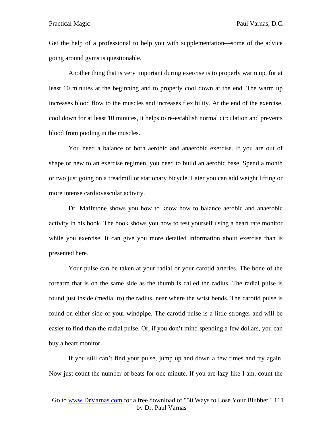Get the help of a professional to help you with supplementation—some of the advice going around gyms is questionable.

Another thing that is very important during exercise is to properly warm up, for at least 10 minutes at the beginning and to properly cool down at the end. The warm up increases blood flow to the muscles and increases flexibility. At the end of the exercise, cool down for at least 10 minutes, it helps to re-establish normal circulation and prevents blood from pooling in the muscles.

You need a balance of both aerobic and anaerobic exercise. If you are out of shape or new to an exercise regimen, you need to build an aerobic base. Spend a month or two just going on a treadmill or stationary bicycle. Later you can add weight lifting or more intense cardiovascular activity.

Dr. Maffetone shows you how to know how to balance aerobic and anaerobic activity in his book. The book shows you how to test yourself using a heart rate monitor while you exercise. It can give you more detailed information about exercise than is presented here.

 Your pulse can be taken at your radial or your carotid arteries. The bone of the forearm that is on the same side as the thumb is called the radius. The radial pulse is found just inside (medial to) the radius, near where the wrist bends. The carotid pulse is found on either side of your windpipe. The carotid pulse is a little stronger and will be easier to find than the radial pulse. Or, if you don't mind spending a few dollars, you can buy a heart monitor.

 If you still can't find your pulse, jump up and down a few times and try again. Now just count the number of beats for one minute. If you are lazy like I am, count the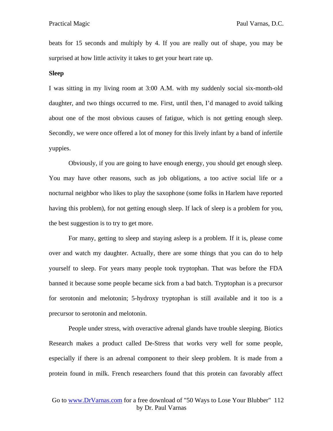beats for 15 seconds and multiply by 4. If you are really out of shape, you may be surprised at how little activity it takes to get your heart rate up.

### **Sleep**

I was sitting in my living room at 3:00 A.M. with my suddenly social six-month-old daughter, and two things occurred to me. First, until then, I'd managed to avoid talking about one of the most obvious causes of fatigue, which is not getting enough sleep. Secondly, we were once offered a lot of money for this lively infant by a band of infertile yuppies.

 Obviously, if you are going to have enough energy, you should get enough sleep. You may have other reasons, such as job obligations, a too active social life or a nocturnal neighbor who likes to play the saxophone (some folks in Harlem have reported having this problem), for not getting enough sleep. If lack of sleep is a problem for you, the best suggestion is to try to get more.

 For many, getting to sleep and staying asleep is a problem. If it is, please come over and watch my daughter. Actually, there are some things that you can do to help yourself to sleep. For years many people took tryptophan. That was before the FDA banned it because some people became sick from a bad batch. Tryptophan is a precursor for serotonin and melotonin; 5-hydroxy tryptophan is still available and it too is a precursor to serotonin and melotonin.

 People under stress, with overactive adrenal glands have trouble sleeping. Biotics Research makes a product called De-Stress that works very well for some people, especially if there is an adrenal component to their sleep problem. It is made from a protein found in milk. French researchers found that this protein can favorably affect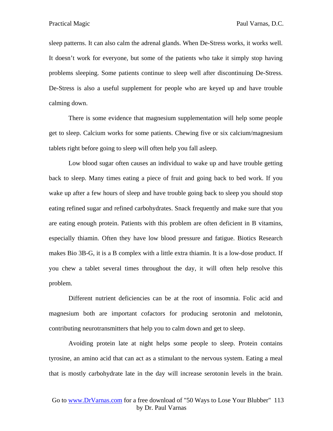sleep patterns. It can also calm the adrenal glands. When De-Stress works, it works well. It doesn't work for everyone, but some of the patients who take it simply stop having problems sleeping. Some patients continue to sleep well after discontinuing De-Stress. De-Stress is also a useful supplement for people who are keyed up and have trouble calming down.

 There is some evidence that magnesium supplementation will help some people get to sleep. Calcium works for some patients. Chewing five or six calcium/magnesium tablets right before going to sleep will often help you fall asleep.

 Low blood sugar often causes an individual to wake up and have trouble getting back to sleep. Many times eating a piece of fruit and going back to bed work. If you wake up after a few hours of sleep and have trouble going back to sleep you should stop eating refined sugar and refined carbohydrates. Snack frequently and make sure that you are eating enough protein. Patients with this problem are often deficient in B vitamins, especially thiamin. Often they have low blood pressure and fatigue. Biotics Research makes Bio 3B-G, it is a B complex with a little extra thiamin. It is a low-dose product. If you chew a tablet several times throughout the day, it will often help resolve this problem.

 Different nutrient deficiencies can be at the root of insomnia. Folic acid and magnesium both are important cofactors for producing serotonin and melotonin, contributing neurotransmitters that help you to calm down and get to sleep.

 Avoiding protein late at night helps some people to sleep. Protein contains tyrosine, an amino acid that can act as a stimulant to the nervous system. Eating a meal that is mostly carbohydrate late in the day will increase serotonin levels in the brain.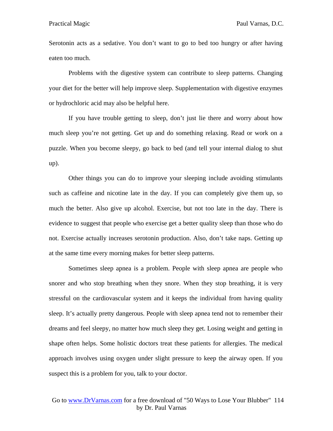Serotonin acts as a sedative. You don't want to go to bed too hungry or after having eaten too much.

 Problems with the digestive system can contribute to sleep patterns. Changing your diet for the better will help improve sleep. Supplementation with digestive enzymes or hydrochloric acid may also be helpful here.

 If you have trouble getting to sleep, don't just lie there and worry about how much sleep you're not getting. Get up and do something relaxing. Read or work on a puzzle. When you become sleepy, go back to bed (and tell your internal dialog to shut up).

 Other things you can do to improve your sleeping include avoiding stimulants such as caffeine and nicotine late in the day. If you can completely give them up, so much the better. Also give up alcohol. Exercise, but not too late in the day. There is evidence to suggest that people who exercise get a better quality sleep than those who do not. Exercise actually increases serotonin production. Also, don't take naps. Getting up at the same time every morning makes for better sleep patterns.

 Sometimes sleep apnea is a problem. People with sleep apnea are people who snorer and who stop breathing when they snore. When they stop breathing, it is very stressful on the cardiovascular system and it keeps the individual from having quality sleep. It's actually pretty dangerous. People with sleep apnea tend not to remember their dreams and feel sleepy, no matter how much sleep they get. Losing weight and getting in shape often helps. Some holistic doctors treat these patients for allergies. The medical approach involves using oxygen under slight pressure to keep the airway open. If you suspect this is a problem for you, talk to your doctor.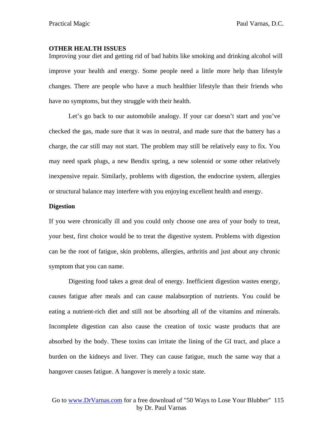## **OTHER HEALTH ISSUES**

Improving your diet and getting rid of bad habits like smoking and drinking alcohol will improve your health and energy. Some people need a little more help than lifestyle changes. There are people who have a much healthier lifestyle than their friends who have no symptoms, but they struggle with their health.

Let's go back to our automobile analogy. If your car doesn't start and you've checked the gas, made sure that it was in neutral, and made sure that the battery has a charge, the car still may not start. The problem may still be relatively easy to fix. You may need spark plugs, a new Bendix spring, a new solenoid or some other relatively inexpensive repair. Similarly, problems with digestion, the endocrine system, allergies or structural balance may interfere with you enjoying excellent health and energy.

## **Digestion**

If you were chronically ill and you could only choose one area of your body to treat, your best, first choice would be to treat the digestive system. Problems with digestion can be the root of fatigue, skin problems, allergies, arthritis and just about any chronic symptom that you can name.

 Digesting food takes a great deal of energy. Inefficient digestion wastes energy, causes fatigue after meals and can cause malabsorption of nutrients. You could be eating a nutrient-rich diet and still not be absorbing all of the vitamins and minerals. Incomplete digestion can also cause the creation of toxic waste products that are absorbed by the body. These toxins can irritate the lining of the GI tract, and place a burden on the kidneys and liver. They can cause fatigue, much the same way that a hangover causes fatigue. A hangover is merely a toxic state.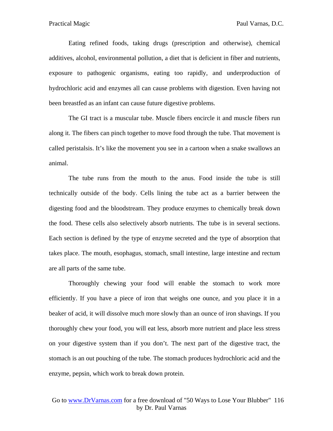Eating refined foods, taking drugs (prescription and otherwise), chemical additives, alcohol, environmental pollution, a diet that is deficient in fiber and nutrients, exposure to pathogenic organisms, eating too rapidly, and underproduction of hydrochloric acid and enzymes all can cause problems with digestion. Even having not been breastfed as an infant can cause future digestive problems.

 The GI tract is a muscular tube. Muscle fibers encircle it and muscle fibers run along it. The fibers can pinch together to move food through the tube. That movement is called peristalsis. It's like the movement you see in a cartoon when a snake swallows an animal.

 The tube runs from the mouth to the anus. Food inside the tube is still technically outside of the body. Cells lining the tube act as a barrier between the digesting food and the bloodstream. They produce enzymes to chemically break down the food. These cells also selectively absorb nutrients. The tube is in several sections. Each section is defined by the type of enzyme secreted and the type of absorption that takes place. The mouth, esophagus, stomach, small intestine, large intestine and rectum are all parts of the same tube.

 Thoroughly chewing your food will enable the stomach to work more efficiently. If you have a piece of iron that weighs one ounce, and you place it in a beaker of acid, it will dissolve much more slowly than an ounce of iron shavings. If you thoroughly chew your food, you will eat less, absorb more nutrient and place less stress on your digestive system than if you don't. The next part of the digestive tract, the stomach is an out pouching of the tube. The stomach produces hydrochloric acid and the enzyme, pepsin, which work to break down protein.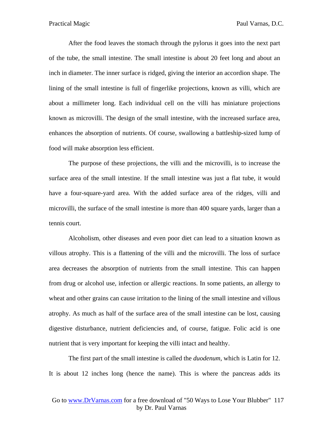After the food leaves the stomach through the pylorus it goes into the next part of the tube, the small intestine. The small intestine is about 20 feet long and about an inch in diameter. The inner surface is ridged, giving the interior an accordion shape. The lining of the small intestine is full of fingerlike projections, known as villi, which are about a millimeter long. Each individual cell on the villi has miniature projections known as microvilli. The design of the small intestine, with the increased surface area, enhances the absorption of nutrients. Of course, swallowing a battleship-sized lump of food will make absorption less efficient.

 The purpose of these projections, the villi and the microvilli, is to increase the surface area of the small intestine. If the small intestine was just a flat tube, it would have a four-square-yard area. With the added surface area of the ridges, villi and microvilli, the surface of the small intestine is more than 400 square yards, larger than a tennis court.

 Alcoholism, other diseases and even poor diet can lead to a situation known as villous atrophy. This is a flattening of the villi and the microvilli. The loss of surface area decreases the absorption of nutrients from the small intestine. This can happen from drug or alcohol use, infection or allergic reactions. In some patients, an allergy to wheat and other grains can cause irritation to the lining of the small intestine and villous atrophy. As much as half of the surface area of the small intestine can be lost, causing digestive disturbance, nutrient deficiencies and, of course, fatigue. Folic acid is one nutrient that is very important for keeping the villi intact and healthy.

 The first part of the small intestine is called the *duodenum*, which is Latin for 12. It is about 12 inches long (hence the name). This is where the pancreas adds its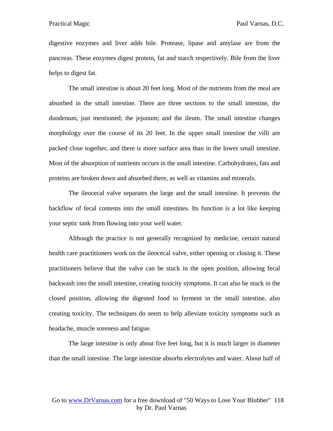digestive enzymes and liver adds bile. Protease, lipase and amylase are from the pancreas. These enzymes digest protein, fat and starch respectively. Bile from the liver helps to digest fat.

 The small intestine is about 20 feet long. Most of the nutrients from the meal are absorbed in the small intestine. There are three sections to the small intestine, the duodenum, just mentioned; the jejunum; and the ileum. The small intestine changes morphology over the course of its 20 feet. In the upper small intestine the villi are packed close together, and there is more surface area than in the lower small intestine. Most of the absorption of nutrients occurs in the small intestine. Carbohydrates, fats and proteins are broken down and absorbed there, as well as vitamins and minerals.

 The ileocecal valve separates the large and the small intestine. It prevents the backflow of fecal contents into the small intestines. Its function is a lot like keeping your septic tank from flowing into your well water.

 Although the practice is not generally recognized by medicine, certain natural health care practitioners work on the ileocecal valve, either opening or closing it. These practitioners believe that the valve can be stuck in the open position, allowing fecal backwash into the small intestine, creating toxicity symptoms. It can also be stuck in the closed position, allowing the digested food to ferment in the small intestine, also creating toxicity. The techniques do seem to help alleviate toxicity symptoms such as headache, muscle soreness and fatigue.

 The large intestine is only about five feet long, but it is much larger in diameter than the small intestine. The large intestine absorbs electrolytes and water. About half of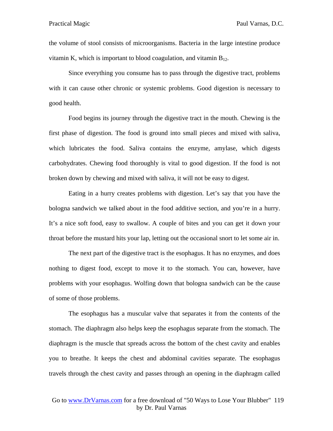the volume of stool consists of microorganisms. Bacteria in the large intestine produce vitamin K, which is important to blood coagulation, and vitamin  $B_{12}$ .

 Since everything you consume has to pass through the digestive tract, problems with it can cause other chronic or systemic problems. Good digestion is necessary to good health.

 Food begins its journey through the digestive tract in the mouth. Chewing is the first phase of digestion. The food is ground into small pieces and mixed with saliva, which lubricates the food. Saliva contains the enzyme, amylase, which digests carbohydrates. Chewing food thoroughly is vital to good digestion. If the food is not broken down by chewing and mixed with saliva, it will not be easy to digest.

 Eating in a hurry creates problems with digestion. Let's say that you have the bologna sandwich we talked about in the food additive section, and you're in a hurry. It's a nice soft food, easy to swallow. A couple of bites and you can get it down your throat before the mustard hits your lap, letting out the occasional snort to let some air in.

 The next part of the digestive tract is the esophagus. It has no enzymes, and does nothing to digest food, except to move it to the stomach. You can, however, have problems with your esophagus. Wolfing down that bologna sandwich can be the cause of some of those problems.

 The esophagus has a muscular valve that separates it from the contents of the stomach. The diaphragm also helps keep the esophagus separate from the stomach. The diaphragm is the muscle that spreads across the bottom of the chest cavity and enables you to breathe. It keeps the chest and abdominal cavities separate. The esophagus travels through the chest cavity and passes through an opening in the diaphragm called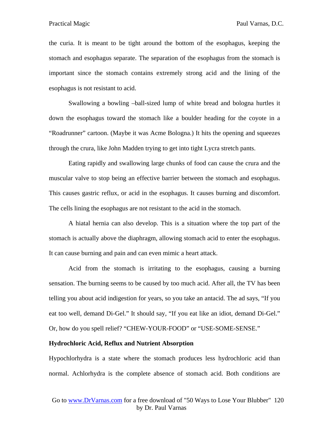the curia. It is meant to be tight around the bottom of the esophagus, keeping the stomach and esophagus separate. The separation of the esophagus from the stomach is important since the stomach contains extremely strong acid and the lining of the esophagus is not resistant to acid.

 Swallowing a bowling –ball-sized lump of white bread and bologna hurtles it down the esophagus toward the stomach like a boulder heading for the coyote in a "Roadrunner" cartoon. (Maybe it was Acme Bologna.) It hits the opening and squeezes through the crura, like John Madden trying to get into tight Lycra stretch pants.

 Eating rapidly and swallowing large chunks of food can cause the crura and the muscular valve to stop being an effective barrier between the stomach and esophagus. This causes gastric reflux, or acid in the esophagus. It causes burning and discomfort. The cells lining the esophagus are not resistant to the acid in the stomach.

 A hiatal hernia can also develop. This is a situation where the top part of the stomach is actually above the diaphragm, allowing stomach acid to enter the esophagus. It can cause burning and pain and can even mimic a heart attack.

 Acid from the stomach is irritating to the esophagus, causing a burning sensation. The burning seems to be caused by too much acid. After all, the TV has been telling you about acid indigestion for years, so you take an antacid. The ad says, "If you eat too well, demand Di-Gel." It should say, "If you eat like an idiot, demand Di-Gel." Or, how do you spell relief? "CHEW-YOUR-FOOD" or "USE-SOME-SENSE."

## **Hydrochloric Acid, Reflux and Nutrient Absorption**

Hypochlorhydra is a state where the stomach produces less hydrochloric acid than normal. Achlorhydra is the complete absence of stomach acid. Both conditions are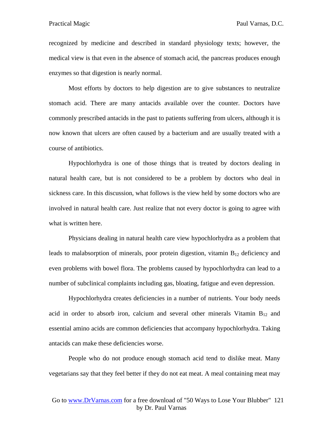recognized by medicine and described in standard physiology texts; however, the medical view is that even in the absence of stomach acid, the pancreas produces enough enzymes so that digestion is nearly normal.

 Most efforts by doctors to help digestion are to give substances to neutralize stomach acid. There are many antacids available over the counter. Doctors have commonly prescribed antacids in the past to patients suffering from ulcers, although it is now known that ulcers are often caused by a bacterium and are usually treated with a course of antibiotics.

 Hypochlorhydra is one of those things that is treated by doctors dealing in natural health care, but is not considered to be a problem by doctors who deal in sickness care. In this discussion, what follows is the view held by some doctors who are involved in natural health care. Just realize that not every doctor is going to agree with what is written here.

 Physicians dealing in natural health care view hypochlorhydra as a problem that leads to malabsorption of minerals, poor protein digestion, vitamin  $B_{12}$  deficiency and even problems with bowel flora. The problems caused by hypochlorhydra can lead to a number of subclinical complaints including gas, bloating, fatigue and even depression.

 Hypochlorhydra creates deficiencies in a number of nutrients. Your body needs acid in order to absorb iron, calcium and several other minerals Vitamin  $B_{12}$  and essential amino acids are common deficiencies that accompany hypochlorhydra. Taking antacids can make these deficiencies worse.

 People who do not produce enough stomach acid tend to dislike meat. Many vegetarians say that they feel better if they do not eat meat. A meal containing meat may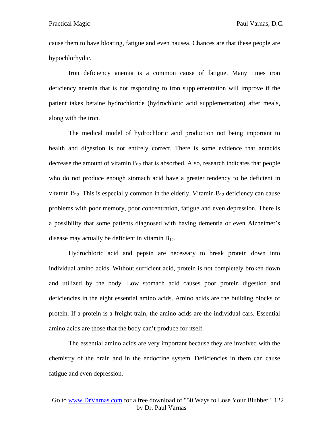cause them to have bloating, fatigue and even nausea. Chances are that these people are hypochlorhydic.

 Iron deficiency anemia is a common cause of fatigue. Many times iron deficiency anemia that is not responding to iron supplementation will improve if the patient takes betaine hydrochloride (hydrochloric acid supplementation) after meals, along with the iron.

 The medical model of hydrochloric acid production not being important to health and digestion is not entirely correct. There is some evidence that antacids decrease the amount of vitamin  $B_{12}$  that is absorbed. Also, research indicates that people who do not produce enough stomach acid have a greater tendency to be deficient in vitamin  $B_{12}$ . This is especially common in the elderly. Vitamin  $B_{12}$  deficiency can cause problems with poor memory, poor concentration, fatigue and even depression. There is a possibility that some patients diagnosed with having dementia or even Alzheimer's disease may actually be deficient in vitamin  $B_{12}$ .

 Hydrochloric acid and pepsin are necessary to break protein down into individual amino acids. Without sufficient acid, protein is not completely broken down and utilized by the body. Low stomach acid causes poor protein digestion and deficiencies in the eight essential amino acids. Amino acids are the building blocks of protein. If a protein is a freight train, the amino acids are the individual cars. Essential amino acids are those that the body can't produce for itself.

 The essential amino acids are very important because they are involved with the chemistry of the brain and in the endocrine system. Deficiencies in them can cause fatigue and even depression.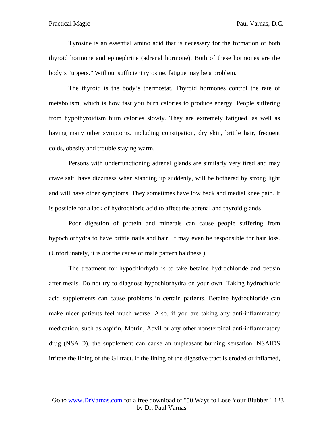Tyrosine is an essential amino acid that is necessary for the formation of both thyroid hormone and epinephrine (adrenal hormone). Both of these hormones are the body's "uppers." Without sufficient tyrosine, fatigue may be a problem.

 The thyroid is the body's thermostat. Thyroid hormones control the rate of metabolism, which is how fast you burn calories to produce energy. People suffering from hypothyroidism burn calories slowly. They are extremely fatigued, as well as having many other symptoms, including constipation, dry skin, brittle hair, frequent colds, obesity and trouble staying warm.

 Persons with underfunctioning adrenal glands are similarly very tired and may crave salt, have dizziness when standing up suddenly, will be bothered by strong light and will have other symptoms. They sometimes have low back and medial knee pain. It is possible for a lack of hydrochloric acid to affect the adrenal and thyroid glands

 Poor digestion of protein and minerals can cause people suffering from hypochlorhydra to have brittle nails and hair. It may even be responsible for hair loss. (Unfortunately, it is *not* the cause of male pattern baldness.)

 The treatment for hypochlorhyda is to take betaine hydrochloride and pepsin after meals. Do not try to diagnose hypochlorhydra on your own. Taking hydrochloric acid supplements can cause problems in certain patients. Betaine hydrochloride can make ulcer patients feel much worse. Also, if you are taking any anti-inflammatory medication, such as aspirin, Motrin, Advil or any other nonsteroidal anti-inflammatory drug (NSAID), the supplement can cause an unpleasant burning sensation. NSAIDS irritate the lining of the GI tract. If the lining of the digestive tract is eroded or inflamed,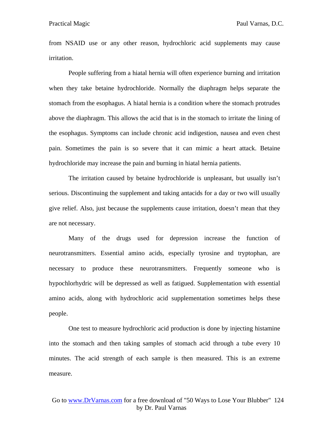from NSAID use or any other reason, hydrochloric acid supplements may cause irritation.

 People suffering from a hiatal hernia will often experience burning and irritation when they take betaine hydrochloride. Normally the diaphragm helps separate the stomach from the esophagus. A hiatal hernia is a condition where the stomach protrudes above the diaphragm. This allows the acid that is in the stomach to irritate the lining of the esophagus. Symptoms can include chronic acid indigestion, nausea and even chest pain. Sometimes the pain is so severe that it can mimic a heart attack. Betaine hydrochloride may increase the pain and burning in hiatal hernia patients.

 The irritation caused by betaine hydrochloride is unpleasant, but usually isn't serious. Discontinuing the supplement and taking antacids for a day or two will usually give relief. Also, just because the supplements cause irritation, doesn't mean that they are not necessary.

 Many of the drugs used for depression increase the function of neurotransmitters. Essential amino acids, especially tyrosine and tryptophan, are necessary to produce these neurotransmitters. Frequently someone who is hypochlorhydric will be depressed as well as fatigued. Supplementation with essential amino acids, along with hydrochloric acid supplementation sometimes helps these people.

 One test to measure hydrochloric acid production is done by injecting histamine into the stomach and then taking samples of stomach acid through a tube every 10 minutes. The acid strength of each sample is then measured. This is an extreme measure.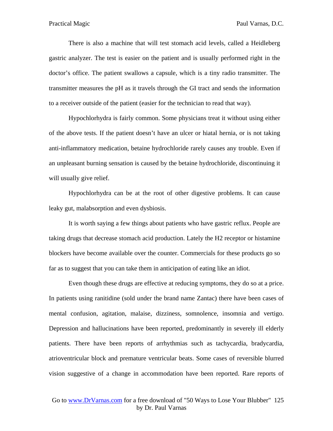There is also a machine that will test stomach acid levels, called a Heidleberg gastric analyzer. The test is easier on the patient and is usually performed right in the doctor's office. The patient swallows a capsule, which is a tiny radio transmitter. The transmitter measures the pH as it travels through the GI tract and sends the information to a receiver outside of the patient (easier for the technician to read that way).

 Hypochlorhydra is fairly common. Some physicians treat it without using either of the above tests. If the patient doesn't have an ulcer or hiatal hernia, or is not taking anti-inflammatory medication, betaine hydrochloride rarely causes any trouble. Even if an unpleasant burning sensation is caused by the betaine hydrochloride, discontinuing it will usually give relief.

 Hypochlorhydra can be at the root of other digestive problems. It can cause leaky gut, malabsorption and even dysbiosis.

It is worth saying a few things about patients who have gastric reflux. People are taking drugs that decrease stomach acid production. Lately the H2 receptor or histamine blockers have become available over the counter. Commercials for these products go so far as to suggest that you can take them in anticipation of eating like an idiot.

Even though these drugs are effective at reducing symptoms, they do so at a price. In patients using ranitidine (sold under the brand name Zantac) there have been cases of mental confusion, agitation, malaise, dizziness, somnolence, insomnia and vertigo. Depression and hallucinations have been reported, predominantly in severely ill elderly patients. There have been reports of arrhythmias such as tachycardia, bradycardia, atrioventricular block and premature ventricular beats. Some cases of reversible blurred vision suggestive of a change in accommodation have been reported. Rare reports of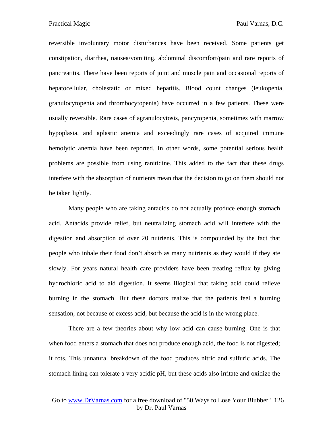reversible involuntary motor disturbances have been received. Some patients get constipation, diarrhea, nausea/vomiting, abdominal discomfort/pain and rare reports of pancreatitis. There have been reports of joint and muscle pain and occasional reports of hepatocellular, cholestatic or mixed hepatitis. Blood count changes (leukopenia, granulocytopenia and thrombocytopenia) have occurred in a few patients. These were usually reversible. Rare cases of agranulocytosis, pancytopenia, sometimes with marrow hypoplasia, and aplastic anemia and exceedingly rare cases of acquired immune hemolytic anemia have been reported. In other words, some potential serious health problems are possible from using ranitidine. This added to the fact that these drugs interfere with the absorption of nutrients mean that the decision to go on them should not be taken lightly.

 Many people who are taking antacids do not actually produce enough stomach acid. Antacids provide relief, but neutralizing stomach acid will interfere with the digestion and absorption of over 20 nutrients. This is compounded by the fact that people who inhale their food don't absorb as many nutrients as they would if they ate slowly. For years natural health care providers have been treating reflux by giving hydrochloric acid to aid digestion. It seems illogical that taking acid could relieve burning in the stomach. But these doctors realize that the patients feel a burning sensation, not because of excess acid, but because the acid is in the wrong place.

There are a few theories about why low acid can cause burning. One is that when food enters a stomach that does not produce enough acid, the food is not digested; it rots. This unnatural breakdown of the food produces nitric and sulfuric acids. The stomach lining can tolerate a very acidic pH, but these acids also irritate and oxidize the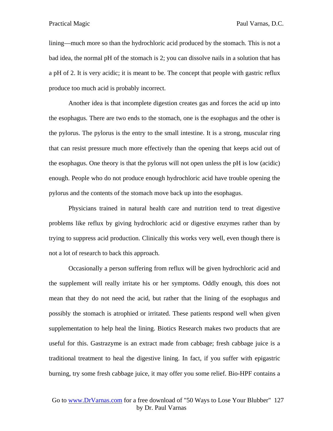lining—much more so than the hydrochloric acid produced by the stomach. This is not a bad idea, the normal pH of the stomach is 2; you can dissolve nails in a solution that has a pH of 2. It is very acidic; it is meant to be. The concept that people with gastric reflux produce too much acid is probably incorrect.

Another idea is that incomplete digestion creates gas and forces the acid up into the esophagus. There are two ends to the stomach, one is the esophagus and the other is the pylorus. The pylorus is the entry to the small intestine. It is a strong, muscular ring that can resist pressure much more effectively than the opening that keeps acid out of the esophagus. One theory is that the pylorus will not open unless the pH is low (acidic) enough. People who do not produce enough hydrochloric acid have trouble opening the pylorus and the contents of the stomach move back up into the esophagus.

Physicians trained in natural health care and nutrition tend to treat digestive problems like reflux by giving hydrochloric acid or digestive enzymes rather than by trying to suppress acid production. Clinically this works very well, even though there is not a lot of research to back this approach.

Occasionally a person suffering from reflux will be given hydrochloric acid and the supplement will really irritate his or her symptoms. Oddly enough, this does not mean that they do not need the acid, but rather that the lining of the esophagus and possibly the stomach is atrophied or irritated. These patients respond well when given supplementation to help heal the lining. Biotics Research makes two products that are useful for this. Gastrazyme is an extract made from cabbage; fresh cabbage juice is a traditional treatment to heal the digestive lining. In fact, if you suffer with epigastric burning, try some fresh cabbage juice, it may offer you some relief. Bio-HPF contains a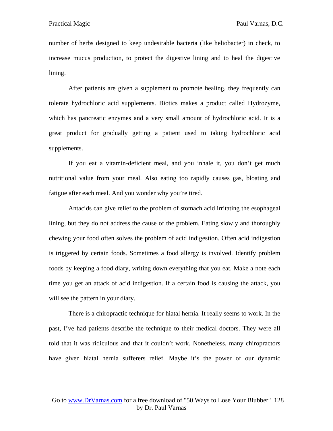number of herbs designed to keep undesirable bacteria (like heliobacter) in check, to increase mucus production, to protect the digestive lining and to heal the digestive lining.

After patients are given a supplement to promote healing, they frequently can tolerate hydrochloric acid supplements. Biotics makes a product called Hydrozyme, which has pancreatic enzymes and a very small amount of hydrochloric acid. It is a great product for gradually getting a patient used to taking hydrochloric acid supplements.

 If you eat a vitamin-deficient meal, and you inhale it, you don't get much nutritional value from your meal. Also eating too rapidly causes gas, bloating and fatigue after each meal. And you wonder why you're tired.

 Antacids can give relief to the problem of stomach acid irritating the esophageal lining, but they do not address the cause of the problem. Eating slowly and thoroughly chewing your food often solves the problem of acid indigestion. Often acid indigestion is triggered by certain foods. Sometimes a food allergy is involved. Identify problem foods by keeping a food diary, writing down everything that you eat. Make a note each time you get an attack of acid indigestion. If a certain food is causing the attack, you will see the pattern in your diary.

 There is a chiropractic technique for hiatal hernia. It really seems to work. In the past, I've had patients describe the technique to their medical doctors. They were all told that it was ridiculous and that it couldn't work. Nonetheless, many chiropractors have given hiatal hernia sufferers relief. Maybe it's the power of our dynamic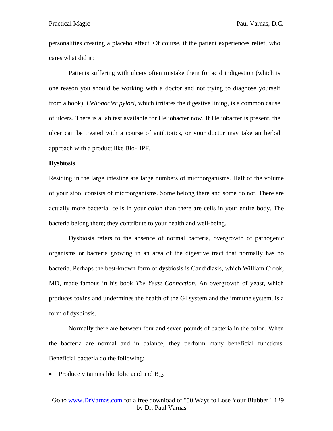personalities creating a placebo effect. Of course, if the patient experiences relief, who cares what did it?

 Patients suffering with ulcers often mistake them for acid indigestion (which is one reason you should be working with a doctor and not trying to diagnose yourself from a book). *Heliobacter pylori*, which irritates the digestive lining, is a common cause of ulcers. There is a lab test available for Heliobacter now. If Heliobacter is present, the ulcer can be treated with a course of antibiotics, or your doctor may take an herbal approach with a product like Bio-HPF.

### **Dysbiosis**

Residing in the large intestine are large numbers of microorganisms. Half of the volume of your stool consists of microorganisms. Some belong there and some do not. There are actually more bacterial cells in your colon than there are cells in your entire body. The bacteria belong there; they contribute to your health and well-being.

Dysbiosis refers to the absence of normal bacteria, overgrowth of pathogenic organisms or bacteria growing in an area of the digestive tract that normally has no bacteria. Perhaps the best-known form of dysbiosis is Candidiasis, which William Crook, MD, made famous in his book *The Yeast Connection.* An overgrowth of yeast, which produces toxins and undermines the health of the GI system and the immune system, is a form of dysbiosis.

 Normally there are between four and seven pounds of bacteria in the colon. When the bacteria are normal and in balance, they perform many beneficial functions. Beneficial bacteria do the following:

• Produce vitamins like folic acid and  $B_{12}$ .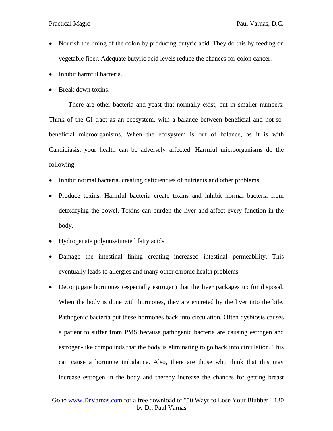- Nourish the lining of the colon by producing butyric acid. They do this by feeding on vegetable fiber. Adequate butyric acid levels reduce the chances for colon cancer.
- Inhibit harmful bacteria.
- Break down toxins.

 There are other bacteria and yeast that normally exist, but in smaller numbers. Think of the GI tract as an ecosystem, with a balance between beneficial and not-sobeneficial microorganisms. When the ecosystem is out of balance, as it is with Candidiasis, your health can be adversely affected. Harmful microorganisms do the following:

- Inhibit normal bacteria*,* creating deficiencies of nutrients and other problems.
- Produce toxins. Harmful bacteria create toxins and inhibit normal bacteria from detoxifying the bowel. Toxins can burden the liver and affect every function in the body.
- Hydrogenate polyunsaturated fatty acids.
- Damage the intestinal lining creating increased intestinal permeability. This eventually leads to allergies and many other chronic health problems.
- Deconjugate hormones (especially estrogen) that the liver packages up for disposal. When the body is done with hormones, they are excreted by the liver into the bile. Pathogenic bacteria put these hormones back into circulation. Often dysbiosis causes a patient to suffer from PMS because pathogenic bacteria are causing estrogen and estrogen-like compounds that the body is eliminating to go back into circulation. This can cause a hormone imbalance. Also, there are those who think that this may increase estrogen in the body and thereby increase the chances for getting breast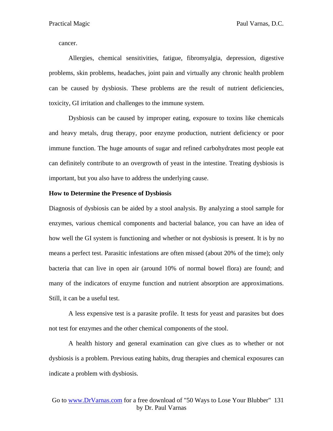cancer.

 Allergies, chemical sensitivities, fatigue, fibromyalgia, depression, digestive problems, skin problems, headaches, joint pain and virtually any chronic health problem can be caused by dysbiosis. These problems are the result of nutrient deficiencies, toxicity, GI irritation and challenges to the immune system.

 Dysbiosis can be caused by improper eating, exposure to toxins like chemicals and heavy metals, drug therapy, poor enzyme production, nutrient deficiency or poor immune function. The huge amounts of sugar and refined carbohydrates most people eat can definitely contribute to an overgrowth of yeast in the intestine. Treating dysbiosis is important, but you also have to address the underlying cause.

### **How to Determine the Presence of Dysbiosis**

Diagnosis of dysbiosis can be aided by a stool analysis. By analyzing a stool sample for enzymes, various chemical components and bacterial balance, you can have an idea of how well the GI system is functioning and whether or not dysbiosis is present. It is by no means a perfect test. Parasitic infestations are often missed (about 20% of the time); only bacteria that can live in open air (around 10% of normal bowel flora) are found; and many of the indicators of enzyme function and nutrient absorption are approximations. Still, it can be a useful test.

 A less expensive test is a parasite profile. It tests for yeast and parasites but does not test for enzymes and the other chemical components of the stool.

 A health history and general examination can give clues as to whether or not dysbiosis is a problem. Previous eating habits, drug therapies and chemical exposures can indicate a problem with dysbiosis.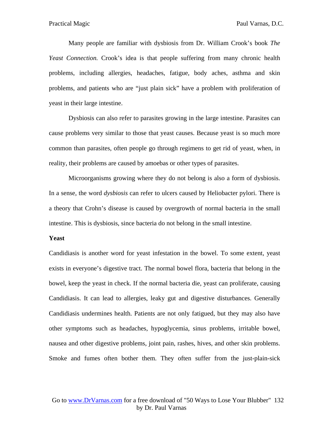Many people are familiar with dysbiosis from Dr. William Crook's book *The Yeast Connection.* Crook's idea is that people suffering from many chronic health problems, including allergies, headaches, fatigue, body aches, asthma and skin problems, and patients who are "just plain sick" have a problem with proliferation of yeast in their large intestine.

 Dysbiosis can also refer to parasites growing in the large intestine. Parasites can cause problems very similar to those that yeast causes. Because yeast is so much more common than parasites, often people go through regimens to get rid of yeast, when, in reality, their problems are caused by amoebas or other types of parasites.

 Microorganisms growing where they do not belong is also a form of dysbiosis. In a sense, the word *dysbiosis* can refer to ulcers caused by Heliobacter pylori. There is a theory that Crohn's disease is caused by overgrowth of normal bacteria in the small intestine. This is dysbiosis, since bacteria do not belong in the small intestine.

#### **Yeast**

Candidiasis is another word for yeast infestation in the bowel. To some extent, yeast exists in everyone's digestive tract. The normal bowel flora, bacteria that belong in the bowel, keep the yeast in check. If the normal bacteria die, yeast can proliferate, causing Candidiasis. It can lead to allergies, leaky gut and digestive disturbances. Generally Candidiasis undermines health. Patients are not only fatigued, but they may also have other symptoms such as headaches, hypoglycemia, sinus problems, irritable bowel, nausea and other digestive problems, joint pain, rashes, hives, and other skin problems. Smoke and fumes often bother them. They often suffer from the just-plain-sick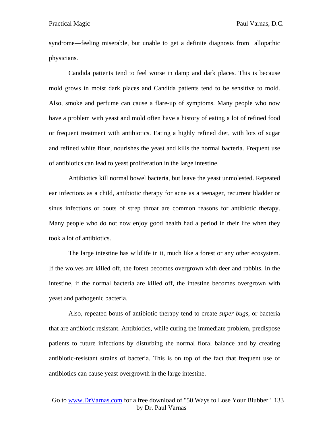syndrome—feeling miserable, but unable to get a definite diagnosis from allopathic physicians.

 Candida patients tend to feel worse in damp and dark places. This is because mold grows in moist dark places and Candida patients tend to be sensitive to mold. Also, smoke and perfume can cause a flare-up of symptoms. Many people who now have a problem with yeast and mold often have a history of eating a lot of refined food or frequent treatment with antibiotics. Eating a highly refined diet, with lots of sugar and refined white flour, nourishes the yeast and kills the normal bacteria. Frequent use of antibiotics can lead to yeast proliferation in the large intestine.

 Antibiotics kill normal bowel bacteria, but leave the yeast unmolested. Repeated ear infections as a child, antibiotic therapy for acne as a teenager, recurrent bladder or sinus infections or bouts of strep throat are common reasons for antibiotic therapy. Many people who do not now enjoy good health had a period in their life when they took a lot of antibiotics.

 The large intestine has wildlife in it, much like a forest or any other ecosystem. If the wolves are killed off, the forest becomes overgrown with deer and rabbits. In the intestine, if the normal bacteria are killed off, the intestine becomes overgrown with yeast and pathogenic bacteria.

 Also, repeated bouts of antibiotic therapy tend to create *super bugs*, or bacteria that are antibiotic resistant. Antibiotics, while curing the immediate problem, predispose patients to future infections by disturbing the normal floral balance and by creating antibiotic-resistant strains of bacteria. This is on top of the fact that frequent use of antibiotics can cause yeast overgrowth in the large intestine.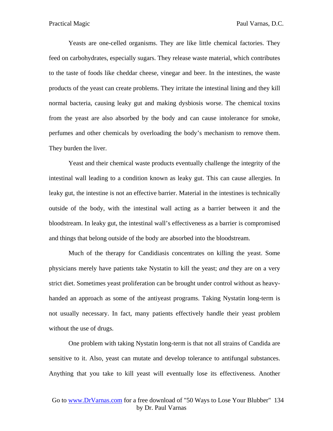Yeasts are one-celled organisms. They are like little chemical factories. They feed on carbohydrates, especially sugars. They release waste material, which contributes to the taste of foods like cheddar cheese, vinegar and beer. In the intestines, the waste products of the yeast can create problems. They irritate the intestinal lining and they kill normal bacteria, causing leaky gut and making dysbiosis worse. The chemical toxins from the yeast are also absorbed by the body and can cause intolerance for smoke, perfumes and other chemicals by overloading the body's mechanism to remove them. They burden the liver.

 Yeast and their chemical waste products eventually challenge the integrity of the intestinal wall leading to a condition known as leaky gut. This can cause allergies. In leaky gut, the intestine is not an effective barrier. Material in the intestines is technically outside of the body, with the intestinal wall acting as a barrier between it and the bloodstream. In leaky gut, the intestinal wall's effectiveness as a barrier is compromised and things that belong outside of the body are absorbed into the bloodstream.

 Much of the therapy for Candidiasis concentrates on killing the yeast. Some physicians merely have patients take Nystatin to kill the yeast; *and* they are on a very strict diet. Sometimes yeast proliferation can be brought under control without as heavyhanded an approach as some of the antiyeast programs. Taking Nystatin long-term is not usually necessary. In fact, many patients effectively handle their yeast problem without the use of drugs.

 One problem with taking Nystatin long-term is that not all strains of Candida are sensitive to it. Also, yeast can mutate and develop tolerance to antifungal substances. Anything that you take to kill yeast will eventually lose its effectiveness. Another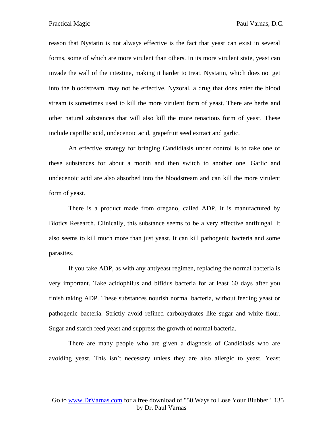reason that Nystatin is not always effective is the fact that yeast can exist in several forms, some of which are more virulent than others. In its more virulent state, yeast can invade the wall of the intestine, making it harder to treat. Nystatin, which does not get into the bloodstream, may not be effective. Nyzoral, a drug that does enter the blood stream is sometimes used to kill the more virulent form of yeast. There are herbs and other natural substances that will also kill the more tenacious form of yeast. These include caprillic acid, undecenoic acid, grapefruit seed extract and garlic.

 An effective strategy for bringing Candidiasis under control is to take one of these substances for about a month and then switch to another one. Garlic and undecenoic acid are also absorbed into the bloodstream and can kill the more virulent form of yeast.

 There is a product made from oregano, called ADP. It is manufactured by Biotics Research. Clinically, this substance seems to be a very effective antifungal. It also seems to kill much more than just yeast. It can kill pathogenic bacteria and some parasites.

 If you take ADP, as with any antiyeast regimen, replacing the normal bacteria is very important. Take acidophilus and bifidus bacteria for at least 60 days after you finish taking ADP. These substances nourish normal bacteria, without feeding yeast or pathogenic bacteria. Strictly avoid refined carbohydrates like sugar and white flour. Sugar and starch feed yeast and suppress the growth of normal bacteria.

 There are many people who are given a diagnosis of Candidiasis who are avoiding yeast. This isn't necessary unless they are also allergic to yeast. Yeast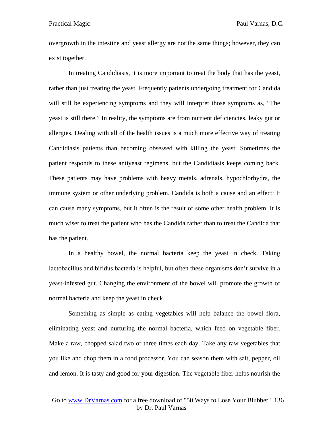overgrowth in the intestine and yeast allergy are not the same things; however, they can exist together.

 In treating Candidiasis, it is more important to treat the body that has the yeast, rather than just treating the yeast. Frequently patients undergoing treatment for Candida will still be experiencing symptoms and they will interpret those symptoms as, "The yeast is still there." In reality, the symptoms are from nutrient deficiencies, leaky gut or allergies. Dealing with all of the health issues is a much more effective way of treating Candidiasis patients than becoming obsessed with killing the yeast. Sometimes the patient responds to these antiyeast regimens, but the Candidiasis keeps coming back. These patients may have problems with heavy metals, adrenals, hypochlorhydra, the immune system or other underlying problem. Candida is both a cause and an effect: It can cause many symptoms, but it often is the result of some other health problem. It is much wiser to treat the patient who has the Candida rather than to treat the Candida that has the patient.

 In a healthy bowel, the normal bacteria keep the yeast in check. Taking lactobacillus and bifidus bacteria is helpful, but often these organisms don't survive in a yeast-infested gut. Changing the environment of the bowel will promote the growth of normal bacteria and keep the yeast in check.

 Something as simple as eating vegetables will help balance the bowel flora, eliminating yeast and nurturing the normal bacteria, which feed on vegetable fiber. Make a raw, chopped salad two or three times each day. Take any raw vegetables that you like and chop them in a food processor. You can season them with salt, pepper, oil and lemon. It is tasty and good for your digestion. The vegetable fiber helps nourish the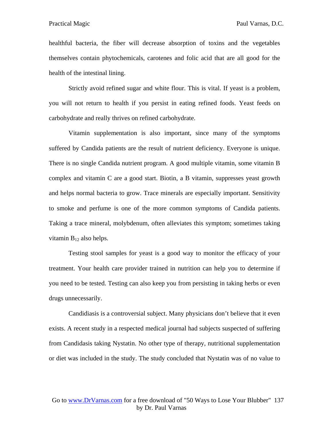healthful bacteria, the fiber will decrease absorption of toxins and the vegetables themselves contain phytochemicals, carotenes and folic acid that are all good for the health of the intestinal lining.

 Strictly avoid refined sugar and white flour. This is vital. If yeast is a problem, you will not return to health if you persist in eating refined foods. Yeast feeds on carbohydrate and really thrives on refined carbohydrate.

 Vitamin supplementation is also important, since many of the symptoms suffered by Candida patients are the result of nutrient deficiency. Everyone is unique. There is no single Candida nutrient program. A good multiple vitamin, some vitamin B complex and vitamin C are a good start. Biotin, a B vitamin, suppresses yeast growth and helps normal bacteria to grow. Trace minerals are especially important. Sensitivity to smoke and perfume is one of the more common symptoms of Candida patients. Taking a trace mineral, molybdenum, often alleviates this symptom; sometimes taking vitamin  $B_{12}$  also helps.

 Testing stool samples for yeast is a good way to monitor the efficacy of your treatment. Your health care provider trained in nutrition can help you to determine if you need to be tested. Testing can also keep you from persisting in taking herbs or even drugs unnecessarily.

 Candidiasis is a controversial subject. Many physicians don't believe that it even exists. A recent study in a respected medical journal had subjects suspected of suffering from Candidasis taking Nystatin. No other type of therapy, nutritional supplementation or diet was included in the study. The study concluded that Nystatin was of no value to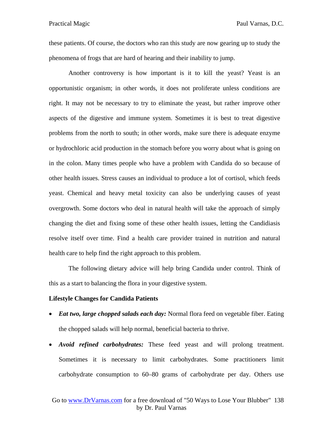these patients. Of course, the doctors who ran this study are now gearing up to study the phenomena of frogs that are hard of hearing and their inability to jump.

 Another controversy is how important is it to kill the yeast? Yeast is an opportunistic organism; in other words, it does not proliferate unless conditions are right. It may not be necessary to try to eliminate the yeast, but rather improve other aspects of the digestive and immune system. Sometimes it is best to treat digestive problems from the north to south; in other words, make sure there is adequate enzyme or hydrochloric acid production in the stomach before you worry about what is going on in the colon. Many times people who have a problem with Candida do so because of other health issues. Stress causes an individual to produce a lot of cortisol, which feeds yeast. Chemical and heavy metal toxicity can also be underlying causes of yeast overgrowth. Some doctors who deal in natural health will take the approach of simply changing the diet and fixing some of these other health issues, letting the Candidiasis resolve itself over time. Find a health care provider trained in nutrition and natural health care to help find the right approach to this problem.

 The following dietary advice will help bring Candida under control. Think of this as a start to balancing the flora in your digestive system.

### **Lifestyle Changes for Candida Patients**

- *Eat two, large chopped salads each day:* Normal flora feed on vegetable fiber. Eating the chopped salads will help normal, beneficial bacteria to thrive.
- *Avoid refined carbohydrates:* These feed yeast and will prolong treatment. Sometimes it is necessary to limit carbohydrates. Some practitioners limit carbohydrate consumption to 60–80 grams of carbohydrate per day. Others use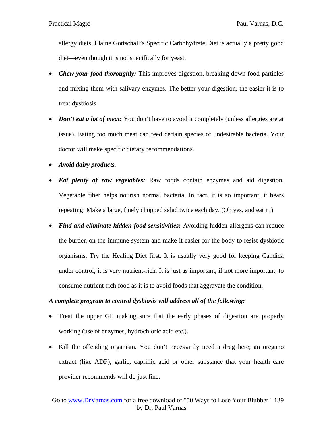allergy diets. Elaine Gottschall's Specific Carbohydrate Diet is actually a pretty good diet—even though it is not specifically for yeast.

- *Chew your food thoroughly:* This improves digestion, breaking down food particles and mixing them with salivary enzymes. The better your digestion, the easier it is to treat dysbiosis.
- *Don't eat a lot of meat:* You don't have to avoid it completely (unless allergies are at issue). Eating too much meat can feed certain species of undesirable bacteria. Your doctor will make specific dietary recommendations.
- *Avoid dairy products.*
- *Eat plenty of raw vegetables:* Raw foods contain enzymes and aid digestion. Vegetable fiber helps nourish normal bacteria. In fact, it is so important, it bears repeating: Make a large, finely chopped salad twice each day. (Oh yes, and eat it!)
- *Find and eliminate hidden food sensitivities:* Avoiding hidden allergens can reduce the burden on the immune system and make it easier for the body to resist dysbiotic organisms. Try the Healing Diet first. It is usually very good for keeping Candida under control; it is very nutrient-rich. It is just as important, if not more important, to consume nutrient-rich food as it is to avoid foods that aggravate the condition.

# *A complete program to control dysbiosis will address all of the following:*

- Treat the upper GI, making sure that the early phases of digestion are properly working (use of enzymes, hydrochloric acid etc.).
- Kill the offending organism. You don't necessarily need a drug here; an oregano extract (like ADP), garlic, caprillic acid or other substance that your health care provider recommends will do just fine.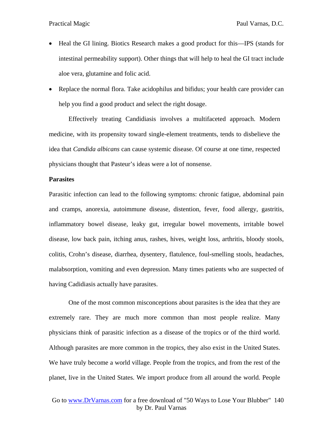- Heal the GI lining. Biotics Research makes a good product for this—IPS (stands for intestinal permeability support). Other things that will help to heal the GI tract include aloe vera, glutamine and folic acid.
- Replace the normal flora. Take acidophilus and bifidus; your health care provider can help you find a good product and select the right dosage.

 Effectively treating Candidiasis involves a multifaceted approach. Modern medicine, with its propensity toward single-element treatments, tends to disbelieve the idea that *Candida albicans* can cause systemic disease. Of course at one time, respected physicians thought that Pasteur's ideas were a lot of nonsense.

### **Parasites**

Parasitic infection can lead to the following symptoms: chronic fatigue, abdominal pain and cramps, anorexia, autoimmune disease, distention, fever, food allergy, gastritis, inflammatory bowel disease, leaky gut, irregular bowel movements, irritable bowel disease, low back pain, itching anus, rashes, hives, weight loss, arthritis, bloody stools, colitis, Crohn's disease, diarrhea, dysentery, flatulence, foul-smelling stools, headaches, malabsorption, vomiting and even depression. Many times patients who are suspected of having Cadidiasis actually have parasites.

 One of the most common misconceptions about parasites is the idea that they are extremely rare. They are much more common than most people realize. Many physicians think of parasitic infection as a disease of the tropics or of the third world. Although parasites are more common in the tropics, they also exist in the United States. We have truly become a world village. People from the tropics, and from the rest of the planet, live in the United States. We import produce from all around the world. People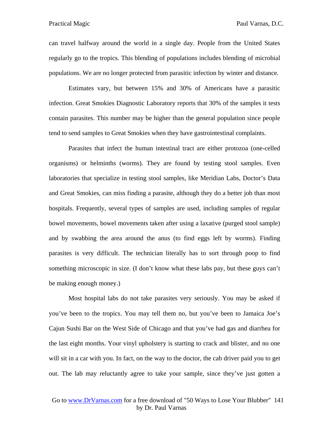can travel halfway around the world in a single day. People from the United States regularly go to the tropics. This blending of populations includes blending of microbial populations. We are no longer protected from parasitic infection by winter and distance.

 Estimates vary, but between 15% and 30% of Americans have a parasitic infection. Great Smokies Diagnostic Laboratory reports that 30% of the samples it tests contain parasites. This number may be higher than the general population since people tend to send samples to Great Smokies when they have gastrointestinal complaints.

 Parasites that infect the human intestinal tract are either protozoa (one-celled organisms) or helminths (worms). They are found by testing stool samples. Even laboratories that specialize in testing stool samples, like Meridian Labs, Doctor's Data and Great Smokies, can miss finding a parasite, although they do a better job than most hospitals. Frequently, several types of samples are used, including samples of regular bowel movements, bowel movements taken after using a laxative (purged stool sample) and by swabbing the area around the anus (to find eggs left by worms). Finding parasites is very difficult. The technician literally has to sort through poop to find something microscopic in size. (I don't know what these labs pay, but these guys can't be making enough money.)

 Most hospital labs do not take parasites very seriously. You may be asked if you've been to the tropics. You may tell them no, but you've been to Jamaica Joe's Cajun Sushi Bar on the West Side of Chicago and that you've had gas and diarrhea for the last eight months. Your vinyl upholstery is starting to crack and blister, and no one will sit in a car with you. In fact, on the way to the doctor, the cab driver paid you to get out. The lab may reluctantly agree to take your sample, since they've just gotten a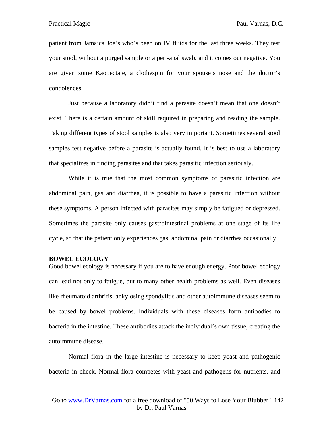patient from Jamaica Joe's who's been on IV fluids for the last three weeks. They test your stool, without a purged sample or a peri-anal swab, and it comes out negative. You are given some Kaopectate, a clothespin for your spouse's nose and the doctor's condolences.

 Just because a laboratory didn't find a parasite doesn't mean that one doesn't exist. There is a certain amount of skill required in preparing and reading the sample. Taking different types of stool samples is also very important. Sometimes several stool samples test negative before a parasite is actually found. It is best to use a laboratory that specializes in finding parasites and that takes parasitic infection seriously.

 While it is true that the most common symptoms of parasitic infection are abdominal pain, gas and diarrhea, it is possible to have a parasitic infection without these symptoms. A person infected with parasites may simply be fatigued or depressed. Sometimes the parasite only causes gastrointestinal problems at one stage of its life cycle, so that the patient only experiences gas, abdominal pain or diarrhea occasionally.

#### **BOWEL ECOLOGY**

Good bowel ecology is necessary if you are to have enough energy. Poor bowel ecology can lead not only to fatigue, but to many other health problems as well. Even diseases like rheumatoid arthritis, ankylosing spondylitis and other autoimmune diseases seem to be caused by bowel problems. Individuals with these diseases form antibodies to bacteria in the intestine. These antibodies attack the individual's own tissue, creating the autoimmune disease.

 Normal flora in the large intestine is necessary to keep yeast and pathogenic bacteria in check. Normal flora competes with yeast and pathogens for nutrients, and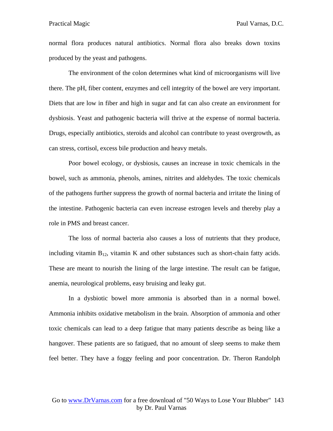normal flora produces natural antibiotics. Normal flora also breaks down toxins produced by the yeast and pathogens.

 The environment of the colon determines what kind of microorganisms will live there. The pH, fiber content, enzymes and cell integrity of the bowel are very important. Diets that are low in fiber and high in sugar and fat can also create an environment for dysbiosis. Yeast and pathogenic bacteria will thrive at the expense of normal bacteria. Drugs, especially antibiotics, steroids and alcohol can contribute to yeast overgrowth, as can stress, cortisol, excess bile production and heavy metals.

 Poor bowel ecology, or dysbiosis, causes an increase in toxic chemicals in the bowel, such as ammonia, phenols, amines, nitrites and aldehydes. The toxic chemicals of the pathogens further suppress the growth of normal bacteria and irritate the lining of the intestine. Pathogenic bacteria can even increase estrogen levels and thereby play a role in PMS and breast cancer.

 The loss of normal bacteria also causes a loss of nutrients that they produce, including vitamin  $B_{12}$ , vitamin K and other substances such as short-chain fatty acids. These are meant to nourish the lining of the large intestine. The result can be fatigue, anemia, neurological problems, easy bruising and leaky gut.

 In a dysbiotic bowel more ammonia is absorbed than in a normal bowel. Ammonia inhibits oxidative metabolism in the brain. Absorption of ammonia and other toxic chemicals can lead to a deep fatigue that many patients describe as being like a hangover. These patients are so fatigued, that no amount of sleep seems to make them feel better. They have a foggy feeling and poor concentration. Dr. Theron Randolph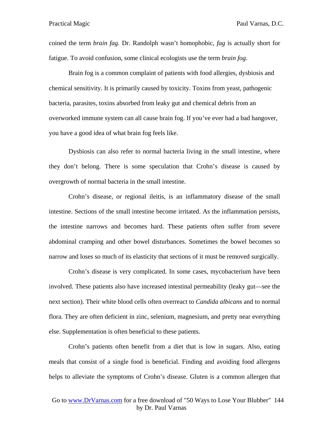coined the term *brain fag.* Dr. Randolph wasn't homophobic, *fag* is actually short for fatigue. To avoid confusion, some clinical ecologists use the term *brain fog*.

Brain fog is a common complaint of patients with food allergies, dysbiosis and chemical sensitivity. It is primarily caused by toxicity. Toxins from yeast, pathogenic bacteria, parasites, toxins absorbed from leaky gut and chemical debris from an overworked immune system can all cause brain fog. If you've ever had a bad hangover, you have a good idea of what brain fog feels like.

 Dysbiosis can also refer to normal bacteria living in the small intestine, where they don't belong. There is some speculation that Crohn's disease is caused by overgrowth of normal bacteria in the small intestine.

 Crohn's disease, or regional ileitis, is an inflammatory disease of the small intestine. Sections of the small intestine become irritated. As the inflammation persists, the intestine narrows and becomes hard. These patients often suffer from severe abdominal cramping and other bowel disturbances. Sometimes the bowel becomes so narrow and loses so much of its elasticity that sections of it must be removed surgically.

 Crohn's disease is very complicated. In some cases, mycobacterium have been involved. These patients also have increased intestinal permeability (leaky gut—see the next section). Their white blood cells often overreact to *Candida albicans* and to normal flora. They are often deficient in zinc, selenium, magnesium, and pretty near everything else. Supplementation is often beneficial to these patients.

 Crohn's patients often benefit from a diet that is low in sugars. Also, eating meals that consist of a single food is beneficial. Finding and avoiding food allergens helps to alleviate the symptoms of Crohn's disease. Gluten is a common allergen that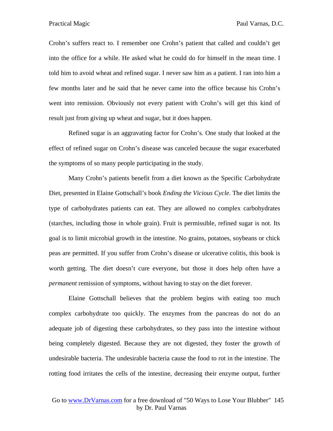Crohn's suffers react to. I remember one Crohn's patient that called and couldn't get into the office for a while. He asked what he could do for himself in the mean time. I told him to avoid wheat and refined sugar. I never saw him as a patient. I ran into him a few months later and he said that he never came into the office because his Crohn's went into remission. Obviously not every patient with Crohn's will get this kind of result just from giving up wheat and sugar, but it does happen.

 Refined sugar is an aggravating factor for Crohn's. One study that looked at the effect of refined sugar on Crohn's disease was canceled because the sugar exacerbated the symptoms of so many people participating in the study.

 Many Crohn's patients benefit from a diet known as the Specific Carbohydrate Diet, presented in Elaine Gottschall's book *Ending the Vicious Cycle*. The diet limits the type of carbohydrates patients can eat. They are allowed no complex carbohydrates (starches, including those in whole grain). Fruit is permissible, refined sugar is not. Its goal is to limit microbial growth in the intestine. No grains, potatoes, soybeans or chick peas are permitted. If you suffer from Crohn's disease or ulcerative colitis, this book is worth getting. The diet doesn't cure everyone, but those it does help often have a *permanent* remission of symptoms, without having to stay on the diet forever.

 Elaine Gottschall believes that the problem begins with eating too much complex carbohydrate too quickly. The enzymes from the pancreas do not do an adequate job of digesting these carbohydrates, so they pass into the intestine without being completely digested. Because they are not digested, they foster the growth of undesirable bacteria. The undesirable bacteria cause the food to rot in the intestine. The rotting food irritates the cells of the intestine, decreasing their enzyme output, further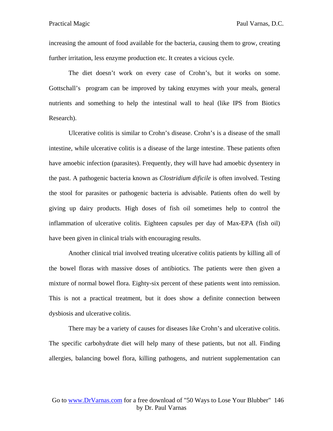increasing the amount of food available for the bacteria, causing them to grow, creating further irritation, less enzyme production etc. It creates a vicious cycle.

 The diet doesn't work on every case of Crohn's, but it works on some. Gottschall's program can be improved by taking enzymes with your meals, general nutrients and something to help the intestinal wall to heal (like IPS from Biotics Research).

 Ulcerative colitis is similar to Crohn's disease. Crohn's is a disease of the small intestine, while ulcerative colitis is a disease of the large intestine. These patients often have amoebic infection (parasites). Frequently, they will have had amoebic dysentery in the past. A pathogenic bacteria known as *Clostridium dificile* is often involved. Testing the stool for parasites or pathogenic bacteria is advisable. Patients often do well by giving up dairy products. High doses of fish oil sometimes help to control the inflammation of ulcerative colitis. Eighteen capsules per day of Max-EPA (fish oil) have been given in clinical trials with encouraging results.

 Another clinical trial involved treating ulcerative colitis patients by killing all of the bowel floras with massive doses of antibiotics. The patients were then given a mixture of normal bowel flora. Eighty-six percent of these patients went into remission. This is not a practical treatment, but it does show a definite connection between dysbiosis and ulcerative colitis.

 There may be a variety of causes for diseases like Crohn's and ulcerative colitis. The specific carbohydrate diet will help many of these patients, but not all. Finding allergies, balancing bowel flora, killing pathogens, and nutrient supplementation can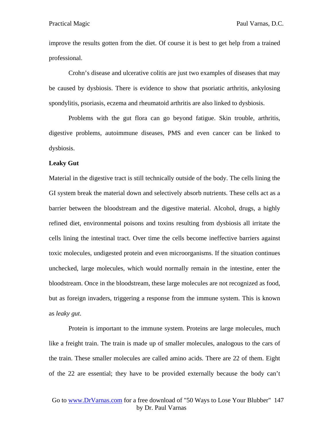improve the results gotten from the diet. Of course it is best to get help from a trained professional.

 Crohn's disease and ulcerative colitis are just two examples of diseases that may be caused by dysbiosis. There is evidence to show that psoriatic arthritis, ankylosing spondylitis, psoriasis, eczema and rheumatoid arthritis are also linked to dysbiosis.

 Problems with the gut flora can go beyond fatigue. Skin trouble, arthritis, digestive problems, autoimmune diseases, PMS and even cancer can be linked to dysbiosis.

#### **Leaky Gut**

Material in the digestive tract is still technically outside of the body. The cells lining the GI system break the material down and selectively absorb nutrients. These cells act as a barrier between the bloodstream and the digestive material. Alcohol, drugs, a highly refined diet, environmental poisons and toxins resulting from dysbiosis all irritate the cells lining the intestinal tract. Over time the cells become ineffective barriers against toxic molecules, undigested protein and even microorganisms. If the situation continues unchecked, large molecules, which would normally remain in the intestine, enter the bloodstream. Once in the bloodstream, these large molecules are not recognized as food, but as foreign invaders, triggering a response from the immune system. This is known as *leaky gut*.

 Protein is important to the immune system. Proteins are large molecules, much like a freight train. The train is made up of smaller molecules, analogous to the cars of the train. These smaller molecules are called amino acids. There are 22 of them. Eight of the 22 are essential; they have to be provided externally because the body can't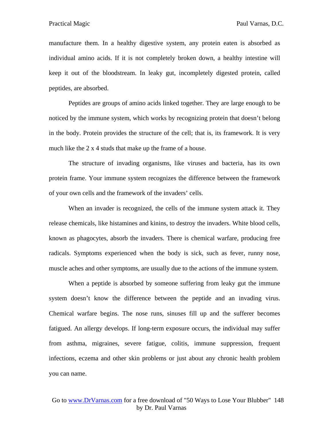manufacture them. In a healthy digestive system, any protein eaten is absorbed as individual amino acids. If it is not completely broken down, a healthy intestine will keep it out of the bloodstream. In leaky gut, incompletely digested protein, called peptides, are absorbed.

 Peptides are groups of amino acids linked together. They are large enough to be noticed by the immune system, which works by recognizing protein that doesn't belong in the body. Protein provides the structure of the cell; that is, its framework. It is very much like the 2 x 4 studs that make up the frame of a house.

 The structure of invading organisms, like viruses and bacteria, has its own protein frame. Your immune system recognizes the difference between the framework of your own cells and the framework of the invaders' cells.

 When an invader is recognized, the cells of the immune system attack it. They release chemicals, like histamines and kinins, to destroy the invaders. White blood cells, known as phagocytes, absorb the invaders. There is chemical warfare, producing free radicals. Symptoms experienced when the body is sick, such as fever, runny nose, muscle aches and other symptoms, are usually due to the actions of the immune system.

 When a peptide is absorbed by someone suffering from leaky gut the immune system doesn't know the difference between the peptide and an invading virus. Chemical warfare begins. The nose runs, sinuses fill up and the sufferer becomes fatigued. An allergy develops. If long-term exposure occurs, the individual may suffer from asthma, migraines, severe fatigue, colitis, immune suppression, frequent infections, eczema and other skin problems or just about any chronic health problem you can name.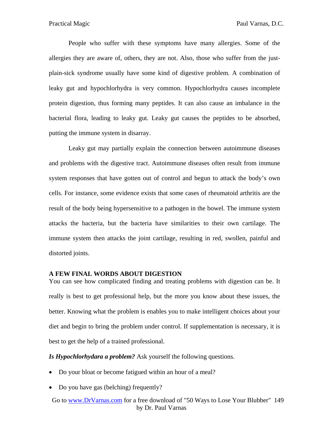People who suffer with these symptoms have many allergies. Some of the allergies they are aware of, others, they are not. Also, those who suffer from the justplain-sick syndrome usually have some kind of digestive problem. A combination of leaky gut and hypochlorhydra is very common. Hypochlorhydra causes incomplete protein digestion, thus forming many peptides. It can also cause an imbalance in the bacterial flora, leading to leaky gut. Leaky gut causes the peptides to be absorbed, putting the immune system in disarray.

 Leaky gut may partially explain the connection between autoimmune diseases and problems with the digestive tract. Autoimmune diseases often result from immune system responses that have gotten out of control and begun to attack the body's own cells. For instance, some evidence exists that some cases of rheumatoid arthritis are the result of the body being hypersensitive to a pathogen in the bowel. The immune system attacks the bacteria, but the bacteria have similarities to their own cartilage. The immune system then attacks the joint cartilage, resulting in red, swollen, painful and distorted joints.

## **A FEW FINAL WORDS ABOUT DIGESTION**

You can see how complicated finding and treating problems with digestion can be. It really is best to get professional help, but the more you know about these issues, the better. Knowing what the problem is enables you to make intelligent choices about your diet and begin to bring the problem under control. If supplementation is necessary, it is best to get the help of a trained professional.

*Is Hypochlorhydara a problem?* Ask yourself the following questions.

- Do your bloat or become fatigued within an hour of a meal?
- Do you have gas (belching) frequently?

Go to www.DrVarnas.com</u> for a free download of "50 Ways to Lose Your Blubber" 149 by Dr. Paul Varnas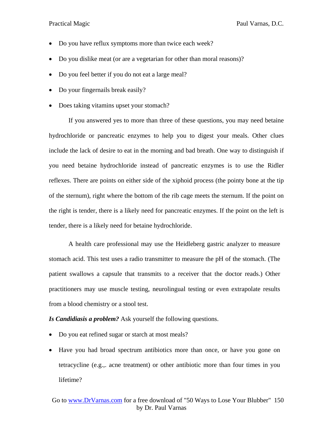- Do you have reflux symptoms more than twice each week?
- Do you dislike meat (or are a vegetarian for other than moral reasons)?
- Do you feel better if you do not eat a large meal?
- Do your fingernails break easily?
- Does taking vitamins upset your stomach?

If you answered yes to more than three of these questions, you may need betaine hydrochloride or pancreatic enzymes to help you to digest your meals. Other clues include the lack of desire to eat in the morning and bad breath. One way to distinguish if you need betaine hydrochloride instead of pancreatic enzymes is to use the Ridler reflexes. There are points on either side of the xiphoid process (the pointy bone at the tip of the sternum), right where the bottom of the rib cage meets the sternum. If the point on the right is tender, there is a likely need for pancreatic enzymes. If the point on the left is tender, there is a likely need for betaine hydrochloride.

A health care professional may use the Heidleberg gastric analyzer to measure stomach acid. This test uses a radio transmitter to measure the pH of the stomach. (The patient swallows a capsule that transmits to a receiver that the doctor reads.) Other practitioners may use muscle testing, neurolingual testing or even extrapolate results from a blood chemistry or a stool test.

#### *Is Candidiasis a problem?* Ask yourself the following questions.

- Do you eat refined sugar or starch at most meals?
- Have you had broad spectrum antibiotics more than once, or have you gone on tetracycline (e.g.,. acne treatment) or other antibiotic more than four times in you lifetime?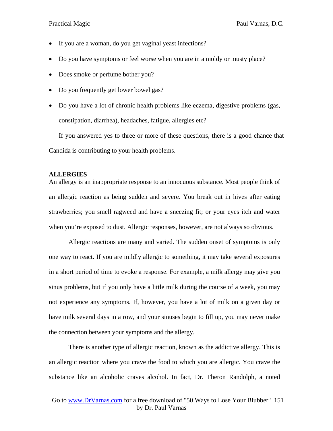- If you are a woman, do you get vaginal yeast infections?
- Do you have symptoms or feel worse when you are in a moldy or musty place?
- Does smoke or perfume bother you?
- Do you frequently get lower bowel gas?
- Do you have a lot of chronic health problems like eczema, digestive problems (gas, constipation, diarrhea), headaches, fatigue, allergies etc?

If you answered yes to three or more of these questions, there is a good chance that Candida is contributing to your health problems.

## **ALLERGIES**

An allergy is an inappropriate response to an innocuous substance. Most people think of an allergic reaction as being sudden and severe. You break out in hives after eating strawberries; you smell ragweed and have a sneezing fit; or your eyes itch and water when you're exposed to dust. Allergic responses, however, are not always so obvious.

 Allergic reactions are many and varied. The sudden onset of symptoms is only one way to react. If you are mildly allergic to something, it may take several exposures in a short period of time to evoke a response. For example, a milk allergy may give you sinus problems, but if you only have a little milk during the course of a week, you may not experience any symptoms. If, however, you have a lot of milk on a given day or have milk several days in a row, and your sinuses begin to fill up, you may never make the connection between your symptoms and the allergy.

 There is another type of allergic reaction, known as the addictive allergy. This is an allergic reaction where you crave the food to which you are allergic. You crave the substance like an alcoholic craves alcohol. In fact, Dr. Theron Randolph, a noted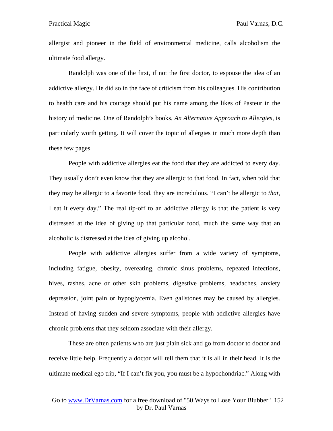allergist and pioneer in the field of environmental medicine, calls alcoholism the ultimate food allergy.

 Randolph was one of the first, if not the first doctor, to espouse the idea of an addictive allergy. He did so in the face of criticism from his colleagues. His contribution to health care and his courage should put his name among the likes of Pasteur in the history of medicine. One of Randolph's books, *An Alternative Approach to Allergies*, is particularly worth getting. It will cover the topic of allergies in much more depth than these few pages.

 People with addictive allergies eat the food that they are addicted to every day. They usually don't even know that they are allergic to that food. In fact, when told that they may be allergic to a favorite food, they are incredulous. "I can't be allergic to *that*, I eat it every day." The real tip-off to an addictive allergy is that the patient is very distressed at the idea of giving up that particular food, much the same way that an alcoholic is distressed at the idea of giving up alcohol.

 People with addictive allergies suffer from a wide variety of symptoms, including fatigue, obesity, overeating, chronic sinus problems, repeated infections, hives, rashes, acne or other skin problems, digestive problems, headaches, anxiety depression, joint pain or hypoglycemia. Even gallstones may be caused by allergies. Instead of having sudden and severe symptoms, people with addictive allergies have chronic problems that they seldom associate with their allergy.

 These are often patients who are just plain sick and go from doctor to doctor and receive little help. Frequently a doctor will tell them that it is all in their head. It is the ultimate medical ego trip, "If I can't fix you, you must be a hypochondriac." Along with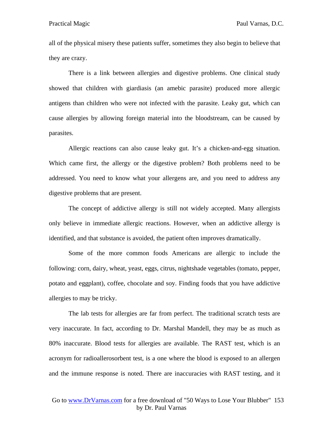all of the physical misery these patients suffer, sometimes they also begin to believe that they are crazy.

 There is a link between allergies and digestive problems. One clinical study showed that children with giardiasis (an amebic parasite) produced more allergic antigens than children who were not infected with the parasite. Leaky gut, which can cause allergies by allowing foreign material into the bloodstream, can be caused by parasites.

 Allergic reactions can also cause leaky gut. It's a chicken-and-egg situation. Which came first, the allergy or the digestive problem? Both problems need to be addressed. You need to know what your allergens are, and you need to address any digestive problems that are present.

 The concept of addictive allergy is still not widely accepted. Many allergists only believe in immediate allergic reactions. However, when an addictive allergy is identified, and that substance is avoided, the patient often improves dramatically.

 Some of the more common foods Americans are allergic to include the following: corn, dairy, wheat, yeast, eggs, citrus, nightshade vegetables (tomato, pepper, potato and eggplant), coffee, chocolate and soy. Finding foods that you have addictive allergies to may be tricky.

 The lab tests for allergies are far from perfect. The traditional scratch tests are very inaccurate. In fact, according to Dr. Marshal Mandell, they may be as much as 80% inaccurate. Blood tests for allergies are available. The RAST test, which is an acronym for radioallerosorbent test, is a one where the blood is exposed to an allergen and the immune response is noted. There are inaccuracies with RAST testing, and it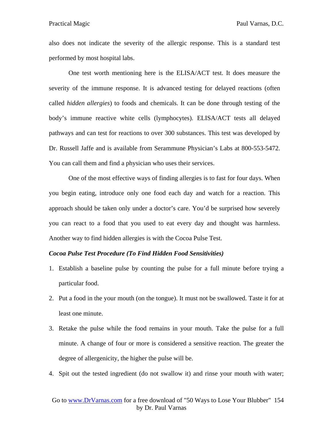also does not indicate the severity of the allergic response. This is a standard test performed by most hospital labs.

 One test worth mentioning here is the ELISA/ACT test. It does measure the severity of the immune response. It is advanced testing for delayed reactions (often called *hidden allergies*) to foods and chemicals. It can be done through testing of the body's immune reactive white cells (lymphocytes). ELISA/ACT tests all delayed pathways and can test for reactions to over 300 substances. This test was developed by Dr. Russell Jaffe and is available from Serammune Physician's Labs at 800-553-5472. You can call them and find a physician who uses their services.

 One of the most effective ways of finding allergies is to fast for four days. When you begin eating, introduce only one food each day and watch for a reaction. This approach should be taken only under a doctor's care. You'd be surprised how severely you can react to a food that you used to eat every day and thought was harmless. Another way to find hidden allergies is with the Cocoa Pulse Test.

## *Cocoa Pulse Test Procedure (To Find Hidden Food Sensitivities)*

- 1. Establish a baseline pulse by counting the pulse for a full minute before trying a particular food.
- 2. Put a food in the your mouth (on the tongue). It must not be swallowed. Taste it for at least one minute.
- 3. Retake the pulse while the food remains in your mouth. Take the pulse for a full minute. A change of four or more is considered a sensitive reaction. The greater the degree of allergenicity, the higher the pulse will be.
- 4. Spit out the tested ingredient (do not swallow it) and rinse your mouth with water;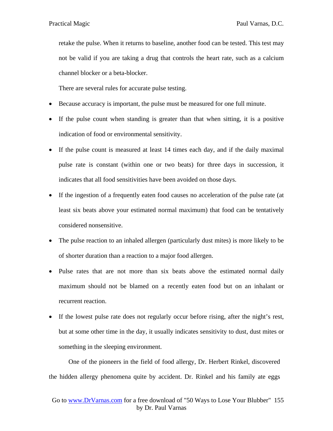retake the pulse. When it returns to baseline, another food can be tested. This test may not be valid if you are taking a drug that controls the heart rate, such as a calcium channel blocker or a beta-blocker.

There are several rules for accurate pulse testing.

- Because accuracy is important, the pulse must be measured for one full minute.
- If the pulse count when standing is greater than that when sitting, it is a positive indication of food or environmental sensitivity.
- If the pulse count is measured at least 14 times each day, and if the daily maximal pulse rate is constant (within one or two beats) for three days in succession, it indicates that all food sensitivities have been avoided on those days.
- If the ingestion of a frequently eaten food causes no acceleration of the pulse rate (at least six beats above your estimated normal maximum) that food can be tentatively considered nonsensitive.
- The pulse reaction to an inhaled allergen (particularly dust mites) is more likely to be of shorter duration than a reaction to a major food allergen.
- Pulse rates that are not more than six beats above the estimated normal daily maximum should not be blamed on a recently eaten food but on an inhalant or recurrent reaction.
- If the lowest pulse rate does not regularly occur before rising, after the night's rest, but at some other time in the day, it usually indicates sensitivity to dust, dust mites or something in the sleeping environment.

 One of the pioneers in the field of food allergy, Dr. Herbert Rinkel, discovered the hidden allergy phenomena quite by accident. Dr. Rinkel and his family ate eggs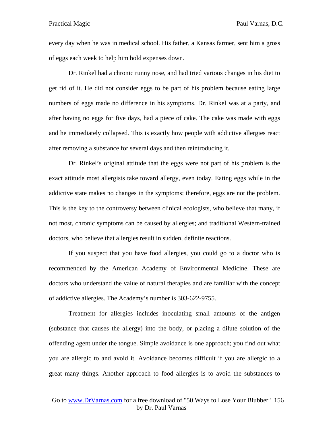every day when he was in medical school. His father, a Kansas farmer, sent him a gross of eggs each week to help him hold expenses down.

 Dr. Rinkel had a chronic runny nose, and had tried various changes in his diet to get rid of it. He did not consider eggs to be part of his problem because eating large numbers of eggs made no difference in his symptoms. Dr. Rinkel was at a party, and after having no eggs for five days, had a piece of cake. The cake was made with eggs and he immediately collapsed. This is exactly how people with addictive allergies react after removing a substance for several days and then reintroducing it.

 Dr. Rinkel's original attitude that the eggs were not part of his problem is the exact attitude most allergists take toward allergy, even today. Eating eggs while in the addictive state makes no changes in the symptoms; therefore, eggs are not the problem. This is the key to the controversy between clinical ecologists, who believe that many, if not most, chronic symptoms can be caused by allergies; and traditional Western-trained doctors, who believe that allergies result in sudden, definite reactions.

 If you suspect that you have food allergies, you could go to a doctor who is recommended by the American Academy of Environmental Medicine. These are doctors who understand the value of natural therapies and are familiar with the concept of addictive allergies. The Academy's number is 303-622-9755.

 Treatment for allergies includes inoculating small amounts of the antigen (substance that causes the allergy) into the body, or placing a dilute solution of the offending agent under the tongue. Simple avoidance is one approach; you find out what you are allergic to and avoid it. Avoidance becomes difficult if you are allergic to a great many things. Another approach to food allergies is to avoid the substances to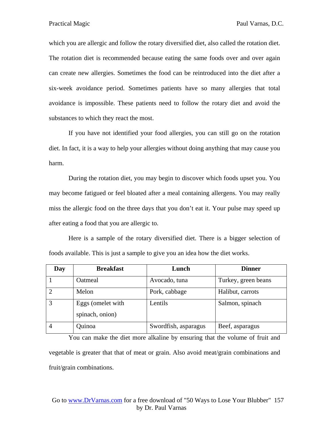which you are allergic and follow the rotary diversified diet, also called the rotation diet. The rotation diet is recommended because eating the same foods over and over again can create new allergies. Sometimes the food can be reintroduced into the diet after a six-week avoidance period. Sometimes patients have so many allergies that total avoidance is impossible. These patients need to follow the rotary diet and avoid the substances to which they react the most.

 If you have not identified your food allergies, you can still go on the rotation diet. In fact, it is a way to help your allergies without doing anything that may cause you harm.

 During the rotation diet, you may begin to discover which foods upset you. You may become fatigued or feel bloated after a meal containing allergens. You may really miss the allergic food on the three days that you don't eat it. Your pulse may speed up after eating a food that you are allergic to.

 Here is a sample of the rotary diversified diet. There is a bigger selection of foods available. This is just a sample to give you an idea how the diet works.

| Day           | <b>Breakfast</b>                     | Lunch                | <b>Dinner</b>       |  |  |  |  |  |  |  |
|---------------|--------------------------------------|----------------------|---------------------|--|--|--|--|--|--|--|
|               | <b>O</b> atmeal                      | Avocado, tuna        | Turkey, green beans |  |  |  |  |  |  |  |
| $\mathcal{D}$ | Melon                                | Pork, cabbage        | Halibut, carrots    |  |  |  |  |  |  |  |
| 3             | Eggs (omelet with<br>spinach, onion) | Lentils              | Salmon, spinach     |  |  |  |  |  |  |  |
| 4             | Ouinoa                               | Swordfish, asparagus | Beef, asparagus     |  |  |  |  |  |  |  |

 You can make the diet more alkaline by ensuring that the volume of fruit and vegetable is greater that that of meat or grain. Also avoid meat/grain combinations and fruit/grain combinations.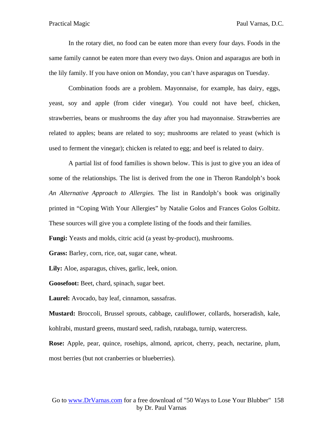In the rotary diet, no food can be eaten more than every four days. Foods in the same family cannot be eaten more than every two days. Onion and asparagus are both in the lily family. If you have onion on Monday, you can't have asparagus on Tuesday.

 Combination foods are a problem. Mayonnaise, for example, has dairy, eggs, yeast, soy and apple (from cider vinegar). You could not have beef, chicken, strawberries, beans or mushrooms the day after you had mayonnaise. Strawberries are related to apples; beans are related to soy; mushrooms are related to yeast (which is used to ferment the vinegar); chicken is related to egg; and beef is related to dairy.

 A partial list of food families is shown below. This is just to give you an idea of some of the relationships. The list is derived from the one in Theron Randolph's book *An Alternative Approach to Allergies.* The list in Randolph's book was originally printed in "Coping With Your Allergies" by Natalie Golos and Frances Golos Golbitz. These sources will give you a complete listing of the foods and their families.

**Fungi:** Yeasts and molds, citric acid (a yeast by-product), mushrooms.

**Grass:** Barley, corn, rice, oat, sugar cane, wheat.

**Lily:** Aloe, asparagus, chives, garlic, leek, onion.

**Goosefoot:** Beet, chard, spinach, sugar beet.

**Laurel:** Avocado, bay leaf, cinnamon, sassafras.

**Mustard:** Broccoli, Brussel sprouts, cabbage, cauliflower, collards, horseradish, kale, kohlrabi, mustard greens, mustard seed, radish, rutabaga, turnip, watercress.

**Rose:** Apple, pear, quince, rosehips, almond, apricot, cherry, peach, nectarine, plum, most berries (but not cranberries or blueberries).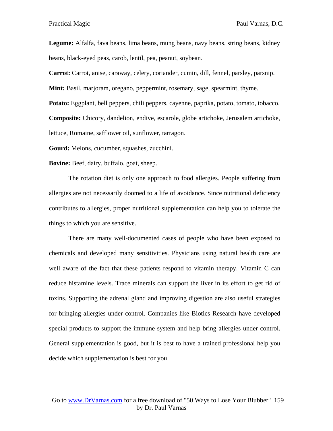**Legume:** Alfalfa, fava beans, lima beans, mung beans, navy beans, string beans, kidney beans, black-eyed peas, carob, lentil, pea, peanut, soybean.

**Carrot:** Carrot, anise, caraway, celery, coriander, cumin, dill, fennel, parsley, parsnip.

**Mint:** Basil, marjoram, oregano, peppermint, rosemary, sage, spearmint, thyme.

**Potato:** Eggplant, bell peppers, chili peppers, cayenne, paprika, potato, tomato, tobacco.

**Composite:** Chicory, dandelion, endive, escarole, globe artichoke, Jerusalem artichoke, lettuce, Romaine, safflower oil, sunflower, tarragon.

**Gourd:** Melons, cucumber, squashes, zucchini.

**Bovine:** Beef, dairy, buffalo, goat, sheep.

 The rotation diet is only one approach to food allergies. People suffering from allergies are not necessarily doomed to a life of avoidance. Since nutritional deficiency contributes to allergies, proper nutritional supplementation can help you to tolerate the things to which you are sensitive.

There are many well-documented cases of people who have been exposed to chemicals and developed many sensitivities. Physicians using natural health care are well aware of the fact that these patients respond to vitamin therapy. Vitamin C can reduce histamine levels. Trace minerals can support the liver in its effort to get rid of toxins. Supporting the adrenal gland and improving digestion are also useful strategies for bringing allergies under control. Companies like Biotics Research have developed special products to support the immune system and help bring allergies under control. General supplementation is good, but it is best to have a trained professional help you decide which supplementation is best for you.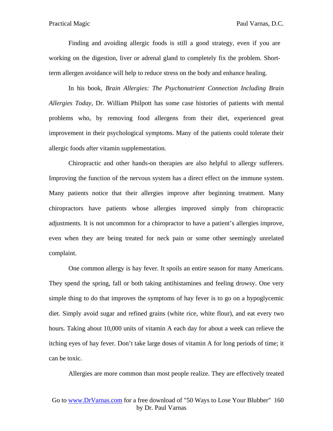Finding and avoiding allergic foods is still a good strategy, even if you are working on the digestion, liver or adrenal gland to completely fix the problem. Shortterm allergen avoidance will help to reduce stress on the body and enhance healing.

 In his book, *Brain Allergies: The Psychonutrient Connection Including Brain Allergies Today,* Dr. William Philpott has some case histories of patients with mental problems who, by removing food allergens from their diet, experienced great improvement in their psychological symptoms. Many of the patients could tolerate their allergic foods after vitamin supplementation.

 Chiropractic and other hands-on therapies are also helpful to allergy sufferers. Improving the function of the nervous system has a direct effect on the immune system. Many patients notice that their allergies improve after beginning treatment. Many chiropractors have patients whose allergies improved simply from chiropractic adjustments. It is not uncommon for a chiropractor to have a patient's allergies improve, even when they are being treated for neck pain or some other seemingly unrelated complaint.

 One common allergy is hay fever. It spoils an entire season for many Americans. They spend the spring, fall or both taking antihistamines and feeling drowsy. One very simple thing to do that improves the symptoms of hay fever is to go on a hypoglycemic diet. Simply avoid sugar and refined grains (white rice, white flour), and eat every two hours. Taking about 10,000 units of vitamin A each day for about a week can relieve the itching eyes of hay fever. Don't take large doses of vitamin A for long periods of time; it can be toxic.

Allergies are more common than most people realize. They are effectively treated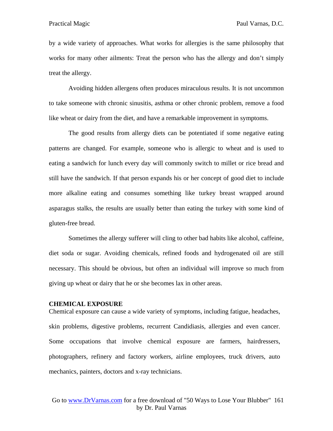by a wide variety of approaches. What works for allergies is the same philosophy that works for many other ailments: Treat the person who has the allergy and don't simply treat the allergy.

 Avoiding hidden allergens often produces miraculous results. It is not uncommon to take someone with chronic sinusitis, asthma or other chronic problem, remove a food like wheat or dairy from the diet, and have a remarkable improvement in symptoms.

 The good results from allergy diets can be potentiated if some negative eating patterns are changed. For example, someone who is allergic to wheat and is used to eating a sandwich for lunch every day will commonly switch to millet or rice bread and still have the sandwich. If that person expands his or her concept of good diet to include more alkaline eating and consumes something like turkey breast wrapped around asparagus stalks, the results are usually better than eating the turkey with some kind of gluten-free bread.

 Sometimes the allergy sufferer will cling to other bad habits like alcohol, caffeine, diet soda or sugar. Avoiding chemicals, refined foods and hydrogenated oil are still necessary. This should be obvious, but often an individual will improve so much from giving up wheat or dairy that he or she becomes lax in other areas.

#### **CHEMICAL EXPOSURE**

Chemical exposure can cause a wide variety of symptoms, including fatigue, headaches, skin problems, digestive problems, recurrent Candidiasis, allergies and even cancer. Some occupations that involve chemical exposure are farmers, hairdressers, photographers, refinery and factory workers, airline employees, truck drivers, auto mechanics, painters, doctors and x-ray technicians.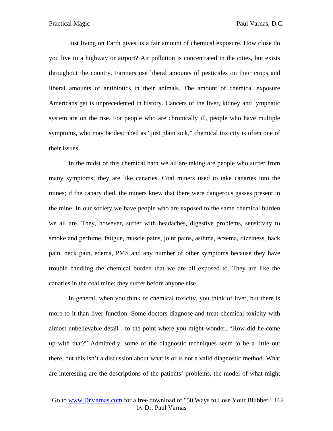Just living on Earth gives us a fair amount of chemical exposure. How close do you live to a highway or airport? Air pollution is concentrated in the cities, but exists throughout the country. Farmers use liberal amounts of pesticides on their crops and liberal amounts of antibiotics in their animals. The amount of chemical exposure Americans get is unprecedented in history. Cancers of the liver, kidney and lymphatic system are on the rise. For people who are chronically ill, people who have multiple symptoms, who may be described as "just plain sick," chemical toxicity is often one of their issues.

 In the midst of this chemical bath we all are taking are people who suffer from many symptoms; they are like canaries. Coal miners used to take canaries into the mines; if the canary died, the miners knew that there were dangerous gasses present in the mine. In our society we have people who are exposed to the same chemical burden we all are. They, however, suffer with headaches, digestive problems, sensitivity to smoke and perfume, fatigue, muscle pains, joint pains, asthma, eczema, dizziness, back pain, neck pain, edema, PMS and any number of other symptoms because they have trouble handling the chemical burden that we are all exposed to. They are like the canaries in the coal mine; they suffer before anyone else.

 In general, when you think of chemical toxicity, you think of liver, but there is more to it than liver function. Some doctors diagnose and treat chemical toxicity with almost unbelievable detail—to the point where you might wonder, "How did he come up with that?" Admittedly, some of the diagnostic techniques seem to be a little out there, but this isn't a discussion about what is or is not a valid diagnostic method. What are interesting are the descriptions of the patients' problems, the model of what might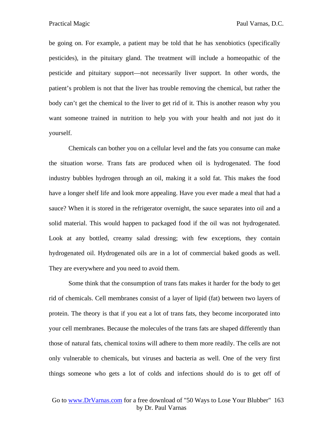be going on. For example, a patient may be told that he has xenobiotics (specifically pesticides), in the pituitary gland. The treatment will include a homeopathic of the pesticide and pituitary support—not necessarily liver support. In other words, the patient's problem is not that the liver has trouble removing the chemical, but rather the body can't get the chemical to the liver to get rid of it. This is another reason why you want someone trained in nutrition to help you with your health and not just do it yourself.

 Chemicals can bother you on a cellular level and the fats you consume can make the situation worse. Trans fats are produced when oil is hydrogenated. The food industry bubbles hydrogen through an oil, making it a sold fat. This makes the food have a longer shelf life and look more appealing. Have you ever made a meal that had a sauce? When it is stored in the refrigerator overnight, the sauce separates into oil and a solid material. This would happen to packaged food if the oil was not hydrogenated. Look at any bottled, creamy salad dressing; with few exceptions, they contain hydrogenated oil. Hydrogenated oils are in a lot of commercial baked goods as well. They are everywhere and you need to avoid them.

 Some think that the consumption of trans fats makes it harder for the body to get rid of chemicals. Cell membranes consist of a layer of lipid (fat) between two layers of protein. The theory is that if you eat a lot of trans fats, they become incorporated into your cell membranes. Because the molecules of the trans fats are shaped differently than those of natural fats, chemical toxins will adhere to them more readily. The cells are not only vulnerable to chemicals, but viruses and bacteria as well. One of the very first things someone who gets a lot of colds and infections should do is to get off of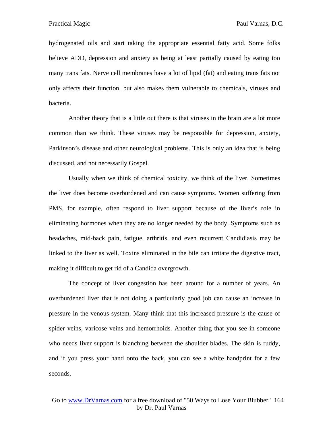hydrogenated oils and start taking the appropriate essential fatty acid. Some folks believe ADD, depression and anxiety as being at least partially caused by eating too many trans fats. Nerve cell membranes have a lot of lipid (fat) and eating trans fats not only affects their function, but also makes them vulnerable to chemicals, viruses and bacteria.

Another theory that is a little out there is that viruses in the brain are a lot more common than we think. These viruses may be responsible for depression, anxiety, Parkinson's disease and other neurological problems. This is only an idea that is being discussed, and not necessarily Gospel.

Usually when we think of chemical toxicity, we think of the liver. Sometimes the liver does become overburdened and can cause symptoms. Women suffering from PMS, for example, often respond to liver support because of the liver's role in eliminating hormones when they are no longer needed by the body. Symptoms such as headaches, mid-back pain, fatigue, arthritis, and even recurrent Candidiasis may be linked to the liver as well. Toxins eliminated in the bile can irritate the digestive tract, making it difficult to get rid of a Candida overgrowth.

The concept of liver congestion has been around for a number of years. An overburdened liver that is not doing a particularly good job can cause an increase in pressure in the venous system. Many think that this increased pressure is the cause of spider veins, varicose veins and hemorrhoids. Another thing that you see in someone who needs liver support is blanching between the shoulder blades. The skin is ruddy, and if you press your hand onto the back, you can see a white handprint for a few seconds.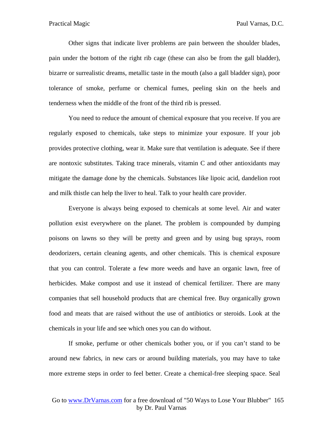Other signs that indicate liver problems are pain between the shoulder blades, pain under the bottom of the right rib cage (these can also be from the gall bladder), bizarre or surrealistic dreams, metallic taste in the mouth (also a gall bladder sign), poor tolerance of smoke, perfume or chemical fumes, peeling skin on the heels and tenderness when the middle of the front of the third rib is pressed.

 You need to reduce the amount of chemical exposure that you receive. If you are regularly exposed to chemicals, take steps to minimize your exposure. If your job provides protective clothing, wear it. Make sure that ventilation is adequate. See if there are nontoxic substitutes. Taking trace minerals, vitamin C and other antioxidants may mitigate the damage done by the chemicals. Substances like lipoic acid, dandelion root and milk thistle can help the liver to heal. Talk to your health care provider.

 Everyone is always being exposed to chemicals at some level. Air and water pollution exist everywhere on the planet. The problem is compounded by dumping poisons on lawns so they will be pretty and green and by using bug sprays, room deodorizers, certain cleaning agents, and other chemicals. This is chemical exposure that you can control. Tolerate a few more weeds and have an organic lawn, free of herbicides. Make compost and use it instead of chemical fertilizer. There are many companies that sell household products that are chemical free. Buy organically grown food and meats that are raised without the use of antibiotics or steroids. Look at the chemicals in your life and see which ones you can do without.

 If smoke, perfume or other chemicals bother you, or if you can't stand to be around new fabrics, in new cars or around building materials, you may have to take more extreme steps in order to feel better. Create a chemical-free sleeping space. Seal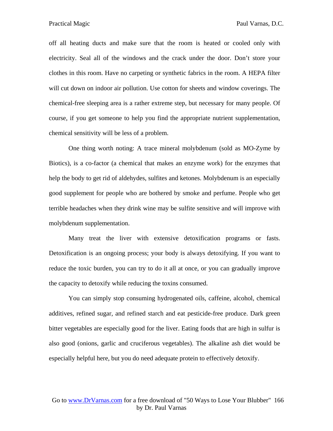off all heating ducts and make sure that the room is heated or cooled only with electricity. Seal all of the windows and the crack under the door. Don't store your clothes in this room. Have no carpeting or synthetic fabrics in the room. A HEPA filter will cut down on indoor air pollution. Use cotton for sheets and window coverings. The chemical-free sleeping area is a rather extreme step, but necessary for many people. Of course, if you get someone to help you find the appropriate nutrient supplementation, chemical sensitivity will be less of a problem.

One thing worth noting: A trace mineral molybdenum (sold as MO-Zyme by Biotics), is a co-factor (a chemical that makes an enzyme work) for the enzymes that help the body to get rid of aldehydes, sulfites and ketones. Molybdenum is an especially good supplement for people who are bothered by smoke and perfume. People who get terrible headaches when they drink wine may be sulfite sensitive and will improve with molybdenum supplementation.

Many treat the liver with extensive detoxification programs or fasts. Detoxification is an ongoing process; your body is always detoxifying. If you want to reduce the toxic burden, you can try to do it all at once, or you can gradually improve the capacity to detoxify while reducing the toxins consumed.

You can simply stop consuming hydrogenated oils, caffeine, alcohol, chemical additives, refined sugar, and refined starch and eat pesticide-free produce. Dark green bitter vegetables are especially good for the liver. Eating foods that are high in sulfur is also good (onions, garlic and cruciferous vegetables). The alkaline ash diet would be especially helpful here, but you do need adequate protein to effectively detoxify.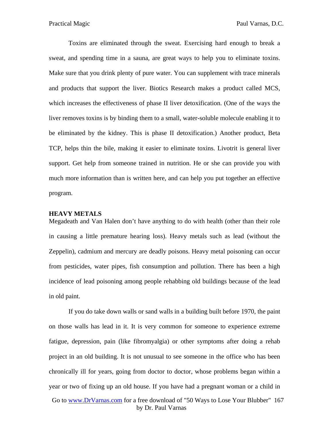Toxins are eliminated through the sweat. Exercising hard enough to break a sweat, and spending time in a sauna, are great ways to help you to eliminate toxins. Make sure that you drink plenty of pure water. You can supplement with trace minerals and products that support the liver. Biotics Research makes a product called MCS, which increases the effectiveness of phase II liver detoxification. (One of the ways the liver removes toxins is by binding them to a small, water-soluble molecule enabling it to be eliminated by the kidney. This is phase II detoxification.) Another product, Beta TCP, helps thin the bile, making it easier to eliminate toxins. Livotrit is general liver support. Get help from someone trained in nutrition. He or she can provide you with much more information than is written here, and can help you put together an effective program.

## **HEAVY METALS**

Megadeath and Van Halen don't have anything to do with health (other than their role in causing a little premature hearing loss). Heavy metals such as lead (without the Zeppelin), cadmium and mercury are deadly poisons. Heavy metal poisoning can occur from pesticides, water pipes, fish consumption and pollution. There has been a high incidence of lead poisoning among people rehabbing old buildings because of the lead in old paint.

 If you do take down walls or sand walls in a building built before 1970, the paint on those walls has lead in it. It is very common for someone to experience extreme fatigue, depression, pain (like fibromyalgia) or other symptoms after doing a rehab project in an old building. It is not unusual to see someone in the office who has been chronically ill for years, going from doctor to doctor, whose problems began within a year or two of fixing up an old house. If you have had a pregnant woman or a child in

Go to **www.DrVarnas.com** for a free download of "50 Ways to Lose Your Blubber" 167 by Dr. Paul Varnas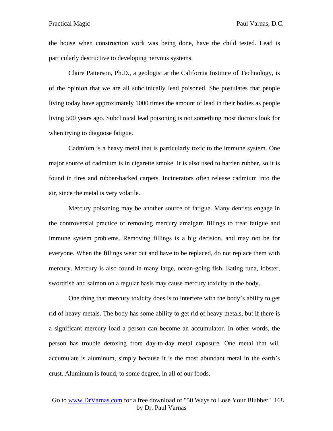the house when construction work was being done, have the child tested. Lead is particularly destructive to developing nervous systems.

 Claire Patterson, Ph.D., a geologist at the California Institute of Technology, is of the opinion that we are all subclinically lead poisoned. She postulates that people living today have approximately 1000 times the amount of lead in their bodies as people living 500 years ago. Subclinical lead poisoning is not something most doctors look for when trying to diagnose fatigue.

 Cadmium is a heavy metal that is particularly toxic to the immune system. One major source of cadmium is in cigarette smoke. It is also used to harden rubber, so it is found in tires and rubber-backed carpets. Incinerators often release cadmium into the air, since the metal is very volatile.

 Mercury poisoning may be another source of fatigue. Many dentists engage in the controversial practice of removing mercury amalgam fillings to treat fatigue and immune system problems. Removing fillings is a big decision, and may not be for everyone. When the fillings wear out and have to be replaced, do not replace them with mercury. Mercury is also found in many large, ocean-going fish. Eating tuna, lobster, swordfish and salmon on a regular basis may cause mercury toxicity in the body.

 One thing that mercury toxicity does is to interfere with the body's ability to get rid of heavy metals. The body has some ability to get rid of heavy metals, but if there is a significant mercury load a person can become an accumulator. In other words, the person has trouble detoxing from day-to-day metal exposure. One metal that will accumulate is aluminum, simply because it is the most abundant metal in the earth's crust. Aluminum is found, to some degree, in all of our foods.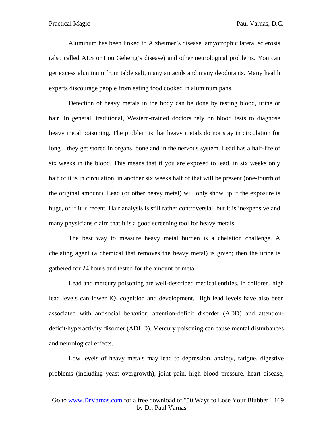Aluminum has been linked to Alzheimer's disease, amyotrophic lateral sclerosis (also called ALS or Lou Geherig's disease) and other neurological problems. You can get excess aluminum from table salt, many antacids and many deodorants. Many health experts discourage people from eating food cooked in aluminum pans.

 Detection of heavy metals in the body can be done by testing blood, urine or hair. In general, traditional, Western-trained doctors rely on blood tests to diagnose heavy metal poisoning. The problem is that heavy metals do not stay in circulation for long—they get stored in organs, bone and in the nervous system. Lead has a half-life of six weeks in the blood. This means that if you are exposed to lead, in six weeks only half of it is in circulation, in another six weeks half of that will be present (one-fourth of the original amount). Lead (or other heavy metal) will only show up if the exposure is huge, or if it is recent. Hair analysis is still rather controversial, but it is inexpensive and many physicians claim that it is a good screening tool for heavy metals.

 The best way to measure heavy metal burden is a chelation challenge. A chelating agent (a chemical that removes the heavy metal) is given; then the urine is gathered for 24 hours and tested for the amount of metal.

 Lead and mercury poisoning are well-described medical entities. In children, high lead levels can lower IQ, cognition and development. High lead levels have also been associated with antisocial behavior, attention-deficit disorder (ADD) and attentiondeficit/hyperactivity disorder (ADHD). Mercury poisoning can cause mental disturbances and neurological effects.

 Low levels of heavy metals may lead to depression, anxiety, fatigue, digestive problems (including yeast overgrowth), joint pain, high blood pressure, heart disease,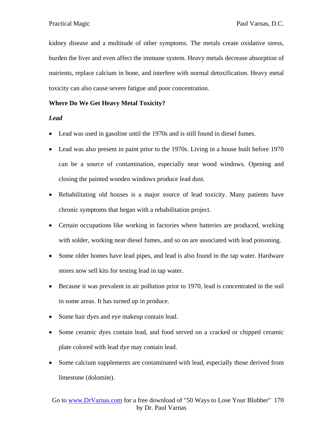kidney disease and a multitude of other symptoms. The metals create oxidative stress, burden the liver and even affect the immune system. Heavy metals decrease absorption of nutrients, replace calcium in bone, and interfere with normal detoxification. Heavy metal toxicity can also cause severe fatigue and poor concentration.

# **Where Do We Get Heavy Metal Toxicity?**

# *Lead*

- Lead was used in gasoline until the 1970s and is still found in diesel fumes.
- Lead was also present in paint prior to the 1970s. Living in a house built before 1970 can be a source of contamination, especially near wood windows. Opening and closing the painted wooden windows produce lead dust.
- Rehabilitating old houses is a major source of lead toxicity. Many patients have chronic symptoms that began with a rehabilitation project.
- Certain occupations like working in factories where batteries are produced, working with solder, working near diesel fumes, and so on are associated with lead poisoning.
- Some older homes have lead pipes, and lead is also found in the tap water. Hardware stores now sell kits for testing lead in tap water.
- Because it was prevalent in air pollution prior to 1970, lead is concentrated in the soil in some areas. It has turned up in produce.
- Some hair dyes and eye makeup contain lead.
- Some ceramic dyes contain lead, and food served on a cracked or chipped ceramic plate colored with lead dye may contain lead.
- Some calcium supplements are contaminated with lead, especially those derived from limestone (dolomite).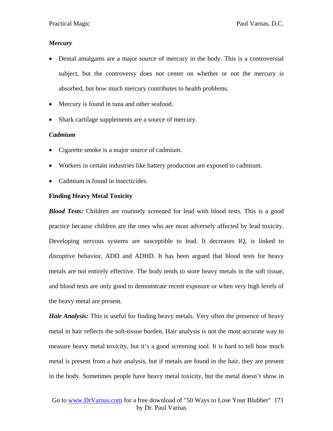# *Mercury*

- Dental amalgams are a major source of mercury in the body. This is a controversial subject, but the controversy does not center on whether or not the mercury is absorbed, but how much mercury contributes to health problems.
- Mercury is found in tuna and other seafood.
- Shark cartilage supplements are a source of mercury.

# *Cadmium*

- Cigarette smoke is a major source of cadmium.
- Workers in certain industries like battery production are exposed to cadmium.
- Cadmium is found in insecticides.

# **Finding Heavy Metal Toxicity**

*Blood Tests:* Children are routinely screened for lead with blood tests. This is a good practice because children are the ones who are most adversely affected by lead toxicity. Developing nervous systems are susceptible to lead. It decreases IQ, is linked to disruptive behavior, ADD and ADHD. It has been argued that blood tests for heavy metals are not entirely effective. The body tends to store heavy metals in the soft tissue, and blood tests are only good to demonstrate recent exposure or when very high levels of the heavy metal are present.

*Hair Analysis:* This is useful for finding heavy metals. Very often the presence of heavy metal in hair reflects the soft-tissue burden. Hair analysis is not the most accurate way to measure heavy metal toxicity, but it's a good screening tool. It is hard to tell how much metal is present from a hair analysis, but if metals are found in the hair, they are present in the body. Sometimes people have heavy metal toxicity, but the metal doesn't show in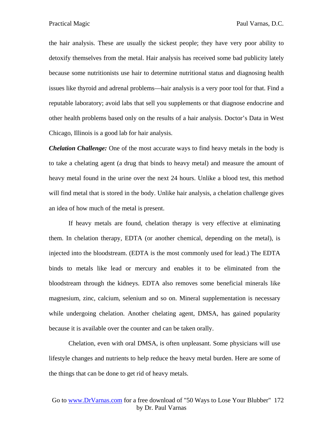the hair analysis. These are usually the sickest people; they have very poor ability to detoxify themselves from the metal. Hair analysis has received some bad publicity lately because some nutritionists use hair to determine nutritional status and diagnosing health issues like thyroid and adrenal problems—hair analysis is a very poor tool for that. Find a reputable laboratory; avoid labs that sell you supplements or that diagnose endocrine and other health problems based only on the results of a hair analysis. Doctor's Data in West Chicago, Illinois is a good lab for hair analysis.

*Chelation Challenge:* One of the most accurate ways to find heavy metals in the body is to take a chelating agent (a drug that binds to heavy metal) and measure the amount of heavy metal found in the urine over the next 24 hours. Unlike a blood test, this method will find metal that is stored in the body. Unlike hair analysis, a chelation challenge gives an idea of how much of the metal is present.

If heavy metals are found, chelation therapy is very effective at eliminating them. In chelation therapy, EDTA (or another chemical, depending on the metal), is injected into the bloodstream. (EDTA is the most commonly used for lead.) The EDTA binds to metals like lead or mercury and enables it to be eliminated from the bloodstream through the kidneys. EDTA also removes some beneficial minerals like magnesium, zinc, calcium, selenium and so on. Mineral supplementation is necessary while undergoing chelation. Another chelating agent, DMSA, has gained popularity because it is available over the counter and can be taken orally.

 Chelation, even with oral DMSA, is often unpleasant. Some physicians will use lifestyle changes and nutrients to help reduce the heavy metal burden. Here are some of the things that can be done to get rid of heavy metals.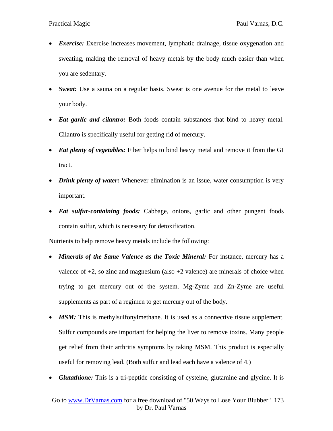- *Exercise:* Exercise increases movement, lymphatic drainage, tissue oxygenation and sweating, making the removal of heavy metals by the body much easier than when you are sedentary.
- *Sweat:* Use a sauna on a regular basis. Sweat is one avenue for the metal to leave your body.
- *Eat garlic and cilantro:* Both foods contain substances that bind to heavy metal. Cilantro is specifically useful for getting rid of mercury.
- *Eat plenty of vegetables:* Fiber helps to bind heavy metal and remove it from the GI tract.
- *Drink plenty of water:* Whenever elimination is an issue, water consumption is very important.
- *Eat sulfur-containing foods:* Cabbage, onions, garlic and other pungent foods contain sulfur, which is necessary for detoxification.

Nutrients to help remove heavy metals include the following:

- *Minerals of the Same Valence as the Toxic Mineral:* For instance, mercury has a valence of  $+2$ , so zinc and magnesium (also  $+2$  valence) are minerals of choice when trying to get mercury out of the system. Mg-Zyme and Zn-Zyme are useful supplements as part of a regimen to get mercury out of the body.
- *MSM:* This is methylsulfonylmethane. It is used as a connective tissue supplement. Sulfur compounds are important for helping the liver to remove toxins. Many people get relief from their arthritis symptoms by taking MSM. This product is especially useful for removing lead. (Both sulfur and lead each have a valence of 4.)
- *Glutathione:* This is a tri-peptide consisting of cysteine, glutamine and glycine. It is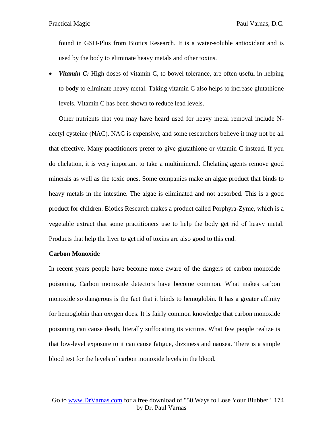found in GSH-Plus from Biotics Research. It is a water-soluble antioxidant and is used by the body to eliminate heavy metals and other toxins.

• *Vitamin C:* High doses of vitamin C, to bowel tolerance, are often useful in helping to body to eliminate heavy metal. Taking vitamin C also helps to increase glutathione levels. Vitamin C has been shown to reduce lead levels.

Other nutrients that you may have heard used for heavy metal removal include Nacetyl cysteine (NAC). NAC is expensive, and some researchers believe it may not be all that effective. Many practitioners prefer to give glutathione or vitamin C instead. If you do chelation, it is very important to take a multimineral. Chelating agents remove good minerals as well as the toxic ones. Some companies make an algae product that binds to heavy metals in the intestine. The algae is eliminated and not absorbed. This is a good product for children. Biotics Research makes a product called Porphyra-Zyme, which is a vegetable extract that some practitioners use to help the body get rid of heavy metal. Products that help the liver to get rid of toxins are also good to this end.

#### **Carbon Monoxide**

In recent years people have become more aware of the dangers of carbon monoxide poisoning. Carbon monoxide detectors have become common. What makes carbon monoxide so dangerous is the fact that it binds to hemoglobin. It has a greater affinity for hemoglobin than oxygen does. It is fairly common knowledge that carbon monoxide poisoning can cause death, literally suffocating its victims. What few people realize is that low-level exposure to it can cause fatigue, dizziness and nausea. There is a simple blood test for the levels of carbon monoxide levels in the blood.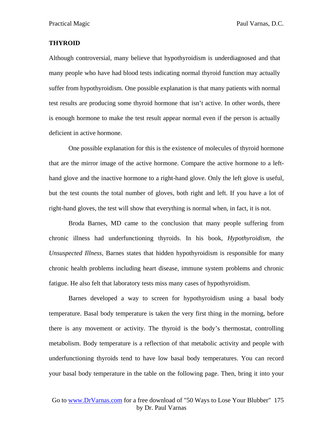### **THYROID**

Although controversial, many believe that hypothyroidism is underdiagnosed and that many people who have had blood tests indicating normal thyroid function may actually suffer from hypothyroidism. One possible explanation is that many patients with normal test results are producing some thyroid hormone that isn't active. In other words, there is enough hormone to make the test result appear normal even if the person is actually deficient in active hormone.

 One possible explanation for this is the existence of molecules of thyroid hormone that are the mirror image of the active hormone. Compare the active hormone to a lefthand glove and the inactive hormone to a right-hand glove. Only the left glove is useful, but the test counts the total number of gloves, both right and left. If you have a lot of right-hand gloves, the test will show that everything is normal when, in fact, it is not.

 Broda Barnes, MD came to the conclusion that many people suffering from chronic illness had underfunctioning thyroids. In his book, *Hypothyroidism, the Unsuspected Illness,* Barnes states that hidden hypothyroidism is responsible for many chronic health problems including heart disease, immune system problems and chronic fatigue. He also felt that laboratory tests miss many cases of hypothyroidism.

Barnes developed a way to screen for hypothyroidism using a basal body temperature. Basal body temperature is taken the very first thing in the morning, before there is any movement or activity. The thyroid is the body's thermostat, controlling metabolism. Body temperature is a reflection of that metabolic activity and people with underfunctioning thyroids tend to have low basal body temperatures. You can record your basal body temperature in the table on the following page. Then, bring it into your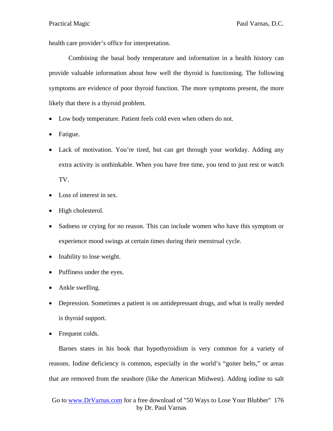health care provider's office for interpretation.

Combining the basal body temperature and information in a health history can provide valuable information about how well the thyroid is functioning. The following symptoms are evidence of poor thyroid function. The more symptoms present, the more likely that there is a thyroid problem.

- Low body temperature. Patient feels cold even when others do not.
- Fatigue.
- Lack of motivation. You're tired, but can get through your workday. Adding any extra activity is unthinkable. When you have free time, you tend to just rest or watch TV.
- Loss of interest in sex.
- High cholesterol.
- Sadness or crying for no reason. This can include women who have this symptom or experience mood swings at certain times during their menstrual cycle.
- Inability to lose weight.
- Puffiness under the eyes.
- Ankle swelling.
- Depression. Sometimes a patient is on antidepressant drugs, and what is really needed is thyroid support.
- Frequent colds.

Barnes states in his book that hypothyroidism is very common for a variety of reasons. Iodine deficiency is common, especially in the world's "goiter belts," or areas that are removed from the seashore (like the American Midwest). Adding iodine to salt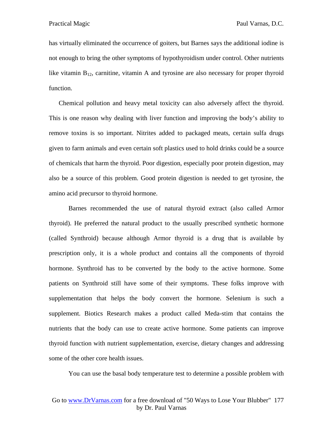has virtually eliminated the occurrence of goiters, but Barnes says the additional iodine is not enough to bring the other symptoms of hypothyroidism under control. Other nutrients like vitamin  $B_{12}$ , carnitine, vitamin A and tyrosine are also necessary for proper thyroid function.

Chemical pollution and heavy metal toxicity can also adversely affect the thyroid. This is one reason why dealing with liver function and improving the body's ability to remove toxins is so important. Nitrites added to packaged meats, certain sulfa drugs given to farm animals and even certain soft plastics used to hold drinks could be a source of chemicals that harm the thyroid. Poor digestion, especially poor protein digestion, may also be a source of this problem. Good protein digestion is needed to get tyrosine, the amino acid precursor to thyroid hormone.

 Barnes recommended the use of natural thyroid extract (also called Armor thyroid). He preferred the natural product to the usually prescribed synthetic hormone (called Synthroid) because although Armor thyroid is a drug that is available by prescription only, it is a whole product and contains all the components of thyroid hormone. Synthroid has to be converted by the body to the active hormone. Some patients on Synthroid still have some of their symptoms. These folks improve with supplementation that helps the body convert the hormone. Selenium is such a supplement. Biotics Research makes a product called Meda-stim that contains the nutrients that the body can use to create active hormone. Some patients can improve thyroid function with nutrient supplementation, exercise, dietary changes and addressing some of the other core health issues.

You can use the basal body temperature test to determine a possible problem with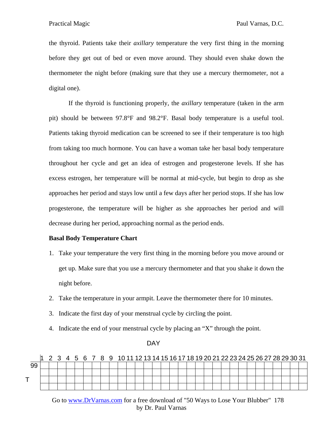the thyroid. Patients take their *axillary* temperature the very first thing in the morning before they get out of bed or even move around. They should even shake down the thermometer the night before (making sure that they use a mercury thermometer, not a digital one).

 If the thyroid is functioning properly, the *axillary* temperature (taken in the arm pit) should be between 97.8°F and 98.2°F. Basal body temperature is a useful tool. Patients taking thyroid medication can be screened to see if their temperature is too high from taking too much hormone. You can have a woman take her basal body temperature throughout her cycle and get an idea of estrogen and progesterone levels. If she has excess estrogen, her temperature will be normal at mid-cycle, but begin to drop as she approaches her period and stays low until a few days after her period stops. If she has low progesterone, the temperature will be higher as she approaches her period and will decrease during her period, approaching normal as the period ends.

## **Basal Body Temperature Chart**

- 1. Take your temperature the very first thing in the morning before you move around or get up. Make sure that you use a mercury thermometer and that you shake it down the night before.
- 2. Take the temperature in your armpit. Leave the thermometer there for 10 minutes.
- 3. Indicate the first day of your menstrual cycle by circling the point.
- 4. Indicate the end of your menstrual cycle by placing an "X" through the point.

#### DAY

|    |  |  |  | 2 3 4 5 6 7 8 9 10 11 12 13 14 15 16 17 18 19 20 21 22 23 24 25 26 27 28 29 30 31 |  |  |  |  |  |  |  |  |  |  |  |  |
|----|--|--|--|-----------------------------------------------------------------------------------|--|--|--|--|--|--|--|--|--|--|--|--|
| 99 |  |  |  |                                                                                   |  |  |  |  |  |  |  |  |  |  |  |  |
|    |  |  |  |                                                                                   |  |  |  |  |  |  |  |  |  |  |  |  |
|    |  |  |  |                                                                                   |  |  |  |  |  |  |  |  |  |  |  |  |
|    |  |  |  |                                                                                   |  |  |  |  |  |  |  |  |  |  |  |  |

Go to **www.DrVarnas.com** for a free download of "50 Ways to Lose Your Blubber" 178 by Dr. Paul Varnas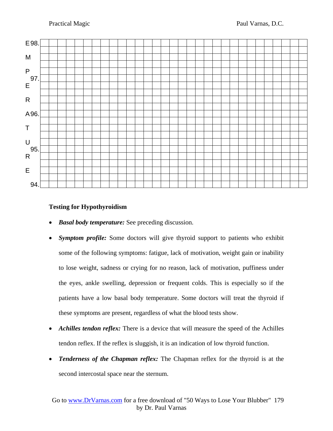

# **Testing for Hypothyroidism**

- *Basal body temperature:* See preceding discussion.
- *Symptom profile:* Some doctors will give thyroid support to patients who exhibit some of the following symptoms: fatigue, lack of motivation, weight gain or inability to lose weight, sadness or crying for no reason, lack of motivation, puffiness under the eyes, ankle swelling, depression or frequent colds. This is especially so if the patients have a low basal body temperature. Some doctors will treat the thyroid if these symptoms are present, regardless of what the blood tests show.
- Achilles tendon reflex: There is a device that will measure the speed of the Achilles tendon reflex. If the reflex is sluggish, it is an indication of low thyroid function.
- *Tenderness of the Chapman reflex:* The Chapman reflex for the thyroid is at the second intercostal space near the sternum.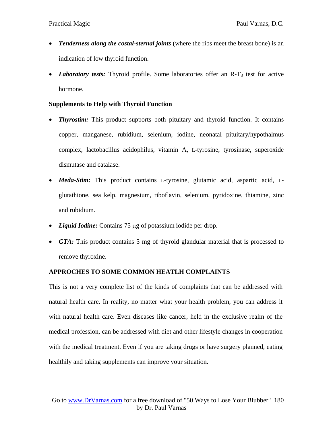- **Tenderness along the costal-sternal joints** (where the ribs meet the breast bone) is an indication of low thyroid function.
- *Laboratory tests:* Thyroid profile. Some laboratories offer an R-T<sub>3</sub> test for active hormone.

# **Supplements to Help with Thyroid Function**

- *Thyrostim:* This product supports both pituitary and thyroid function. It contains copper, manganese, rubidium, selenium, iodine, neonatal pituitary/hypothalmus complex, lactobacillus acidophilus, vitamin A, L-tyrosine, tyrosinase, superoxide dismutase and catalase.
- *Meda-Stim:* This product contains L-tyrosine, glutamic acid, aspartic acid, Lglutathione, sea kelp, magnesium, riboflavin, selenium, pyridoxine, thiamine, zinc and rubidium.
- *Liquid Iodine:* Contains 75 µg of potassium iodide per drop.
- *GTA:* This product contains 5 mg of thyroid glandular material that is processed to remove thyroxine.

# **APPROCHES TO SOME COMMON HEATLH COMPLAINTS**

This is not a very complete list of the kinds of complaints that can be addressed with natural health care. In reality, no matter what your health problem, you can address it with natural health care. Even diseases like cancer, held in the exclusive realm of the medical profession, can be addressed with diet and other lifestyle changes in cooperation with the medical treatment. Even if you are taking drugs or have surgery planned, eating healthily and taking supplements can improve your situation.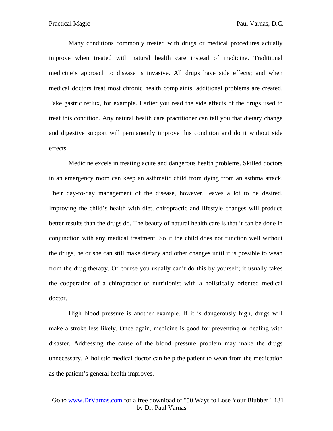Many conditions commonly treated with drugs or medical procedures actually improve when treated with natural health care instead of medicine. Traditional medicine's approach to disease is invasive. All drugs have side effects; and when medical doctors treat most chronic health complaints, additional problems are created. Take gastric reflux, for example. Earlier you read the side effects of the drugs used to treat this condition. Any natural health care practitioner can tell you that dietary change and digestive support will permanently improve this condition and do it without side effects.

 Medicine excels in treating acute and dangerous health problems. Skilled doctors in an emergency room can keep an asthmatic child from dying from an asthma attack. Their day-to-day management of the disease, however, leaves a lot to be desired. Improving the child's health with diet, chiropractic and lifestyle changes will produce better results than the drugs do. The beauty of natural health care is that it can be done in conjunction with any medical treatment. So if the child does not function well without the drugs, he or she can still make dietary and other changes until it is possible to wean from the drug therapy. Of course you usually can't do this by yourself; it usually takes the cooperation of a chiropractor or nutritionist with a holistically oriented medical doctor.

 High blood pressure is another example. If it is dangerously high, drugs will make a stroke less likely. Once again, medicine is good for preventing or dealing with disaster. Addressing the cause of the blood pressure problem may make the drugs unnecessary. A holistic medical doctor can help the patient to wean from the medication as the patient's general health improves.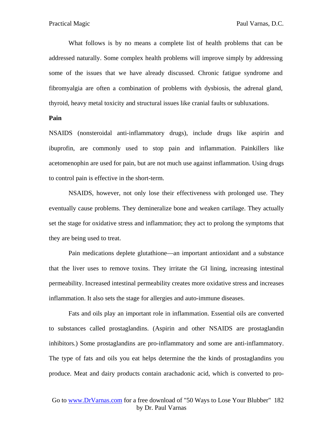What follows is by no means a complete list of health problems that can be addressed naturally. Some complex health problems will improve simply by addressing some of the issues that we have already discussed. Chronic fatigue syndrome and fibromyalgia are often a combination of problems with dysbiosis, the adrenal gland, thyroid, heavy metal toxicity and structural issues like cranial faults or subluxations.

#### **Pain**

NSAIDS (nonsteroidal anti-inflammatory drugs), include drugs like aspirin and ibuprofin, are commonly used to stop pain and inflammation. Painkillers like acetomenophin are used for pain, but are not much use against inflammation. Using drugs to control pain is effective in the short-term.

 NSAIDS, however, not only lose their effectiveness with prolonged use. They eventually cause problems. They demineralize bone and weaken cartilage. They actually set the stage for oxidative stress and inflammation; they act to prolong the symptoms that they are being used to treat.

Pain medications deplete glutathione—an important antioxidant and a substance that the liver uses to remove toxins. They irritate the GI lining, increasing intestinal permeability. Increased intestinal permeability creates more oxidative stress and increases inflammation. It also sets the stage for allergies and auto-immune diseases.

Fats and oils play an important role in inflammation. Essential oils are converted to substances called prostaglandins. (Aspirin and other NSAIDS are prostaglandin inhibitors.) Some prostaglandins are pro-inflammatory and some are anti-inflammatory. The type of fats and oils you eat helps determine the the kinds of prostaglandins you produce. Meat and dairy products contain arachadonic acid, which is converted to pro-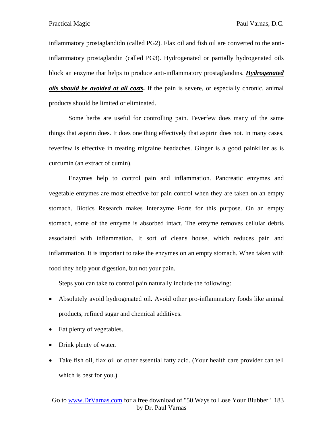inflammatory prostaglandidn (called PG2). Flax oil and fish oil are converted to the antiinflammatory prostaglandin (called PG3). Hydrogenated or partially hydrogenated oils block an enzyme that helps to produce anti-inflammatory prostaglandins. *Hydrogenated oils should be avoided at all costs***.** If the pain is severe, or especially chronic, animal products should be limited or eliminated.

Some herbs are useful for controlling pain. Feverfew does many of the same things that aspirin does. It does one thing effectively that aspirin does not. In many cases, feverfew is effective in treating migraine headaches. Ginger is a good painkiller as is curcumin (an extract of cumin).

Enzymes help to control pain and inflammation. Pancreatic enzymes and vegetable enzymes are most effective for pain control when they are taken on an empty stomach. Biotics Research makes Intenzyme Forte for this purpose. On an empty stomach, some of the enzyme is absorbed intact. The enzyme removes cellular debris associated with inflammation. It sort of cleans house, which reduces pain and inflammation. It is important to take the enzymes on an empty stomach. When taken with food they help your digestion, but not your pain.

Steps you can take to control pain naturally include the following:

- Absolutely avoid hydrogenated oil. Avoid other pro-inflammatory foods like animal products, refined sugar and chemical additives.
- Eat plenty of vegetables.
- Drink plenty of water.
- Take fish oil, flax oil or other essential fatty acid. (Your health care provider can tell which is best for you.)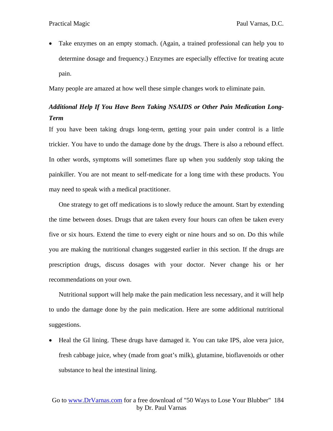Take enzymes on an empty stomach. (Again, a trained professional can help you to determine dosage and frequency.) Enzymes are especially effective for treating acute pain.

Many people are amazed at how well these simple changes work to eliminate pain.

# *Additional Help If You Have Been Taking NSAIDS or Other Pain Medication Long-Term*

If you have been taking drugs long-term, getting your pain under control is a little trickier. You have to undo the damage done by the drugs. There is also a rebound effect. In other words, symptoms will sometimes flare up when you suddenly stop taking the painkiller. You are not meant to self-medicate for a long time with these products. You may need to speak with a medical practitioner.

One strategy to get off medications is to slowly reduce the amount. Start by extending the time between doses. Drugs that are taken every four hours can often be taken every five or six hours. Extend the time to every eight or nine hours and so on. Do this while you are making the nutritional changes suggested earlier in this section. If the drugs are prescription drugs, discuss dosages with your doctor. Never change his or her recommendations on your own.

Nutritional support will help make the pain medication less necessary, and it will help to undo the damage done by the pain medication. Here are some additional nutritional suggestions.

 Heal the GI lining. These drugs have damaged it. You can take IPS, aloe vera juice, fresh cabbage juice, whey (made from goat's milk), glutamine, bioflavenoids or other substance to heal the intestinal lining.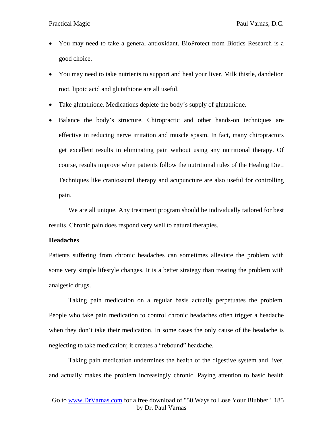- You may need to take a general antioxidant. BioProtect from Biotics Research is a good choice.
- You may need to take nutrients to support and heal your liver. Milk thistle, dandelion root, lipoic acid and glutathione are all useful.
- Take glutathione. Medications deplete the body's supply of glutathione.
- Balance the body's structure. Chiropractic and other hands-on techniques are effective in reducing nerve irritation and muscle spasm. In fact, many chiropractors get excellent results in eliminating pain without using any nutritional therapy. Of course, results improve when patients follow the nutritional rules of the Healing Diet. Techniques like craniosacral therapy and acupuncture are also useful for controlling pain.

We are all unique. Any treatment program should be individually tailored for best results. Chronic pain does respond very well to natural therapies.

# **Headaches**

Patients suffering from chronic headaches can sometimes alleviate the problem with some very simple lifestyle changes. It is a better strategy than treating the problem with analgesic drugs.

Taking pain medication on a regular basis actually perpetuates the problem. People who take pain medication to control chronic headaches often trigger a headache when they don't take their medication. In some cases the only cause of the headache is neglecting to take medication; it creates a "rebound" headache.

Taking pain medication undermines the health of the digestive system and liver, and actually makes the problem increasingly chronic. Paying attention to basic health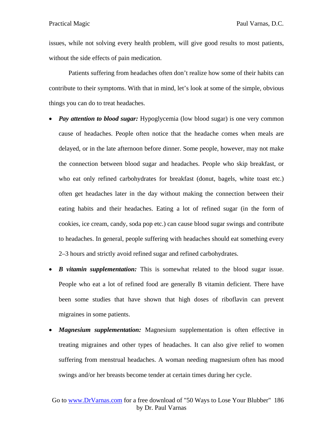issues, while not solving every health problem, will give good results to most patients, without the side effects of pain medication.

Patients suffering from headaches often don't realize how some of their habits can contribute to their symptoms. With that in mind, let's look at some of the simple, obvious things you can do to treat headaches.

- *Pay attention to blood sugar:* Hypoglycemia (low blood sugar) is one very common cause of headaches. People often notice that the headache comes when meals are delayed, or in the late afternoon before dinner. Some people, however, may not make the connection between blood sugar and headaches. People who skip breakfast, or who eat only refined carbohydrates for breakfast (donut, bagels, white toast etc.) often get headaches later in the day without making the connection between their eating habits and their headaches. Eating a lot of refined sugar (in the form of cookies, ice cream, candy, soda pop etc.) can cause blood sugar swings and contribute to headaches. In general, people suffering with headaches should eat something every 2–3 hours and strictly avoid refined sugar and refined carbohydrates.
- *B vitamin supplementation:* This is somewhat related to the blood sugar issue. People who eat a lot of refined food are generally B vitamin deficient. There have been some studies that have shown that high doses of riboflavin can prevent migraines in some patients.
- *Magnesium supplementation:* Magnesium supplementation is often effective in treating migraines and other types of headaches. It can also give relief to women suffering from menstrual headaches. A woman needing magnesium often has mood swings and/or her breasts become tender at certain times during her cycle.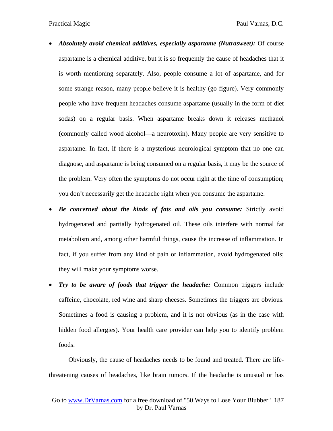- *Absolutely avoid chemical additives, especially aspartame (Nutrasweet):* Of course aspartame is a chemical additive, but it is so frequently the cause of headaches that it is worth mentioning separately. Also, people consume a lot of aspartame, and for some strange reason, many people believe it is healthy (go figure). Very commonly people who have frequent headaches consume aspartame (usually in the form of diet sodas) on a regular basis. When aspartame breaks down it releases methanol (commonly called wood alcohol—a neurotoxin). Many people are very sensitive to aspartame. In fact, if there is a mysterious neurological symptom that no one can diagnose, and aspartame is being consumed on a regular basis, it may be the source of the problem. Very often the symptoms do not occur right at the time of consumption; you don't necessarily get the headache right when you consume the aspartame.
- *Be concerned about the kinds of fats and oils you consume:* Strictly avoid hydrogenated and partially hydrogenated oil. These oils interfere with normal fat metabolism and, among other harmful things, cause the increase of inflammation. In fact, if you suffer from any kind of pain or inflammation, avoid hydrogenated oils; they will make your symptoms worse.
- *Try to be aware of foods that trigger the headache:* Common triggers include caffeine, chocolate, red wine and sharp cheeses. Sometimes the triggers are obvious. Sometimes a food is causing a problem, and it is not obvious (as in the case with hidden food allergies). Your health care provider can help you to identify problem foods.

Obviously, the cause of headaches needs to be found and treated. There are lifethreatening causes of headaches, like brain tumors. If the headache is unusual or has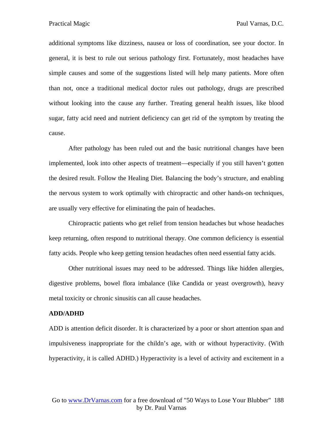additional symptoms like dizziness, nausea or loss of coordination, see your doctor. In general, it is best to rule out serious pathology first. Fortunately, most headaches have simple causes and some of the suggestions listed will help many patients. More often than not, once a traditional medical doctor rules out pathology, drugs are prescribed without looking into the cause any further. Treating general health issues, like blood sugar, fatty acid need and nutrient deficiency can get rid of the symptom by treating the cause.

 After pathology has been ruled out and the basic nutritional changes have been implemented, look into other aspects of treatment—especially if you still haven't gotten the desired result. Follow the Healing Diet. Balancing the body's structure, and enabling the nervous system to work optimally with chiropractic and other hands-on techniques, are usually very effective for eliminating the pain of headaches.

 Chiropractic patients who get relief from tension headaches but whose headaches keep returning, often respond to nutritional therapy. One common deficiency is essential fatty acids. People who keep getting tension headaches often need essential fatty acids.

Other nutritional issues may need to be addressed. Things like hidden allergies, digestive problems, bowel flora imbalance (like Candida or yeast overgrowth), heavy metal toxicity or chronic sinusitis can all cause headaches.

#### **ADD/ADHD**

ADD is attention deficit disorder. It is characterized by a poor or short attention span and impulsiveness inappropriate for the childn's age, with or without hyperactivity. (With hyperactivity, it is called ADHD.) Hyperactivity is a level of activity and excitement in a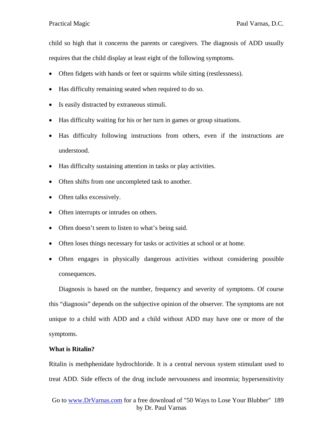child so high that it concerns the parents or caregivers. The diagnosis of ADD usually requires that the child display at least eight of the following symptoms.

- Often fidgets with hands or feet or squirms while sitting (restlessness).
- Has difficulty remaining seated when required to do so.
- Is easily distracted by extraneous stimuli.
- Has difficulty waiting for his or her turn in games or group situations.
- Has difficulty following instructions from others, even if the instructions are understood.
- Has difficulty sustaining attention in tasks or play activities.
- Often shifts from one uncompleted task to another.
- Often talks excessively.
- Often interrupts or intrudes on others.
- Often doesn't seem to listen to what's being said.
- Often loses things necessary for tasks or activities at school or at home.
- Often engages in physically dangerous activities without considering possible consequences.

Diagnosis is based on the number, frequency and severity of symptoms. Of course this "diagnosis" depends on the subjective opinion of the observer. The symptoms are not unique to a child with ADD and a child without ADD may have one or more of the symptoms.

#### **What is Ritalin?**

Ritalin is methphenidate hydrochloride. It is a central nervous system stimulant used to treat ADD. Side effects of the drug include nervousness and insomnia; hypersensitivity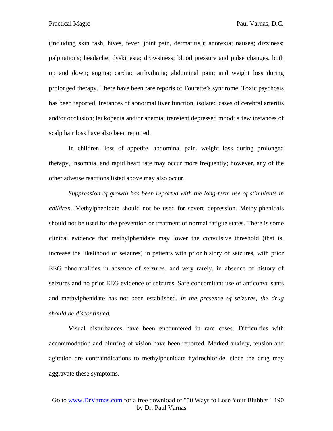(including skin rash, hives, fever, joint pain, dermatitis,); anorexia; nausea; dizziness; palpitations; headache; dyskinesia; drowsiness; blood pressure and pulse changes, both up and down; angina; cardiac arrhythmia; abdominal pain; and weight loss during prolonged therapy. There have been rare reports of Tourette's syndrome. Toxic psychosis has been reported. Instances of abnormal liver function, isolated cases of cerebral arteritis and/or occlusion; leukopenia and/or anemia; transient depressed mood; a few instances of scalp hair loss have also been reported.

 In children, loss of appetite, abdominal pain, weight loss during prolonged therapy, insomnia, and rapid heart rate may occur more frequently; however, any of the other adverse reactions listed above may also occur.

*Suppression of growth has been reported with the long-term use of stimulants in children.* Methylphenidate should not be used for severe depression. Methylphenidals should not be used for the prevention or treatment of normal fatigue states. There is some clinical evidence that methylphenidate may lower the convulsive threshold (that is, increase the likelihood of seizures) in patients with prior history of seizures, with prior EEG abnormalities in absence of seizures, and very rarely, in absence of history of seizures and no prior EEG evidence of seizures. Safe concomitant use of anticonvulsants and methylphenidate has not been established. *In the presence of seizures, the drug should be discontinued.*

 Visual disturbances have been encountered in rare cases. Difficulties with accommodation and blurring of vision have been reported. Marked anxiety, tension and agitation are contraindications to methylphenidate hydrochloride, since the drug may aggravate these symptoms.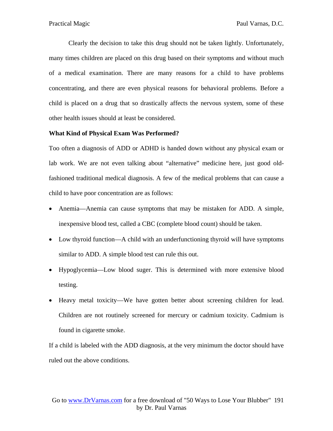Clearly the decision to take this drug should not be taken lightly. Unfortunately, many times children are placed on this drug based on their symptoms and without much of a medical examination. There are many reasons for a child to have problems concentrating, and there are even physical reasons for behavioral problems. Before a child is placed on a drug that so drastically affects the nervous system, some of these other health issues should at least be considered.

# **What Kind of Physical Exam Was Performed?**

Too often a diagnosis of ADD or ADHD is handed down without any physical exam or lab work. We are not even talking about "alternative" medicine here, just good oldfashioned traditional medical diagnosis. A few of the medical problems that can cause a child to have poor concentration are as follows:

- Anemia—Anemia can cause symptoms that may be mistaken for ADD. A simple, inexpensive blood test, called a CBC (complete blood count) should be taken.
- Low thyroid function—A child with an underfunctioning thyroid will have symptoms similar to ADD. A simple blood test can rule this out.
- Hypoglycemia—Low blood suger. This is determined with more extensive blood testing.
- Heavy metal toxicity—We have gotten better about screening children for lead. Children are not routinely screened for mercury or cadmium toxicity. Cadmium is found in cigarette smoke.

If a child is labeled with the ADD diagnosis, at the very minimum the doctor should have ruled out the above conditions.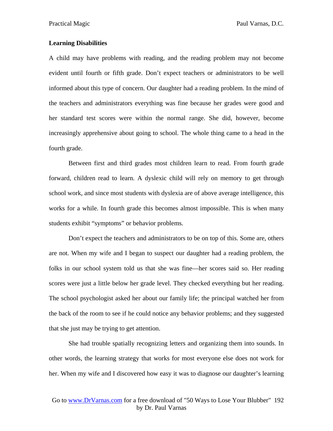# **Learning Disabilities**

A child may have problems with reading, and the reading problem may not become evident until fourth or fifth grade. Don't expect teachers or administrators to be well informed about this type of concern. Our daughter had a reading problem. In the mind of the teachers and administrators everything was fine because her grades were good and her standard test scores were within the normal range. She did, however, become increasingly apprehensive about going to school. The whole thing came to a head in the fourth grade.

 Between first and third grades most children learn to read. From fourth grade forward, children read to learn. A dyslexic child will rely on memory to get through school work, and since most students with dyslexia are of above average intelligence, this works for a while. In fourth grade this becomes almost impossible. This is when many students exhibit "symptoms" or behavior problems.

 Don't expect the teachers and administrators to be on top of this. Some are, others are not. When my wife and I began to suspect our daughter had a reading problem, the folks in our school system told us that she was fine—her scores said so. Her reading scores were just a little below her grade level. They checked everything but her reading. The school psychologist asked her about our family life; the principal watched her from the back of the room to see if he could notice any behavior problems; and they suggested that she just may be trying to get attention.

 She had trouble spatially recognizing letters and organizing them into sounds. In other words, the learning strategy that works for most everyone else does not work for her. When my wife and I discovered how easy it was to diagnose our daughter's learning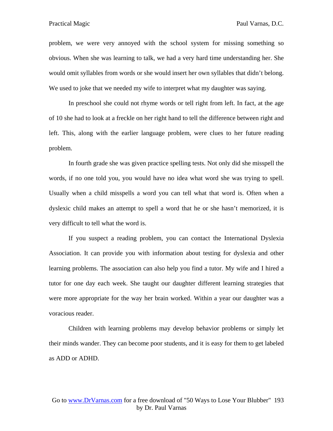problem, we were very annoyed with the school system for missing something so obvious. When she was learning to talk, we had a very hard time understanding her. She would omit syllables from words or she would insert her own syllables that didn't belong. We used to joke that we needed my wife to interpret what my daughter was saying.

 In preschool she could not rhyme words or tell right from left. In fact, at the age of 10 she had to look at a freckle on her right hand to tell the difference between right and left. This, along with the earlier language problem, were clues to her future reading problem.

 In fourth grade she was given practice spelling tests. Not only did she misspell the words, if no one told you, you would have no idea what word she was trying to spell. Usually when a child misspells a word you can tell what that word is. Often when a dyslexic child makes an attempt to spell a word that he or she hasn't memorized, it is very difficult to tell what the word is.

 If you suspect a reading problem, you can contact the International Dyslexia Association. It can provide you with information about testing for dyslexia and other learning problems. The association can also help you find a tutor. My wife and I hired a tutor for one day each week. She taught our daughter different learning strategies that were more appropriate for the way her brain worked. Within a year our daughter was a voracious reader.

Children with learning problems may develop behavior problems or simply let their minds wander. They can become poor students, and it is easy for them to get labeled as ADD or ADHD.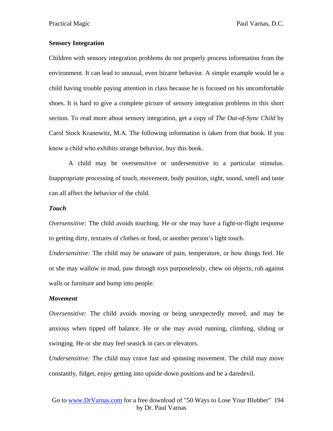# **Sensory Integration**

Children with sensory integration problems do not properly process information from the environment. It can lead to unusual, even bizarre behavior. A simple example would be a child having trouble paying attention in class because he is focused on his uncomfortable shoes. It is hard to give a complete picture of sensory integration problems in this short section. To read more about sensory integration, get a copy of *The Out-of-Sync Child* by Carol Stock Kranowitz, M.A. The following information is taken from that book. If you know a child who exhibits strange behavior, buy this book.

 A child may be oversensitive or undersensitive to a particular stimulus. Inappropriate processing of touch, movement, body position, sight, sound, smell and taste can all affect the behavior of the child.

#### *Touch*

*Oversensitive:* The child avoids touching. He or she may have a fight-or-flight response to getting dirty, textures of clothes or food, or another person's light touch.

*Undersensitive:* The child may be unaware of pain, temperature, or how things feel. He or she may wallow in mud, paw through toys purposelessly, chew on objects, rub against walls or furniture and bump into people.

#### *Movement*

*Oversensitive:* The child avoids moving or being unexpectedly moved, and may be anxious when tipped off balance. He or she may avoid running, climbing, sliding or swinging. He or she may feel seasick in cars or elevators.

*Undersensitive:* The child may crave fast and spinning movement. The child may move constantly, fidget, enjoy getting into upside-down positions and be a daredevil.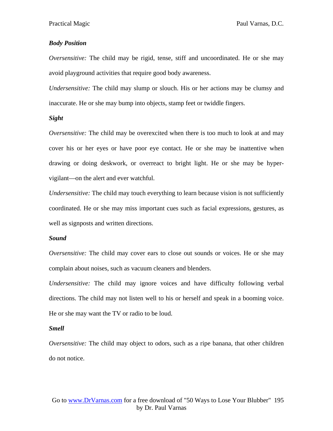# *Body Position*

*Oversensitive:* The child may be rigid, tense, stiff and uncoordinated. He or she may avoid playground activities that require good body awareness.

*Undersensitive:* The child may slump or slouch. His or her actions may be clumsy and inaccurate. He or she may bump into objects, stamp feet or twiddle fingers.

# *Sight*

*Oversensitive:* The child may be overexcited when there is too much to look at and may cover his or her eyes or have poor eye contact. He or she may be inattentive when drawing or doing deskwork, or overreact to bright light. He or she may be hypervigilant—on the alert and ever watchful.

*Undersensitive:* The child may touch everything to learn because vision is not sufficiently coordinated. He or she may miss important cues such as facial expressions, gestures, as well as signposts and written directions.

# *Sound*

*Oversensitive:* The child may cover ears to close out sounds or voices. He or she may complain about noises, such as vacuum cleaners and blenders.

*Undersensitive:* The child may ignore voices and have difficulty following verbal directions. The child may not listen well to his or herself and speak in a booming voice. He or she may want the TV or radio to be loud.

# *Smell*

*Oversensitive:* The child may object to odors, such as a ripe banana, that other children do not notice.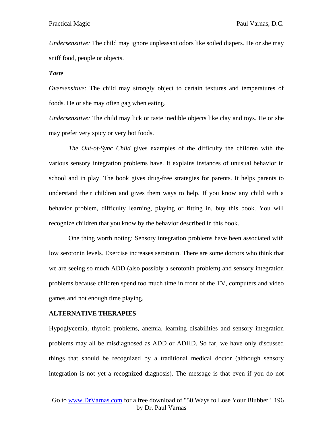*Undersensitive:* The child may ignore unpleasant odors like soiled diapers. He or she may sniff food, people or objects.

## *Taste*

*Oversensitive:* The child may strongly object to certain textures and temperatures of foods. He or she may often gag when eating.

*Undersensitive:* The child may lick or taste inedible objects like clay and toys. He or she may prefer very spicy or very hot foods.

*The Out-of-Sync Child* gives examples of the difficulty the children with the various sensory integration problems have. It explains instances of unusual behavior in school and in play. The book gives drug-free strategies for parents. It helps parents to understand their children and gives them ways to help. If you know any child with a behavior problem, difficulty learning, playing or fitting in, buy this book. You will recognize children that you know by the behavior described in this book.

 One thing worth noting: Sensory integration problems have been associated with low serotonin levels. Exercise increases serotonin. There are some doctors who think that we are seeing so much ADD (also possibly a serotonin problem) and sensory integration problems because children spend too much time in front of the TV, computers and video games and not enough time playing.

## **ALTERNATIVE THERAPIES**

Hypoglycemia, thyroid problems, anemia, learning disabilities and sensory integration problems may all be misdiagnosed as ADD or ADHD. So far, we have only discussed things that should be recognized by a traditional medical doctor (although sensory integration is not yet a recognized diagnosis). The message is that even if you do not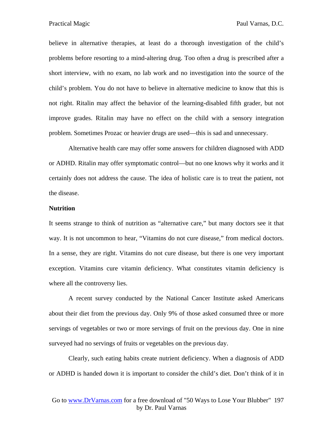believe in alternative therapies, at least do a thorough investigation of the child's problems before resorting to a mind-altering drug. Too often a drug is prescribed after a short interview, with no exam, no lab work and no investigation into the source of the child's problem. You do not have to believe in alternative medicine to know that this is not right. Ritalin may affect the behavior of the learning-disabled fifth grader, but not improve grades. Ritalin may have no effect on the child with a sensory integration problem. Sometimes Prozac or heavier drugs are used—this is sad and unnecessary.

 Alternative health care may offer some answers for children diagnosed with ADD or ADHD. Ritalin may offer symptomatic control—but no one knows why it works and it certainly does not address the cause. The idea of holistic care is to treat the patient, not the disease.

## **Nutrition**

It seems strange to think of nutrition as "alternative care," but many doctors see it that way. It is not uncommon to hear, "Vitamins do not cure disease," from medical doctors. In a sense, they are right. Vitamins do not cure disease, but there is one very important exception. Vitamins cure vitamin deficiency. What constitutes vitamin deficiency is where all the controversy lies.

 A recent survey conducted by the National Cancer Institute asked Americans about their diet from the previous day. Only 9% of those asked consumed three or more servings of vegetables or two or more servings of fruit on the previous day. One in nine surveyed had no servings of fruits or vegetables on the previous day.

 Clearly, such eating habits create nutrient deficiency. When a diagnosis of ADD or ADHD is handed down it is important to consider the child's diet. Don't think of it in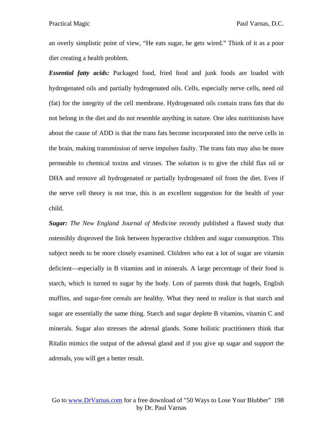an overly simplistic point of view, "He eats sugar, he gets wired." Think of it as a poor diet creating a health problem.

*Essential fatty acids:* Packaged food, fried food and junk foods are loaded with hydrogenated oils and partially hydrogenated oils. Cells, especially nerve cells, need oil (fat) for the integrity of the cell membrane. Hydrogenated oils contain trans fats that do not belong in the diet and do not resemble anything in nature. One idea nutritionists have about the cause of ADD is that the trans fats become incorporated into the nerve cells in the brain, making transmission of nerve impulses faulty. The trans fats may also be more permeable to chemical toxins and viruses. The solution is to give the child flax oil or DHA and remove all hydrogenated or partially hydrogenated oil from the diet. Even if the nerve cell theory is not true, this is an excellent suggestion for the health of your child.

*Sugar: The New England Journal of Medicine* recently published a flawed study that ostensibly disproved the link between hyperactive children and sugar consumption. This subject needs to be more closely examined. Children who eat a lot of sugar are vitamin deficient—especially in B vitamins and in minerals. A large percentage of their food is starch, which is turned to sugar by the body. Lots of parents think that bagels, English muffins, and sugar-free cereals are healthy. What they need to realize is that starch and sugar are essentially the same thing. Starch and sugar deplete B vitamins, vitamin C and minerals. Sugar also stresses the adrenal glands. Some holistic practitioners think that Ritalin mimics the output of the adrenal gland and if you give up sugar and support the adrenals, you will get a better result.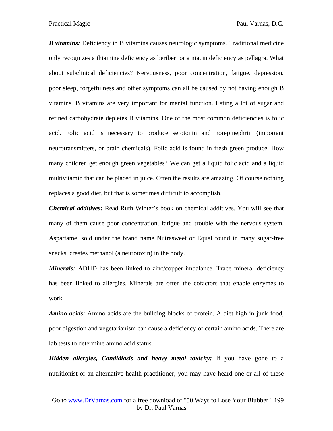*B* vitamins: Deficiency in B vitamins causes neurologic symptoms. Traditional medicine only recognizes a thiamine deficiency as beriberi or a niacin deficiency as pellagra. What about subclinical deficiencies? Nervousness, poor concentration, fatigue, depression, poor sleep, forgetfulness and other symptoms can all be caused by not having enough B vitamins. B vitamins are very important for mental function. Eating a lot of sugar and refined carbohydrate depletes B vitamins. One of the most common deficiencies is folic acid. Folic acid is necessary to produce serotonin and norepinephrin (important neurotransmitters, or brain chemicals). Folic acid is found in fresh green produce. How many children get enough green vegetables? We can get a liquid folic acid and a liquid multivitamin that can be placed in juice. Often the results are amazing. Of course nothing replaces a good diet, but that is sometimes difficult to accomplish.

*Chemical additives:* Read Ruth Winter's book on chemical additives. You will see that many of them cause poor concentration, fatigue and trouble with the nervous system. Aspartame, sold under the brand name Nutrasweet or Equal found in many sugar-free snacks, creates methanol (a neurotoxin) in the body.

*Minerals:* ADHD has been linked to zinc/copper imbalance. Trace mineral deficiency has been linked to allergies. Minerals are often the cofactors that enable enzymes to work.

*Amino acids:* Amino acids are the building blocks of protein. A diet high in junk food, poor digestion and vegetarianism can cause a deficiency of certain amino acids. There are lab tests to determine amino acid status.

*Hidden allergies, Candidiasis and heavy metal toxicity:* If you have gone to a nutritionist or an alternative health practitioner, you may have heard one or all of these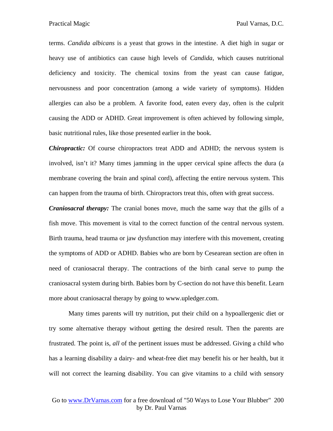terms. *Candida albicans* is a yeast that grows in the intestine. A diet high in sugar or heavy use of antibiotics can cause high levels of *Candida*, which causes nutritional deficiency and toxicity. The chemical toxins from the yeast can cause fatigue, nervousness and poor concentration (among a wide variety of symptoms). Hidden allergies can also be a problem. A favorite food, eaten every day, often is the culprit causing the ADD or ADHD. Great improvement is often achieved by following simple, basic nutritional rules, like those presented earlier in the book.

*Chiropractic:* Of course chiropractors treat ADD and ADHD; the nervous system is involved, isn't it? Many times jamming in the upper cervical spine affects the dura (a membrane covering the brain and spinal cord), affecting the entire nervous system. This can happen from the trauma of birth. Chiropractors treat this, often with great success.

*Craniosacral therapy:* The cranial bones move, much the same way that the gills of a fish move. This movement is vital to the correct function of the central nervous system. Birth trauma, head trauma or jaw dysfunction may interfere with this movement, creating the symptoms of ADD or ADHD. Babies who are born by Cesearean section are often in need of craniosacral therapy. The contractions of the birth canal serve to pump the craniosacral system during birth. Babies born by C-section do not have this benefit. Learn more about craniosacral therapy by going to www.upledger.com.

 Many times parents will try nutrition, put their child on a hypoallergenic diet or try some alternative therapy without getting the desired result. Then the parents are frustrated. The point is, *all* of the pertinent issues must be addressed. Giving a child who has a learning disability a dairy- and wheat-free diet may benefit his or her health, but it will not correct the learning disability. You can give vitamins to a child with sensory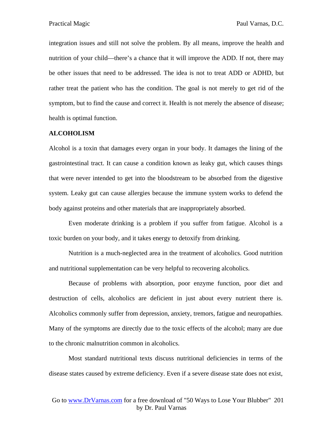integration issues and still not solve the problem. By all means, improve the health and nutrition of your child—there's a chance that it will improve the ADD. If not, there may be other issues that need to be addressed. The idea is not to treat ADD or ADHD, but rather treat the patient who has the condition. The goal is not merely to get rid of the symptom, but to find the cause and correct it. Health is not merely the absence of disease; health is optimal function.

# **ALCOHOLISM**

Alcohol is a toxin that damages every organ in your body. It damages the lining of the gastrointestinal tract. It can cause a condition known as leaky gut, which causes things that were never intended to get into the bloodstream to be absorbed from the digestive system. Leaky gut can cause allergies because the immune system works to defend the body against proteins and other materials that are inappropriately absorbed.

 Even moderate drinking is a problem if you suffer from fatigue. Alcohol is a toxic burden on your body, and it takes energy to detoxify from drinking.

 Nutrition is a much-neglected area in the treatment of alcoholics. Good nutrition and nutritional supplementation can be very helpful to recovering alcoholics.

 Because of problems with absorption, poor enzyme function, poor diet and destruction of cells, alcoholics are deficient in just about every nutrient there is. Alcoholics commonly suffer from depression, anxiety, tremors, fatigue and neuropathies. Many of the symptoms are directly due to the toxic effects of the alcohol; many are due to the chronic malnutrition common in alcoholics.

 Most standard nutritional texts discuss nutritional deficiencies in terms of the disease states caused by extreme deficiency. Even if a severe disease state does not exist,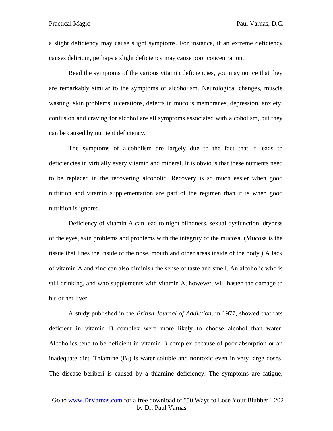a slight deficiency may cause slight symptoms. For instance, if an extreme deficiency causes delirium, perhaps a slight deficiency may cause poor concentration.

 Read the symptoms of the various vitamin deficiencies, you may notice that they are remarkably similar to the symptoms of alcoholism. Neurological changes, muscle wasting, skin problems, ulcerations, defects in mucous membranes, depression, anxiety, confusion and craving for alcohol are all symptoms associated with alcoholism, but they can be caused by nutrient deficiency.

 The symptoms of alcoholism are largely due to the fact that it leads to deficiencies in virtually every vitamin and mineral. It is obvious that these nutrients need to be replaced in the recovering alcoholic. Recovery is so much easier when good nutrition and vitamin supplementation are part of the regimen than it is when good nutrition is ignored.

Deficiency of vitamin A can lead to night blindness, sexual dysfunction, dryness of the eyes, skin problems and problems with the integrity of the mucosa. (Mucosa is the tissue that lines the inside of the nose, mouth and other areas inside of the body.) A lack of vitamin A and zinc can also diminish the sense of taste and smell. An alcoholic who is still drinking, and who supplements with vitamin A, however, will hasten the damage to his or her liver.

A study published in the *British Journal of Addiction*, in 1977, showed that rats deficient in vitamin B complex were more likely to choose alcohol than water. Alcoholics tend to be deficient in vitamin B complex because of poor absorption or an inadequate diet. Thiamine  $(B_1)$  is water soluble and nontoxic even in very large doses. The disease beriberi is caused by a thiamine deficiency. The symptoms are fatigue,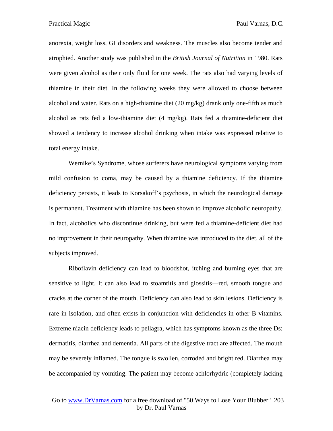anorexia, weight loss, GI disorders and weakness. The muscles also become tender and atrophied. Another study was published in the *British Journal of Nutrition* in 1980. Rats were given alcohol as their only fluid for one week. The rats also had varying levels of thiamine in their diet. In the following weeks they were allowed to choose between alcohol and water. Rats on a high-thiamine diet  $(20 \text{ mg/kg})$  drank only one-fifth as much alcohol as rats fed a low-thiamine diet (4 mg/kg). Rats fed a thiamine-deficient diet showed a tendency to increase alcohol drinking when intake was expressed relative to total energy intake.

 Wernike's Syndrome, whose sufferers have neurological symptoms varying from mild confusion to coma, may be caused by a thiamine deficiency. If the thiamine deficiency persists, it leads to Korsakoff's psychosis, in which the neurological damage is permanent. Treatment with thiamine has been shown to improve alcoholic neuropathy. In fact, alcoholics who discontinue drinking, but were fed a thiamine-deficient diet had no improvement in their neuropathy. When thiamine was introduced to the diet, all of the subjects improved.

Riboflavin deficiency can lead to bloodshot, itching and burning eyes that are sensitive to light. It can also lead to stoamtitis and glossitis—red, smooth tongue and cracks at the corner of the mouth. Deficiency can also lead to skin lesions. Deficiency is rare in isolation, and often exists in conjunction with deficiencies in other B vitamins. Extreme niacin deficiency leads to pellagra, which has symptoms known as the three Ds: dermatitis, diarrhea and dementia. All parts of the digestive tract are affected. The mouth may be severely inflamed. The tongue is swollen, corroded and bright red. Diarrhea may be accompanied by vomiting. The patient may become achlorhydric (completely lacking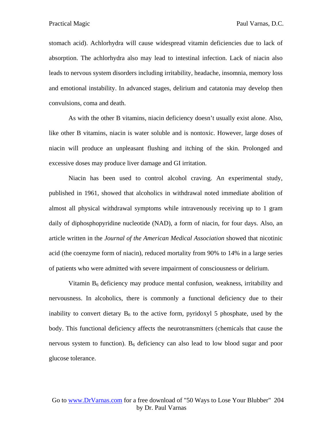stomach acid). Achlorhydra will cause widespread vitamin deficiencies due to lack of absorption. The achlorhydra also may lead to intestinal infection. Lack of niacin also leads to nervous system disorders including irritability, headache, insomnia, memory loss and emotional instability. In advanced stages, delirium and catatonia may develop then convulsions, coma and death.

 As with the other B vitamins, niacin deficiency doesn't usually exist alone. Also, like other B vitamins, niacin is water soluble and is nontoxic. However, large doses of niacin will produce an unpleasant flushing and itching of the skin. Prolonged and excessive doses may produce liver damage and GI irritation.

 Niacin has been used to control alcohol craving. An experimental study, published in 1961, showed that alcoholics in withdrawal noted immediate abolition of almost all physical withdrawal symptoms while intravenously receiving up to 1 gram daily of diphosphopyridine nucleotide (NAD), a form of niacin, for four days. Also, an article written in the *Journal of the American Medical Association* showed that nicotinic acid (the coenzyme form of niacin), reduced mortality from 90% to 14% in a large series of patients who were admitted with severe impairment of consciousness or delirium.

Vitamin  $B_6$  deficiency may produce mental confusion, weakness, irritability and nervousness. In alcoholics, there is commonly a functional deficiency due to their inability to convert dietary  $B_6$  to the active form, pyridoxyl 5 phosphate, used by the body. This functional deficiency affects the neurotransmitters (chemicals that cause the nervous system to function).  $B_6$  deficiency can also lead to low blood sugar and poor glucose tolerance.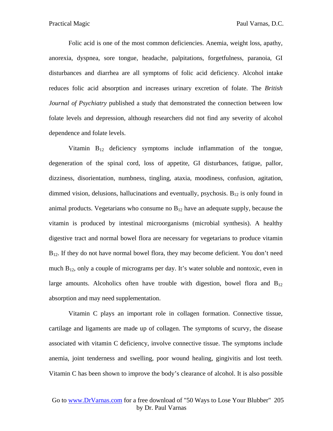Folic acid is one of the most common deficiencies. Anemia, weight loss, apathy, anorexia, dyspnea, sore tongue, headache, palpitations, forgetfulness, paranoia, GI disturbances and diarrhea are all symptoms of folic acid deficiency. Alcohol intake reduces folic acid absorption and increases urinary excretion of folate. The *British Journal of Psychiatry* published a study that demonstrated the connection between low folate levels and depression, although researchers did not find any severity of alcohol dependence and folate levels.

Vitamin  $B_{12}$  deficiency symptoms include inflammation of the tongue, degeneration of the spinal cord, loss of appetite, GI disturbances, fatigue, pallor, dizziness, disorientation, numbness, tingling, ataxia, moodiness, confusion, agitation, dimmed vision, delusions, hallucinations and eventually, psychosis.  $B_{12}$  is only found in animal products. Vegetarians who consume no  $B_{12}$  have an adequate supply, because the vitamin is produced by intestinal microorganisms (microbial synthesis). A healthy digestive tract and normal bowel flora are necessary for vegetarians to produce vitamin  $B_{12}$ . If they do not have normal bowel flora, they may become deficient. You don't need much  $B_{12}$ , only a couple of micrograms per day. It's water soluble and nontoxic, even in large amounts. Alcoholics often have trouble with digestion, bowel flora and  $B_{12}$ absorption and may need supplementation.

Vitamin C plays an important role in collagen formation. Connective tissue, cartilage and ligaments are made up of collagen. The symptoms of scurvy, the disease associated with vitamin C deficiency, involve connective tissue. The symptoms include anemia, joint tenderness and swelling, poor wound healing, gingivitis and lost teeth. Vitamin C has been shown to improve the body's clearance of alcohol. It is also possible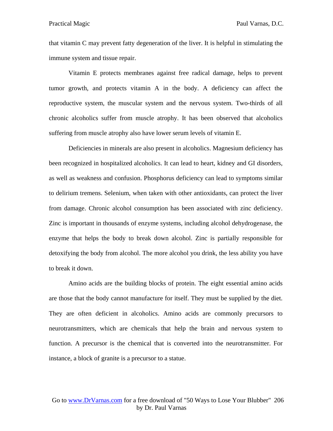that vitamin C may prevent fatty degeneration of the liver. It is helpful in stimulating the immune system and tissue repair.

Vitamin E protects membranes against free radical damage, helps to prevent tumor growth, and protects vitamin A in the body. A deficiency can affect the reproductive system, the muscular system and the nervous system. Two-thirds of all chronic alcoholics suffer from muscle atrophy. It has been observed that alcoholics suffering from muscle atrophy also have lower serum levels of vitamin E.

 Deficiencies in minerals are also present in alcoholics. Magnesium deficiency has been recognized in hospitalized alcoholics. It can lead to heart, kidney and GI disorders, as well as weakness and confusion. Phosphorus deficiency can lead to symptoms similar to delirium tremens. Selenium, when taken with other antioxidants, can protect the liver from damage. Chronic alcohol consumption has been associated with zinc deficiency. Zinc is important in thousands of enzyme systems, including alcohol dehydrogenase, the enzyme that helps the body to break down alcohol. Zinc is partially responsible for detoxifying the body from alcohol. The more alcohol you drink, the less ability you have to break it down.

 Amino acids are the building blocks of protein. The eight essential amino acids are those that the body cannot manufacture for itself. They must be supplied by the diet. They are often deficient in alcoholics. Amino acids are commonly precursors to neurotransmitters, which are chemicals that help the brain and nervous system to function. A precursor is the chemical that is converted into the neurotransmitter. For instance, a block of granite is a precursor to a statue.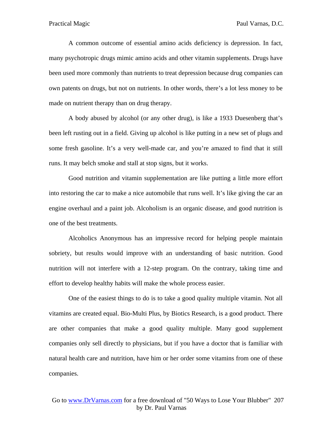A common outcome of essential amino acids deficiency is depression. In fact, many psychotropic drugs mimic amino acids and other vitamin supplements. Drugs have been used more commonly than nutrients to treat depression because drug companies can own patents on drugs, but not on nutrients. In other words, there's a lot less money to be made on nutrient therapy than on drug therapy.

 A body abused by alcohol (or any other drug), is like a 1933 Duesenberg that's been left rusting out in a field. Giving up alcohol is like putting in a new set of plugs and some fresh gasoline. It's a very well-made car, and you're amazed to find that it still runs. It may belch smoke and stall at stop signs, but it works.

 Good nutrition and vitamin supplementation are like putting a little more effort into restoring the car to make a nice automobile that runs well. It's like giving the car an engine overhaul and a paint job. Alcoholism is an organic disease, and good nutrition is one of the best treatments.

 Alcoholics Anonymous has an impressive record for helping people maintain sobriety, but results would improve with an understanding of basic nutrition. Good nutrition will not interfere with a 12-step program. On the contrary, taking time and effort to develop healthy habits will make the whole process easier.

 One of the easiest things to do is to take a good quality multiple vitamin. Not all vitamins are created equal. Bio-Multi Plus, by Biotics Research, is a good product. There are other companies that make a good quality multiple. Many good supplement companies only sell directly to physicians, but if you have a doctor that is familiar with natural health care and nutrition, have him or her order some vitamins from one of these companies.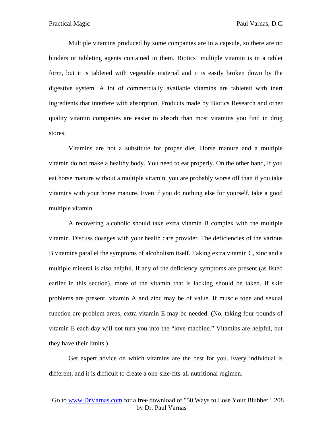Multiple vitamins produced by some companies are in a capsule, so there are no binders or tableting agents contained in them. Biotics' multiple vitamin is in a tablet form, but it is tableted with vegetable material and it is easily broken down by the digestive system. A lot of commercially available vitamins are tableted with inert ingredients that interfere with absorption. Products made by Biotics Research and other quality vitamin companies are easier to absorb than most vitamins you find in drug stores.

 Vitamins are not a substitute for proper diet. Horse manure and a multiple vitamin do not make a healthy body. You need to eat properly. On the other hand, if you eat horse manure without a multiple vitamin, you are probably worse off than if you take vitamins with your horse manure. Even if you do nothing else for yourself, take a good multiple vitamin.

 A recovering alcoholic should take extra vitamin B complex with the multiple vitamin. Discuss dosages with your health care provider. The deficiencies of the various B vitamins parallel the symptoms of alcoholism itself. Taking extra vitamin C, zinc and a multiple mineral is also helpful. If any of the deficiency symptoms are present (as listed earlier in this section), more of the vitamin that is lacking should be taken. If skin problems are present, vitamin A and zinc may be of value. If muscle tone and sexual function are problem areas, extra vitamin E may be needed. (No, taking four pounds of vitamin E each day will not turn you into the "love machine." Vitamins are helpful, but they have their limits.)

 Get expert advice on which vitamins are the best for you. Every individual is different, and it is difficult to create a one-size-fits-all nutritional regimen.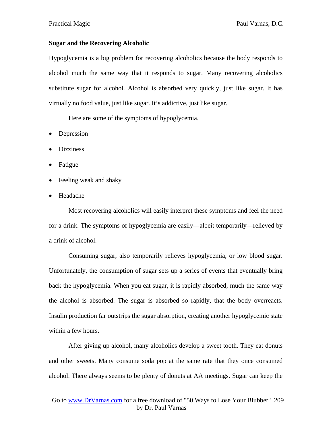# **Sugar and the Recovering Alcoholic**

Hypoglycemia is a big problem for recovering alcoholics because the body responds to alcohol much the same way that it responds to sugar. Many recovering alcoholics substitute sugar for alcohol. Alcohol is absorbed very quickly, just like sugar. It has virtually no food value, just like sugar. It's addictive, just like sugar.

Here are some of the symptoms of hypoglycemia.

- Depression
- Dizziness
- Fatigue
- Feeling weak and shaky
- Headache

Most recovering alcoholics will easily interpret these symptoms and feel the need for a drink. The symptoms of hypoglycemia are easily—albeit temporarily—relieved by a drink of alcohol.

 Consuming sugar, also temporarily relieves hypoglycemia, or low blood sugar. Unfortunately, the consumption of sugar sets up a series of events that eventually bring back the hypoglycemia. When you eat sugar, it is rapidly absorbed, much the same way the alcohol is absorbed. The sugar is absorbed so rapidly, that the body overreacts. Insulin production far outstrips the sugar absorption, creating another hypoglycemic state within a few hours.

 After giving up alcohol, many alcoholics develop a sweet tooth. They eat donuts and other sweets. Many consume soda pop at the same rate that they once consumed alcohol. There always seems to be plenty of donuts at AA meetings. Sugar can keep the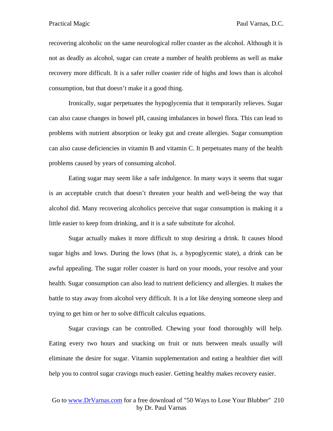recovering alcoholic on the same neurological roller coaster as the alcohol. Although it is not as deadly as alcohol, sugar can create a number of health problems as well as make recovery more difficult. It is a safer roller coaster ride of highs and lows than is alcohol consumption, but that doesn't make it a good thing.

 Ironically, sugar perpetuates the hypoglycemia that it temporarily relieves. Sugar can also cause changes in bowel pH, causing imbalances in bowel flora. This can lead to problems with nutrient absorption or leaky gut and create allergies. Sugar consumption can also cause deficiencies in vitamin B and vitamin C. It perpetuates many of the health problems caused by years of consuming alcohol.

 Eating sugar may seem like a safe indulgence. In many ways it seems that sugar is an acceptable crutch that doesn't threaten your health and well-being the way that alcohol did. Many recovering alcoholics perceive that sugar consumption is making it a little easier to keep from drinking, and it is a safe substitute for alcohol.

 Sugar actually makes it more difficult to stop desiring a drink. It causes blood sugar highs and lows. During the lows (that is, a hypoglycemic state), a drink can be awful appealing. The sugar roller coaster is hard on your moods, your resolve and your health. Sugar consumption can also lead to nutrient deficiency and allergies. It makes the battle to stay away from alcohol very difficult. It is a lot like denying someone sleep and trying to get him or her to solve difficult calculus equations.

 Sugar cravings can be controlled. Chewing your food thoroughly will help. Eating every two hours and snacking on fruit or nuts between meals usually will eliminate the desire for sugar. Vitamin supplementation and eating a healthier diet will help you to control sugar cravings much easier. Getting healthy makes recovery easier.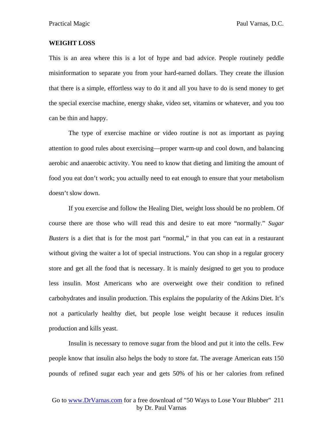# **WEIGHT LOSS**

This is an area where this is a lot of hype and bad advice. People routinely peddle misinformation to separate you from your hard-earned dollars. They create the illusion that there is a simple, effortless way to do it and all you have to do is send money to get the special exercise machine, energy shake, video set, vitamins or whatever, and you too can be thin and happy.

The type of exercise machine or video routine is not as important as paying attention to good rules about exercising—proper warm-up and cool down, and balancing aerobic and anaerobic activity. You need to know that dieting and limiting the amount of food you eat don't work; you actually need to eat enough to ensure that your metabolism doesn't slow down.

If you exercise and follow the Healing Diet, weight loss should be no problem. Of course there are those who will read this and desire to eat more "normally." *Sugar Busters* is a diet that is for the most part "normal," in that you can eat in a restaurant without giving the waiter a lot of special instructions. You can shop in a regular grocery store and get all the food that is necessary. It is mainly designed to get you to produce less insulin. Most Americans who are overweight owe their condition to refined carbohydrates and insulin production. This explains the popularity of the Atkins Diet. It's not a particularly healthy diet, but people lose weight because it reduces insulin production and kills yeast.

 Insulin is necessary to remove sugar from the blood and put it into the cells. Few people know that insulin also helps the body to store fat. The average American eats 150 pounds of refined sugar each year and gets 50% of his or her calories from refined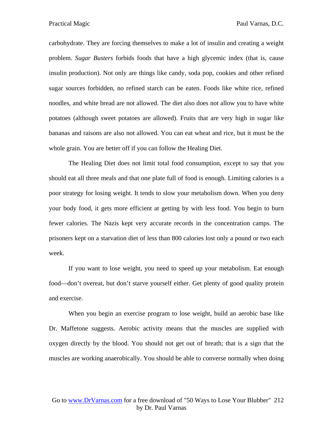carbohydrate. They are forcing themselves to make a lot of insulin and creating a weight problem. *Sugar Busters* forbids foods that have a high glycemic index (that is, cause insulin production). Not only are things like candy, soda pop, cookies and other refined sugar sources forbidden, no refined starch can be eaten. Foods like white rice, refined noodles, and white bread are not allowed. The diet also does not allow you to have white potatoes (although sweet potatoes are allowed). Fruits that are very high in sugar like bananas and raisons are also not allowed. You can eat wheat and rice, but it must be the whole grain. You are better off if you can follow the Healing Diet.

 The Healing Diet does not limit total food consumption, except to say that you should eat all three meals and that one plate full of food is enough. Limiting calories is a poor strategy for losing weight. It tends to slow your metabolism down. When you deny your body food, it gets more efficient at getting by with less food. You begin to burn fewer calories. The Nazis kept very accurate records in the concentration camps. The prisoners kept on a starvation diet of less than 800 calories lost only a pound or two each week.

 If you want to lose weight, you need to speed up your metabolism. Eat enough food—don't overeat, but don't starve yourself either. Get plenty of good quality protein and exercise.

 When you begin an exercise program to lose weight, build an aerobic base like Dr. Maffetone suggests. Aerobic activity means that the muscles are supplied with oxygen directly by the blood. You should not get out of breath; that is a sign that the muscles are working anaerobically. You should be able to converse normally when doing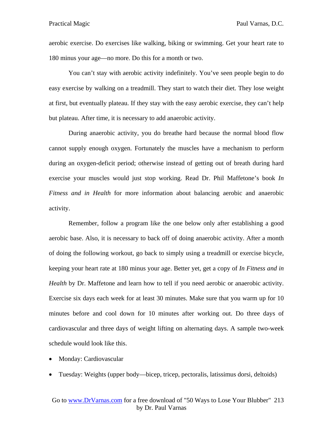aerobic exercise. Do exercises like walking, biking or swimming. Get your heart rate to 180 minus your age—no more. Do this for a month or two.

 You can't stay with aerobic activity indefinitely. You've seen people begin to do easy exercise by walking on a treadmill. They start to watch their diet. They lose weight at first, but eventually plateau. If they stay with the easy aerobic exercise, they can't help but plateau. After time, it is necessary to add anaerobic activity.

 During anaerobic activity, you do breathe hard because the normal blood flow cannot supply enough oxygen. Fortunately the muscles have a mechanism to perform during an oxygen-deficit period; otherwise instead of getting out of breath during hard exercise your muscles would just stop working. Read Dr. Phil Maffetone's book *In Fitness and in Health* for more information about balancing aerobic and anaerobic activity.

 Remember, follow a program like the one below only after establishing a good aerobic base. Also, it is necessary to back off of doing anaerobic activity. After a month of doing the following workout, go back to simply using a treadmill or exercise bicycle, keeping your heart rate at 180 minus your age. Better yet, get a copy of *In Fitness and in Health* by Dr. Maffetone and learn how to tell if you need aerobic or anaerobic activity. Exercise six days each week for at least 30 minutes. Make sure that you warm up for 10 minutes before and cool down for 10 minutes after working out. Do three days of cardiovascular and three days of weight lifting on alternating days. A sample two-week schedule would look like this.

- Monday: Cardiovascular
- Tuesday: Weights (upper body—bicep, tricep, pectoralis, latissimus dorsi, deltoids)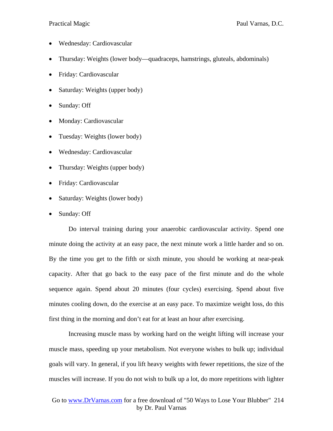- Wednesday: Cardiovascular
- Thursday: Weights (lower body—quadraceps, hamstrings, gluteals, abdominals)
- Friday: Cardiovascular
- Saturday: Weights (upper body)
- Sunday: Off
- Monday: Cardiovascular
- Tuesday: Weights (lower body)
- Wednesday: Cardiovascular
- Thursday: Weights (upper body)
- Friday: Cardiovascular
- Saturday: Weights (lower body)
- Sunday: Off

 Do interval training during your anaerobic cardiovascular activity. Spend one minute doing the activity at an easy pace, the next minute work a little harder and so on. By the time you get to the fifth or sixth minute, you should be working at near-peak capacity. After that go back to the easy pace of the first minute and do the whole sequence again. Spend about 20 minutes (four cycles) exercising. Spend about five minutes cooling down, do the exercise at an easy pace. To maximize weight loss, do this first thing in the morning and don't eat for at least an hour after exercising.

 Increasing muscle mass by working hard on the weight lifting will increase your muscle mass, speeding up your metabolism. Not everyone wishes to bulk up; individual goals will vary. In general, if you lift heavy weights with fewer repetitions, the size of the muscles will increase. If you do not wish to bulk up a lot, do more repetitions with lighter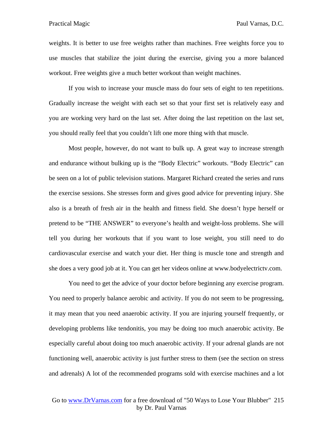weights. It is better to use free weights rather than machines. Free weights force you to use muscles that stabilize the joint during the exercise, giving you a more balanced workout. Free weights give a much better workout than weight machines.

 If you wish to increase your muscle mass do four sets of eight to ten repetitions. Gradually increase the weight with each set so that your first set is relatively easy and you are working very hard on the last set. After doing the last repetition on the last set, you should really feel that you couldn't lift one more thing with that muscle.

 Most people, however, do not want to bulk up. A great way to increase strength and endurance without bulking up is the "Body Electric" workouts. "Body Electric" can be seen on a lot of public television stations. Margaret Richard created the series and runs the exercise sessions. She stresses form and gives good advice for preventing injury. She also is a breath of fresh air in the health and fitness field. She doesn't hype herself or pretend to be "THE ANSWER" to everyone's health and weight-loss problems. She will tell you during her workouts that if you want to lose weight, you still need to do cardiovascular exercise and watch your diet. Her thing is muscle tone and strength and she does a very good job at it. You can get her videos online at www.bodyelectrictv.com.

 You need to get the advice of your doctor before beginning any exercise program. You need to properly balance aerobic and activity. If you do not seem to be progressing, it may mean that you need anaerobic activity. If you are injuring yourself frequently, or developing problems like tendonitis, you may be doing too much anaerobic activity. Be especially careful about doing too much anaerobic activity. If your adrenal glands are not functioning well, anaerobic activity is just further stress to them (see the section on stress and adrenals) A lot of the recommended programs sold with exercise machines and a lot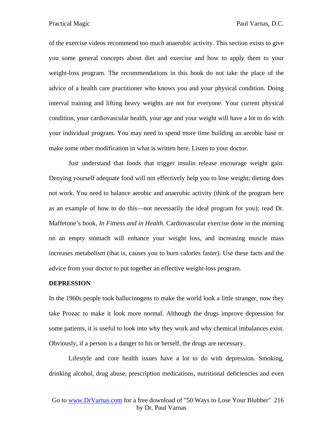of the exercise videos recommend too much anaerobic activity. This section exists to give you some general concepts about diet and exercise and how to apply them to your weight-loss program. The recommendations in this book do not take the place of the advice of a health care practitioner who knows you and your physical condition. Doing interval training and lifting heavy weights are not for everyone. Your current physical condition, your cardiovascular health, your age and your weight will have a lot to do with your individual program. You may need to spend more time building an aerobic base or make some other modification in what is written here. Listen to your doctor.

 Just understand that foods that trigger insulin release encourage weight gain. Denying yourself adequate food will not effectively help you to lose weight; dieting does not work. You need to balance aerobic and anaerobic activity (think of the program here as an example of how to do this—not necessarily the ideal program for you); read Dr. Maffetone's book, *In Fitness and in Health.* Cardiovascular exercise done in the morning on an empty stomach will enhance your weight loss, and increasing muscle mass increases metabolism (that is, causes you to burn calories faster). Use these facts and the advice from your doctor to put together an effective weight-loss program.

#### **DEPRESSION**

In the 1960s people took hallucinogens to make the world look a little stranger, now they take Prozac to make it look more normal. Although the drugs improve depression for some patients, it is useful to look into why they work and why chemical imbalances exist. Obviously, if a person is a danger to his or herself, the drugs are necessary.

Lifestyle and core health issues have a lot to do with depression. Smoking, drinking alcohol, drug abuse, prescription medications, nutritional deficiencies and even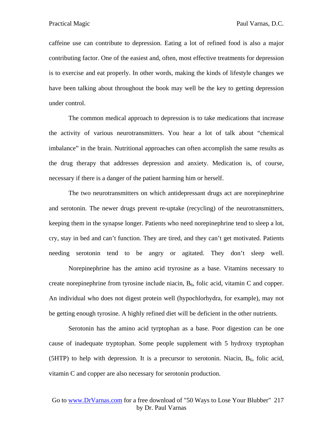caffeine use can contribute to depression. Eating a lot of refined food is also a major contributing factor. One of the easiest and, often, most effective treatments for depression is to exercise and eat properly. In other words, making the kinds of lifestyle changes we have been talking about throughout the book may well be the key to getting depression under control.

 The common medical approach to depression is to take medications that increase the activity of various neurotransmitters. You hear a lot of talk about "chemical imbalance" in the brain. Nutritional approaches can often accomplish the same results as the drug therapy that addresses depression and anxiety. Medication is, of course, necessary if there is a danger of the patient harming him or herself.

 The two neurotransmitters on which antidepressant drugs act are norepinephrine and serotonin. The newer drugs prevent re-uptake (recycling) of the neurotransmitters, keeping them in the synapse longer. Patients who need norepinephrine tend to sleep a lot, cry, stay in bed and can't function. They are tired, and they can't get motivated. Patients needing serotonin tend to be angry or agitated. They don't sleep well.

 Norepinephrine has the amino acid tryrosine as a base. Vitamins necessary to create norepinephrine from tyrosine include niacin,  $B<sub>6</sub>$ , folic acid, vitamin C and copper. An individual who does not digest protein well (hypochlorhydra, for example), may not be getting enough tyrosine. A highly refined diet will be deficient in the other nutrients.

 Serotonin has the amino acid tyrptophan as a base. Poor digestion can be one cause of inadequate tryptophan. Some people supplement with 5 hydroxy tryptophan (5HTP) to help with depression. It is a precursor to serotonin. Niacin,  $B_6$ , folic acid, vitamin C and copper are also necessary for serotonin production.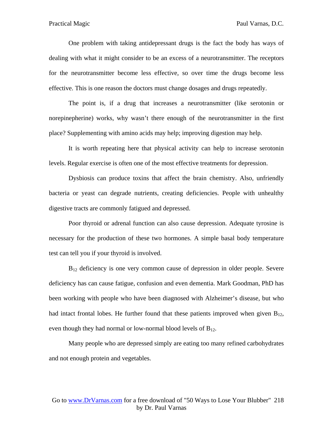One problem with taking antidepressant drugs is the fact the body has ways of dealing with what it might consider to be an excess of a neurotransmitter. The receptors for the neurotransmitter become less effective, so over time the drugs become less effective. This is one reason the doctors must change dosages and drugs repeatedly.

 The point is, if a drug that increases a neurotransmitter (like serotonin or norepinepherine) works, why wasn't there enough of the neurotransmitter in the first place? Supplementing with amino acids may help; improving digestion may help.

 It is worth repeating here that physical activity can help to increase serotonin levels. Regular exercise is often one of the most effective treatments for depression.

 Dysbiosis can produce toxins that affect the brain chemistry. Also, unfriendly bacteria or yeast can degrade nutrients, creating deficiencies. People with unhealthy digestive tracts are commonly fatigued and depressed.

 Poor thyroid or adrenal function can also cause depression. Adequate tyrosine is necessary for the production of these two hormones. A simple basal body temperature test can tell you if your thyroid is involved.

 $B_{12}$  deficiency is one very common cause of depression in older people. Severe deficiency has can cause fatigue, confusion and even dementia. Mark Goodman, PhD has been working with people who have been diagnosed with Alzheimer's disease, but who had intact frontal lobes. He further found that these patients improved when given  $B_{12}$ , even though they had normal or low-normal blood levels of  $B_{12}$ .

 Many people who are depressed simply are eating too many refined carbohydrates and not enough protein and vegetables.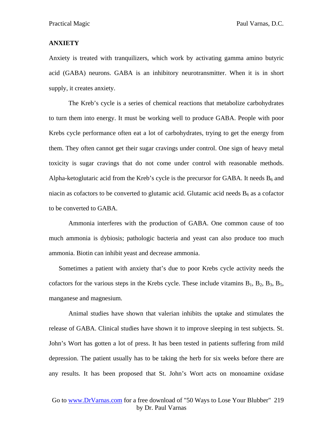#### **ANXIETY**

Anxiety is treated with tranquilizers, which work by activating gamma amino butyric acid (GABA) neurons. GABA is an inhibitory neurotransmitter. When it is in short supply, it creates anxiety.

 The Kreb's cycle is a series of chemical reactions that metabolize carbohydrates to turn them into energy. It must be working well to produce GABA. People with poor Krebs cycle performance often eat a lot of carbohydrates, trying to get the energy from them. They often cannot get their sugar cravings under control. One sign of heavy metal toxicity is sugar cravings that do not come under control with reasonable methods. Alpha-ketoglutaric acid from the Kreb's cycle is the precursor for GABA. It needs  $B<sub>6</sub>$  and niacin as cofactors to be converted to glutamic acid. Glutamic acid needs  $B_6$  as a cofactor to be converted to GABA.

Ammonia interferes with the production of GABA. One common cause of too much ammonia is dybiosis; pathologic bacteria and yeast can also produce too much ammonia. Biotin can inhibit yeast and decrease ammonia.

Sometimes a patient with anxiety that's due to poor Krebs cycle activity needs the cofactors for the various steps in the Krebs cycle. These include vitamins  $B_1$ ,  $B_2$ ,  $B_3$ ,  $B_5$ , manganese and magnesium.

 Animal studies have shown that valerian inhibits the uptake and stimulates the release of GABA. Clinical studies have shown it to improve sleeping in test subjects. St. John's Wort has gotten a lot of press. It has been tested in patients suffering from mild depression. The patient usually has to be taking the herb for six weeks before there are any results. It has been proposed that St. John's Wort acts on monoamine oxidase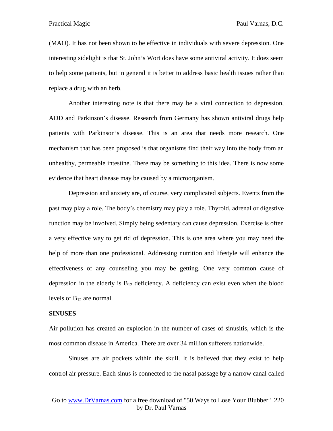(MAO). It has not been shown to be effective in individuals with severe depression. One interesting sidelight is that St. John's Wort does have some antiviral activity. It does seem to help some patients, but in general it is better to address basic health issues rather than replace a drug with an herb.

Another interesting note is that there may be a viral connection to depression, ADD and Parkinson's disease. Research from Germany has shown antiviral drugs help patients with Parkinson's disease. This is an area that needs more research. One mechanism that has been proposed is that organisms find their way into the body from an unhealthy, permeable intestine. There may be something to this idea. There is now some evidence that heart disease may be caused by a microorganism.

Depression and anxiety are, of course, very complicated subjects. Events from the past may play a role. The body's chemistry may play a role. Thyroid, adrenal or digestive function may be involved. Simply being sedentary can cause depression. Exercise is often a very effective way to get rid of depression. This is one area where you may need the help of more than one professional. Addressing nutrition and lifestyle will enhance the effectiveness of any counseling you may be getting. One very common cause of depression in the elderly is  $B_{12}$  deficiency. A deficiency can exist even when the blood levels of  $B_{12}$  are normal.

#### **SINUSES**

Air pollution has created an explosion in the number of cases of sinusitis, which is the most common disease in America. There are over 34 million sufferers nationwide.

 Sinuses are air pockets within the skull. It is believed that they exist to help control air pressure. Each sinus is connected to the nasal passage by a narrow canal called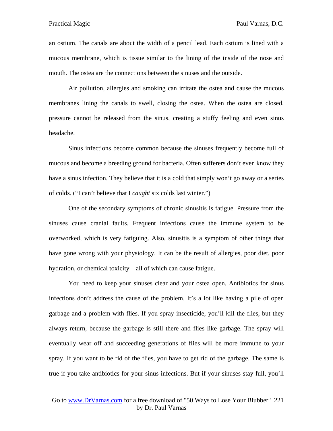an ostium. The canals are about the width of a pencil lead. Each ostium is lined with a mucous membrane, which is tissue similar to the lining of the inside of the nose and mouth. The ostea are the connections between the sinuses and the outside.

 Air pollution, allergies and smoking can irritate the ostea and cause the mucous membranes lining the canals to swell, closing the ostea. When the ostea are closed, pressure cannot be released from the sinus, creating a stuffy feeling and even sinus headache.

 Sinus infections become common because the sinuses frequently become full of mucous and become a breeding ground for bacteria. Often sufferers don't even know they have a sinus infection. They believe that it is a cold that simply won't go away or a series of colds. ("I can't believe that I *caught* six colds last winter.")

 One of the secondary symptoms of chronic sinusitis is fatigue. Pressure from the sinuses cause cranial faults. Frequent infections cause the immune system to be overworked, which is very fatiguing. Also, sinusitis is a symptom of other things that have gone wrong with your physiology. It can be the result of allergies, poor diet, poor hydration, or chemical toxicity—all of which can cause fatigue.

 You need to keep your sinuses clear and your ostea open. Antibiotics for sinus infections don't address the cause of the problem. It's a lot like having a pile of open garbage and a problem with flies. If you spray insecticide, you'll kill the flies, but they always return, because the garbage is still there and flies like garbage. The spray will eventually wear off and succeeding generations of flies will be more immune to your spray. If you want to be rid of the flies, you have to get rid of the garbage. The same is true if you take antibiotics for your sinus infections. But if your sinuses stay full, you'll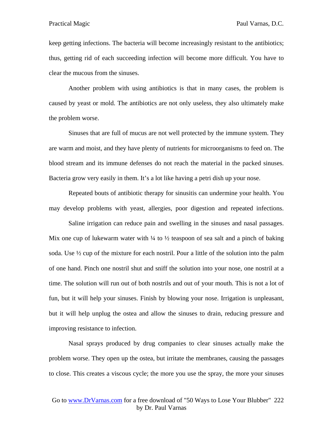keep getting infections. The bacteria will become increasingly resistant to the antibiotics; thus, getting rid of each succeeding infection will become more difficult. You have to clear the mucous from the sinuses.

 Another problem with using antibiotics is that in many cases, the problem is caused by yeast or mold. The antibiotics are not only useless, they also ultimately make the problem worse.

 Sinuses that are full of mucus are not well protected by the immune system. They are warm and moist, and they have plenty of nutrients for microorganisms to feed on. The blood stream and its immune defenses do not reach the material in the packed sinuses. Bacteria grow very easily in them. It's a lot like having a petri dish up your nose.

 Repeated bouts of antibiotic therapy for sinusitis can undermine your health. You may develop problems with yeast, allergies, poor digestion and repeated infections.

 Saline irrigation can reduce pain and swelling in the sinuses and nasal passages. Mix one cup of lukewarm water with  $\frac{1}{4}$  to  $\frac{1}{2}$  teaspoon of sea salt and a pinch of baking soda. Use ½ cup of the mixture for each nostril. Pour a little of the solution into the palm of one hand. Pinch one nostril shut and sniff the solution into your nose, one nostril at a time. The solution will run out of both nostrils and out of your mouth. This is not a lot of fun, but it will help your sinuses. Finish by blowing your nose. Irrigation is unpleasant, but it will help unplug the ostea and allow the sinuses to drain, reducing pressure and improving resistance to infection.

 Nasal sprays produced by drug companies to clear sinuses actually make the problem worse. They open up the ostea, but irritate the membranes, causing the passages to close. This creates a viscous cycle; the more you use the spray, the more your sinuses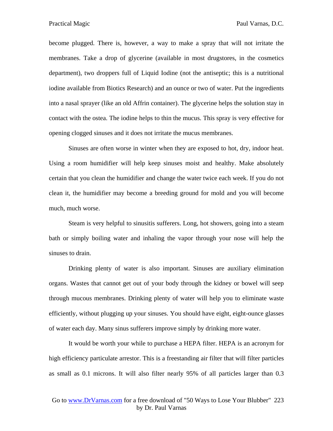become plugged. There is, however, a way to make a spray that will not irritate the membranes. Take a drop of glycerine (available in most drugstores, in the cosmetics department), two droppers full of Liquid Iodine (not the antiseptic; this is a nutritional iodine available from Biotics Research) and an ounce or two of water. Put the ingredients into a nasal sprayer (like an old Affrin container). The glycerine helps the solution stay in contact with the ostea. The iodine helps to thin the mucus. This spray is very effective for opening clogged sinuses and it does not irritate the mucus membranes.

 Sinuses are often worse in winter when they are exposed to hot, dry, indoor heat. Using a room humidifier will help keep sinuses moist and healthy. Make absolutely certain that you clean the humidifier and change the water twice each week. If you do not clean it, the humidifier may become a breeding ground for mold and you will become much, much worse.

 Steam is very helpful to sinusitis sufferers. Long, hot showers, going into a steam bath or simply boiling water and inhaling the vapor through your nose will help the sinuses to drain.

 Drinking plenty of water is also important. Sinuses are auxiliary elimination organs. Wastes that cannot get out of your body through the kidney or bowel will seep through mucous membranes. Drinking plenty of water will help you to eliminate waste efficiently, without plugging up your sinuses. You should have eight, eight-ounce glasses of water each day. Many sinus sufferers improve simply by drinking more water.

 It would be worth your while to purchase a HEPA filter. HEPA is an acronym for high efficiency particulate arrestor. This is a freestanding air filter that will filter particles as small as 0.1 microns. It will also filter nearly 95% of all particles larger than 0.3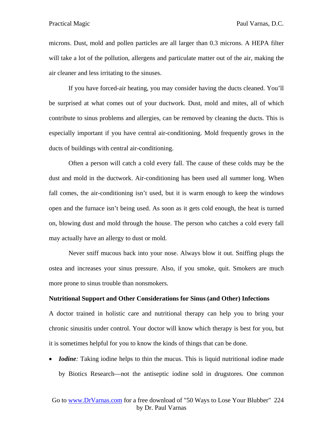microns. Dust, mold and pollen particles are all larger than 0.3 microns. A HEPA filter will take a lot of the pollution, allergens and particulate matter out of the air, making the air cleaner and less irritating to the sinuses.

 If you have forced-air heating, you may consider having the ducts cleaned. You'll be surprised at what comes out of your ductwork. Dust, mold and mites, all of which contribute to sinus problems and allergies, can be removed by cleaning the ducts. This is especially important if you have central air-conditioning. Mold frequently grows in the ducts of buildings with central air-conditioning.

 Often a person will catch a cold every fall. The cause of these colds may be the dust and mold in the ductwork. Air-conditioning has been used all summer long. When fall comes, the air-conditioning isn't used, but it is warm enough to keep the windows open and the furnace isn't being used. As soon as it gets cold enough, the heat is turned on, blowing dust and mold through the house. The person who catches a cold every fall may actually have an allergy to dust or mold.

 Never sniff mucous back into your nose. Always blow it out. Sniffing plugs the ostea and increases your sinus pressure. Also, if you smoke, quit. Smokers are much more prone to sinus trouble than nonsmokers.

#### **Nutritional Support and Other Considerations for Sinus (and Other) Infections**

A doctor trained in holistic care and nutritional therapy can help you to bring your chronic sinusitis under control. Your doctor will know which therapy is best for you, but it is sometimes helpful for you to know the kinds of things that can be done.

• *Iodine*: Taking iodine helps to thin the mucus. This is liquid nutritional iodine made by Biotics Research—not the antiseptic iodine sold in drugstores. One common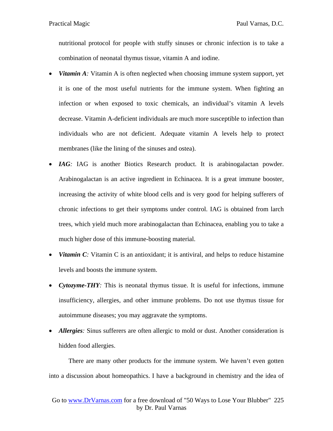nutritional protocol for people with stuffy sinuses or chronic infection is to take a combination of neonatal thymus tissue, vitamin A and iodine.

- *Vitamin A*: Vitamin A is often neglected when choosing immune system support, yet it is one of the most useful nutrients for the immune system. When fighting an infection or when exposed to toxic chemicals, an individual's vitamin A levels decrease. Vitamin A-deficient individuals are much more susceptible to infection than individuals who are not deficient. Adequate vitamin A levels help to protect membranes (like the lining of the sinuses and ostea).
- *IAG:* IAG is another Biotics Research product. It is arabinogalactan powder. Arabinogalactan is an active ingredient in Echinacea. It is a great immune booster, increasing the activity of white blood cells and is very good for helping sufferers of chronic infections to get their symptoms under control. IAG is obtained from larch trees, which yield much more arabinogalactan than Echinacea, enabling you to take a much higher dose of this immune-boosting material.
- *Vitamin C*: Vitamin C is an antioxidant; it is antiviral, and helps to reduce histamine levels and boosts the immune system.
- *Cytozyme-THY*: This is neonatal thymus tissue. It is useful for infections, immune insufficiency, allergies, and other immune problems. Do not use thymus tissue for autoimmune diseases; you may aggravate the symptoms.
- *Allergies:* Sinus sufferers are often allergic to mold or dust. Another consideration is hidden food allergies.

 There are many other products for the immune system. We haven't even gotten into a discussion about homeopathics. I have a background in chemistry and the idea of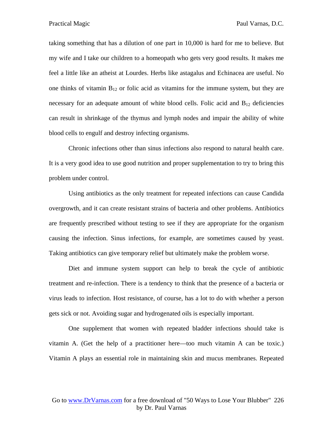taking something that has a dilution of one part in 10,000 is hard for me to believe. But my wife and I take our children to a homeopath who gets very good results. It makes me feel a little like an atheist at Lourdes. Herbs like astagalus and Echinacea are useful. No one thinks of vitamin  $B_{12}$  or folic acid as vitamins for the immune system, but they are necessary for an adequate amount of white blood cells. Folic acid and  $B_{12}$  deficiencies can result in shrinkage of the thymus and lymph nodes and impair the ability of white blood cells to engulf and destroy infecting organisms.

 Chronic infections other than sinus infections also respond to natural health care. It is a very good idea to use good nutrition and proper supplementation to try to bring this problem under control.

 Using antibiotics as the only treatment for repeated infections can cause Candida overgrowth, and it can create resistant strains of bacteria and other problems. Antibiotics are frequently prescribed without testing to see if they are appropriate for the organism causing the infection. Sinus infections, for example, are sometimes caused by yeast. Taking antibiotics can give temporary relief but ultimately make the problem worse.

 Diet and immune system support can help to break the cycle of antibiotic treatment and re-infection. There is a tendency to think that the presence of a bacteria or virus leads to infection. Host resistance, of course, has a lot to do with whether a person gets sick or not. Avoiding sugar and hydrogenated oils is especially important.

 One supplement that women with repeated bladder infections should take is vitamin A. (Get the help of a practitioner here—too much vitamin A can be toxic.) Vitamin A plays an essential role in maintaining skin and mucus membranes. Repeated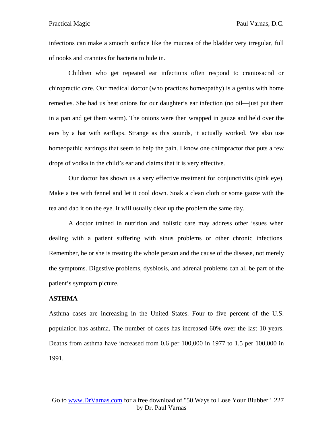infections can make a smooth surface like the mucosa of the bladder very irregular, full of nooks and crannies for bacteria to hide in.

 Children who get repeated ear infections often respond to craniosacral or chiropractic care. Our medical doctor (who practices homeopathy) is a genius with home remedies. She had us heat onions for our daughter's ear infection (no oil—just put them in a pan and get them warm). The onions were then wrapped in gauze and held over the ears by a hat with earflaps. Strange as this sounds, it actually worked. We also use homeopathic eardrops that seem to help the pain. I know one chiropractor that puts a few drops of vodka in the child's ear and claims that it is very effective.

 Our doctor has shown us a very effective treatment for conjunctivitis (pink eye). Make a tea with fennel and let it cool down. Soak a clean cloth or some gauze with the tea and dab it on the eye. It will usually clear up the problem the same day.

 A doctor trained in nutrition and holistic care may address other issues when dealing with a patient suffering with sinus problems or other chronic infections. Remember, he or she is treating the whole person and the cause of the disease, not merely the symptoms. Digestive problems, dysbiosis, and adrenal problems can all be part of the patient's symptom picture.

#### **ASTHMA**

Asthma cases are increasing in the United States. Four to five percent of the U.S. population has asthma. The number of cases has increased 60% over the last 10 years. Deaths from asthma have increased from 0.6 per 100,000 in 1977 to 1.5 per 100,000 in 1991.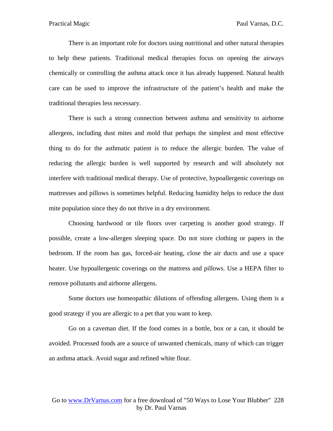There is an important role for doctors using nutritional and other natural therapies to help these patients. Traditional medical therapies focus on opening the airways chemically or controlling the asthma attack once it has already happened. Natural health care can be used to improve the infrastructure of the patient's health and make the traditional therapies less necessary.

 There is such a strong connection between asthma and sensitivity to airborne allergens, including dust mites and mold that perhaps the simplest and most effective thing to do for the asthmatic patient is to reduce the allergic burden. The value of reducing the allergic burden is well supported by research and will absolutely not interfere with traditional medical therapy. Use of protective, hypoallergenic coverings on mattresses and pillows is sometimes helpful. Reducing humidity helps to reduce the dust mite population since they do not thrive in a dry environment.

Choosing hardwood or tile floors over carpeting is another good strategy. If possible, create a low-allergen sleeping space. Do not store clothing or papers in the bedroom. If the room has gas, forced-air heating, close the air ducts and use a space heater. Use hypoallergenic coverings on the mattress and pillows. Use a HEPA filter to remove pollutants and airborne allergens.

Some doctors use homeopathic dilutions of offending allergens. Using them is a good strategy if you are allergic to a pet that you want to keep.

Go on a caveman diet. If the food comes in a bottle, box or a can, it should be avoided. Processed foods are a source of unwanted chemicals, many of which can trigger an asthma attack. Avoid sugar and refined white flour.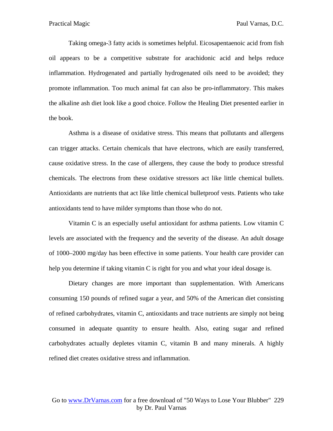Taking omega-3 fatty acids is sometimes helpful. Eicosapentaenoic acid from fish oil appears to be a competitive substrate for arachidonic acid and helps reduce inflammation. Hydrogenated and partially hydrogenated oils need to be avoided; they promote inflammation. Too much animal fat can also be pro-inflammatory. This makes the alkaline ash diet look like a good choice. Follow the Healing Diet presented earlier in the book.

Asthma is a disease of oxidative stress. This means that pollutants and allergens can trigger attacks. Certain chemicals that have electrons, which are easily transferred, cause oxidative stress. In the case of allergens, they cause the body to produce stressful chemicals. The electrons from these oxidative stressors act like little chemical bullets. Antioxidants are nutrients that act like little chemical bulletproof vests. Patients who take antioxidants tend to have milder symptoms than those who do not.

Vitamin C is an especially useful antioxidant for asthma patients. Low vitamin C levels are associated with the frequency and the severity of the disease. An adult dosage of 1000–2000 mg/day has been effective in some patients. Your health care provider can help you determine if taking vitamin C is right for you and what your ideal dosage is.

Dietary changes are more important than supplementation. With Americans consuming 150 pounds of refined sugar a year, and 50% of the American diet consisting of refined carbohydrates, vitamin C, antioxidants and trace nutrients are simply not being consumed in adequate quantity to ensure health. Also, eating sugar and refined carbohydrates actually depletes vitamin C, vitamin B and many minerals. A highly refined diet creates oxidative stress and inflammation.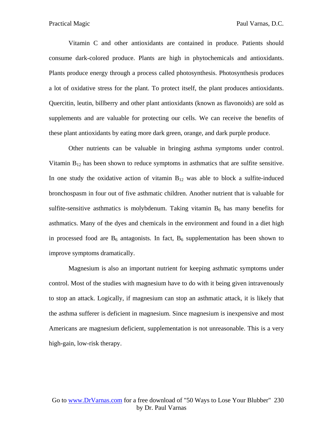Vitamin C and other antioxidants are contained in produce. Patients should consume dark-colored produce. Plants are high in phytochemicals and antioxidants. Plants produce energy through a process called photosynthesis. Photosynthesis produces a lot of oxidative stress for the plant. To protect itself, the plant produces antioxidants. Quercitin, leutin, billberry and other plant antioxidants (known as flavonoids) are sold as supplements and are valuable for protecting our cells. We can receive the benefits of these plant antioxidants by eating more dark green, orange, and dark purple produce.

Other nutrients can be valuable in bringing asthma symptoms under control. Vitamin  $B_{12}$  has been shown to reduce symptoms in asthmatics that are sulfite sensitive. In one study the oxidative action of vitamin  $B_{12}$  was able to block a sulfite-induced bronchospasm in four out of five asthmatic children. Another nutrient that is valuable for sulfite-sensitive asthmatics is molybdenum. Taking vitamin  $B_6$  has many benefits for asthmatics. Many of the dyes and chemicals in the environment and found in a diet high in processed food are  $B_6$  antagonists. In fact,  $B_6$  supplementation has been shown to improve symptoms dramatically.

Magnesium is also an important nutrient for keeping asthmatic symptoms under control. Most of the studies with magnesium have to do with it being given intravenously to stop an attack. Logically, if magnesium can stop an asthmatic attack, it is likely that the asthma sufferer is deficient in magnesium. Since magnesium is inexpensive and most Americans are magnesium deficient, supplementation is not unreasonable. This is a very high-gain, low-risk therapy.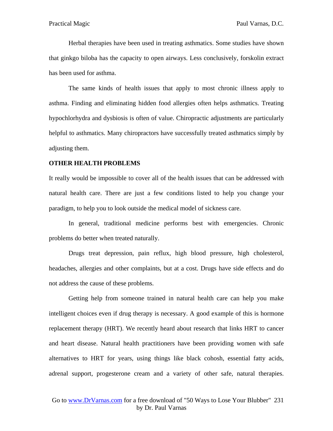Herbal therapies have been used in treating asthmatics. Some studies have shown that ginkgo biloba has the capacity to open airways. Less conclusively, forskolin extract has been used for asthma.

The same kinds of health issues that apply to most chronic illness apply to asthma. Finding and eliminating hidden food allergies often helps asthmatics. Treating hypochlorhydra and dysbiosis is often of value. Chiropractic adjustments are particularly helpful to asthmatics. Many chiropractors have successfully treated asthmatics simply by adjusting them.

#### **OTHER HEALTH PROBLEMS**

It really would be impossible to cover all of the health issues that can be addressed with natural health care. There are just a few conditions listed to help you change your paradigm, to help you to look outside the medical model of sickness care.

In general, traditional medicine performs best with emergencies. Chronic problems do better when treated naturally.

Drugs treat depression, pain reflux, high blood pressure, high cholesterol, headaches, allergies and other complaints, but at a cost. Drugs have side effects and do not address the cause of these problems.

Getting help from someone trained in natural health care can help you make intelligent choices even if drug therapy is necessary. A good example of this is hormone replacement therapy (HRT). We recently heard about research that links HRT to cancer and heart disease. Natural health practitioners have been providing women with safe alternatives to HRT for years, using things like black cohosh, essential fatty acids, adrenal support, progesterone cream and a variety of other safe, natural therapies.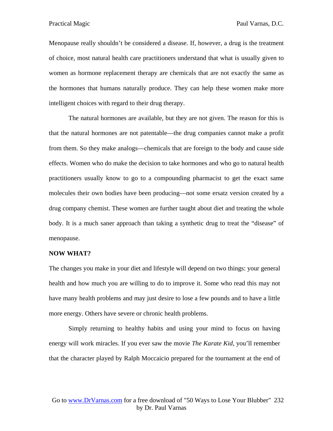Menopause really shouldn't be considered a disease. If, however, a drug is the treatment of choice, most natural health care practitioners understand that what is usually given to women as hormone replacement therapy are chemicals that are not exactly the same as the hormones that humans naturally produce. They can help these women make more intelligent choices with regard to their drug therapy.

The natural hormones are available, but they are not given. The reason for this is that the natural hormones are not patentable—the drug companies cannot make a profit from them. So they make analogs—chemicals that are foreign to the body and cause side effects. Women who do make the decision to take hormones and who go to natural health practitioners usually know to go to a compounding pharmacist to get the exact same molecules their own bodies have been producing—not some ersatz version created by a drug company chemist. These women are further taught about diet and treating the whole body. It is a much saner approach than taking a synthetic drug to treat the "disease" of menopause.

#### **NOW WHAT?**

The changes you make in your diet and lifestyle will depend on two things: your general health and how much you are willing to do to improve it. Some who read this may not have many health problems and may just desire to lose a few pounds and to have a little more energy. Others have severe or chronic health problems.

 Simply returning to healthy habits and using your mind to focus on having energy will work miracles. If you ever saw the movie *The Karate Kid*, you'll remember that the character played by Ralph Moccaicio prepared for the tournament at the end of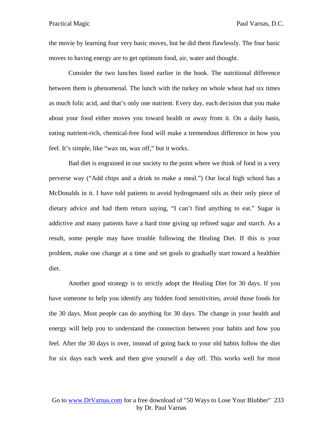the movie by learning four very basic moves, but he did them flawlessly. The four basic moves to having energy are to get optimum food, air, water and thought.

 Consider the two lunches listed earlier in the book. The nutritional difference between them is phenomenal. The lunch with the turkey on whole wheat had six times as much folic acid, and that's only one nutrient. Every day, each decision that you make about your food either moves you toward health or away from it. On a daily basis, eating nutrient-rich, chemical-free food will make a tremendous difference in how you feel. It's simple, like "wax on, wax off," but it works.

 Bad diet is engrained in our society to the point where we think of food in a very perverse way ("Add chips and a drink to make a meal.") Our local high school has a McDonalds in it. I have told patients to avoid hydrogenated oils as their only piece of dietary advice and had them return saying, "I can't find anything to eat." Sugar is addictive and many patients have a hard time giving up refined sugar and starch. As a result, some people may have trouble following the Healing Diet. If this is your problem, make one change at a time and set goals to gradually start toward a healthier diet.

Another good strategy is to strictly adopt the Healing Diet for 30 days. If you have someone to help you identify any hidden food sensitivities, avoid those foods for the 30 days. Most people can do anything for 30 days. The change in your health and energy will help you to understand the connection between your habits and how you feel. After the 30 days is over, instead of going back to your old habits follow the diet for six days each week and then give yourself a day off. This works well for most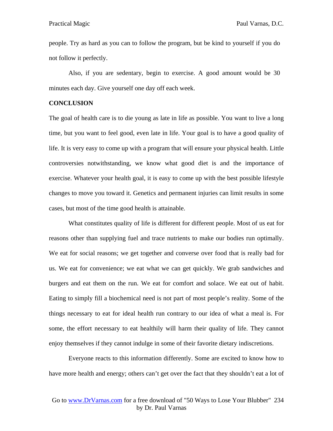people. Try as hard as you can to follow the program, but be kind to yourself if you do not follow it perfectly.

 Also, if you are sedentary, begin to exercise. A good amount would be 30 minutes each day. Give yourself one day off each week.

#### **CONCLUSION**

The goal of health care is to die young as late in life as possible. You want to live a long time, but you want to feel good, even late in life. Your goal is to have a good quality of life. It is very easy to come up with a program that will ensure your physical health. Little controversies notwithstanding, we know what good diet is and the importance of exercise. Whatever your health goal, it is easy to come up with the best possible lifestyle changes to move you toward it. Genetics and permanent injuries can limit results in some cases, but most of the time good health is attainable.

 What constitutes quality of life is different for different people. Most of us eat for reasons other than supplying fuel and trace nutrients to make our bodies run optimally. We eat for social reasons; we get together and converse over food that is really bad for us. We eat for convenience; we eat what we can get quickly. We grab sandwiches and burgers and eat them on the run. We eat for comfort and solace. We eat out of habit. Eating to simply fill a biochemical need is not part of most people's reality. Some of the things necessary to eat for ideal health run contrary to our idea of what a meal is. For some, the effort necessary to eat healthily will harm their quality of life. They cannot enjoy themselves if they cannot indulge in some of their favorite dietary indiscretions.

 Everyone reacts to this information differently. Some are excited to know how to have more health and energy; others can't get over the fact that they shouldn't eat a lot of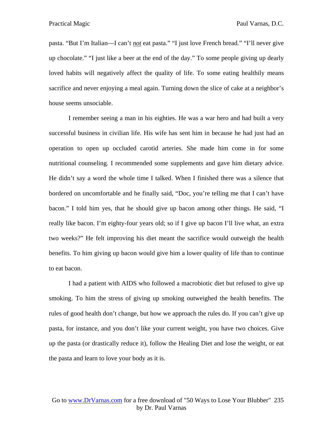pasta. "But I'm Italian—I can't *not* eat pasta." "I just love French bread." "I'll never give up chocolate." "I just like a beer at the end of the day." To some people giving up dearly loved habits will negatively affect the quality of life. To some eating healthily means sacrifice and never enjoying a meal again. Turning down the slice of cake at a neighbor's house seems unsociable.

 I remember seeing a man in his eighties. He was a war hero and had built a very successful business in civilian life. His wife has sent him in because he had just had an operation to open up occluded carotid arteries. She made him come in for some nutritional counseling. I recommended some supplements and gave him dietary advice. He didn't say a word the whole time I talked. When I finished there was a silence that bordered on uncomfortable and he finally said, "Doc, you're telling me that I can't have bacon." I told him yes, that he should give up bacon among other things. He said, "I really like bacon. I'm eighty-four years old; so if I give up bacon I'll live what, an extra two weeks?" He felt improving his diet meant the sacrifice would outweigh the health benefits. To him giving up bacon would give him a lower quality of life than to continue to eat bacon.

 I had a patient with AIDS who followed a macrobiotic diet but refused to give up smoking. To him the stress of giving up smoking outweighed the health benefits. The rules of good health don't change, but how we approach the rules do. If you can't give up pasta, for instance, and you don't like your current weight, you have two choices. Give up the pasta (or drastically reduce it), follow the Healing Diet and lose the weight, or eat the pasta and learn to love your body as it is.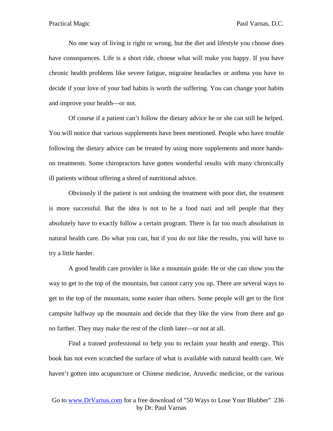No one way of living is right or wrong, but the diet and lifestyle you choose does have consequences. Life is a short ride, choose what will make you happy. If you have chronic health problems like severe fatigue, migraine headaches or asthma you have to decide if your love of your bad habits is worth the suffering. You can change your habits and improve your health—or not.

 Of course if a patient can't follow the dietary advice he or she can still be helped. You will notice that various supplements have been mentioned. People who have trouble following the dietary advice can be treated by using more supplements and more handson treatments. Some chiropractors have gotten wonderful results with many chronically ill patients without offering a shred of nutritional advice.

 Obviously if the patient is not undoing the treatment with poor diet, the treatment is more successful. But the idea is not to be a food nazi and tell people that they absolutely have to exactly follow a certain program. There is far too much absolutism in natural health care. Do what you can, but if you do not like the results, you will have to try a little harder.

 A good health care provider is like a mountain guide. He or she can show you the way to get to the top of the mountain, but cannot carry you up. There are several ways to get to the top of the mountain, some easier than others. Some people will get to the first campsite halfway up the mountain and decide that they like the view from there and go no farther. They may make the rest of the climb later—or not at all.

 Find a trained professional to help you to reclaim your health and energy. This book has not even scratched the surface of what is available with natural health care. We haven't gotten into acupuncture or Chinese medicine, Aruvedic medicine, or the various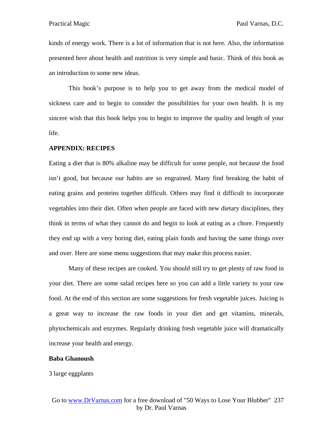kinds of energy work. There is a lot of information that is not here. Also, the information presented here about health and nutrition is very simple and basic. Think of this book as an introduction to some new ideas.

 This book's purpose is to help you to get away from the medical model of sickness care and to begin to consider the possibilities for your own health. It is my sincere wish that this book helps you to begin to improve the quality and length of your life.

#### **APPENDIX: RECIPES**

Eating a diet that is 80% alkaline may be difficult for some people, not because the food isn't good, but because our habits are so engrained. Many find breaking the habit of eating grains and proteins together difficult. Others may find it difficult to incorporate vegetables into their diet. Often when people are faced with new dietary disciplines, they think in terms of what they cannot do and begin to look at eating as a chore. Frequently they end up with a very boring diet, eating plain foods and having the same things over and over. Here are some menu suggestions that may make this process easier.

Many of these recipes are cooked. You should still try to get plenty of raw food in your diet. There are some salad recipes here so you can add a little variety to your raw food. At the end of this section are some suggestions for fresh vegetable juices. Juicing is a great way to increase the raw foods in your diet and get vitamins, minerals, phytochemicals and enzymes. Regularly drinking fresh vegetable juice will dramatically increase your health and energy.

#### **Baba Ghanoush**

3 large eggplants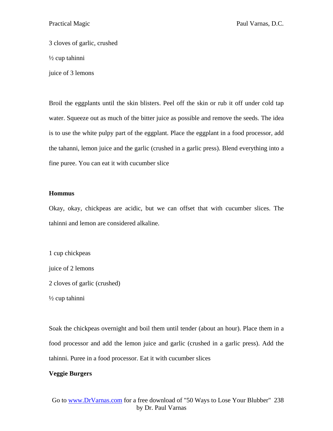3 cloves of garlic, crushed

 $\frac{1}{2}$  cup tahinni

juice of 3 lemons

Broil the eggplants until the skin blisters. Peel off the skin or rub it off under cold tap water. Squeeze out as much of the bitter juice as possible and remove the seeds. The idea is to use the white pulpy part of the eggplant. Place the eggplant in a food processor, add the tahanni, lemon juice and the garlic (crushed in a garlic press). Blend everything into a fine puree. You can eat it with cucumber slice

#### **Hommus**

Okay, okay, chickpeas are acidic, but we can offset that with cucumber slices. The tahinni and lemon are considered alkaline.

1 cup chickpeas juice of 2 lemons 2 cloves of garlic (crushed)  $\frac{1}{2}$  cup tahinni

Soak the chickpeas overnight and boil them until tender (about an hour). Place them in a food processor and add the lemon juice and garlic (crushed in a garlic press). Add the tahinni. Puree in a food processor. Eat it with cucumber slices

#### **Veggie Burgers**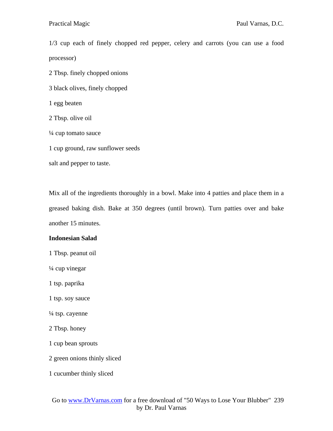1/3 cup each of finely chopped red pepper, celery and carrots (you can use a food processor)

2 Tbsp. finely chopped onions 3 black olives, finely chopped 1 egg beaten 2 Tbsp. olive oil

¼ cup tomato sauce

1 cup ground, raw sunflower seeds

salt and pepper to taste.

Mix all of the ingredients thoroughly in a bowl. Make into 4 patties and place them in a greased baking dish. Bake at 350 degrees (until brown). Turn patties over and bake another 15 minutes.

#### **Indonesian Salad**

1 Tbsp. peanut oil

¼ cup vinegar

1 tsp. paprika

1 tsp. soy sauce

¼ tsp. cayenne

2 Tbsp. honey

1 cup bean sprouts

2 green onions thinly sliced

1 cucumber thinly sliced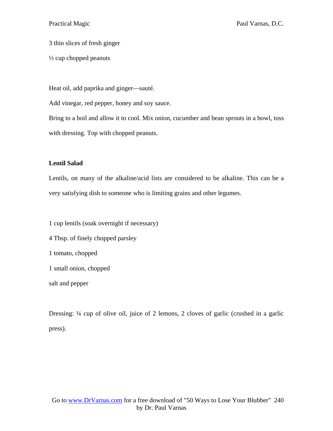3 thin slices of fresh ginger

½ cup chopped peanuts

Heat oil, add paprika and ginger—sauté.

Add vinegar, red pepper, honey and soy sauce.

Bring to a boil and allow it to cool. Mix onion, cucumber and bean sprouts in a bowl, toss with dressing. Top with chopped peanuts.

## **Lentil Salad**

Lentils, on many of the alkaline/acid lists are considered to be alkaline. This can be a very satisfying dish to someone who is limiting grains and other legumes.

1 cup lentils (soak overnight if necessary) 4 Tbsp. of finely chopped parsley 1 tomato, chopped

1 small onion, chopped

salt and pepper

Dressing: ¼ cup of olive oil, juice of 2 lemons, 2 cloves of garlic (crushed in a garlic press).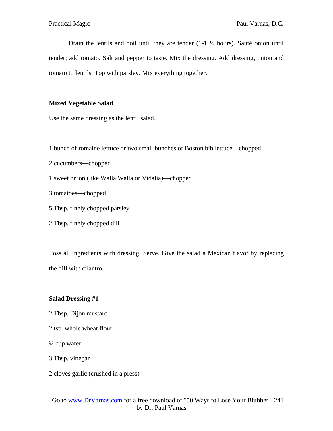Drain the lentils and boil until they are tender  $(1-1 \frac{1}{2})$  hours). Sauté onion until tender; add tomato. Salt and pepper to taste. Mix the dressing. Add dressing, onion and tomato to lentils. Top with parsley. Mix everything together.

#### **Mixed Vegetable Salad**

Use the same dressing as the lentil salad.

- 1 bunch of romaine lettuce or two small bunches of Boston bib lettuce—chopped
- 2 cucumbers—chopped
- 1 sweet onion (like Walla Walla or Vidalia)—chopped
- 3 tomatoes—chopped
- 5 Tbsp. finely chopped parsley
- 2 Tbsp. finely chopped dill

Toss all ingredients with dressing. Serve. Give the salad a Mexican flavor by replacing the dill with cilantro.

#### **Salad Dressing #1**

- 2 Tbsp. Dijon mustard
- 2 tsp. whole wheat flour
- ¼ cup water
- 3 Tbsp. vinegar
- 2 cloves garlic (crushed in a press)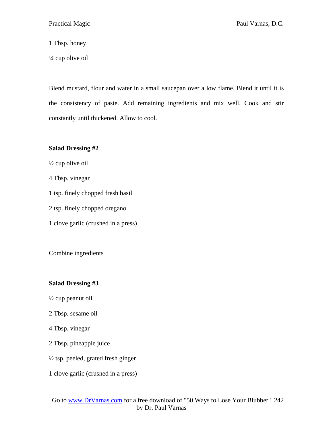1 Tbsp. honey

¼ cup olive oil

Blend mustard, flour and water in a small saucepan over a low flame. Blend it until it is the consistency of paste. Add remaining ingredients and mix well. Cook and stir constantly until thickened. Allow to cool.

#### **Salad Dressing #2**

 $\frac{1}{2}$  cup olive oil

4 Tbsp. vinegar

1 tsp. finely chopped fresh basil

2 tsp. finely chopped oregano

1 clove garlic (crushed in a press)

Combine ingredients

#### **Salad Dressing #3**

 $\frac{1}{2}$  cup peanut oil

- 2 Tbsp. sesame oil
- 4 Tbsp. vinegar
- 2 Tbsp. pineapple juice
- $\frac{1}{2}$  tsp. peeled, grated fresh ginger
- 1 clove garlic (crushed in a press)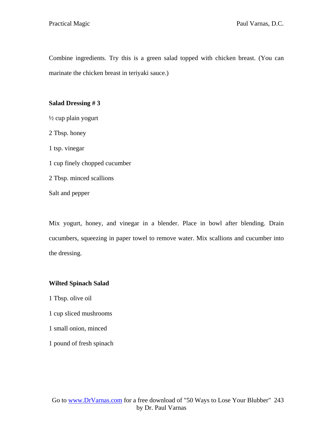Combine ingredients. Try this is a green salad topped with chicken breast. (You can marinate the chicken breast in teriyaki sauce.)

#### **Salad Dressing # 3**

½ cup plain yogurt

2 Tbsp. honey

1 tsp. vinegar

1 cup finely chopped cucumber

2 Tbsp. minced scallions

Salt and pepper

Mix yogurt, honey, and vinegar in a blender. Place in bowl after blending. Drain cucumbers, squeezing in paper towel to remove water. Mix scallions and cucumber into the dressing.

#### **Wilted Spinach Salad**

1 Tbsp. olive oil

1 cup sliced mushrooms

1 small onion, minced

1 pound of fresh spinach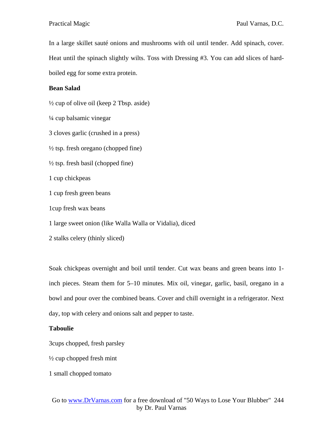In a large skillet sauté onions and mushrooms with oil until tender. Add spinach, cover. Heat until the spinach slightly wilts. Toss with Dressing #3. You can add slices of hardboiled egg for some extra protein.

#### **Bean Salad**

 $\frac{1}{2}$  cup of olive oil (keep 2 Tbsp. aside)

¼ cup balsamic vinegar

3 cloves garlic (crushed in a press)

 $\frac{1}{2}$  tsp. fresh oregano (chopped fine)

 $\frac{1}{2}$  tsp. fresh basil (chopped fine)

1 cup chickpeas

1 cup fresh green beans

1cup fresh wax beans

1 large sweet onion (like Walla Walla or Vidalia), diced

2 stalks celery (thinly sliced)

Soak chickpeas overnight and boil until tender. Cut wax beans and green beans into 1 inch pieces. Steam them for 5–10 minutes. Mix oil, vinegar, garlic, basil, oregano in a bowl and pour over the combined beans. Cover and chill overnight in a refrigerator. Next day, top with celery and onions salt and pepper to taste.

#### **Taboulie**

3cups chopped, fresh parsley

 $\frac{1}{2}$  cup chopped fresh mint

1 small chopped tomato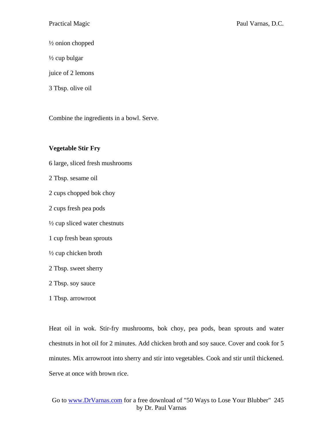½ onion chopped

 $\frac{1}{2}$  cup bulgar

juice of 2 lemons

3 Tbsp. olive oil

Combine the ingredients in a bowl. Serve.

#### **Vegetable Stir Fry**

6 large, sliced fresh mushrooms

2 Tbsp. sesame oil

2 cups chopped bok choy

2 cups fresh pea pods

½ cup sliced water chestnuts

1 cup fresh bean sprouts

½ cup chicken broth

2 Tbsp. sweet sherry

2 Tbsp. soy sauce

1 Tbsp. arrowroot

Heat oil in wok. Stir-fry mushrooms, bok choy, pea pods, bean sprouts and water chestnuts in hot oil for 2 minutes. Add chicken broth and soy sauce. Cover and cook for 5 minutes. Mix arrowroot into sherry and stir into vegetables. Cook and stir until thickened. Serve at once with brown rice.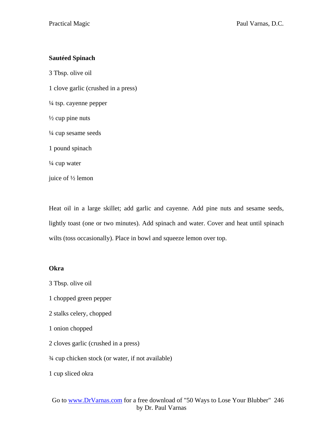#### **Sautéed Spinach**

3 Tbsp. olive oil 1 clove garlic (crushed in a press) ¼ tsp. cayenne pepper  $\frac{1}{2}$  cup pine nuts ¼ cup sesame seeds 1 pound spinach ¼ cup water juice of ½ lemon

Heat oil in a large skillet; add garlic and cayenne. Add pine nuts and sesame seeds, lightly toast (one or two minutes). Add spinach and water. Cover and heat until spinach wilts (toss occasionally). Place in bowl and squeeze lemon over top.

#### **Okra**

3 Tbsp. olive oil

- 1 chopped green pepper
- 2 stalks celery, chopped
- 1 onion chopped
- 2 cloves garlic (crushed in a press)

¾ cup chicken stock (or water, if not available)

1 cup sliced okra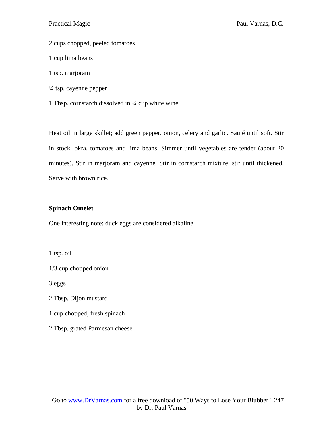2 cups chopped, peeled tomatoes

1 cup lima beans

1 tsp. marjoram

¼ tsp. cayenne pepper

1 Tbsp. cornstarch dissolved in ¼ cup white wine

Heat oil in large skillet; add green pepper, onion, celery and garlic. Sauté until soft. Stir in stock, okra, tomatoes and lima beans. Simmer until vegetables are tender (about 20 minutes). Stir in marjoram and cayenne. Stir in cornstarch mixture, stir until thickened. Serve with brown rice.

### **Spinach Omelet**

One interesting note: duck eggs are considered alkaline.

1 tsp. oil

1/3 cup chopped onion

3 eggs

2 Tbsp. Dijon mustard

1 cup chopped, fresh spinach

2 Tbsp. grated Parmesan cheese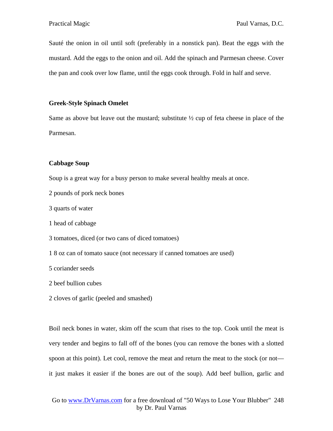Sauté the onion in oil until soft (preferably in a nonstick pan). Beat the eggs with the mustard. Add the eggs to the onion and oil. Add the spinach and Parmesan cheese. Cover the pan and cook over low flame, until the eggs cook through. Fold in half and serve.

#### **Greek-Style Spinach Omelet**

Same as above but leave out the mustard; substitute  $\frac{1}{2}$  cup of feta cheese in place of the Parmesan.

#### **Cabbage Soup**

Soup is a great way for a busy person to make several healthy meals at once.

- 2 pounds of pork neck bones
- 3 quarts of water
- 1 head of cabbage
- 3 tomatoes, diced (or two cans of diced tomatoes)
- 1 8 oz can of tomato sauce (not necessary if canned tomatoes are used)
- 5 coriander seeds
- 2 beef bullion cubes
- 2 cloves of garlic (peeled and smashed)

Boil neck bones in water, skim off the scum that rises to the top. Cook until the meat is very tender and begins to fall off of the bones (you can remove the bones with a slotted spoon at this point). Let cool, remove the meat and return the meat to the stock (or not it just makes it easier if the bones are out of the soup). Add beef bullion, garlic and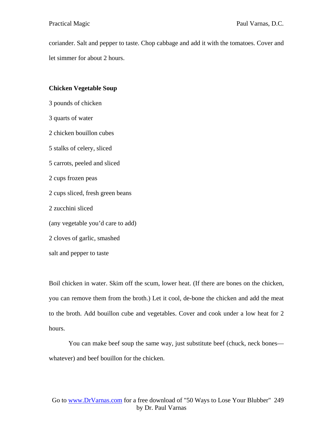coriander. Salt and pepper to taste. Chop cabbage and add it with the tomatoes. Cover and let simmer for about 2 hours.

### **Chicken Vegetable Soup**

3 pounds of chicken

3 quarts of water

2 chicken bouillon cubes

5 stalks of celery, sliced

5 carrots, peeled and sliced

2 cups frozen peas

2 cups sliced, fresh green beans

2 zucchini sliced

(any vegetable you'd care to add)

2 cloves of garlic, smashed

salt and pepper to taste

Boil chicken in water. Skim off the scum, lower heat. (If there are bones on the chicken, you can remove them from the broth.) Let it cool, de-bone the chicken and add the meat to the broth. Add bouillon cube and vegetables. Cover and cook under a low heat for 2 hours.

You can make beef soup the same way, just substitute beef (chuck, neck bones whatever) and beef bouillon for the chicken.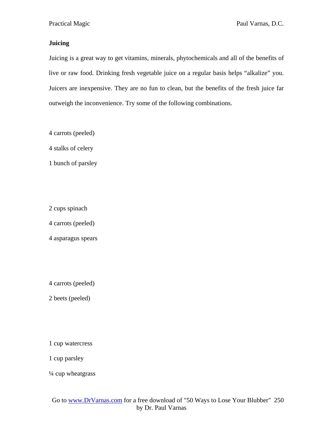#### **Juicing**

Juicing is a great way to get vitamins, minerals, phytochemicals and all of the benefits of live or raw food. Drinking fresh vegetable juice on a regular basis helps "alkalize" you. Juicers are inexpensive. They are no fun to clean, but the benefits of the fresh juice far outweigh the inconvenience. Try some of the following combinations.

4 carrots (peeled)

4 stalks of celery

1 bunch of parsley

2 cups spinach

4 carrots (peeled)

4 asparagus spears

4 carrots (peeled)

2 beets (peeled)

1 cup watercress

1 cup parsley

¼ cup wheatgrass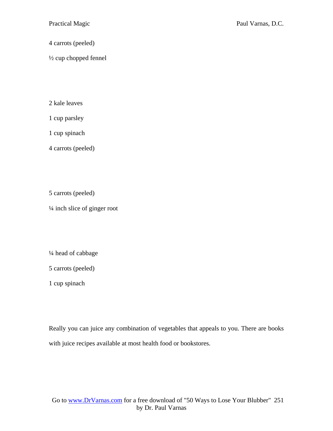4 carrots (peeled)

½ cup chopped fennel

2 kale leaves

1 cup parsley

1 cup spinach

4 carrots (peeled)

5 carrots (peeled)

¼ inch slice of ginger root

¼ head of cabbage

5 carrots (peeled)

1 cup spinach

Really you can juice any combination of vegetables that appeals to you. There are books with juice recipes available at most health food or bookstores.